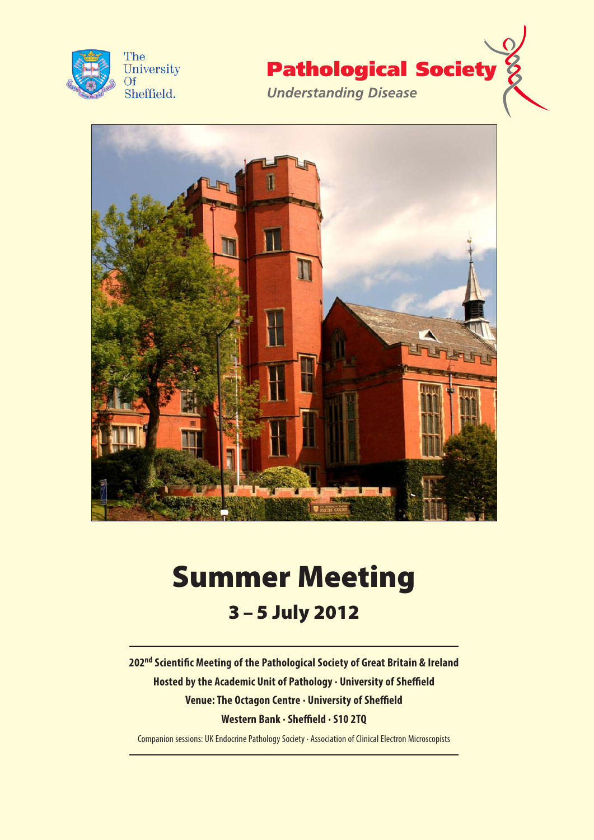





# Summer Meeting

# 3 – 5 July 2012

**202nd Scientific Meeting of the Pathological Society of Great Britain & Ireland Hosted by the Academic Unit of Pathology · University of Sheffield Venue: The Octagon Centre · University of Sheffield Western Bank · Sheffield · S10 2TQ**

Companion sessions: UK Endocrine Pathology Society · Association of Clinical Electron Microscopists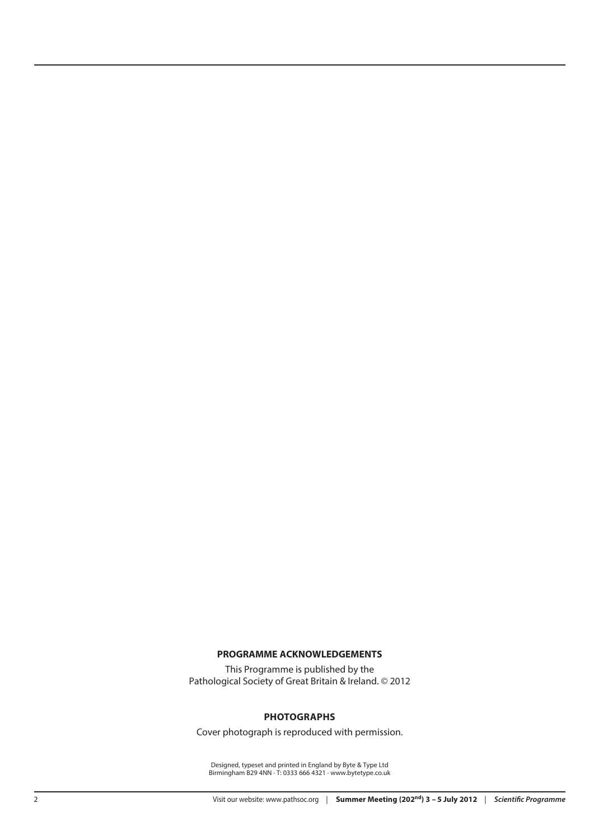#### **Programme acknowledgements**

This Programme is published by the Pathological Society of Great Britain & Ireland. © 2012

#### **Photographs**

Cover photograph is reproduced with permission.

Designed, typeset and printed in England by Byte & Type Ltd Birmingham B29 4NN · T: 0333 666 4321 · www.bytetype.co.uk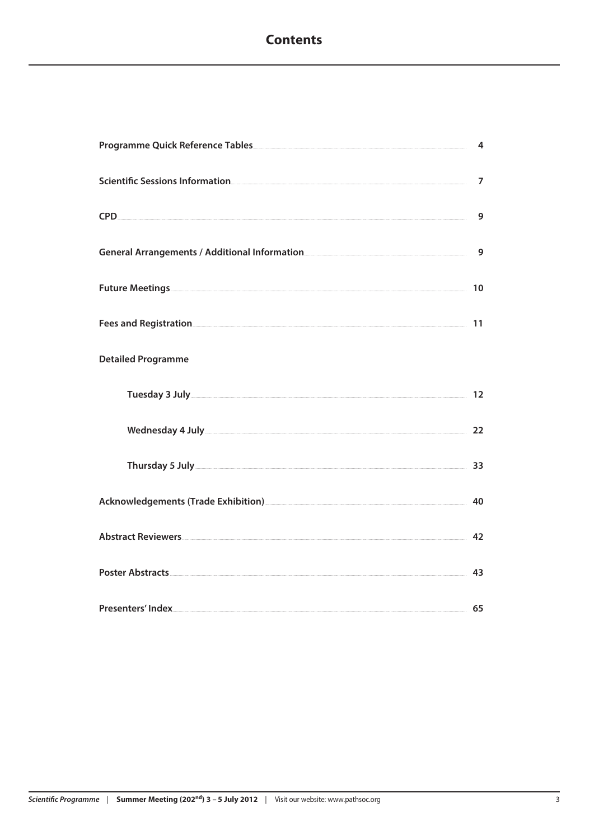# **Contents**

| Scientific Sessions Information 2008 2014 12:00:00 12:00:00 12:00:00 12:00:00 12:00:00 12:00:00 12:00:00 12:00                                                                                                                 |    |
|--------------------------------------------------------------------------------------------------------------------------------------------------------------------------------------------------------------------------------|----|
|                                                                                                                                                                                                                                | 9  |
|                                                                                                                                                                                                                                |    |
| <b>Future Meetings 2008 and 2008 and 2008 and 2008 and 2008 and 2008 and 2008 and 2008 and 2008 and 2008 and 200</b>                                                                                                           |    |
| Fees and Registration 2008 and 2008 and 2008 and 2008 and 2008 and 2008 and 2008 and 2008 and 2008 and 2008 and 2008 and 2008 and 2008 and 2008 and 2008 and 2008 and 2008 and 2008 and 2008 and 2008 and 2008 and 2008 and 20 |    |
| <b>Detailed Programme</b>                                                                                                                                                                                                      |    |
| Tuesday 3 July 22 and 22 and 22 and 22 and 23 and 24 and 25 and 26 and 26 and 26 and 26 and 27 and 27 and 27 and 27 and 27 and 27 and 27 and 27 and 27 and 27 and 27 and 27 and 27 and 27 and 27 and 27 and 27 and 27 and 27 a |    |
| Wednesday 4 July 22                                                                                                                                                                                                            |    |
| Thursday 5 July 33                                                                                                                                                                                                             |    |
| Acknowledgements (Trade Exhibition) 40                                                                                                                                                                                         |    |
| Abstract Reviewers 42 and 20 Abstract Reviewers 42 and 20 Abstract Reviewers 42 and 20 Abstract Reviewers 42 and 20 Abstract Reviewers 42 and 20 Abstract Reviewers 42 and 20 Abstract Reviewers 42 and 20 Abstract Reviewers  |    |
|                                                                                                                                                                                                                                |    |
| Presenters' Index                                                                                                                                                                                                              | 65 |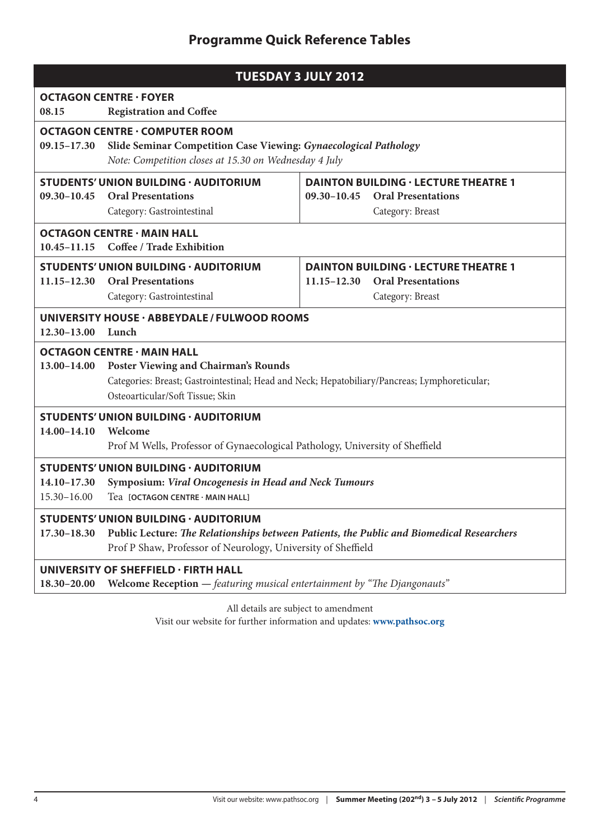|                                                                                                                                                                                                                                      |                                                                                                                                                                                                           | <b>TUESDAY 3 JULY 2012</b> |                                                                                              |
|--------------------------------------------------------------------------------------------------------------------------------------------------------------------------------------------------------------------------------------|-----------------------------------------------------------------------------------------------------------------------------------------------------------------------------------------------------------|----------------------------|----------------------------------------------------------------------------------------------|
| 08.15                                                                                                                                                                                                                                | <b>OCTAGON CENTRE · FOYER</b><br><b>Registration and Coffee</b>                                                                                                                                           |                            |                                                                                              |
| $09.15 - 17.30$                                                                                                                                                                                                                      | <b>OCTAGON CENTRE · COMPUTER ROOM</b><br>Slide Seminar Competition Case Viewing: Gynaecological Pathology<br>Note: Competition closes at 15.30 on Wednesday 4 July                                        |                            |                                                                                              |
| $09.30 - 10.45$                                                                                                                                                                                                                      | <b>STUDENTS' UNION BUILDING · AUDITORIUM</b><br><b>Oral Presentations</b><br>Category: Gastrointestinal                                                                                                   | $09.30 - 10.45$            | <b>DAINTON BUILDING · LECTURE THEATRE 1</b><br><b>Oral Presentations</b><br>Category: Breast |
| $10.45 - 11.15$                                                                                                                                                                                                                      | <b>OCTAGON CENTRE · MAIN HALL</b><br>Coffee / Trade Exhibition                                                                                                                                            |                            |                                                                                              |
| $11.15 - 12.30$                                                                                                                                                                                                                      | <b>STUDENTS' UNION BUILDING · AUDITORIUM</b><br><b>Oral Presentations</b><br>Category: Gastrointestinal                                                                                                   | $11.15 - 12.30$            | <b>DAINTON BUILDING · LECTURE THEATRE 1</b><br><b>Oral Presentations</b><br>Category: Breast |
| $12.30 - 13.00$                                                                                                                                                                                                                      | UNIVERSITY HOUSE · ABBEYDALE / FULWOOD ROOMS<br>Lunch                                                                                                                                                     |                            |                                                                                              |
| <b>OCTAGON CENTRE · MAIN HALL</b><br>13.00-14.00<br><b>Poster Viewing and Chairman's Rounds</b><br>Categories: Breast; Gastrointestinal; Head and Neck; Hepatobiliary/Pancreas; Lymphoreticular;<br>Osteoarticular/Soft Tissue; Skin |                                                                                                                                                                                                           |                            |                                                                                              |
| <b>STUDENTS' UNION BUILDING · AUDITORIUM</b><br>Welcome<br>14.00-14.10<br>Prof M Wells, Professor of Gynaecological Pathology, University of Sheffield                                                                               |                                                                                                                                                                                                           |                            |                                                                                              |
| $14.10 - 17.30$<br>$15.30 - 16.00$                                                                                                                                                                                                   | <b>STUDENTS' UNION BUILDING · AUDITORIUM</b><br>Symposium: Viral Oncogenesis in Head and Neck Tumours<br>Tea [OCTAGON CENTRE · MAIN HALL]                                                                 |                            |                                                                                              |
| 17.30-18.30                                                                                                                                                                                                                          | <b>STUDENTS' UNION BUILDING · AUDITORIUM</b><br>Public Lecture: The Relationships between Patients, the Public and Biomedical Researchers<br>Prof P Shaw, Professor of Neurology, University of Sheffield |                            |                                                                                              |
| 18.30-20.00                                                                                                                                                                                                                          | UNIVERSITY OF SHEFFIELD · FIRTH HALL<br>Welcome Reception - featuring musical entertainment by "The Djangonauts"                                                                                          |                            |                                                                                              |

All details are subject to amendment Visit our website for further information and updates: **[www.pathsoc.org](http://www.pathsoc.org)**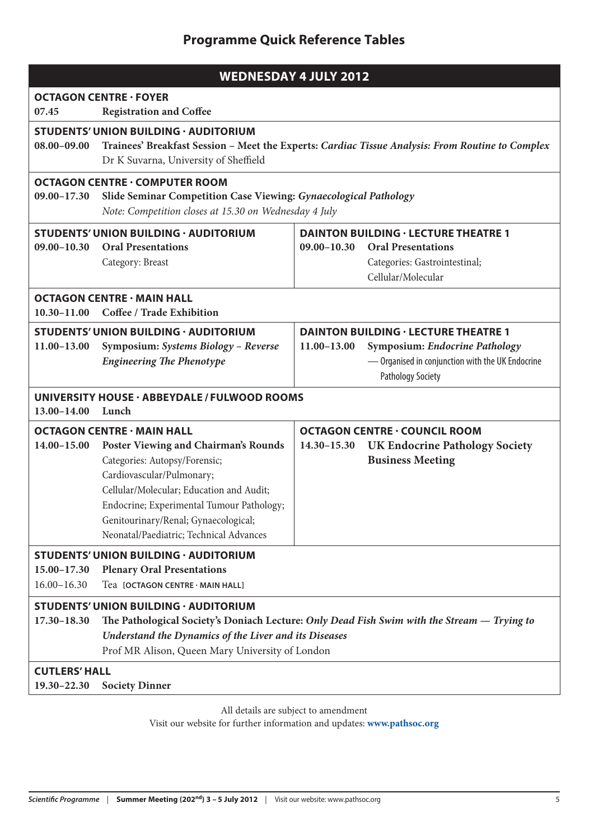| <b>WEDNESDAY 4 JULY 2012</b> |                                                                                                                                                                                                                                                                                       |                 |                                                                                                         |
|------------------------------|---------------------------------------------------------------------------------------------------------------------------------------------------------------------------------------------------------------------------------------------------------------------------------------|-----------------|---------------------------------------------------------------------------------------------------------|
|                              | <b>OCTAGON CENTRE · FOYER</b>                                                                                                                                                                                                                                                         |                 |                                                                                                         |
| 07.45                        | <b>Registration and Coffee</b>                                                                                                                                                                                                                                                        |                 |                                                                                                         |
| $08.00 - 09.00$              | <b>STUDENTS' UNION BUILDING · AUDITORIUM</b><br>Trainees' Breakfast Session - Meet the Experts: Cardiac Tissue Analysis: From Routine to Complex<br>Dr K Suvarna, University of Sheffield                                                                                             |                 |                                                                                                         |
| $09.00 - 17.30$              | <b>OCTAGON CENTRE · COMPUTER ROOM</b><br>Slide Seminar Competition Case Viewing: Gynaecological Pathology<br>Note: Competition closes at 15.30 on Wednesday 4 July                                                                                                                    |                 |                                                                                                         |
|                              | <b>STUDENTS' UNION BUILDING · AUDITORIUM</b>                                                                                                                                                                                                                                          |                 | <b>DAINTON BUILDING · LECTURE THEATRE 1</b>                                                             |
| $09.00 - 10.30$              | <b>Oral Presentations</b>                                                                                                                                                                                                                                                             | $09.00 - 10.30$ | <b>Oral Presentations</b>                                                                               |
|                              | Category: Breast                                                                                                                                                                                                                                                                      |                 | Categories: Gastrointestinal;<br>Cellular/Molecular                                                     |
|                              | <b>OCTAGON CENTRE · MAIN HALL</b>                                                                                                                                                                                                                                                     |                 |                                                                                                         |
| $10.30 - 11.00$              | Coffee / Trade Exhibition                                                                                                                                                                                                                                                             |                 |                                                                                                         |
|                              | <b>STUDENTS' UNION BUILDING · AUDITORIUM</b>                                                                                                                                                                                                                                          |                 | <b>DAINTON BUILDING · LECTURE THEATRE 1</b>                                                             |
| $11.00 - 13.00$              | Symposium: Systems Biology - Reverse<br><b>Engineering The Phenotype</b>                                                                                                                                                                                                              | $11.00 - 13.00$ | Symposium: Endocrine Pathology<br>- Organised in conjunction with the UK Endocrine<br>Pathology Society |
|                              | UNIVERSITY HOUSE · ABBEYDALE / FULWOOD ROOMS                                                                                                                                                                                                                                          |                 |                                                                                                         |
| 13.00-14.00                  | Lunch                                                                                                                                                                                                                                                                                 |                 |                                                                                                         |
|                              | <b>OCTAGON CENTRE · MAIN HALL</b>                                                                                                                                                                                                                                                     |                 | <b>OCTAGON CENTRE · COUNCIL ROOM</b>                                                                    |
| $14.00 - 15.00$              | <b>Poster Viewing and Chairman's Rounds</b><br>Categories: Autopsy/Forensic;<br>Cardiovascular/Pulmonary;<br>Cellular/Molecular; Education and Audit;<br>Endocrine; Experimental Tumour Pathology;<br>Genitourinary/Renal; Gynaecological;<br>Neonatal/Paediatric; Technical Advances | 14.30-15.30     | <b>UK Endocrine Pathology Society</b><br><b>Business Meeting</b>                                        |
|                              | STUDENTS' UNION BUILDING · AUDITORIUM                                                                                                                                                                                                                                                 |                 |                                                                                                         |
| 15.00-17.30                  | <b>Plenary Oral Presentations</b>                                                                                                                                                                                                                                                     |                 |                                                                                                         |
| $16.00 - 16.30$              | Tea [OCTAGON CENTRE · MAIN HALL]                                                                                                                                                                                                                                                      |                 |                                                                                                         |
| $17.30 - 18.30$              | <b>STUDENTS' UNION BUILDING · AUDITORIUM</b><br>The Pathological Society's Doniach Lecture: Only Dead Fish Swim with the Stream — Trying to<br>Understand the Dynamics of the Liver and its Diseases<br>Prof MR Alison, Queen Mary University of London                               |                 |                                                                                                         |
| <b>CUTLERS' HALL</b>         |                                                                                                                                                                                                                                                                                       |                 |                                                                                                         |
| $19.30 - 22.30$              | <b>Society Dinner</b>                                                                                                                                                                                                                                                                 |                 |                                                                                                         |

All details are subject to amendment

Visit our website for further information and updates: **[www.pathsoc.org](http://www.pathsoc.org)**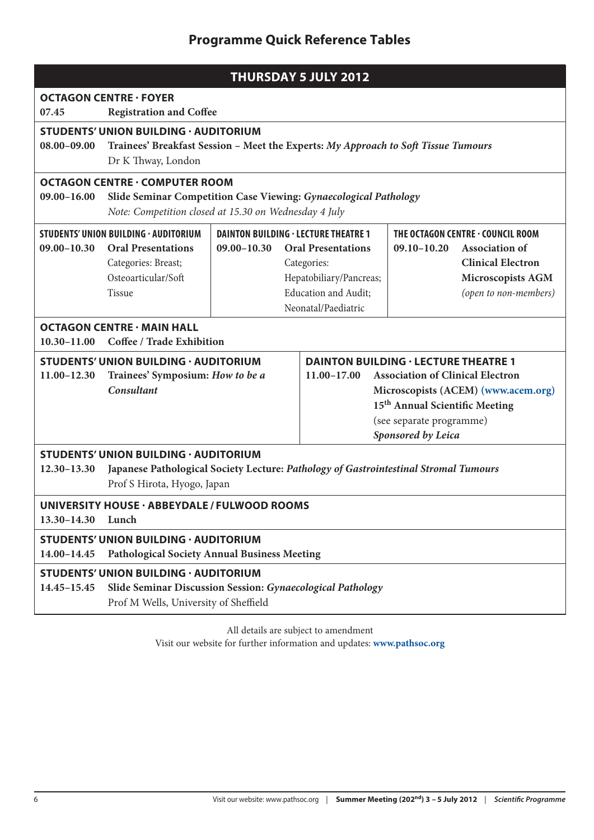| <b>THURSDAY 5 JULY 2012</b>                                                                                                                                                            |                                                                                                                                                                    |                                                                                                                                                                                             |  |                                                                                                                                                                                                                                              |                                                                                                                                             |  |
|----------------------------------------------------------------------------------------------------------------------------------------------------------------------------------------|--------------------------------------------------------------------------------------------------------------------------------------------------------------------|---------------------------------------------------------------------------------------------------------------------------------------------------------------------------------------------|--|----------------------------------------------------------------------------------------------------------------------------------------------------------------------------------------------------------------------------------------------|---------------------------------------------------------------------------------------------------------------------------------------------|--|
| 07.45                                                                                                                                                                                  | <b>OCTAGON CENTRE · FOYER</b><br><b>Registration and Coffee</b>                                                                                                    |                                                                                                                                                                                             |  |                                                                                                                                                                                                                                              |                                                                                                                                             |  |
| $08.00 - 09.00$                                                                                                                                                                        | <b>STUDENTS' UNION BUILDING · AUDITORIUM</b><br>Trainees' Breakfast Session - Meet the Experts: My Approach to Soft Tissue Tumours<br>Dr K Thway, London           |                                                                                                                                                                                             |  |                                                                                                                                                                                                                                              |                                                                                                                                             |  |
| $09.00 - 16.00$                                                                                                                                                                        | <b>OCTAGON CENTRE · COMPUTER ROOM</b><br>Slide Seminar Competition Case Viewing: Gynaecological Pathology<br>Note: Competition closed at 15.30 on Wednesday 4 July |                                                                                                                                                                                             |  |                                                                                                                                                                                                                                              |                                                                                                                                             |  |
| $09.00 - 10.30$                                                                                                                                                                        | STUDENTS' UNION BUILDING · AUDITORIUM<br><b>Oral Presentations</b><br>Categories: Breast;<br>Osteoarticular/Soft<br>Tissue                                         | <b>DAINTON BUILDING · LECTURE THEATRE 1</b><br>$09.00 - 10.30$<br><b>Oral Presentations</b><br>Categories:<br>Hepatobiliary/Pancreas;<br><b>Education and Audit;</b><br>Neonatal/Paediatric |  | $09.10 - 10.20$                                                                                                                                                                                                                              | THE OCTAGON CENTRE · COUNCIL ROOM<br><b>Association of</b><br><b>Clinical Electron</b><br><b>Microscopists AGM</b><br>(open to non-members) |  |
| <b>OCTAGON CENTRE · MAIN HALL</b><br>Coffee / Trade Exhibition<br>$10.30 - 11.00$                                                                                                      |                                                                                                                                                                    |                                                                                                                                                                                             |  |                                                                                                                                                                                                                                              |                                                                                                                                             |  |
| $11.00 - 12.30$                                                                                                                                                                        | <b>STUDENTS' UNION BUILDING · AUDITORIUM</b><br>Trainees' Symposium: How to be a<br>Consultant                                                                     |                                                                                                                                                                                             |  | <b>DAINTON BUILDING · LECTURE THEATRE 1</b><br><b>Association of Clinical Electron</b><br>11.00-17.00<br>Microscopists (ACEM) (www.acem.org)<br>15 <sup>th</sup> Annual Scientific Meeting<br>(see separate programme)<br>Sponsored by Leica |                                                                                                                                             |  |
| <b>STUDENTS' UNION BUILDING · AUDITORIUM</b><br>Japanese Pathological Society Lecture: Pathology of Gastrointestinal Stromal Tumours<br>$12.30 - 13.30$<br>Prof S Hirota, Hyogo, Japan |                                                                                                                                                                    |                                                                                                                                                                                             |  |                                                                                                                                                                                                                                              |                                                                                                                                             |  |
| $13.30 - 14.30$                                                                                                                                                                        | UNIVERSITY HOUSE · ABBEYDALE / FULWOOD ROOMS<br>Lunch                                                                                                              |                                                                                                                                                                                             |  |                                                                                                                                                                                                                                              |                                                                                                                                             |  |
| $14.00 - 14.45$                                                                                                                                                                        | <b>STUDENTS' UNION BUILDING · AUDITORIUM</b><br><b>Pathological Society Annual Business Meeting</b>                                                                |                                                                                                                                                                                             |  |                                                                                                                                                                                                                                              |                                                                                                                                             |  |
| 14.45-15.45                                                                                                                                                                            | <b>STUDENTS' UNION BUILDING · AUDITORIUM</b><br>Slide Seminar Discussion Session: Gynaecological Pathology<br>Prof M Wells, University of Sheffield                |                                                                                                                                                                                             |  |                                                                                                                                                                                                                                              |                                                                                                                                             |  |

All details are subject to amendment Visit our website for further information and updates: **[www.pathsoc.org](http://www.pathsoc.org)**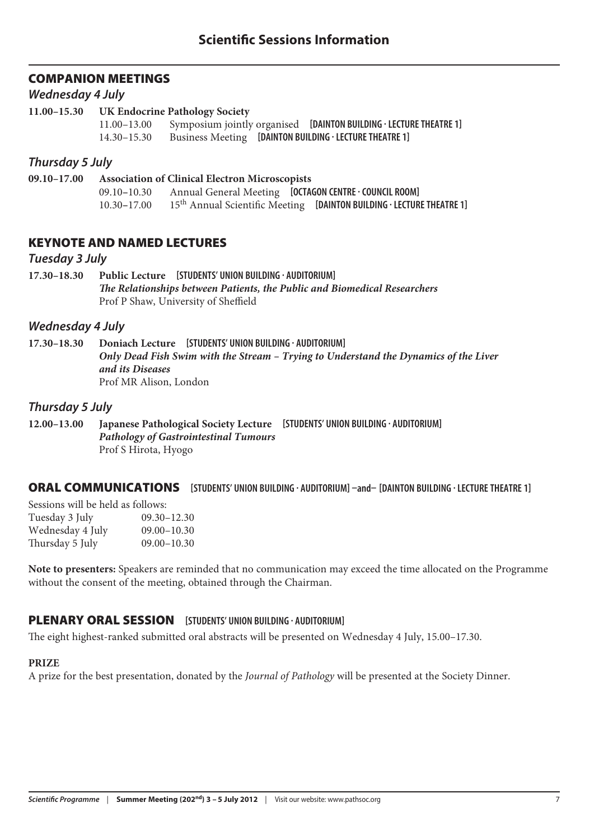# Companion Meetings

## *Wednesday 4 July*

**11.00–15.30 UK Endocrine Pathology Society**

 11.00–13.00 Symposium jointly organised **[Dainton Building · Lecture Theatre 1]** 14.30–15.30 Business Meeting **[Dainton Building · Lecture Theatre 1]**

# *Thursday 5 July*

**09.10–17.00 Association of Clinical Electron Microscopists** 09.10**–**10.30 Annual General Meeting **[Octagon Centre · Council Room]** 10.30**–**17.00 15th Annual Scientific Meeting **[Dainton Building · Lecture Theatre 1]**

# Keynote and Named Lectures

## *Tuesday 3 July*

**17.30–18.30 Public Lecture [Students' Union Building · Auditorium]** *The Relationships between Patients, the Public and Biomedical Researchers* Prof P Shaw, University of Sheffield

# *Wednesday 4 July*

**17.30–18.30 Doniach Lecture [Students' Union Building · Auditorium]**  *Only Dead Fish Swim with the Stream – Trying to Understand the Dynamics of the Liver and its Diseases* Prof MR Alison, London

## *Thursday 5 July*

**12.00–13.00 Japanese Pathological Society Lecture [Students' Union Building · Auditorium]**  *Pathology of Gastrointestinal Tumours* Prof S Hirota, Hyogo

### ORAL COMMUNICATIONS **[Students' Union Building · Auditorium] –and– [Dainton Building · Lecture Theatre 1]**

| Sessions will be held as follows: |                 |
|-----------------------------------|-----------------|
| Tuesday 3 July                    | $09.30 - 12.30$ |
| Wednesday 4 July                  | $09.00 - 10.30$ |
| Thursday 5 July                   | $09.00 - 10.30$ |

**Note to presenters:** Speakers are reminded that no communication may exceed the time allocated on the Programme without the consent of the meeting, obtained through the Chairman.

# PLENARY ORAL SESSION **[Students' Union Building · Auditorium]**

The eight highest-ranked submitted oral abstracts will be presented on Wednesday 4 July, 15.00–17.30.

### **Prize**

A prize for the best presentation, donated by the *Journal of Pathology* will be presented at the Society Dinner.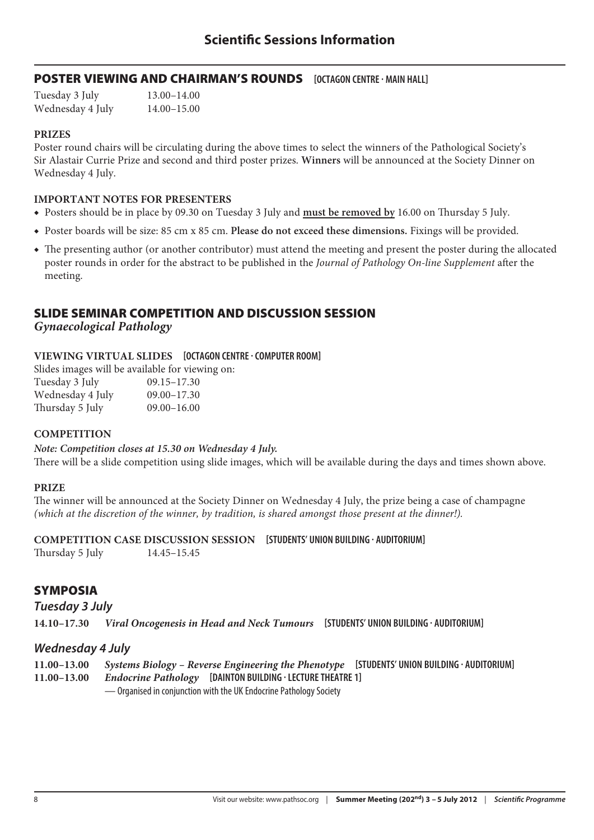# **POSTER VIEWING AND CHAIRMAN'S ROUNDS FOCTAGON CENTRE · MAIN HALL]**

Tuesday 3 July 13.00–14.00 Wednesday 4 July 14.00–15.00

### **Prizes**

Poster round chairs will be circulating during the above times to select the winners of the Pathological Society's Sir Alastair Currie Prize and second and third poster prizes. **Winners** will be announced at the Society Dinner on Wednesday 4 July.

### **IMPORTANT NOTES FOR PRESENTERS**

- ◆ Posters should be in place by 09.30 on Tuesday 3 July and **must be removed by** 16.00 on Thursday 5 July.
- ◆ Poster boards will be size: 85 cm x 85 cm. **Please do not exceed these dimensions.** Fixings will be provided.
- ◆ The presenting author (or another contributor) must attend the meeting and present the poster during the allocated poster rounds in order for the abstract to be published in the *Journal of Pathology On-line Supplement* after the meeting.

# SLIDE Seminar Competition and Discussion Session

*Gynaecological Pathology* 

### **Viewing Virtual Slides [Octagon Centre · Computer Room]**

Slides images will be available for viewing on:

| Tuesday 3 July   | $09.15 - 17.30$ |
|------------------|-----------------|
| Wednesday 4 July | $09.00 - 17.30$ |
| Thursday 5 July  | $09.00 - 16.00$ |

### **Competition**

*Note: Competition closes at 15.30 on Wednesday 4 July.*

There will be a slide competition using slide images, which will be available during the days and times shown above.

### **Prize**

The winner will be announced at the Society Dinner on Wednesday 4 July, the prize being a case of champagne *(which at the discretion of the winner, by tradition, is shared amongst those present at the dinner!).*

### **Competition Case Discussion Session [Students' Union Building · Auditorium]**

Thursday 5 July 14.45–15.45

# SYMPOSIA

*Tuesday 3 July*

**14.10–17.30** *Viral Oncogenesis in Head and Neck Tumours* **[Students' Union Building · Auditorium]**

### *Wednesday 4 July*

**11.00–13.00** *Systems Biology – Reverse Engineering the Phenotype* **[Students' Union Building · Auditorium] 11.00–13.00** *Endocrine Pathology* **[Dainton Building · Lecture Theatre 1]**  — Organised in conjunction with the UK Endocrine Pathology Society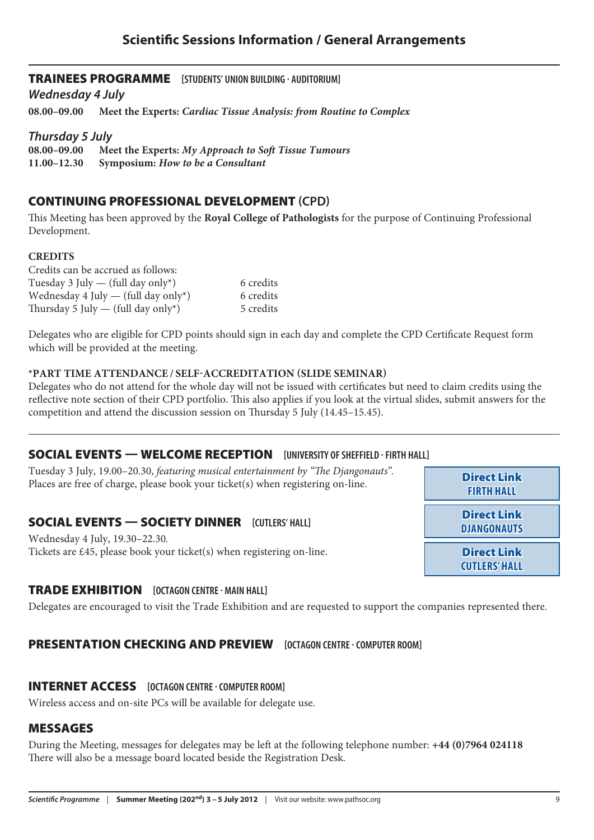# TRAINEES PROGRAMME **[Students' Union Building · Auditorium]**

*Wednesday 4 July*

**08.00–09.00 Meet the Experts:** *Cardiac Tissue Analysis: from Routine to Complex*

## *Thursday 5 July*

**08.00–09.00 Meet the Experts:** *My Approach to Soft Tissue Tumours* **11.00–12.30 Symposium:** *How to be a Consultant*

# CONTINUING PROFESSIONAL DEVELOPMENT **(CPD)**

This Meeting has been approved by the **Royal College of Pathologists** for the purpose of Continuing Professional Development.

# **Credits**

| Credits can be accrued as follows:  |           |
|-------------------------------------|-----------|
| Tuesday 3 July — (full day only*)   | 6 credits |
| Wednesday 4 July — (full day only*) | 6 credits |
| Thursday 5 July — (full day only*)  | 5 credits |

Delegates who are eligible for CPD points should sign in each day and complete the CPD Certificate Request form which will be provided at the meeting.

### **\*Part time attendance / Self-accreditation (Slide Seminar)**

Delegates who do not attend for the whole day will not be issued with certificates but need to claim credits using the reflective note section of their CPD portfolio. This also applies if you look at the virtual slides, submit answers for the competition and attend the discussion session on Thursday 5 July (14.45–15.45).

# SociAL EVENTS — Welcome Reception **[University of Sheffield · Firth Hall]**

Tuesday 3 July, 19.00–20.30, *featuring musical entertainment by "The Djangonauts".* Places are free of charge, please book your ticket(s) when registering on-line.

# **SOCIAL EVENTS — SOCIETY DINNER [CUTLERS' HALL]**

Wednesday 4 July, 19.30–22.30*.* Tickets are £45, please book your ticket(s) when registering on-line.

# TRADE EXHIBITION **[Octagon Centre · Main Hall]**

Delegates are encouraged to visit the Trade Exhibition and are requested to support the companies represented there.

# **PRESENTATION CHECKING AND PREVIEW <b>[OCTAGON CENTRE · COMPUTER ROOM]**

### Internet Access **[Octagon Centre · Computer Room]**

Wireless access and on-site PCs will be available for delegate use.

# **MESSAGES**

During the Meeting, messages for delegates may be left at the following telephone number: **+44 (0)7964 024118** There will also be a message board located beside the Registration Desk.

| <b>Direct Link</b><br><b>FIRTH HALL</b>    |
|--------------------------------------------|
| <b>Direct Link</b><br><b>DJANGONAUTS</b>   |
| <b>Direct Link</b><br><b>CUTLERS' HALL</b> |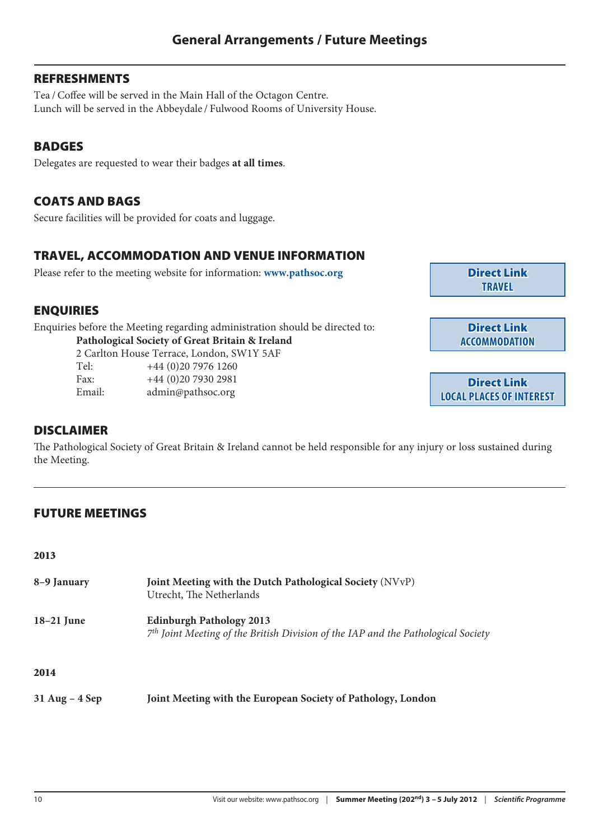# **REFRESHMENTS**

Tea / Coffee will be served in the Main Hall of the Octagon Centre. Lunch will be served in the Abbeydale / Fulwood Rooms of University House.

# **BADGES**

Delegates are requested to wear their badges **at all times**.

# **COATS AND BAGS**

Secure facilities will be provided for coats and luggage.

# Travel, ACCOMMODATION and Venue Information

Please refer to the meeting website for information: **[www.pathsoc.org](http://www.pathsoc.org/index.php?option=com_events&task=view_detail&agid=16&year=2011&month=01&day=06&Itemid=1&catids=67)**

## **ENQUIRIES**

Enquiries before the Meeting regarding administration should be directed to:

**Pathological Society of Great Britain & Ireland**

2 Carlton House Terrace, London, SW1Y 5AF

| Tel:   | +44 (0)20 7976 1260 |
|--------|---------------------|
| Fax:   | +44 (0)20 7930 2981 |
| Email: | admin@pathsoc.org   |



[Direct Link](https://www.sheffield.gov.uk/out--about/tourist-information/visitor-attractions.html) **LOCAL Places of Interest**

# **DISCLAIMER**

The Pathological Society of Great Britain & Ireland cannot be held responsible for any injury or loss sustained during the Meeting.

# Future Meetings

### 2013

| 8-9 January  | Joint Meeting with the Dutch Pathological Society (NVvP)<br>Utrecht, The Netherlands                                   |
|--------------|------------------------------------------------------------------------------------------------------------------------|
| $18-21$ June | <b>Edinburgh Pathology 2013</b><br>$7th$ Joint Meeting of the British Division of the IAP and the Pathological Society |
| 2014         |                                                                                                                        |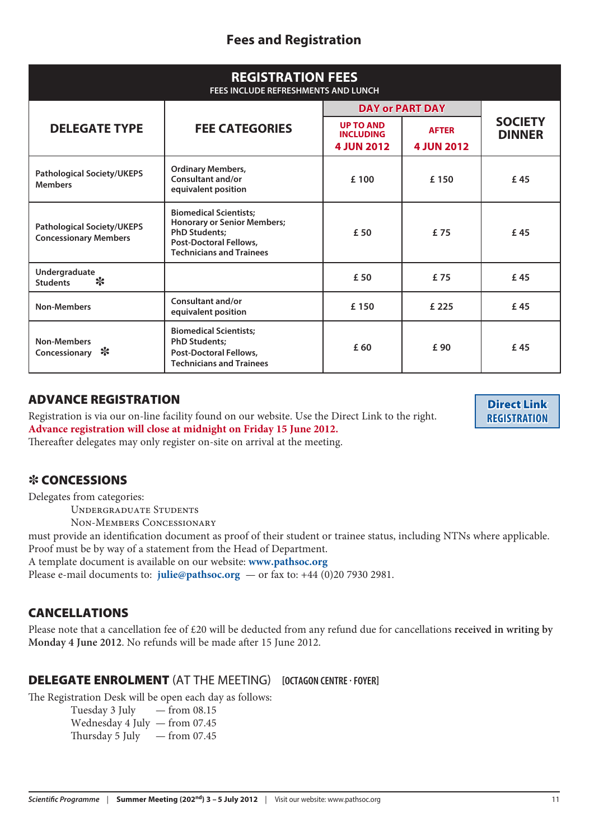# **Fees and Registration**

| <b>REGISTRATION FEES</b><br>FEES INCLUDE REFRESHMENTS AND LUNCH   |                                                                                                                                                                 |                                                           |                                   |                                 |
|-------------------------------------------------------------------|-----------------------------------------------------------------------------------------------------------------------------------------------------------------|-----------------------------------------------------------|-----------------------------------|---------------------------------|
|                                                                   |                                                                                                                                                                 | <b>DAY or PART DAY</b>                                    |                                   |                                 |
| <b>DELEGATE TYPE</b>                                              | <b>FEE CATEGORIES</b>                                                                                                                                           | <b>UP TO AND</b><br><b>INCLUDING</b><br><b>4 JUN 2012</b> | <b>AFTER</b><br><b>4 JUN 2012</b> | <b>SOCIETY</b><br><b>DINNER</b> |
| <b>Pathological Society/UKEPS</b><br><b>Members</b>               | <b>Ordinary Members,</b><br>Consultant and/or<br>equivalent position                                                                                            | £ 100                                                     | £150                              | £45                             |
| <b>Pathological Society/UKEPS</b><br><b>Concessionary Members</b> | <b>Biomedical Scientists;</b><br><b>Honorary or Senior Members;</b><br><b>PhD Students:</b><br><b>Post-Doctoral Fellows,</b><br><b>Technicians and Trainees</b> | £ 50                                                      | £75                               | £45                             |
| Undergraduate<br>⋇<br><b>Students</b>                             |                                                                                                                                                                 | £ 50                                                      | £75                               | £45                             |
| <b>Non-Members</b>                                                | Consultant and/or<br>equivalent position                                                                                                                        | £150                                                      | £225                              | £45                             |
| <b>Non-Members</b><br>Concessionary *                             | <b>Biomedical Scientists:</b><br><b>PhD Students;</b><br>Post-Doctoral Fellows,<br><b>Technicians and Trainees</b>                                              | f60                                                       | f90                               | £45                             |

# Advance Registration

Registration is via our on-line facility found on our website. Use the Direct Link to the right. **Advance registration will close at midnight on Friday 15 June 2012.** 

Direct Link **[Registration](https://www5.shocklogic.com/scripts/jmevent/Registration.asp?Client_Id=)**

Thereafter delegates may only register on-site on arrival at the meeting.

# **\* CONCESSIONS**

Delegates from categories:

Undergraduate Students

Non-Members Concessionary

must provide an identification document as proof of their student or trainee status, including NTNs where applicable. Proof must be by way of a statement from the Head of Department.

A template document is available on our website: **[www.pathsoc.org](http://www.pathsoc.org)**

Please e-mail documents to: **[julie@pathsoc.org](mailto:julie%40pathsoc.org?subject=Concessions)** — or fax to: +44 (0)20 7930 2981.

# **CANCELLATIONS**

Please note that a cancellation fee of £20 will be deducted from any refund due for cancellations **received in writing by Monday 4 June 2012**. No refunds will be made after 15 June 2012.

# **DELEGATE ENROLMENT** (AT THE MEETING) **[OCTAGON CENTRE · FOYER]**

The Registration Desk will be open each day as follows:

Tuesday 3 July — from 08.15 Wednesday 4 July — from 07.45 Thursday 5 July — from  $07.45$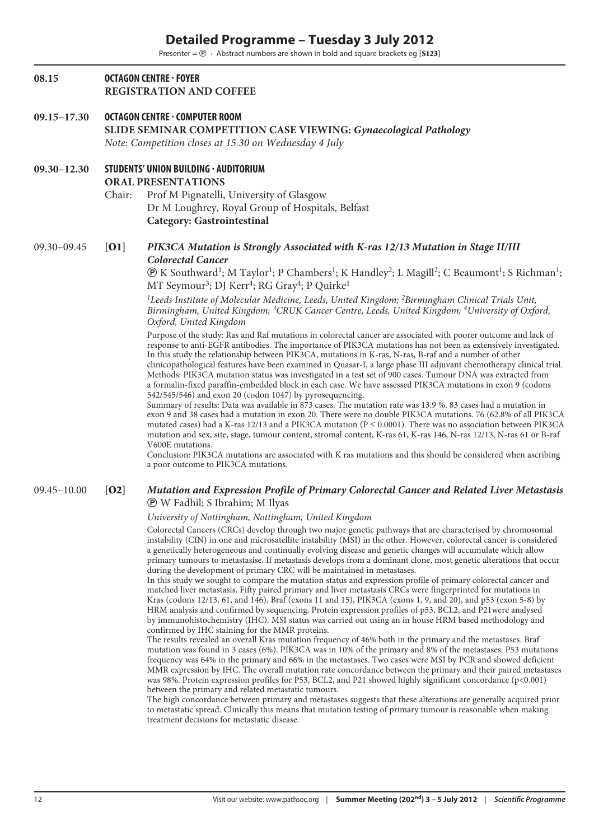Presenter =  $(P \cdot$  Abstract numbers are shown in bold and square brackets eg [S123]

### **08.15 Octagon Centre · Foyer REGISTRATION and COFFEE**

- **09.15–17.30 Octagon Centre · Computer Room SLIDE SEMINAR COMPETITION CASE VIEWING:** *Gynaecological Pathology Note: Competition closes at 15.30 on Wednesday 4 July*
- **09.30–12.30 Students' Union Building · Auditorium ORAL PRESENTATIONS** Chair: Prof M Pignatelli, University of Glasgow Dr M Loughrey, Royal Group of Hospitals, Belfast

#### **Category: Gastrointestinal**

### 09.30–09.45 [O1] *PIK3CA Mutation is Strongly Associated with K-ras 12/13 Mutation in Stage II/III Colorectal Cancer*

 $\mathcal{P}$  K Southward<sup>1</sup>; M Taylor<sup>1</sup>; P Chambers<sup>1</sup>; K Handley<sup>2</sup>; L Magill<sup>2</sup>; C Beaumont<sup>1</sup>; S Richman<sup>1</sup>; MT Seymour<sup>3</sup>; DJ Kerr<sup>4</sup>; RG Gray<sup>4</sup>; P Quirke<sup>1</sup>

*1Leeds Institute of Molecular Medicine, Leeds, United Kingdom; 2Birmingham Clinical Trials Unit, Birmingham, United Kingdom; 3CRUK Cancer Centre, Leeds, United Kingdom; 4University of Oxford, Oxford, United Kingdom*

Purpose of the study: Ras and Raf mutations in colorectal cancer are associated with poorer outcome and lack of response to anti-EGFR antibodies. The importance of PIK3CA mutations has not been as extensively investigated. In this study the relationship between PIK3CA, mutations in K-ras, N-ras, B-raf and a number of other clinicopathological features have been examined in Quasar-I, a large phase III adjuvant chemotherapy clinical trial. Methods: PIK3CA mutation status was investigated in a test set of 900 cases. Tumour DNA was extracted from a formalin-fixed paraffin-embedded block in each case. We have assessed PIK3CA mutations in exon 9 (codons 542/545/546) and exon 20 (codon 1047) by pyrosequencing.

Summary of results: Data was available in 873 cases. The mutation rate was 13.9 %. 83 cases had a mutation in exon 9 and 38 cases had a mutation in exon 20. There were no double PIK3CA mutations. 76 (62.8% of all PIK3CA mutated cases) had a K-ras 12/13 and a PIK3CA mutation ( $P \le 0.0001$ ). There was no association between PIK3CA mutation and sex, site, stage, tumour content, stromal content, K-ras 61, K-ras 146, N-ras 12/13, N-ras 61 or B-raf V600E mutations.

Conclusion: PIK3CA mutations are associated with K ras mutations and this should be considered when ascribing a poor outcome to PIK3CA mutations.

#### 09.45–10.00 [O2] *Mutation and Expression Profile of Primary Colorectal Cancer and Related Liver Metastasis* P W Fadhil; S Ibrahim; M Ilyas

#### *University of Nottingham, Nottingham, United Kingdom*

Colorectal Cancers (CRCs) develop through two major genetic pathways that are characterised by chromosomal instability (CIN) in one and microsatellite instability (MSI) in the other. However, colorectal cancer is considered a genetically heterogeneous and continually evolving disease and genetic changes will accumulate which allow primary tumours to metastasise. If metastasis develops from a dominant clone, most genetic alterations that occur during the development of primary CRC will be maintained in metastases.

In this study we sought to compare the mutation status and expression profile of primary colorectal cancer and matched liver metastasis. Fifty paired primary and liver metastasis CRCs were fingerprinted for mutations in Kras (codons 12/13, 61, and 146), Braf (exons 11 and 15), PIK3CA (exons 1, 9, and 20), and p53 (exon 5-8) by HRM analysis and confirmed by sequencing. Protein expression profiles of p53, BCL2, and P21were analysed by immunohistochemistry (IHC). MSI status was carried out using an in house HRM based methodology and confirmed by IHC staining for the MMR proteins.

The results revealed an overall Kras mutation frequency of 46% both in the primary and the metastases. Braf mutation was found in 3 cases (6%). PIK3CA was in 10% of the primary and 8% of the metastases. P53 mutations frequency was 64% in the primary and 66% in the metastases. Two cases were MSI by PCR and showed deficient MMR expression by IHC. The overall mutation rate concordance between the primary and their paired metastases was 98%. Protein expression profiles for P53, BCL2, and P21 showed highly significant concordance (p<0.001) between the primary and related metastatic tumours.

The high concordance between primary and metastases suggests that these alterations are generally acquired prior to metastatic spread. Clinically this means that mutation testing of primary tumour is reasonable when making treatment decisions for metastatic disease.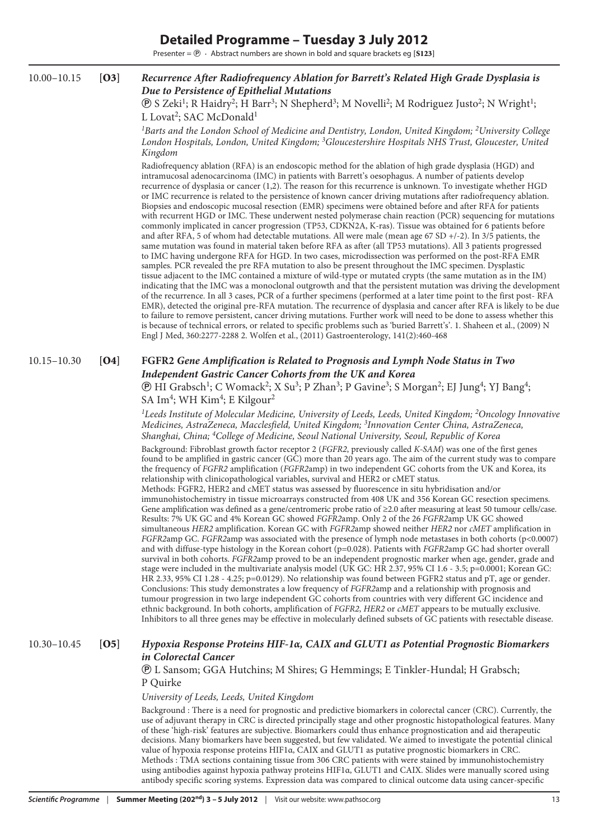Presenter =  $\circled{P}$  · Abstract numbers are shown in bold and square brackets eg [S123]

### 10.00–10.15 [O3] *Recurrence After Radiofrequency Ablation for Barrett's Related High Grade Dysplasia is Due to Persistence of Epithelial Mutations*

 $\circled{P}$  S Zeki<sup>1</sup>; R Haidry<sup>2</sup>; H Barr<sup>3</sup>; N Shepherd<sup>3</sup>; M Novelli<sup>2</sup>; M Rodriguez Justo<sup>2</sup>; N Wright<sup>1</sup>; L Lovat<sup>2</sup>; SAC McDonald<sup>1</sup>

*1Barts and the London School of Medicine and Dentistry, London, United Kingdom; 2University College London Hospitals, London, United Kingdom; 3Gloucestershire Hospitals NHS Trust, Gloucester, United Kingdom*

Radiofrequency ablation (RFA) is an endoscopic method for the ablation of high grade dysplasia (HGD) and intramucosal adenocarcinoma (IMC) in patients with Barrett's oesophagus. A number of patients develop recurrence of dysplasia or cancer (1,2). The reason for this recurrence is unknown. To investigate whether HGD or IMC recurrence is related to the persistence of known cancer driving mutations after radiofrequency ablation. Biopsies and endoscopic mucosal resection (EMR) specimens were obtained before and after RFA for patients with recurrent HGD or IMC. These underwent nested polymerase chain reaction (PCR) sequencing for mutations commonly implicated in cancer progression (TP53, CDKN2A, K-ras). Tissue was obtained for 6 patients before and after RFA, 5 of whom had detectable mutations. All were male (mean age 67 SD +/-2). In  $3/5$  patients, the same mutation was found in material taken before RFA as after (all TP53 mutations). All 3 patients progressed to IMC having undergone RFA for HGD. In two cases, microdissection was performed on the post-RFA EMR samples. PCR revealed the pre RFA mutation to also be present throughout the IMC specimen. Dysplastic tissue adjacent to the IMC contained a mixture of wild-type or mutated crypts (the same mutation as in the IM) indicating that the IMC was a monoclonal outgrowth and that the persistent mutation was driving the development of the recurrence. In all 3 cases, PCR of a further specimens (performed at a later time point to the first post- RFA EMR), detected the original pre-RFA mutation. The recurrence of dysplasia and cancer after RFA is likely to be due to failure to remove persistent, cancer driving mutations. Further work will need to be done to assess whether this is because of technical errors, or related to specific problems such as 'buried Barrett's'. 1. Shaheen et al., (2009) N Engl J Med, 360:2277-2288 2. Wolfen et al., (2011) Gastroenterology, 141(2):460-468

### 10.15–10.30 [O4] **FGFR2** *Gene Amplification is Related to Prognosis and Lymph Node Status in Two Independent Gastric Cancer Cohorts from the UK and Korea*

 $\textcircled{P}$  HI Grabsch<sup>1</sup>; C Womack<sup>2</sup>; X Su<sup>3</sup>; P Zhan<sup>3</sup>; P Gavine<sup>3</sup>; S Morgan<sup>2</sup>; EJ Jung<sup>4</sup>; YJ Bang<sup>4</sup>; SA Im<sup>4</sup>; WH Kim<sup>4</sup>; E Kilgour<sup>2</sup>

*1Leeds Institute of Molecular Medicine, University of Leeds, Leeds, United Kingdom; 2Oncology Innovative Medicines, AstraZeneca, Macclesfield, United Kingdom; 3Innovation Center China, AstraZeneca, Shanghai, China; 4College of Medicine, Seoul National University, Seoul, Republic of Korea*

Background: Fibroblast growth factor receptor 2 (*FGFR2*, previously called *K-SAM*) was one of the first genes found to be amplified in gastric cancer (GC) more than 20 years ago. The aim of the current study was to compare the frequency of *FGFR2* amplification (*FGFR2*amp) in two independent GC cohorts from the UK and Korea, its relationship with clinicopathological variables, survival and HER2 or cMET status.

Methods: FGFR2, HER2 and cMET status was assessed by fluorescence in situ hybridisation and/or immunohistochemistry in tissue microarrays constructed from 408 UK and 356 Korean GC resection specimens. Gene amplification was defined as a gene/centromeric probe ratio of ≥2.0 after measuring at least 50 tumour cells/case. Results: 7% UK GC and 4% Korean GC showed *FGFR2*amp. Only 2 of the 26 *FGFR2*amp UK GC showed simultaneous *HER2* amplification. Korean GC with *FGFR2*amp showed neither *HER2* nor *cMET* amplification in *FGFR2*amp GC. *FGFR2*amp was associated with the presence of lymph node metastases in both cohorts (p<0.0007) and with diffuse-type histology in the Korean cohort (p=0.028). Patients with *FGFR2*amp GC had shorter overall survival in both cohorts. *FGFR2*amp proved to be an independent prognostic marker when age, gender, grade and stage were included in the multivariate analysis model (UK GC: HR 2.37, 95% CI 1.6 - 3.5; p=0.0001; Korean GC: HR 2.33, 95% CI 1.28 - 4.25; p=0.0129). No relationship was found between FGFR2 status and pT, age or gender. Conclusions: This study demonstrates a low frequency of *FGFR2*amp and a relationship with prognosis and tumour progression in two large independent GC cohorts from countries with very different GC incidence and ethnic background. In both cohorts, amplification of *FGFR2*, *HER2* or *cMET* appears to be mutually exclusive. Inhibitors to all three genes may be effective in molecularly defined subsets of GC patients with resectable disease.

#### 10.30–10.45 [O5] *Hypoxia Response Proteins HIF-1α, CAIX and GLUT1 as Potential Prognostic Biomarkers in Colorectal Cancer*

P L Sansom; GGA Hutchins; M Shires; G Hemmings; E Tinkler-Hundal; H Grabsch; P Quirke

#### *University of Leeds, Leeds, United Kingdom*

Background : There is a need for prognostic and predictive biomarkers in colorectal cancer (CRC). Currently, the use of adjuvant therapy in CRC is directed principally stage and other prognostic histopathological features. Many of these 'high-risk' features are subjective. Biomarkers could thus enhance prognostication and aid therapeutic decisions. Many biomarkers have been suggested, but few validated. We aimed to investigate the potential clinical value of hypoxia response proteins HIF1α, CAIX and GLUT1 as putative prognostic biomarkers in CRC. Methods : TMA sections containing tissue from 306 CRC patients with were stained by immunohistochemistry using antibodies against hypoxia pathway proteins HIF1α, GLUT1 and CAIX. Slides were manually scored using antibody specific scoring systems. Expression data was compared to clinical outcome data using cancer-specific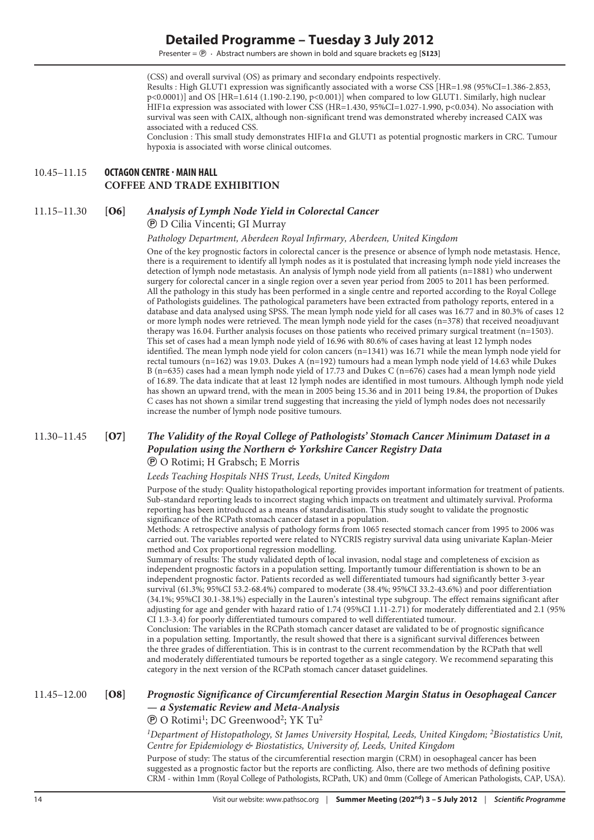Presenter =  $(P \cdot$  Abstract numbers are shown in bold and square brackets eg [S123]

(CSS) and overall survival (OS) as primary and secondary endpoints respectively. Results : High GLUT1 expression was significantly associated with a worse CSS [HR=1.98 (95%CI=1.386-2.853, p<0.0001)] and OS [HR=1.614 (1.190-2.190, p<0.001)] when compared to low GLUT1. Similarly, high nuclear HIF1α expression was associated with lower CSS (HR=1.430, 95%CI=1.027-1.990, p<0.034). No association with survival was seen with CAIX, although non-significant trend was demonstrated whereby increased CAIX was associated with a reduced CSS.

Conclusion : This small study demonstrates HIF1α and GLUT1 as potential prognostic markers in CRC. Tumour hypoxia is associated with worse clinical outcomes.

### 10.45–11.15 **Octagon Centre · Main Hall COFFEE AND TRADE EXHIBITION**

#### 11.15–11.30 [O6] *Analysis of Lymph Node Yield in Colorectal Cancer*

#### P D Cilia Vincenti; GI Murray

#### *Pathology Department, Aberdeen Royal Infirmary, Aberdeen, United Kingdom*

One of the key prognostic factors in colorectal cancer is the presence or absence of lymph node metastasis. Hence, there is a requirement to identify all lymph nodes as it is postulated that increasing lymph node yield increases the detection of lymph node metastasis. An analysis of lymph node yield from all patients (n=1881) who underwent surgery for colorectal cancer in a single region over a seven year period from 2005 to 2011 has been performed. All the pathology in this study has been performed in a single centre and reported according to the Royal College of Pathologists guidelines. The pathological parameters have been extracted from pathology reports, entered in a database and data analysed using SPSS. The mean lymph node yield for all cases was 16.77 and in 80.3% of cases 12 or more lymph nodes were retrieved. The mean lymph node yield for the cases (n=378) that received neoadjuvant therapy was 16.04. Further analysis focuses on those patients who received primary surgical treatment (n=1503). This set of cases had a mean lymph node yield of 16.96 with 80.6% of cases having at least 12 lymph nodes identified. The mean lymph node yield for colon cancers (n=1341) was 16.71 while the mean lymph node yield for rectal tumours (n=162) was 19.03. Dukes A (n=192) tumours had a mean lymph node yield of 14.63 while Dukes B (n=635) cases had a mean lymph node yield of 17.73 and Dukes C (n=676) cases had a mean lymph node yield of 16.89. The data indicate that at least 12 lymph nodes are identified in most tumours. Although lymph node yield has shown an upward trend, with the mean in 2005 being 15.36 and in 2011 being 19.84, the proportion of Dukes C cases has not shown a similar trend suggesting that increasing the yield of lymph nodes does not necessarily increase the number of lymph node positive tumours.

# 11.30–11.45 [O7] *The Validity of the Royal College of Pathologists' Stomach Cancer Minimum Dataset in a Population using the Northern & Yorkshire Cancer Registry Data*

# P O Rotimi; H Grabsch; E Morris

*Leeds Teaching Hospitals NHS Trust, Leeds, United Kingdom*

Purpose of the study: Quality histopathological reporting provides important information for treatment of patients. Sub-standard reporting leads to incorrect staging which impacts on treatment and ultimately survival. Proforma reporting has been introduced as a means of standardisation. This study sought to validate the prognostic significance of the RCPath stomach cancer dataset in a population.

Methods: A retrospective analysis of pathology forms from 1065 resected stomach cancer from 1995 to 2006 was carried out. The variables reported were related to NYCRIS registry survival data using univariate Kaplan-Meier method and Cox proportional regression modelling.

Summary of results: The study validated depth of local invasion, nodal stage and completeness of excision as independent prognostic factors in a population setting. Importantly tumour differentiation is shown to be an independent prognostic factor. Patients recorded as well differentiated tumours had significantly better 3-year survival (61.3%; 95%CI 53.2-68.4%) compared to moderate (38.4%; 95%CI 33.2-43.6%) and poor differentiation (34.1%; 95%CI 30.1-38.1%) especially in the Lauren's intestinal type subgroup. The effect remains significant after adjusting for age and gender with hazard ratio of 1.74 (95%CI 1.11-2.71) for moderately differentiated and 2.1 (95% CI 1.3-3.4) for poorly differentiated tumours compared to well differentiated tumour.

Conclusion: The variables in the RCPath stomach cancer dataset are validated to be of prognostic significance in a population setting. Importantly, the result showed that there is a significant survival differences between the three grades of differentiation. This is in contrast to the current recommendation by the RCPath that well and moderately differentiated tumours be reported together as a single category. We recommend separating this category in the next version of the RCPath stomach cancer dataset guidelines.

#### 11.45–12.00 [O8] *Prognostic Significance of Circumferential Resection Margin Status in Oesophageal Cancer — a Systematic Review and Meta-Analysis*

 $\textcircled{P}$  O Rotimi<sup>1</sup>; DC Greenwood<sup>2</sup>; YK Tu<sup>2</sup>

*1Department of Histopathology, St James University Hospital, Leeds, United Kingdom; 2Biostatistics Unit, Centre for Epidemiology & Biostatistics, University of, Leeds, United Kingdom*

Purpose of study: The status of the circumferential resection margin (CRM) in oesophageal cancer has been suggested as a prognostic factor but the reports are conflicting. Also, there are two methods of defining positive CRM - within 1mm (Royal College of Pathologists, RCPath, UK) and 0mm (College of American Pathologists, CAP, USA).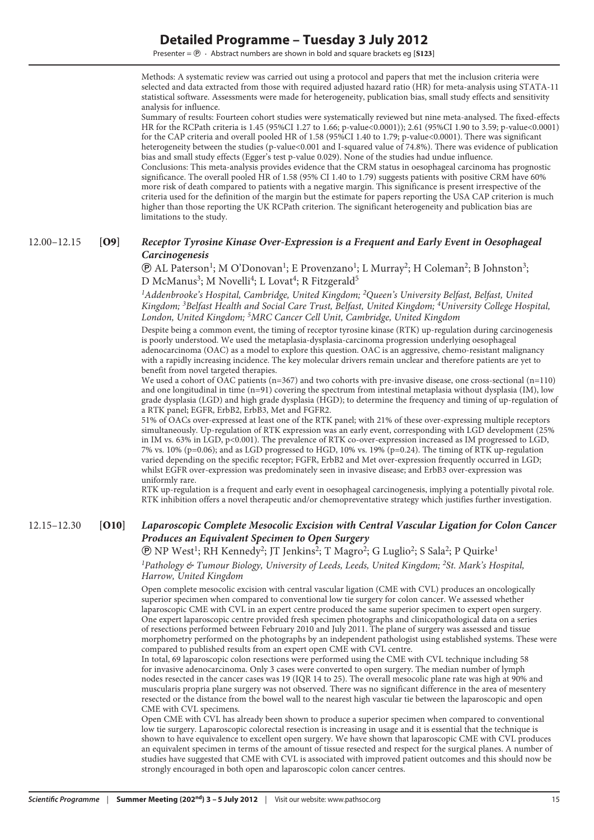Presenter =  $\circled{P}$  · Abstract numbers are shown in bold and square brackets eg [S123]

Methods: A systematic review was carried out using a protocol and papers that met the inclusion criteria were selected and data extracted from those with required adjusted hazard ratio (HR) for meta-analysis using STATA-11 statistical software. Assessments were made for heterogeneity, publication bias, small study effects and sensitivity analysis for influence.

Summary of results: Fourteen cohort studies were systematically reviewed but nine meta-analysed. The fixed-effects HR for the RCPath criteria is 1.45 (95%CI 1.27 to 1.66; p-value<0.0001)); 2.61 (95%CI 1.90 to 3.59; p-value<0.0001) for the CAP criteria and overall pooled HR of 1.58 (95%CI 1.40 to 1.79; p-value<0.0001). There was significant heterogeneity between the studies (p-value<0.001 and I-squared value of 74.8%). There was evidence of publication bias and small study effects (Egger's test p-value 0.029). None of the studies had undue influence. Conclusions: This meta-analysis provides evidence that the CRM status in oesophageal carcinoma has prognostic significance. The overall pooled HR of 1.58 (95% CI 1.40 to 1.79) suggests patients with positive CRM have 60% more risk of death compared to patients with a negative margin. This significance is present irrespective of the criteria used for the definition of the margin but the estimate for papers reporting the USA CAP criterion is much higher than those reporting the UK RCPath criterion. The significant heterogeneity and publication bias are limitations to the study.

#### 12.00–12.15 [O9] *Receptor Tyrosine Kinase Over-Expression is a Frequent and Early Event in Oesophageal Carcinogenesis*

 $\textcircled{P}$  AL Paterson<sup>1</sup>; M O'Donovan<sup>1</sup>; E Provenzano<sup>1</sup>; L Murray<sup>2</sup>; H Coleman<sup>2</sup>; B Johnston<sup>3</sup>; D McManus<sup>3</sup>; M Novelli<sup>4</sup>; L Lovat<sup>4</sup>; R Fitzgerald<sup>5</sup>

*1Addenbrooke's Hospital, Cambridge, United Kingdom; 2Queen's University Belfast, Belfast, United Kingdom; 3Belfast Health and Social Care Trust, Belfast, United Kingdom; 4University College Hospital, London, United Kingdom; 5MRC Cancer Cell Unit, Cambridge, United Kingdom*

Despite being a common event, the timing of receptor tyrosine kinase (RTK) up-regulation during carcinogenesis is poorly understood. We used the metaplasia-dysplasia-carcinoma progression underlying oesophageal adenocarcinoma (OAC) as a model to explore this question. OAC is an aggressive, chemo-resistant malignancy with a rapidly increasing incidence. The key molecular drivers remain unclear and therefore patients are yet to benefit from novel targeted therapies.

We used a cohort of  $\text{OAC}$  patients (n=367) and two cohorts with pre-invasive disease, one cross-sectional (n=110) and one longitudinal in time (n=91) covering the spectrum from intestinal metaplasia without dysplasia (IM), low grade dysplasia (LGD) and high grade dysplasia (HGD); to determine the frequency and timing of up-regulation of a RTK panel; EGFR, ErbB2, ErbB3, Met and FGFR2.

51% of OACs over-expressed at least one of the RTK panel; with 21% of these over-expressing multiple receptors simultaneously. Up-regulation of RTK expression was an early event, corresponding with LGD development (25% in IM vs. 63% in LGD, p<0.001). The prevalence of RTK co-over-expression increased as IM progressed to LGD, 7% vs. 10% (p=0.06); and as LGD progressed to HGD, 10% vs. 19% (p=0.24). The timing of RTK up-regulation varied depending on the specific receptor; FGFR, ErbB2 and Met over-expression frequently occurred in LGD; whilst EGFR over-expression was predominately seen in invasive disease; and ErbB3 over-expression was uniformly rare.

RTK up-regulation is a frequent and early event in oesophageal carcinogenesis, implying a potentially pivotal role. RTK inhibition offers a novel therapeutic and/or chemopreventative strategy which justifies further investigation.

#### 12.15–12.30 [O10] *Laparoscopic Complete Mesocolic Excision with Central Vascular Ligation for Colon Cancer Produces an Equivalent Specimen to Open Surgery*

 $\circled{P}$  NP West<sup>1</sup>; RH Kennedy<sup>2</sup>; JT Jenkins<sup>2</sup>; T Magro<sup>2</sup>; G Luglio<sup>2</sup>; S Sala<sup>2</sup>; P Quirke<sup>1</sup> *1Pathology & Tumour Biology, University of Leeds, Leeds, United Kingdom; 2St. Mark's Hospital, Harrow, United Kingdom*

Open complete mesocolic excision with central vascular ligation (CME with CVL) produces an oncologically superior specimen when compared to conventional low tie surgery for colon cancer. We assessed whether laparoscopic CME with CVL in an expert centre produced the same superior specimen to expert open surgery. One expert laparoscopic centre provided fresh specimen photographs and clinicopathological data on a series of resections performed between February 2010 and July 2011. The plane of surgery was assessed and tissue morphometry performed on the photographs by an independent pathologist using established systems. These were compared to published results from an expert open CME with CVL centre.

In total, 69 laparoscopic colon resections were performed using the CME with CVL technique including 58 for invasive adenocarcinoma. Only 3 cases were converted to open surgery. The median number of lymph nodes resected in the cancer cases was 19 (IQR 14 to 25). The overall mesocolic plane rate was high at 90% and muscularis propria plane surgery was not observed. There was no significant difference in the area of mesentery resected or the distance from the bowel wall to the nearest high vascular tie between the laparoscopic and open CME with CVL specimens.

Open CME with CVL has already been shown to produce a superior specimen when compared to conventional low tie surgery. Laparoscopic colorectal resection is increasing in usage and it is essential that the technique is shown to have equivalence to excellent open surgery. We have shown that laparoscopic CME with CVL produces an equivalent specimen in terms of the amount of tissue resected and respect for the surgical planes. A number of studies have suggested that CME with CVL is associated with improved patient outcomes and this should now be strongly encouraged in both open and laparoscopic colon cancer centres.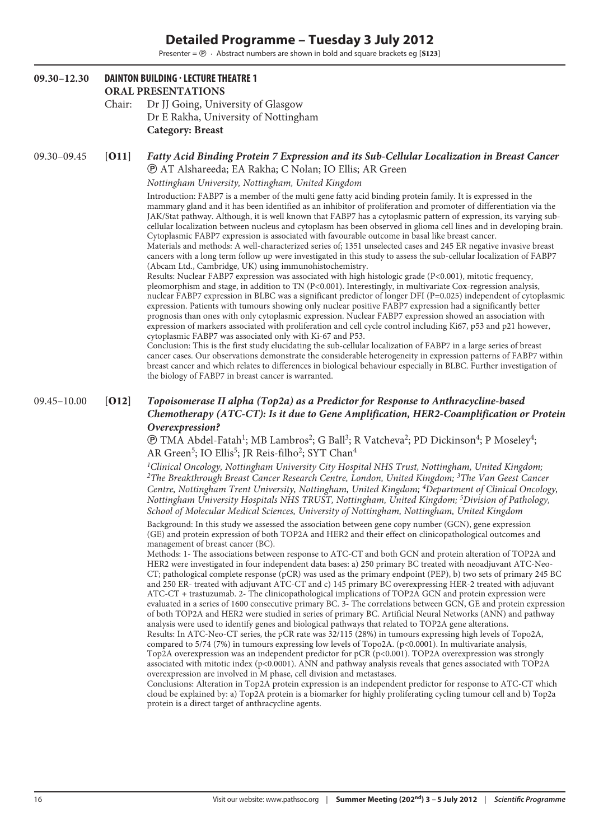Presenter =  $(P \cdot$  Abstract numbers are shown in bold and square brackets eg [S123]

| $09.30 - 12.30$ | Chair: | <b>DAINTON BUILDING · LECTURE THEATRE 1</b><br><b>ORAL PRESENTATIONS</b><br>Dr JJ Going, University of Glasgow<br>Dr E Rakha, University of Nottingham<br><b>Category: Breast</b>                                                                                                                                                                                                                                                                                                                                                                                                                                                                                                                                                                                                                                                                                                                                                                                                                                                                                                                                                                                                                                                                                                                                                                                                                                                                                                                                                                                                                                                                                                                                                                                                                                                                                                                                                                                                                                                                                         |
|-----------------|--------|---------------------------------------------------------------------------------------------------------------------------------------------------------------------------------------------------------------------------------------------------------------------------------------------------------------------------------------------------------------------------------------------------------------------------------------------------------------------------------------------------------------------------------------------------------------------------------------------------------------------------------------------------------------------------------------------------------------------------------------------------------------------------------------------------------------------------------------------------------------------------------------------------------------------------------------------------------------------------------------------------------------------------------------------------------------------------------------------------------------------------------------------------------------------------------------------------------------------------------------------------------------------------------------------------------------------------------------------------------------------------------------------------------------------------------------------------------------------------------------------------------------------------------------------------------------------------------------------------------------------------------------------------------------------------------------------------------------------------------------------------------------------------------------------------------------------------------------------------------------------------------------------------------------------------------------------------------------------------------------------------------------------------------------------------------------------------|
| 09.30-09.45     | [O11]  | Fatty Acid Binding Protein 7 Expression and its Sub-Cellular Localization in Breast Cancer<br><b>D</b> AT Alshareeda; EA Rakha; C Nolan; IO Ellis; AR Green                                                                                                                                                                                                                                                                                                                                                                                                                                                                                                                                                                                                                                                                                                                                                                                                                                                                                                                                                                                                                                                                                                                                                                                                                                                                                                                                                                                                                                                                                                                                                                                                                                                                                                                                                                                                                                                                                                               |
|                 |        | Nottingham University, Nottingham, United Kingdom                                                                                                                                                                                                                                                                                                                                                                                                                                                                                                                                                                                                                                                                                                                                                                                                                                                                                                                                                                                                                                                                                                                                                                                                                                                                                                                                                                                                                                                                                                                                                                                                                                                                                                                                                                                                                                                                                                                                                                                                                         |
|                 |        | Introduction: FABP7 is a member of the multi gene fatty acid binding protein family. It is expressed in the<br>mammary gland and it has been identified as an inhibitor of proliferation and promoter of differentiation via the<br>JAK/Stat pathway. Although, it is well known that FABP7 has a cytoplasmic pattern of expression, its varying sub-<br>cellular localization between nucleus and cytoplasm has been observed in glioma cell lines and in developing brain.<br>Cytoplasmic FABP7 expression is associated with favourable outcome in basal like breast cancer.<br>Materials and methods: A well-characterized series of; 1351 unselected cases and 245 ER negative invasive breast<br>cancers with a long term follow up were investigated in this study to assess the sub-cellular localization of FABP7<br>(Abcam Ltd., Cambridge, UK) using immunohistochemistry.<br>Results: Nuclear FABP7 expression was associated with high histologic grade (P<0.001), mitotic frequency,<br>pleomorphism and stage, in addition to TN (P<0.001). Interestingly, in multivariate Cox-regression analysis,<br>nuclear FABP7 expression in BLBC was a significant predictor of longer DFI (P=0.025) independent of cytoplasmic<br>expression. Patients with tumours showing only nuclear positive FABP7 expression had a significantly better<br>prognosis than ones with only cytoplasmic expression. Nuclear FABP7 expression showed an association with<br>expression of markers associated with proliferation and cell cycle control including Ki67, p53 and p21 however,<br>cytoplasmic FABP7 was associated only with Ki-67 and P53.<br>Conclusion: This is the first study elucidating the sub-cellular localization of FABP7 in a large series of breast<br>cancer cases. Our observations demonstrate the considerable heterogeneity in expression patterns of FABP7 within<br>breast cancer and which relates to differences in biological behaviour especially in BLBC. Further investigation of<br>the biology of FABP7 in breast cancer is warranted. |
| $09.45 - 10.00$ | [O12]  | Topoisomerase II alpha (Top2a) as a Predictor for Response to Anthracycline-based<br>Chemotherapy (ATC-CT): Is it due to Gene Amplification, HER2-Coamplification or Protein<br>Overexpression?                                                                                                                                                                                                                                                                                                                                                                                                                                                                                                                                                                                                                                                                                                                                                                                                                                                                                                                                                                                                                                                                                                                                                                                                                                                                                                                                                                                                                                                                                                                                                                                                                                                                                                                                                                                                                                                                           |
|                 |        | <b>@ TMA Abdel-Fatah<sup>1</sup>; MB Lambros<sup>2</sup>; G Ball<sup>3</sup>; R Vatcheva<sup>2</sup>; PD Dickinson<sup>4</sup>; P Moseley<sup>4</sup>;</b><br>AR Green <sup>5</sup> ; IO Ellis <sup>5</sup> ; JR Reis-filho <sup>2</sup> ; SYT Chan <sup>4</sup>                                                                                                                                                                                                                                                                                                                                                                                                                                                                                                                                                                                                                                                                                                                                                                                                                                                                                                                                                                                                                                                                                                                                                                                                                                                                                                                                                                                                                                                                                                                                                                                                                                                                                                                                                                                                          |
|                 |        | <sup>1</sup> Clinical Oncology, Nottingham University City Hospital NHS Trust, Nottingham, United Kingdom;<br>${}^{2}$ The Breakthrough Breast Cancer Research Centre, London, United Kingdom; ${}^{3}$ The Van Geest Cancer<br>Centre, Nottingham Trent University, Nottingham, United Kingdom; <sup>4</sup> Department of Clinical Oncology,                                                                                                                                                                                                                                                                                                                                                                                                                                                                                                                                                                                                                                                                                                                                                                                                                                                                                                                                                                                                                                                                                                                                                                                                                                                                                                                                                                                                                                                                                                                                                                                                                                                                                                                            |

Background: In this study we assessed the association between gene copy number (GCN), gene expression (GE) and protein expression of both TOP2A and HER2 and their effect on clinicopathological outcomes and management of breast cancer (BC).

*Nottingham University Hospitals NHS TRUST, Nottingham, United Kingdom; 5Division of Pathology, School of Molecular Medical Sciences, University of Nottingham, Nottingham, United Kingdom*

Methods: 1- The associations between response to ATC-CT and both GCN and protein alteration of TOP2A and HER2 were investigated in four independent data bases: a) 250 primary BC treated with neoadjuvant ATC-Neo-CT; pathological complete response (pCR) was used as the primary endpoint (PEP), b) two sets of primary 245 BC and 250 ER- treated with adjuvant ATC-CT and c) 145 primary BC overexpressing HER-2 treated with adjuvant ATC-CT + trastuzumab. 2- The clinicopathological implications of TOP2A GCN and protein expression were evaluated in a series of 1600 consecutive primary BC. 3- The correlations between GCN, GE and protein expression of both TOP2A and HER2 were studied in series of primary BC. Artificial Neural Networks (ANN) and pathway analysis were used to identify genes and biological pathways that related to TOP2A gene alterations. Results: In ATC-Neo-CT series, the pCR rate was 32/115 (28%) in tumours expressing high levels of Topo2A, compared to 5/74 (7%) in tumours expressing low levels of Topo2A. (p<0.0001). In multivariate analysis, Top2A overexpression was an independent predictor for pCR (p<0.001). TOP2A overexpression was strongly associated with mitotic index (p<0.0001). ANN and pathway analysis reveals that genes associated with TOP2A overexpression are involved in M phase, cell division and metastases.

Conclusions: Alteration in Top2A protein expression is an independent predictor for response to ATC-CT which cloud be explained by: a) Top2A protein is a biomarker for highly proliferating cycling tumour cell and b) Top2a protein is a direct target of anthracycline agents.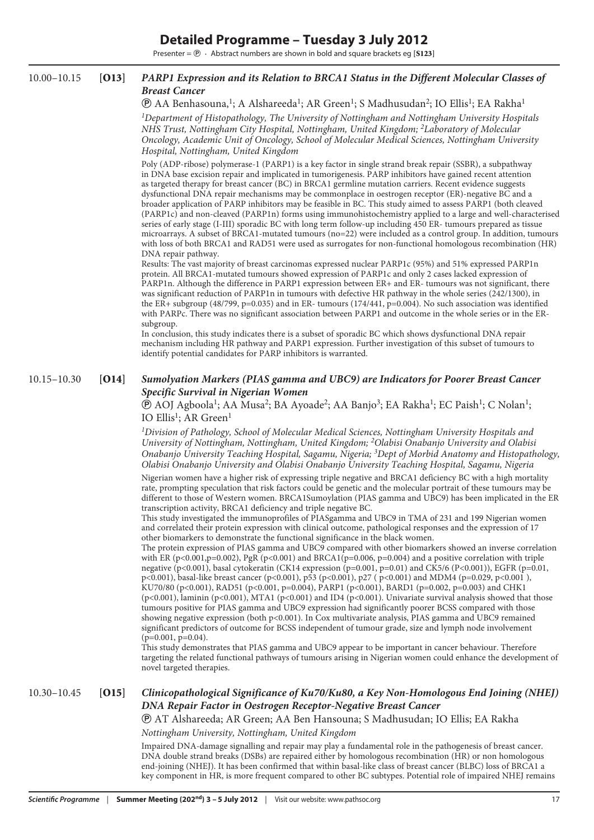Presenter =  $\circled{P}$  · Abstract numbers are shown in bold and square brackets eg [S123]

#### 10.00–10.15 [O13] *PARP1 Expression and its Relation to BRCA1 Status in the Different Molecular Classes of Breast Cancer*

### $\textcircled{P}$  AA Benhasouna,<sup>1</sup>; A Alshareeda<sup>1</sup>; AR Green<sup>1</sup>; S Madhusudan<sup>2</sup>; IO Ellis<sup>1</sup>; EA Rakha<sup>1</sup>

*1Department of Histopathology, The University of Nottingham and Nottingham University Hospitals NHS Trust, Nottingham City Hospital, Nottingham, United Kingdom; 2Laboratory of Molecular Oncology, Academic Unit of Oncology, School of Molecular Medical Sciences, Nottingham University Hospital, Nottingham, United Kingdom*

Poly (ADP-ribose) polymerase-1 (PARP1) is a key factor in single strand break repair (SSBR), a subpathway in DNA base excision repair and implicated in tumorigenesis. PARP inhibitors have gained recent attention as targeted therapy for breast cancer (BC) in BRCA1 germline mutation carriers. Recent evidence suggests dysfunctional DNA repair mechanisms may be commonplace in oestrogen receptor (ER)-negative BC and a broader application of PARP inhibitors may be feasible in BC. This study aimed to assess PARP1 (both cleaved (PARP1c) and non-cleaved (PARP1n) forms using immunohistochemistry applied to a large and well-characterised series of early stage (I-III) sporadic BC with long term follow-up including 450 ER- tumours prepared as tissue microarrays. A subset of BRCA1-mutated tumours (no=22) were included as a control group. In addition, tumours with loss of both BRCA1 and RAD51 were used as surrogates for non-functional homologous recombination (HR) DNA repair pathway.

Results: The vast majority of breast carcinomas expressed nuclear PARP1c (95%) and 51% expressed PARP1n protein. All BRCA1-mutated tumours showed expression of PARP1c and only 2 cases lacked expression of PARP1n. Although the difference in PARP1 expression between ER+ and ER- tumours was not significant, there was significant reduction of PARP1n in tumours with defective HR pathway in the whole series (242/1300), in the ER+ subgroup (48/799, p=0.035) and in ER- tumours (174/441, p=0.004). No such association was identified with PARPc. There was no significant association between PARP1 and outcome in the whole series or in the ERsubgroup.

In conclusion, this study indicates there is a subset of sporadic BC which shows dysfunctional DNA repair mechanism including HR pathway and PARP1 expression. Further investigation of this subset of tumours to identify potential candidates for PARP inhibitors is warranted.

### 10.15–10.30 [O14] *Sumolyation Markers (PIAS gamma and UBC9) are Indicators for Poorer Breast Cancer Specific Survival in Nigerian Women*

P AOJ Agboola1; AA Musa2; BA Ayoade2; AA Banjo3; EA Rakha1; EC Paish1; C Nolan1; IO Ellis<sup>1</sup>: AR Green<sup>1</sup>

*1Division of Pathology, School of Molecular Medical Sciences, Nottingham University Hospitals and University of Nottingham, Nottingham, United Kingdom; 2Olabisi Onabanjo University and Olabisi Onabanjo University Teaching Hospital, Sagamu, Nigeria; 3Dept of Morbid Anatomy and Histopathology, Olabisi Onabanjo University and Olabisi Onabanjo University Teaching Hospital, Sagamu, Nigeria*

Nigerian women have a higher risk of expressing triple negative and BRCA1 deficiency BC with a high mortality rate, prompting speculation that risk factors could be genetic and the molecular portrait of these tumours may be different to those of Western women. BRCA1Sumoylation (PIAS gamma and UBC9) has been implicated in the ER transcription activity, BRCA1 deficiency and triple negative BC.

This study investigated the immunoprofiles of PIASgamma and UBC9 in TMA of 231 and 199 Nigerian women and correlated their protein expression with clinical outcome, pathological responses and the expression of 17 other biomarkers to demonstrate the functional significance in the black women.

The protein expression of PIAS gamma and UBC9 compared with other biomarkers showed an inverse correlation with ER (p<0.001,p=0.002), PgR (p<0.001) and BRCA1(p=0.006, p=0.004) and a positive correlation with triple negative (p<0.001), basal cytokeratin (CK14 expression (p=0.001, p=0.01) and CK5/6 (P<0.001)), EGFR (p=0.01, p<0.001), basal-like breast cancer (p<0.001), p53 (p<0.001), p27 ( p<0.001) and MDM4 (p=0.029, p<0.001 ),  $KU70/80$  (p<0.001), RAD51 (p<0.001, p=0.004), PARP1 (p<0.001), BARD1 (p=0.002, p=0.003) and CHK1 (p<0.001), laminin (p<0.001), MTA1 (p<0.001) and ID4 (p<0.001). Univariate survival analysis showed that those tumours positive for PIAS gamma and UBC9 expression had significantly poorer BCSS compared with those showing negative expression (both p<0.001). In Cox multivariate analysis, PIAS gamma and UBC9 remained significant predictors of outcome for BCSS independent of tumour grade, size and lymph node involvement  $(p=0.001, p=0.04)$ .

This study demonstrates that PIAS gamma and UBC9 appear to be important in cancer behaviour. Therefore targeting the related functional pathways of tumours arising in Nigerian women could enhance the development of novel targeted therapies.

### 10.30–10.45 [O15] *Clinicopathological Significance of Ku70/Ku80, a Key Non-Homologous End Joining (NHEJ) DNA Repair Factor in Oestrogen Receptor-Negative Breast Cancer*

P AT Alshareeda; AR Green; AA Ben Hansouna; S Madhusudan; IO Ellis; EA Rakha

*Nottingham University, Nottingham, United Kingdom*

Impaired DNA-damage signalling and repair may play a fundamental role in the pathogenesis of breast cancer. DNA double strand breaks (DSBs) are repaired either by homologous recombination (HR) or non homologous end-joining (NHEJ). It has been confirmed that within basal-like class of breast cancer (BLBC) loss of BRCA1 a key component in HR, is more frequent compared to other BC subtypes. Potential role of impaired NHEJ remains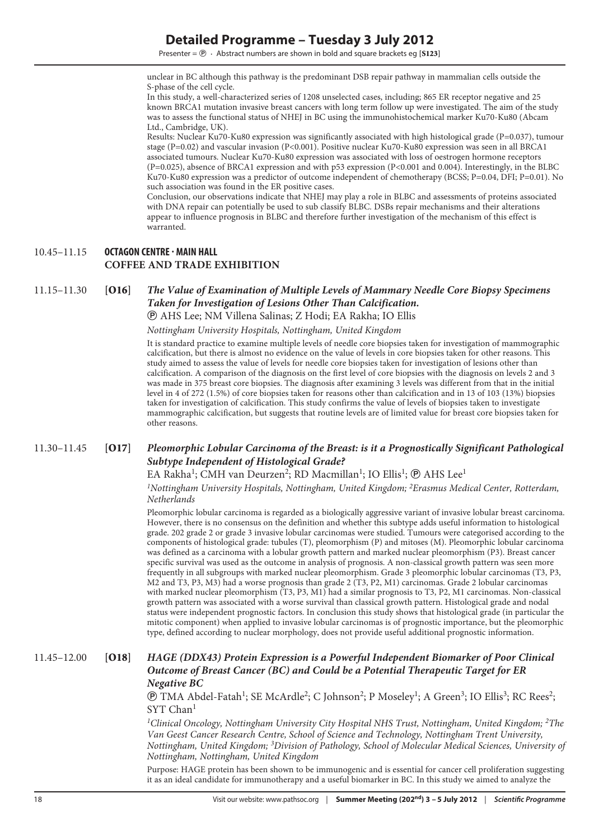Presenter =  $(P \cdot$  Abstract numbers are shown in bold and square brackets eg [S123]

unclear in BC although this pathway is the predominant DSB repair pathway in mammalian cells outside the S-phase of the cell cycle.

In this study, a well-characterized series of 1208 unselected cases, including; 865 ER receptor negative and 25 known BRCA1 mutation invasive breast cancers with long term follow up were investigated. The aim of the study was to assess the functional status of NHEJ in BC using the immunohistochemical marker Ku70-Ku80 (Abcam Ltd., Cambridge, UK).

Results: Nuclear Ku70-Ku80 expression was significantly associated with high histological grade (P=0.037), tumour stage (P=0.02) and vascular invasion (P<0.001). Positive nuclear Ku70-Ku80 expression was seen in all BRCA1 associated tumours. Nuclear Ku70-Ku80 expression was associated with loss of oestrogen hormone receptors (P=0.025), absence of BRCA1 expression and with p53 expression (P<0.001 and 0.004). Interestingly, in the BLBC Ku70-Ku80 expression was a predictor of outcome independent of chemotherapy (BCSS; P=0.04, DFI; P=0.01). No such association was found in the ER positive cases.

Conclusion, our observations indicate that NHEJ may play a role in BLBC and assessments of proteins associated with DNA repair can potentially be used to sub classify BLBC. DSBs repair mechanisms and their alterations appear to influence prognosis in BLBC and therefore further investigation of the mechanism of this effect is warranted.

### 10.45–11.15 **Octagon Centre · Main Hall COFFEE AND TRADE EXHIBITION**

11.15–11.30 [O16] *The Value of Examination of Multiple Levels of Mammary Needle Core Biopsy Specimens Taken for Investigation of Lesions Other Than Calcification.*

P AHS Lee; NM Villena Salinas; Z Hodi; EA Rakha; IO Ellis

*Nottingham University Hospitals, Nottingham, United Kingdom*

It is standard practice to examine multiple levels of needle core biopsies taken for investigation of mammographic calcification, but there is almost no evidence on the value of levels in core biopsies taken for other reasons. This study aimed to assess the value of levels for needle core biopsies taken for investigation of lesions other than calcification. A comparison of the diagnosis on the first level of core biopsies with the diagnosis on levels 2 and 3 was made in 375 breast core biopsies. The diagnosis after examining 3 levels was different from that in the initial level in 4 of 272 (1.5%) of core biopsies taken for reasons other than calcification and in 13 of 103 (13%) biopsies taken for investigation of calcification. This study confirms the value of levels of biopsies taken to investigate mammographic calcification, but suggests that routine levels are of limited value for breast core biopsies taken for other reasons.

### 11.30–11.45 [O17] *Pleomorphic Lobular Carcinoma of the Breast: is it a Prognostically Significant Pathological Subtype Independent of Histological Grade?*

EA Rakha<sup>1</sup>; CMH van Deurzen<sup>2</sup>; RD Macmillan<sup>1</sup>; IO Ellis<sup>1</sup>; **@** AHS Lee<sup>1</sup>

*1Nottingham University Hospitals, Nottingham, United Kingdom; 2Erasmus Medical Center, Rotterdam, Netherlands*

Pleomorphic lobular carcinoma is regarded as a biologically aggressive variant of invasive lobular breast carcinoma. However, there is no consensus on the definition and whether this subtype adds useful information to histological grade. 202 grade 2 or grade 3 invasive lobular carcinomas were studied. Tumours were categorised according to the components of histological grade: tubules (T), pleomorphism (P) and mitoses (M). Pleomorphic lobular carcinoma was defined as a carcinoma with a lobular growth pattern and marked nuclear pleomorphism (P3). Breast cancer specific survival was used as the outcome in analysis of prognosis. A non-classical growth pattern was seen more frequently in all subgroups with marked nuclear pleomorphism. Grade 3 pleomorphic lobular carcinomas (T3, P3, M2 and T3, P3, M3) had a worse prognosis than grade 2 (T3, P2, M1) carcinomas. Grade 2 lobular carcinomas with marked nuclear pleomorphism (T3, P3, M1) had a similar prognosis to T3, P2, M1 carcinomas. Non-classical growth pattern was associated with a worse survival than classical growth pattern. Histological grade and nodal status were independent prognostic factors. In conclusion this study shows that histological grade (in particular the mitotic component) when applied to invasive lobular carcinomas is of prognostic importance, but the pleomorphic type, defined according to nuclear morphology, does not provide useful additional prognostic information.

# 11.45–12.00 [O18] *HAGE (DDX43) Protein Expression is a Powerful Independent Biomarker of Poor Clinical Outcome of Breast Cancer (BC) and Could be a Potential Therapeutic Target for ER Negative BC*

P TMA Abdel-Fatah1; SE McArdle2; C Johnson2; P Moseley1; A Green3; IO Ellis3; RC Rees2; SYT Chan1

*1Clinical Oncology, Nottingham University City Hospital NHS Trust, Nottingham, United Kingdom; 2The Van Geest Cancer Research Centre, School of Science and Technology, Nottingham Trent University, Nottingham, United Kingdom; 3Division of Pathology, School of Molecular Medical Sciences, University of Nottingham, Nottingham, United Kingdom*

Purpose: HAGE protein has been shown to be immunogenic and is essential for cancer cell proliferation suggesting it as an ideal candidate for immunotherapy and a useful biomarker in BC. In this study we aimed to analyze the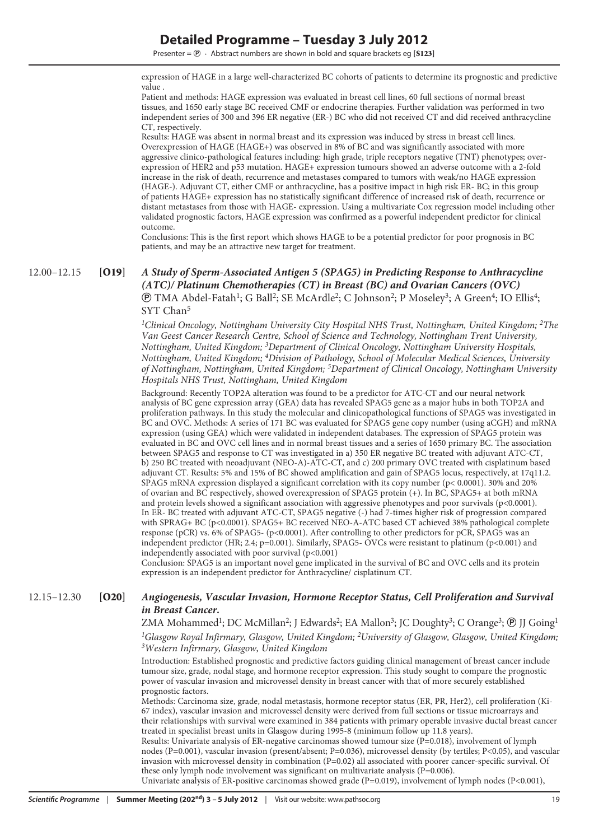Presenter =  $\circled{P}$  · Abstract numbers are shown in bold and square brackets eg [S123]

expression of HAGE in a large well-characterized BC cohorts of patients to determine its prognostic and predictive value .

Patient and methods: HAGE expression was evaluated in breast cell lines, 60 full sections of normal breast tissues, and 1650 early stage BC received CMF or endocrine therapies. Further validation was performed in two independent series of 300 and 396 ER negative (ER-) BC who did not received CT and did received anthracycline CT, respectively.

Results: HAGE was absent in normal breast and its expression was induced by stress in breast cell lines. Overexpression of HAGE (HAGE+) was observed in 8% of BC and was significantly associated with more aggressive clinico-pathological features including: high grade, triple receptors negative (TNT) phenotypes; overexpression of HER2 and p53 mutation. HAGE+ expression tumours showed an adverse outcome with a 2-fold increase in the risk of death, recurrence and metastases compared to tumors with weak/no HAGE expression (HAGE-). Adjuvant CT, either CMF or anthracycline, has a positive impact in high risk ER- BC; in this group of patients HAGE+ expression has no statistically significant difference of increased risk of death, recurrence or distant metastases from those with HAGE- expression. Using a multivariate Cox regression model including other validated prognostic factors, HAGE expression was confirmed as a powerful independent predictor for clinical outcome.

Conclusions: This is the first report which shows HAGE to be a potential predictor for poor prognosis in BC patients, and may be an attractive new target for treatment.

#### 12.00–12.15 [O19] *A Study of Sperm-Associated Antigen 5 (SPAG5) in Predicting Response to Anthracycline (ATC)/ Platinum Chemotherapies (CT) in Breast (BC) and Ovarian Cancers (OVC)* P TMA Abdel-Fatah1; G Ball2; SE McArdle2; C Johnson2; P Moseley3; A Green4; IO Ellis4; SYT Chan<sup>5</sup>

*1Clinical Oncology, Nottingham University City Hospital NHS Trust, Nottingham, United Kingdom; 2The Van Geest Cancer Research Centre, School of Science and Technology, Nottingham Trent University, Nottingham, United Kingdom; 3Department of Clinical Oncology, Nottingham University Hospitals, Nottingham, United Kingdom; 4Division of Pathology, School of Molecular Medical Sciences, University of Nottingham, Nottingham, United Kingdom; 5Department of Clinical Oncology, Nottingham University Hospitals NHS Trust, Nottingham, United Kingdom*

Background: Recently TOP2A alteration was found to be a predictor for ATC-CT and our neural network analysis of BC gene expression array (GEA) data has revealed SPAG5 gene as a major hubs in both TOP2A and proliferation pathways. In this study the molecular and clinicopathological functions of SPAG5 was investigated in BC and OVC. Methods: A series of 171 BC was evaluated for SPAG5 gene copy number (using aCGH) and mRNA expression (using GEA) which were validated in independent databases. The expression of SPAG5 protein was evaluated in BC and OVC cell lines and in normal breast tissues and a series of 1650 primary BC. The association between SPAG5 and response to CT was investigated in a) 350 ER negative BC treated with adjuvant ATC-CT, b) 250 BC treated with neoadjuvant (NEO-A)-ATC-CT, and c) 200 primary OVC treated with cisplatinum based adjuvant CT. Results: 5% and 15% of BC showed amplification and gain of SPAG5 locus, respectively, at 17q11.2. SPAG5 mRNA expression displayed a significant correlation with its copy number (p< 0.0001). 30% and 20% of ovarian and BC respectively, showed overexpression of SPAG5 protein (+). In BC, SPAG5+ at both mRNA and protein levels showed a significant association with aggressive phenotypes and poor survivals (p<0.0001). In ER- BC treated with adjuvant ATC-CT, SPAG5 negative (-) had 7-times higher risk of progression compared with SPRAG+ BC (p<0.0001). SPAG5+ BC received NEO-A-ATC based CT achieved 38% pathological complete response (pCR) vs. 6% of SPAG5- (p<0.0001). After controlling to other predictors for pCR, SPAG5 was an independent predictor (HR; 2.4; p=0.001). Similarly, SPAG5- OVCs were resistant to platinum (p<0.001) and independently associated with poor survival (p<0.001)

Conclusion: SPAG5 is an important novel gene implicated in the survival of BC and OVC cells and its protein expression is an independent predictor for Anthracycline/ cisplatinum CT.

### 12.15–12.30 [O20] *Angiogenesis, Vascular Invasion, Hormone Receptor Status, Cell Proliferation and Survival in Breast Cancer.*

ZMA Mohammed<sup>1</sup>; DC McMillan<sup>2</sup>; J Edwards<sup>2</sup>; EA Mallon<sup>3</sup>; JC Doughty<sup>3</sup>; C Orange<sup>3</sup>;  $\circled{P}$  JJ Going<sup>1</sup> *1Glasgow Royal Infirmary, Glasgow, United Kingdom; 2University of Glasgow, Glasgow, United Kingdom; 3Western Infirmary, Glasgow, United Kingdom*

Introduction: Established prognostic and predictive factors guiding clinical management of breast cancer include tumour size, grade, nodal stage, and hormone receptor expression. This study sought to compare the prognostic power of vascular invasion and microvessel density in breast cancer with that of more securely established prognostic factors.

Methods: Carcinoma size, grade, nodal metastasis, hormone receptor status (ER, PR, Her2), cell proliferation (Ki-67 index), vascular invasion and microvessel density were derived from full sections or tissue microarrays and their relationships with survival were examined in 384 patients with primary operable invasive ductal breast cancer treated in specialist breast units in Glasgow during 1995-8 (minimum follow up 11.8 years).

Results: Univariate analysis of ER-negative carcinomas showed tumour size (P=0.018), involvement of lymph nodes (P=0.001), vascular invasion (present/absent; P=0.036), microvessel density (by tertiles; P<0.05), and vascular invasion with microvessel density in combination (P=0.02) all associated with poorer cancer-specific survival. Of these only lymph node involvement was significant on multivariate analysis (P=0.006).

Univariate analysis of ER-positive carcinomas showed grade (P=0.019), involvement of lymph nodes (P<0.001),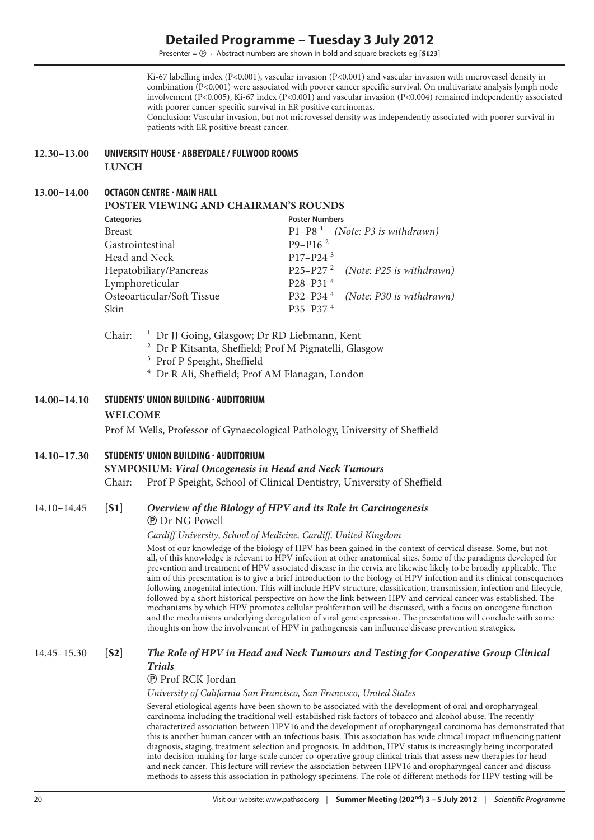Presenter =  $(P \cdot$  Abstract numbers are shown in bold and square brackets eg [S123]

Ki-67 labelling index (P<0.001), vascular invasion (P<0.001) and vascular invasion with microvessel density in combination (P<0.001) were associated with poorer cancer specific survival. On multivariate analysis lymph node involvement (P<0.005), Ki-67 index (P<0.001) and vascular invasion (P<0.004) remained independently associated with poorer cancer-specific survival in ER positive carcinomas. Conclusion: Vascular invasion, but not microvessel density was independently associated with poorer survival in patients with ER positive breast cancer.

#### **12.30–13.00 University House · Abbeydale/Fulwood Rooms LUNCH**

#### **13.00–14.00 Octagon Centre · Main Hall**

| <b>POSTER VIEWING AND CHAIRMAN'S ROUNDS</b> |                                               |
|---------------------------------------------|-----------------------------------------------|
| <b>Categories</b>                           | <b>Poster Numbers</b>                         |
| <b>Breast</b>                               | $P1-P81$ (Note: P3 is withdrawn)              |
| Gastrointestinal                            | $P9 - P162$                                   |
| Head and Neck                               | $P17-P24$ <sup>3</sup>                        |
| Hepatobiliary/Pancreas                      | P25-P27 <sup>2</sup> (Note: P25 is withdrawn) |
| Lymphoreticular                             | P <sub>28</sub> -P <sub>31</sub> <sup>4</sup> |
| Osteoarticular/Soft Tissue                  | P32-P34 <sup>4</sup> (Note: P30 is withdrawn) |
| Skin                                        | P35-P37 <sup>4</sup>                          |
|                                             |                                               |

Chair: ¹ Dr JJ Going, Glasgow; Dr RD Liebmann, Kent

- ² Dr P Kitsanta, Sheffield; Prof M Pignatelli, Glasgow
- <sup>3</sup> Prof P Speight, Sheffield
- ⁴ Dr R Ali, Sheffield; Prof AM Flanagan, London

# **14.00–14.10 Students' Union Building · Auditorium**

#### **Welcome**

Prof M Wells, Professor of Gynaecological Pathology, University of Sheffield

## **14.10–17.30 Students' Union Building · Auditorium SYMPOSIUM:** *Viral Oncogenesis in Head and Neck Tumours*  Chair: Prof P Speight, School of Clinical Dentistry, University of Sheffield

### 14.10–14.45 [S1] *Overview of the Biology of HPV and its Role in Carcinogenesis*

P Dr NG Powell

#### *Cardiff University, School of Medicine, Cardiff, United Kingdom*

Most of our knowledge of the biology of HPV has been gained in the context of cervical disease. Some, but not all, of this knowledge is relevant to HPV infection at other anatomical sites. Some of the paradigms developed for prevention and treatment of HPV associated disease in the cervix are likewise likely to be broadly applicable. The aim of this presentation is to give a brief introduction to the biology of HPV infection and its clinical consequences following anogenital infection. This will include HPV structure, classification, transmission, infection and lifecycle, followed by a short historical perspective on how the link between HPV and cervical cancer was established. The mechanisms by which HPV promotes cellular proliferation will be discussed, with a focus on oncogene function and the mechanisms underlying deregulation of viral gene expression. The presentation will conclude with some thoughts on how the involvement of HPV in pathogenesis can influence disease prevention strategies.

#### 14.45–15.30 [S2] *The Role of HPV in Head and Neck Tumours and Testing for Cooperative Group Clinical Trials*

#### P Prof RCK Jordan

#### *University of California San Francisco, San Francisco, United States*

Several etiological agents have been shown to be associated with the development of oral and oropharyngeal carcinoma including the traditional well-established risk factors of tobacco and alcohol abuse. The recently characterized association between HPV16 and the development of oropharyngeal carcinoma has demonstrated that this is another human cancer with an infectious basis. This association has wide clinical impact influencing patient diagnosis, staging, treatment selection and prognosis. In addition, HPV status is increasingly being incorporated into decision-making for large-scale cancer co-operative group clinical trials that assess new therapies for head and neck cancer. This lecture will review the association between HPV16 and oropharyngeal cancer and discuss methods to assess this association in pathology specimens. The role of different methods for HPV testing will be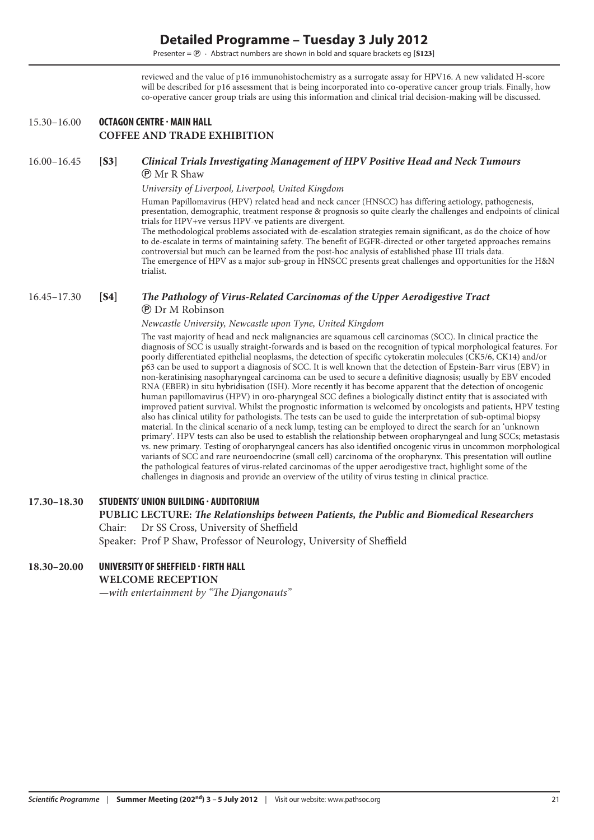Presenter =  $\circled{P}$  · Abstract numbers are shown in bold and square brackets eg [S123]

reviewed and the value of p16 immunohistochemistry as a surrogate assay for HPV16. A new validated H-score will be described for p16 assessment that is being incorporated into co-operative cancer group trials. Finally, how co-operative cancer group trials are using this information and clinical trial decision-making will be discussed.

#### 15.30–16.00 **Octagon Centre · Main Hall COFFEE AND TRADE EXHIBITION**

#### 16.00–16.45 [S3] *Clinical Trials Investigating Management of HPV Positive Head and Neck Tumours* P Mr R Shaw

*University of Liverpool, Liverpool, United Kingdom*

Human Papillomavirus (HPV) related head and neck cancer (HNSCC) has differing aetiology, pathogenesis, presentation, demographic, treatment response & prognosis so quite clearly the challenges and endpoints of clinical trials for HPV+ve versus HPV-ve patients are divergent.

The methodological problems associated with de-escalation strategies remain significant, as do the choice of how to de-escalate in terms of maintaining safety. The benefit of EGFR-directed or other targeted approaches remains controversial but much can be learned from the post-hoc analysis of established phase III trials data. The emergence of HPV as a major sub-group in HNSCC presents great challenges and opportunities for the H&N trialist.

#### 16.45–17.30 [S4] *The Pathology of Virus-Related Carcinomas of the Upper Aerodigestive Tract* P Dr M Robinson

#### *Newcastle University, Newcastle upon Tyne, United Kingdom*

The vast majority of head and neck malignancies are squamous cell carcinomas (SCC). In clinical practice the diagnosis of SCC is usually straight-forwards and is based on the recognition of typical morphological features. For poorly differentiated epithelial neoplasms, the detection of specific cytokeratin molecules (CK5/6, CK14) and/or p63 can be used to support a diagnosis of SCC. It is well known that the detection of Epstein-Barr virus (EBV) in non-keratinising nasopharyngeal carcinoma can be used to secure a definitive diagnosis; usually by EBV encoded RNA (EBER) in situ hybridisation (ISH). More recently it has become apparent that the detection of oncogenic human papillomavirus (HPV) in oro-pharyngeal SCC defines a biologically distinct entity that is associated with improved patient survival. Whilst the prognostic information is welcomed by oncologists and patients, HPV testing also has clinical utility for pathologists. The tests can be used to guide the interpretation of sub-optimal biopsy material. In the clinical scenario of a neck lump, testing can be employed to direct the search for an 'unknown primary'. HPV tests can also be used to establish the relationship between oropharyngeal and lung SCCs; metastasis vs. new primary. Testing of oropharyngeal cancers has also identified oncogenic virus in uncommon morphological variants of SCC and rare neuroendocrine (small cell) carcinoma of the oropharynx. This presentation will outline the pathological features of virus-related carcinomas of the upper aerodigestive tract, highlight some of the challenges in diagnosis and provide an overview of the utility of virus testing in clinical practice.

#### **17.30–18.30 Students' Union Building · Auditorium**

 **PUBLIC LECTURE:** *The Relationships between Patients, the Public and Biomedical Researchers* Chair: Dr SS Cross, University of Sheffield Speaker: Prof P Shaw, Professor of Neurology, University of Sheffield

#### **18.30–20.00 University of Sheffield · Firth Hall WELCOME RECEPTION**

 *—with entertainment by "The Djangonauts"*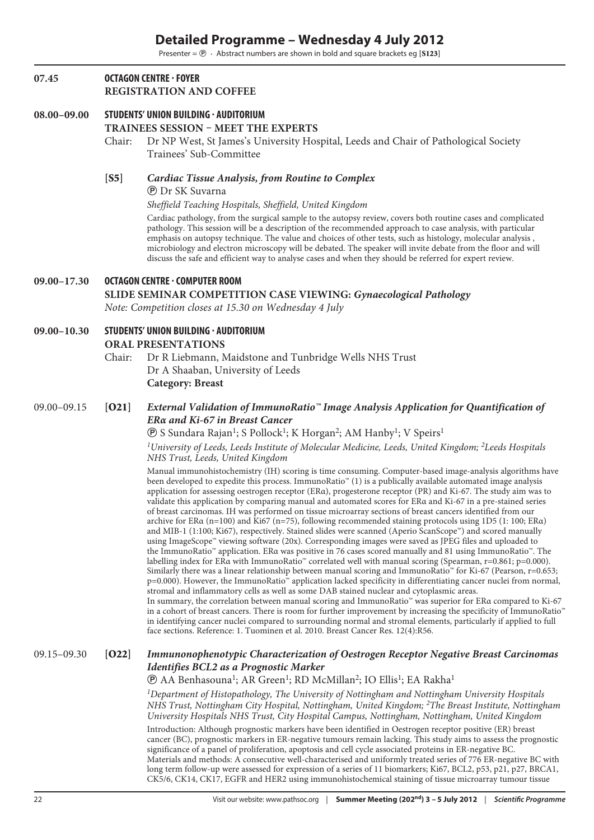Presenter =  $(P \cdot$  Abstract numbers are shown in bold and square brackets eg [S123]

#### **07.45 Octagon Centre · Foyer REGISTRATION and COFFEE**

### **08.00–09.00 Students' Union Building · Auditorium TRAINEES SESSION – MEET THE EXPERTS**

 Chair: Dr NP West, St James's University Hospital, Leeds and Chair of Pathological Society Trainees' Sub-Committee

# [S5] *Cardiac Tissue Analysis, from Routine to Complex* P Dr SK Suvarna

*Sheffield Teaching Hospitals, Sheffield, United Kingdom*

Cardiac pathology, from the surgical sample to the autopsy review, covers both routine cases and complicated pathology. This session will be a description of the recommended approach to case analysis, with particular emphasis on autopsy technique. The value and choices of other tests, such as histology, molecular analysis , microbiology and electron microscopy will be debated. The speaker will invite debate from the floor and will discuss the safe and efficient way to analyse cases and when they should be referred for expert review.

## **09.00–17.30 Octagon Centre · Computer Room**

### **SLIDE SEMINAR COMPETITION CASE VIEWING:** *Gynaecological Pathology*

 *Note: Competition closes at 15.30 on Wednesday 4 July*

# **09.00–10.30 Students' Union Building · Auditorium**

### **ORAL PRESENTATIONS**

 Chair: Dr R Liebmann, Maidstone and Tunbridge Wells NHS Trust Dr A Shaaban, University of Leeds  **Category: Breast**

#### 09.00–09.15 [O21] *External Validation of ImmunoRatio™ Image Analysis Application for Quantification of ERα and Ki-67 in Breast Cancer*

**P** S Sundara Rajan<sup>1</sup>; S Pollock<sup>1</sup>; K Horgan<sup>2</sup>; AM Hanby<sup>1</sup>; V Speirs<sup>1</sup>

*1University of Leeds, Leeds Institute of Molecular Medicine, Leeds, United Kingdom; 2Leeds Hospitals NHS Trust, Leeds, United Kingdom*

Manual immunohistochemistry (IH) scoring is time consuming. Computer-based image-analysis algorithms have been developed to expedite this process. ImmunoRatio™ (1) is a publically available automated image analysis application for assessing oestrogen receptor (ERα), progesterone receptor (PR) and Ki-67. The study aim was to validate this application by comparing manual and automated scores for ERα and Ki-67 in a pre-stained series of breast carcinomas. IH was performed on tissue microarray sections of breast cancers identified from our archive for ERα (n=100) and Ki67 (n=75), following recommended staining protocols using 1D5 (1: 100; ERα) and MIB-1 (1:100; Ki67), respectively. Stained slides were scanned (Aperio ScanScope™) and scored manually using ImageScope™ viewing software (20x). Corresponding images were saved as JPEG files and uploaded to the ImmunoRatio™ application. ERα was positive in 76 cases scored manually and 81 using ImmunoRatio™. The labelling index for ERα with ImmunoRatio™ correlated well with manual scoring (Spearman, r=0.861; p=0.000). Similarly there was a linear relationship between manual scoring and ImmunoRatio<sup>™</sup> for Ki-67 (Pearson, r=0.653; p=0.000). However, the ImmunoRatio™ application lacked specificity in differentiating cancer nuclei from normal, stromal and inflammatory cells as well as some DAB stained nuclear and cytoplasmic areas. In summary, the correlation between manual scoring and ImmunoRatio™ was superior for ERα compared to Ki-67

in a cohort of breast cancers. There is room for further improvement by increasing the specificity of ImmunoRatio™ in identifying cancer nuclei compared to surrounding normal and stromal elements, particularly if applied to full face sections. Reference: 1. Tuominen et al. 2010. Breast Cancer Res. 12(4):R56.

# 09.15–09.30 [O22] *Immunonophenotypic Characterization of Oestrogen Receptor Negative Breast Carcinomas Identifies BCL2 as a Prognostic Marker*

**P** AA Benhasouna<sup>1</sup>; AR Green<sup>1</sup>; RD McMillan<sup>2</sup>; IO Ellis<sup>1</sup>; EA Rakha<sup>1</sup>

*1Department of Histopathology, The University of Nottingham and Nottingham University Hospitals NHS Trust, Nottingham City Hospital, Nottingham, United Kingdom; 2The Breast Institute, Nottingham University Hospitals NHS Trust, City Hospital Campus, Nottingham, Nottingham, United Kingdom* Introduction: Although prognostic markers have been identified in Oestrogen receptor positive (ER) breast cancer (BC), prognostic markers in ER-negative tumours remain lacking. This study aims to assess the prognostic significance of a panel of proliferation, apoptosis and cell cycle associated proteins in ER-negative BC. Materials and methods: A consecutive well-characterised and uniformly treated series of 776 ER-negative BC with long term follow-up were assessed for expression of a series of 11 biomarkers; Ki67, BCL2, p53, p21, p27, BRCA1,

CK5/6, CK14, CK17, EGFR and HER2 using immunohistochemical staining of tissue microarray tumour tissue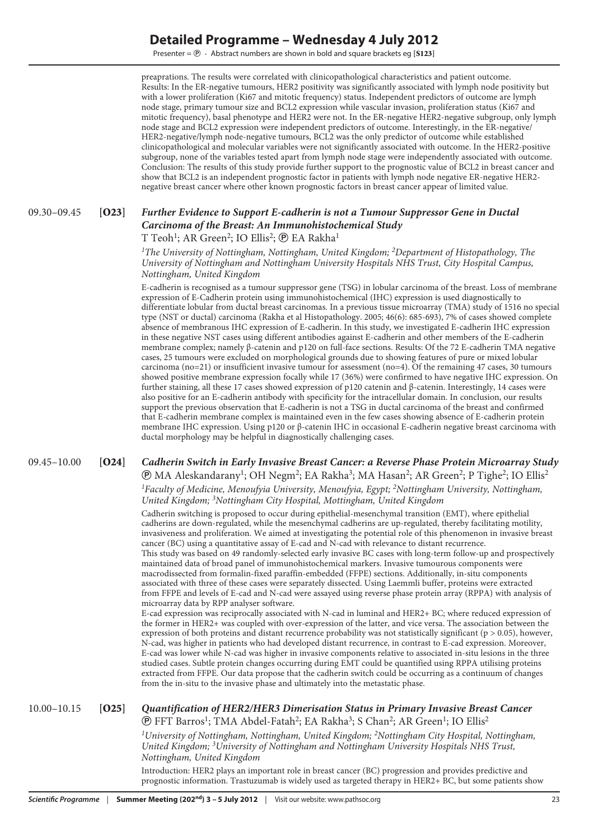Presenter =  $(P \cdot$  Abstract numbers are shown in bold and square brackets eg [S123]

preaprations. The results were correlated with clinicopathological characteristics and patient outcome. Results: In the ER-negative tumours, HER2 positivity was significantly associated with lymph node positivity but with a lower proliferation (Ki67 and mitotic frequency) status. Independent predictors of outcome are lymph node stage, primary tumour size and BCL2 expression while vascular invasion, proliferation status (Ki67 and mitotic frequency), basal phenotype and HER2 were not. In the ER-negative HER2-negative subgroup, only lymph node stage and BCL2 expression were independent predictors of outcome. Interestingly, in the ER-negative/ HER2-negative/lymph node-negative tumours, BCL2 was the only predictor of outcome while established clinicopathological and molecular variables were not significantly associated with outcome. In the HER2-positive subgroup, none of the variables tested apart from lymph node stage were independently associated with outcome. Conclusion: The results of this study provide further support to the prognostic value of BCL2 in breast cancer and show that BCL2 is an independent prognostic factor in patients with lymph node negative ER-negative HER2 negative breast cancer where other known prognostic factors in breast cancer appear of limited value.

# 09.30–09.45 [O23] *Further Evidence to Support E-cadherin is not a Tumour Suppressor Gene in Ductal Carcinoma of the Breast: An Immunohistochemical Study*

T Teoh<sup>1</sup>; AR Green<sup>2</sup>; IO Ellis<sup>2</sup>;  $\circled{P}$  EA Rakha<sup>1</sup>

*1The University of Nottingham, Nottingham, United Kingdom; 2Department of Histopathology, The University of Nottingham and Nottingham University Hospitals NHS Trust, City Hospital Campus, Nottingham, United Kingdom*

E-cadherin is recognised as a tumour suppressor gene (TSG) in lobular carcinoma of the breast. Loss of membrane expression of E-Cadherin protein using immunohistochemical (IHC) expression is used diagnostically to differentiate lobular from ductal breast carcinomas. In a previous tissue microarray (TMA) study of 1516 no special type (NST or ductal) carcinoma (Rakha et al Histopathology. 2005; 46(6): 685-693), 7% of cases showed complete absence of membranous IHC expression of E-cadherin. In this study, we investigated E-cadherin IHC expression in these negative NST cases using different antibodies against E-cadherin and other members of the E-cadherin membrane complex; namely β-catenin and p120 on full-face sections. Results: Of the 72 E-cadherin TMA negative cases, 25 tumours were excluded on morphological grounds due to showing features of pure or mixed lobular carcinoma (no=21) or insufficient invasive tumour for assessment (no=4). Of the remaining 47 cases, 30 tumours showed positive membrane expression focally while 17 (36%) were confirmed to have negative IHC expression. On further staining, all these 17 cases showed expression of p120 catenin and β-catenin. Interestingly, 14 cases were also positive for an E-cadherin antibody with specificity for the intracellular domain. In conclusion, our results support the previous observation that E-cadherin is not a TSG in ductal carcinoma of the breast and confirmed that E-cadherin membrane complex is maintained even in the few cases showing absence of E-cadherin protein membrane IHC expression. Using p120 or β-catenin IHC in occasional E-cadherin negative breast carcinoma with ductal morphology may be helpful in diagnostically challenging cases.

#### 09.45–10.00 [O24] *Cadherin Switch in Early Invasive Breast Cancer: a Reverse Phase Protein Microarray Study* P MA Aleskandarany1; OH Negm2; EA Rakha3; MA Hasan2; AR Green2; P Tighe2; IO Ellis2

*1Faculty of Medicine, Menoufyia University, Menoufyia, Egypt; 2Nottingham University, Nottingham, United Kingdom; 3Nottingham City Hospital, Mottingham, United Kingdom*

Cadherin switching is proposed to occur during epithelial-mesenchymal transition (EMT), where epithelial cadherins are down-regulated, while the mesenchymal cadherins are up-regulated, thereby facilitating motility, invasiveness and proliferation. We aimed at investigating the potential role of this phenomenon in invasive breast cancer (BC) using a quantitative assay of E-cad and N-cad with relevance to distant recurrence. This study was based on 49 randomly-selected early invasive BC cases with long-term follow-up and prospectively maintained data of broad panel of immunohistochemical markers. Invasive tumourous components were macrodissected from formalin-fixed paraffin-embedded (FFPE) sections. Additionally, in-situ components associated with three of these cases were separately dissected. Using Laemmli buffer, proteins were extracted from FFPE and levels of E-cad and N-cad were assayed using reverse phase protein array (RPPA) with analysis of microarray data by RPP analyser software.

E-cad expression was reciprocally associated with N-cad in luminal and HER2+ BC; where reduced expression of the former in HER2+ was coupled with over-expression of the latter, and vice versa. The association between the expression of both proteins and distant recurrence probability was not statistically significant ( $p > 0.05$ ), however, N-cad, was higher in patients who had developed distant recurrence, in contrast to E-cad expression. Moreover, E-cad was lower while N-cad was higher in invasive components relative to associated in-situ lesions in the three studied cases. Subtle protein changes occurring during EMT could be quantified using RPPA utilising proteins extracted from FFPE. Our data propose that the cadherin switch could be occurring as a continuum of changes from the in-situ to the invasive phase and ultimately into the metastatic phase.

### 10.00–10.15 [O25] *Quantification of HER2/HER3 Dimerisation Status in Primary Invasive Breast Cancer* P FFT Barros1; TMA Abdel-Fatah2; EA Rakha3; S Chan2; AR Green1; IO Ellis2

*1University of Nottingham, Nottingham, United Kingdom; 2Nottingham City Hospital, Nottingham, United Kingdom; 3University of Nottingham and Nottingham University Hospitals NHS Trust, Nottingham, United Kingdom*

Introduction: HER2 plays an important role in breast cancer (BC) progression and provides predictive and prognostic information. Trastuzumab is widely used as targeted therapy in HER2+ BC, but some patients show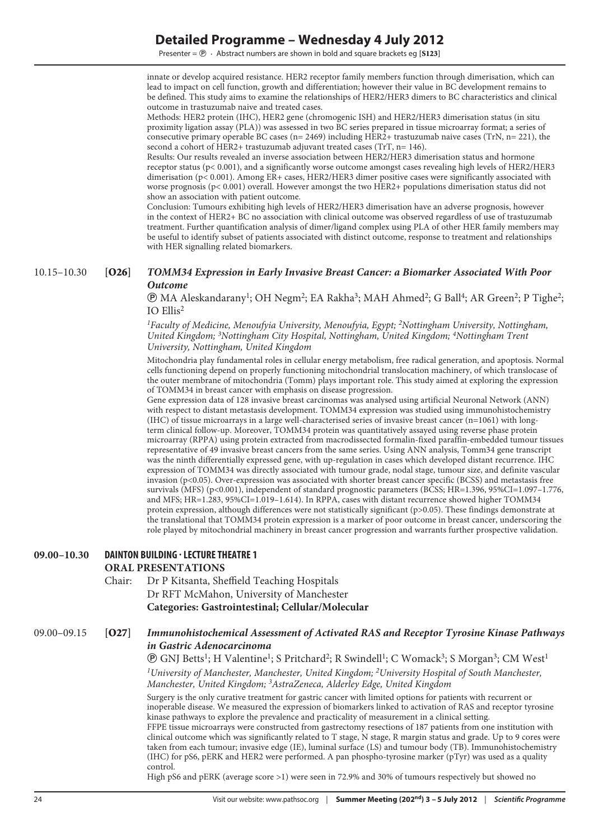Presenter =  $(P \cdot$  Abstract numbers are shown in bold and square brackets eg [S123]

innate or develop acquired resistance. HER2 receptor family members function through dimerisation, which can lead to impact on cell function, growth and differentiation; however their value in BC development remains to be defined. This study aims to examine the relationships of HER2/HER3 dimers to BC characteristics and clinical outcome in trastuzumab naive and treated cases.

Methods: HER2 protein (IHC), HER2 gene (chromogenic ISH) and HER2/HER3 dimerisation status (in situ proximity ligation assay (PLA)) was assessed in two BC series prepared in tissue microarray format; a series of consecutive primary operable BC cases ( $n= 2469$ ) including HER2+ trastuzumab naive cases (TrN,  $n= 221$ ), the second a cohort of HER2+ trastuzumab adjuvant treated cases (TrT, n= 146).

Results: Our results revealed an inverse association between HER2/HER3 dimerisation status and hormone receptor status (p< 0.001), and a significantly worse outcome amongst cases revealing high levels of HER2/HER3 dimerisation (p< 0.001). Among ER+ cases, HER2/HER3 dimer positive cases were significantly associated with worse prognosis (p< 0.001) overall. However amongst the two HER2+ populations dimerisation status did not show an association with patient outcome.

Conclusion: Tumours exhibiting high levels of HER2/HER3 dimerisation have an adverse prognosis, however in the context of HER2+ BC no association with clinical outcome was observed regardless of use of trastuzumab treatment. Further quantification analysis of dimer/ligand complex using PLA of other HER family members may be useful to identify subset of patients associated with distinct outcome, response to treatment and relationships with HER signalling related biomarkers.

#### 10.15–10.30 [O26] *TOMM34 Expression in Early Invasive Breast Cancer: a Biomarker Associated With Poor Outcome*

**P** MA Aleskandarany<sup>1</sup>; OH Negm<sup>2</sup>; EA Rakha<sup>3</sup>; MAH Ahmed<sup>2</sup>; G Ball<sup>4</sup>; AR Green<sup>2</sup>; P Tighe<sup>2</sup>; IO Ellis<sup>2</sup>

*1Faculty of Medicine, Menoufyia University, Menoufyia, Egypt; 2Nottingham University, Nottingham, United Kingdom; 3Nottingham City Hospital, Nottingham, United Kingdom; 4Nottingham Trent University, Nottingham, United Kingdom*

Mitochondria play fundamental roles in cellular energy metabolism, free radical generation, and apoptosis. Normal cells functioning depend on properly functioning mitochondrial translocation machinery, of which translocase of the outer membrane of mitochondria (Tomm) plays important role. This study aimed at exploring the expression of TOMM34 in breast cancer with emphasis on disease progression.

Gene expression data of 128 invasive breast carcinomas was analysed using artificial Neuronal Network (ANN) with respect to distant metastasis development. TOMM34 expression was studied using immunohistochemistry (IHC) of tissue microarrays in a large well-characterised series of invasive breast cancer  $(n=1061)$  with longterm clinical follow-up. Moreover, TOMM34 protein was quantitatively assayed using reverse phase protein microarray (RPPA) using protein extracted from macrodissected formalin-fixed paraffin-embedded tumour tissues representative of 49 invasive breast cancers from the same series. Using ANN analysis, Tomm34 gene transcript was the ninth differentially expressed gene, with up-regulation in cases which developed distant recurrence. IHC expression of TOMM34 was directly associated with tumour grade, nodal stage, tumour size, and definite vascular invasion (p<0.05). Over-expression was associated with shorter breast cancer specific (BCSS) and metastasis free survivals (MFS) (p<0.001), independent of standard prognostic parameters (BCSS; HR=1.396, 95%CI=1.097–1.776, and MFS; HR=1.283, 95%CI=1.019–1.614). In RPPA, cases with distant recurrence showed higher TOMM34 protein expression, although differences were not statistically significant (p>0.05). These findings demonstrate at the translational that TOMM34 protein expression is a marker of poor outcome in breast cancer, underscoring the role played by mitochondrial machinery in breast cancer progression and warrants further prospective validation.

#### **09.00–10.30 Dainton Building · Lecture Theatre 1**

#### **ORAL PRESENTATIONS**

 Chair: Dr P Kitsanta, Sheffield Teaching Hospitals Dr RFT McMahon, University of Manchester  **Categories: Gastrointestinal; Cellular/Molecular**

## 09.00–09.15 [O27] *Immunohistochemical Assessment of Activated RAS and Receptor Tyrosine Kinase Pathways in Gastric Adenocarcinoma*

 $\textcircled{P}$  GNJ Betts<sup>1</sup>; H Valentine<sup>1</sup>; S Pritchard<sup>2</sup>; R Swindell<sup>1</sup>; C Womack<sup>3</sup>; S Morgan<sup>3</sup>; CM West<sup>1</sup> *1University of Manchester, Manchester, United Kingdom; 2University Hospital of South Manchester, Manchester, United Kingdom; 3AstraZeneca, Alderley Edge, United Kingdom*

Surgery is the only curative treatment for gastric cancer with limited options for patients with recurrent or inoperable disease. We measured the expression of biomarkers linked to activation of RAS and receptor tyrosine kinase pathways to explore the prevalence and practicality of measurement in a clinical setting.

FFPE tissue microarrays were constructed from gastrectomy resections of 187 patients from one institution with clinical outcome which was significantly related to T stage, N stage, R margin status and grade. Up to 9 cores were taken from each tumour; invasive edge (IE), luminal surface (LS) and tumour body (TB). Immunohistochemistry (IHC) for pS6, pERK and HER2 were performed. A pan phospho-tyrosine marker (pTyr) was used as a quality control.

High pS6 and pERK (average score >1) were seen in 72.9% and 30% of tumours respectively but showed no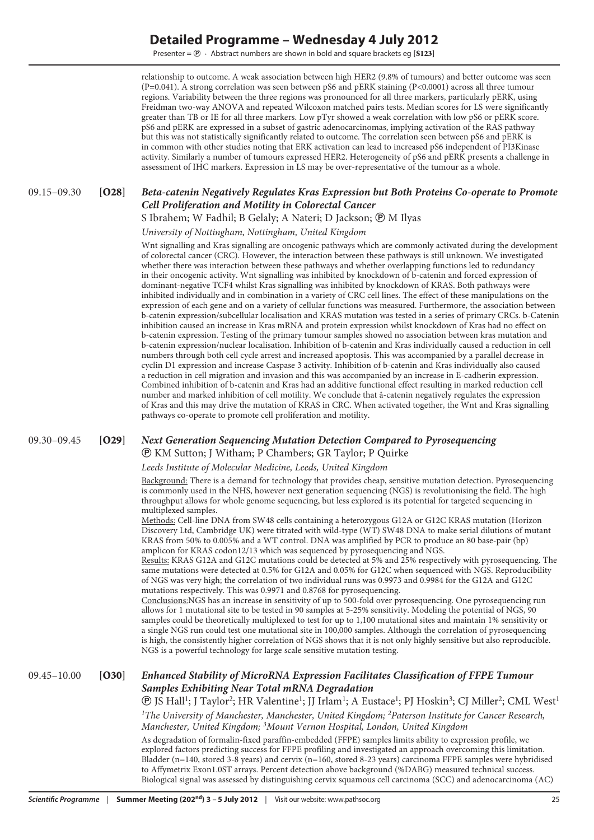Presenter =  $(P \cdot$  Abstract numbers are shown in bold and square brackets eg [S123]

relationship to outcome. A weak association between high HER2 (9.8% of tumours) and better outcome was seen  $(P=0.041)$ . A strong correlation was seen between pS6 and pERK staining  $(P<0.0001)$  across all three tumour regions. Variability between the three regions was pronounced for all three markers, particularly pERK, using Freidman two-way ANOVA and repeated Wilcoxon matched pairs tests. Median scores for LS were significantly greater than TB or IE for all three markers. Low pTyr showed a weak correlation with low pS6 or pERK score. pS6 and pERK are expressed in a subset of gastric adenocarcinomas, implying activation of the RAS pathway but this was not statistically significantly related to outcome. The correlation seen between pS6 and pERK is in common with other studies noting that ERK activation can lead to increased pS6 independent of PI3Kinase activity. Similarly a number of tumours expressed HER2. Heterogeneity of pS6 and pERK presents a challenge in assessment of IHC markers. Expression in LS may be over-representative of the tumour as a whole.

#### 09.15–09.30 [O28] *Beta-catenin Negatively Regulates Kras Expression but Both Proteins Co-operate to Promote Cell Proliferation and Motility in Colorectal Cancer*

S Ibrahem; W Fadhil; B Gelaly; A Nateri; D Jackson; P M Ilyas

#### *University of Nottingham, Nottingham, United Kingdom*

Wnt signalling and Kras signalling are oncogenic pathways which are commonly activated during the development of colorectal cancer (CRC). However, the interaction between these pathways is still unknown. We investigated whether there was interaction between these pathways and whether overlapping functions led to redundancy in their oncogenic activity. Wnt signalling was inhibited by knockdown of b-catenin and forced expression of dominant-negative TCF4 whilst Kras signalling was inhibited by knockdown of KRAS. Both pathways were inhibited individually and in combination in a variety of CRC cell lines. The effect of these manipulations on the expression of each gene and on a variety of cellular functions was measured. Furthermore, the association between b-catenin expression/subcellular localisation and KRAS mutation was tested in a series of primary CRCs. b-Catenin inhibition caused an increase in Kras mRNA and protein expression whilst knockdown of Kras had no effect on b-catenin expression. Testing of the primary tumour samples showed no association between kras mutation and b-catenin expression/nuclear localisation. Inhibition of b-catenin and Kras individually caused a reduction in cell numbers through both cell cycle arrest and increased apoptosis. This was accompanied by a parallel decrease in cyclin D1 expression and increase Caspase 3 activity. Inhibition of b-catenin and Kras individually also caused a reduction in cell migration and invasion and this was accompanied by an increase in E-cadherin expression. Combined inhibition of b-catenin and Kras had an additive functional effect resulting in marked reduction cell number and marked inhibition of cell motility. We conclude that â-catenin negatively regulates the expression of Kras and this may drive the mutation of KRAS in CRC. When activated together, the Wnt and Kras signalling pathways co-operate to promote cell proliferation and motility.

#### 09.30–09.45 [O29] *Next Generation Sequencing Mutation Detection Compared to Pyrosequencing*

P KM Sutton; J Witham; P Chambers; GR Taylor; P Quirke

*Leeds Institute of Molecular Medicine, Leeds, United Kingdom*

Background: There is a demand for technology that provides cheap, sensitive mutation detection. Pyrosequencing is commonly used in the NHS, however next generation sequencing (NGS) is revolutionising the field. The high throughput allows for whole genome sequencing, but less explored is its potential for targeted sequencing in multiplexed samples.

Methods: Cell-line DNA from SW48 cells containing a heterozygous G12A or G12C KRAS mutation (Horizon Discovery Ltd, Cambridge UK) were titrated with wild-type (WT) SW48 DNA to make serial dilutions of mutant KRAS from 50% to 0.005% and a WT control. DNA was amplified by PCR to produce an 80 base-pair (bp) amplicon for KRAS codon12/13 which was sequenced by pyrosequencing and NGS.

Results: KRAS G12A and G12C mutations could be detected at 5% and 25% respectively with pyrosequencing. The same mutations were detected at 0.5% for G12A and 0.05% for G12C when sequenced with NGS. Reproducibility of NGS was very high; the correlation of two individual runs was 0.9973 and 0.9984 for the G12A and G12C mutations respectively. This was 0.9971 and 0.8768 for pyrosequencing.

Conclusions:NGS has an increase in sensitivity of up to 500-fold over pyrosequencing. One pyrosequencing run allows for 1 mutational site to be tested in 90 samples at 5-25% sensitivity. Modeling the potential of NGS, 90 samples could be theoretically multiplexed to test for up to 1,100 mutational sites and maintain 1% sensitivity or a single NGS run could test one mutational site in 100,000 samples. Although the correlation of pyrosequencing is high, the consistently higher correlation of NGS shows that it is not only highly sensitive but also reproducible. NGS is a powerful technology for large scale sensitive mutation testing.

### 09.45–10.00 [O30] *Enhanced Stability of MicroRNA Expression Facilitates Classification of FFPE Tumour Samples Exhibiting Near Total mRNA Degradation*

 $\textcircled{P}$  JS Hall<sup>1</sup>; J Taylor<sup>2</sup>; HR Valentine<sup>1</sup>; JJ Irlam<sup>1</sup>; A Eustace<sup>1</sup>; PJ Hoskin<sup>3</sup>; CJ Miller<sup>2</sup>; CML West<sup>1</sup> *1The University of Manchester, Manchester, United Kingdom; 2Paterson Institute for Cancer Research, Manchester, United Kingdom; 3Mount Vernon Hospital, London, United Kingdom*

As degradation of formalin-fixed paraffin-embedded (FFPE) samples limits ability to expression profile, we explored factors predicting success for FFPE profiling and investigated an approach overcoming this limitation. Bladder (n=140, stored 3-8 years) and cervix (n=160, stored 8-23 years) carcinoma FFPE samples were hybridised to Affymetrix Exon1.0ST arrays. Percent detection above background (%DABG) measured technical success. Biological signal was assessed by distinguishing cervix squamous cell carcinoma (SCC) and adenocarcinoma (AC)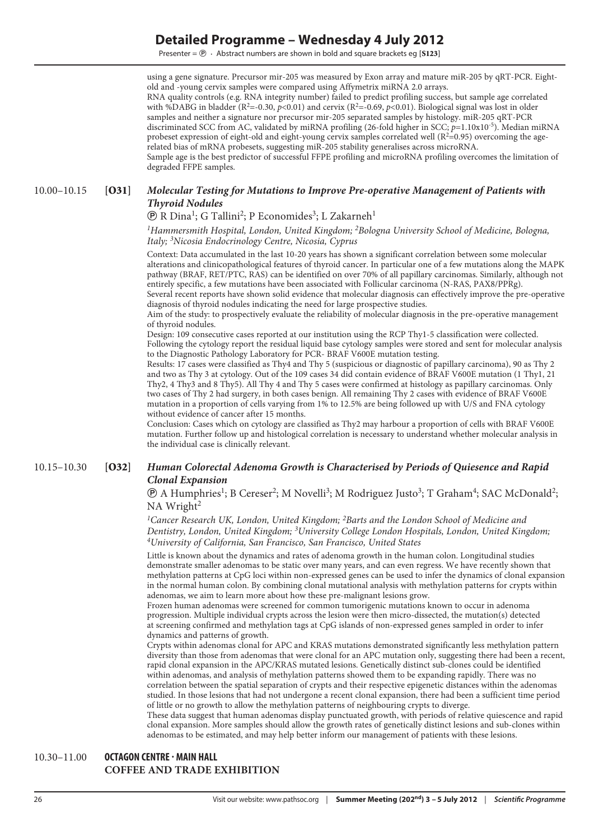Presenter =  $(P \cdot$  Abstract numbers are shown in bold and square brackets eg [S123]

using a gene signature. Precursor mir-205 was measured by Exon array and mature miR-205 by qRT-PCR. Eightold and -young cervix samples were compared using Affymetrix miRNA 2.0 arrays.

RNA quality controls (e.g. RNA integrity number) failed to predict profiling success, but sample age correlated with %DABG in bladder ( $R^2 = -0.30$ ,  $p < 0.01$ ) and cervix ( $R^2 = -0.69$ ,  $p < 0.01$ ). Biological signal was lost in older samples and neither a signature nor precursor mir-205 separated samples by histology. miR-205 qRT-PCR discriminated SCC from AC, validated by miRNA profiling (26-fold higher in SCC; *p*=1.10x10-5). Median miRNA probeset expression of eight-old and eight-young cervix samples correlated well ( $R^2=0.95$ ) overcoming the agerelated bias of mRNA probesets, suggesting miR-205 stability generalises across microRNA. Sample age is the best predictor of successful FFPE profiling and microRNA profiling overcomes the limitation of degraded FFPE samples.

#### 10.00–10.15 [O31] *Molecular Testing for Mutations to Improve Pre-operative Management of Patients with Thyroid Nodules*

 $\textcircled{P}$  R Dina<sup>1</sup>; G Tallini<sup>2</sup>; P Economides<sup>3</sup>; L Zakarneh<sup>1</sup>

*1Hammersmith Hospital, London, United Kingdom; 2Bologna University School of Medicine, Bologna, Italy; 3Nicosia Endocrinology Centre, Nicosia, Cyprus*

Context: Data accumulated in the last 10-20 years has shown a significant correlation between some molecular alterations and clinicopathological features of thyroid cancer. In particular one of a few mutations along the MAPK pathway (BRAF, RET/PTC, RAS) can be identified on over 70% of all papillary carcinomas. Similarly, although not entirely specific, a few mutations have been associated with Follicular carcinoma (N-RAS, PAX8/PPRg).

Several recent reports have shown solid evidence that molecular diagnosis can effectively improve the pre-operative diagnosis of thyroid nodules indicating the need for large prospective studies.

Aim of the study: to prospectively evaluate the reliability of molecular diagnosis in the pre-operative management of thyroid nodules.

Design: 109 consecutive cases reported at our institution using the RCP Thy1-5 classification were collected. Following the cytology report the residual liquid base cytology samples were stored and sent for molecular analysis to the Diagnostic Pathology Laboratory for PCR- BRAF V600E mutation testing.

Results: 17 cases were classified as Thy4 and Thy 5 (suspicious or diagnostic of papillary carcinoma), 90 as Thy 2 and two as Thy 3 at cytology. Out of the 109 cases 34 did contain evidence of BRAF V600E mutation (1 Thy1, 21 Thy2, 4 Thy3 and 8 Thy5). All Thy 4 and Thy 5 cases were confirmed at histology as papillary carcinomas. Only two cases of Thy 2 had surgery, in both cases benign. All remaining Thy 2 cases with evidence of BRAF V600E mutation in a proportion of cells varying from 1% to 12.5% are being followed up with U/S and FNA cytology without evidence of cancer after 15 months.

Conclusion: Cases which on cytology are classified as Thy2 may harbour a proportion of cells with BRAF V600E mutation. Further follow up and histological correlation is necessary to understand whether molecular analysis in the individual case is clinically relevant.

### 10.15–10.30 [O32] *Human Colorectal Adenoma Growth is Characterised by Periods of Quiesence and Rapid Clonal Expansion*

 $\textcircled{P}$  A Humphries<sup>1</sup>; B Cereser<sup>2</sup>; M Novelli<sup>3</sup>; M Rodriguez Justo<sup>3</sup>; T Graham<sup>4</sup>; SAC McDonald<sup>2</sup>;  $NA$  Wright<sup>2</sup>

*1Cancer Research UK, London, United Kingdom; 2Barts and the London School of Medicine and Dentistry, London, United Kingdom; 3University College London Hospitals, London, United Kingdom; 4University of California, San Francisco, San Francisco, United States*

Little is known about the dynamics and rates of adenoma growth in the human colon. Longitudinal studies demonstrate smaller adenomas to be static over many years, and can even regress. We have recently shown that methylation patterns at CpG loci within non-expressed genes can be used to infer the dynamics of clonal expansion in the normal human colon. By combining clonal mutational analysis with methylation patterns for crypts within adenomas, we aim to learn more about how these pre-malignant lesions grow.

Frozen human adenomas were screened for common tumorigenic mutations known to occur in adenoma progression. Multiple individual crypts across the lesion were then micro-dissected, the mutation(s) detected at screening confirmed and methylation tags at CpG islands of non-expressed genes sampled in order to infer dynamics and patterns of growth.

Crypts within adenomas clonal for APC and KRAS mutations demonstrated significantly less methylation pattern diversity than those from adenomas that were clonal for an APC mutation only, suggesting there had been a recent, rapid clonal expansion in the APC/KRAS mutated lesions. Genetically distinct sub-clones could be identified within adenomas, and analysis of methylation patterns showed them to be expanding rapidly. There was no correlation between the spatial separation of crypts and their respective epigenetic distances within the adenomas studied. In those lesions that had not undergone a recent clonal expansion, there had been a sufficient time period of little or no growth to allow the methylation patterns of neighbouring crypts to diverge.

These data suggest that human adenomas display punctuated growth, with periods of relative quiescence and rapid clonal expansion. More samples should allow the growth rates of genetically distinct lesions and sub-clones within adenomas to be estimated, and may help better inform our management of patients with these lesions.

# 10.30–11.00 **Octagon Centre · Main Hall COFFEE AND TRADE EXHIBITION**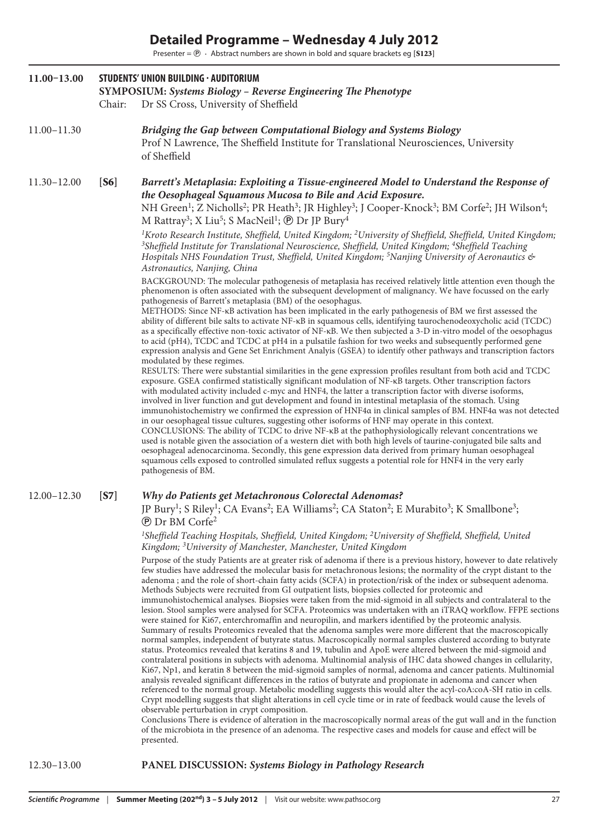Presenter =  $\overline{D}$  · Abstract numbers are shown in bold and square brackets eg [S123]

| $11.00 - 13.00$ | Chair:        | STUDENTS' UNION BUILDING · AUDITORIUM<br>SYMPOSIUM: Systems Biology - Reverse Engineering The Phenotype<br>Dr SS Cross, University of Sheffield                                                                                                                                                                                                                                                                                                                                                                                                                                                                                                                                                                                                                                                                                                                                                                                                                                                                                                                                                                                                                                                                                                                                                                                                                                                                                                                                                                                                                                                                                                                                                                                                                                                                                                                                                                                                                                                                                                                                                                                                                                                                                                                                                                                                                                                                                                                                                                                                                                                                                                                                                                                                                                                                                                                                                                                                                  |
|-----------------|---------------|------------------------------------------------------------------------------------------------------------------------------------------------------------------------------------------------------------------------------------------------------------------------------------------------------------------------------------------------------------------------------------------------------------------------------------------------------------------------------------------------------------------------------------------------------------------------------------------------------------------------------------------------------------------------------------------------------------------------------------------------------------------------------------------------------------------------------------------------------------------------------------------------------------------------------------------------------------------------------------------------------------------------------------------------------------------------------------------------------------------------------------------------------------------------------------------------------------------------------------------------------------------------------------------------------------------------------------------------------------------------------------------------------------------------------------------------------------------------------------------------------------------------------------------------------------------------------------------------------------------------------------------------------------------------------------------------------------------------------------------------------------------------------------------------------------------------------------------------------------------------------------------------------------------------------------------------------------------------------------------------------------------------------------------------------------------------------------------------------------------------------------------------------------------------------------------------------------------------------------------------------------------------------------------------------------------------------------------------------------------------------------------------------------------------------------------------------------------------------------------------------------------------------------------------------------------------------------------------------------------------------------------------------------------------------------------------------------------------------------------------------------------------------------------------------------------------------------------------------------------------------------------------------------------------------------------------------------------|
| $11.00 - 11.30$ |               | Bridging the Gap between Computational Biology and Systems Biology<br>Prof N Lawrence, The Sheffield Institute for Translational Neurosciences, University<br>of Sheffield                                                                                                                                                                                                                                                                                                                                                                                                                                                                                                                                                                                                                                                                                                                                                                                                                                                                                                                                                                                                                                                                                                                                                                                                                                                                                                                                                                                                                                                                                                                                                                                                                                                                                                                                                                                                                                                                                                                                                                                                                                                                                                                                                                                                                                                                                                                                                                                                                                                                                                                                                                                                                                                                                                                                                                                       |
| 11.30-12.00     | [ <b>S</b> 6] | Barrett's Metaplasia: Exploiting a Tissue-engineered Model to Understand the Response of<br>the Oesophageal Squamous Mucosa to Bile and Acid Exposure.<br>NH Green <sup>1</sup> ; Z Nicholls <sup>2</sup> ; PR Heath <sup>3</sup> ; JR Highley <sup>3</sup> ; J Cooper-Knock <sup>3</sup> ; BM Corfe <sup>2</sup> ; JH Wilson <sup>4</sup> ;<br>M Rattray <sup>3</sup> ; X Liu <sup>5</sup> ; S MacNeil <sup>1</sup> ; <b>(b)</b> Dr JP Bury <sup>4</sup><br><sup>1</sup> Kroto Research Institute, Sheffield, United Kingdom; <sup>2</sup> University of Sheffield, Sheffield, United Kingdom;<br><sup>3</sup> Sheffield Institute for Translational Neuroscience, Sheffield, United Kingdom; <sup>4</sup> Sheffield Teaching<br>Hospitals NHS Foundation Trust, Sheffield, United Kingdom; <sup>5</sup> Nanjing University of Aeronautics &<br>Astronautics, Nanjing, China<br>BACKGROUND: The molecular pathogenesis of metaplasia has received relatively little attention even though the<br>phenomenon is often associated with the subsequent development of malignancy. We have focussed on the early<br>pathogenesis of Barrett's metaplasia (BM) of the oesophagus.<br>METHODS: Since NF-KB activation has been implicated in the early pathogenesis of BM we first assessed the<br>ability of different bile salts to activate NF-KB in squamous cells, identifying taurochenodeoxycholic acid (TCDC)<br>as a specifically effective non-toxic activator of NF-kB. We then subjected a 3-D in-vitro model of the oesophagus<br>to acid (pH4), TCDC and TCDC at pH4 in a pulsatile fashion for two weeks and subsequently performed gene<br>expression analysis and Gene Set Enrichment Analyis (GSEA) to identify other pathways and transcription factors<br>modulated by these regimes.<br>RESULTS: There were substantial similarities in the gene expression profiles resultant from both acid and TCDC<br>exposure. GSEA confirmed statistically significant modulation of NF-KB targets. Other transcription factors<br>with modulated activity included c-myc and HNF4, the latter a transcription factor with diverse isoforms,<br>involved in liver function and gut development and found in intestinal metaplasia of the stomach. Using<br>immunohistochemistry we confirmed the expression of HNF4a in clinical samples of BM. HNF4a was not detected<br>in our oesophageal tissue cultures, suggesting other isoforms of HNF may operate in this context.<br>CONCLUSIONS: The ability of TCDC to drive NF-KB at the pathophysiologically relevant concentrations we<br>used is notable given the association of a western diet with both high levels of taurine-conjugated bile salts and<br>oesophageal adenocarcinoma. Secondly, this gene expression data derived from primary human oesophageal<br>squamous cells exposed to controlled simulated reflux suggests a potential role for HNF4 in the very early<br>pathogenesis of BM. |
| $12.00 - 12.30$ | [S7]          | Why do Patients get Metachronous Colorectal Adenomas?<br>JP Bury <sup>1</sup> ; S Riley <sup>1</sup> ; CA Evans <sup>2</sup> ; EA Williams <sup>2</sup> ; CA Staton <sup>2</sup> ; E Murabito <sup>3</sup> ; K Smallbone <sup>3</sup> ;<br><b>D</b> Dr BM Corfe <sup>2</sup><br><sup>1</sup> Sheffield Teaching Hospitals, Sheffield, United Kingdom; <sup>2</sup> University of Sheffield, Sheffield, United<br>Kingdom; <sup>3</sup> University of Manchester, Manchester, United Kingdom<br>Purpose of the study Patients are at greater risk of adenoma if there is a previous history, however to date relatively<br>few studies have addressed the molecular basis for metachronous lesions; the normality of the crypt distant to the<br>adenoma ; and the role of short-chain fatty acids (SCFA) in protection/risk of the index or subsequent adenoma.<br>Methods Subjects were recruited from GI outpatient lists, biopsies collected for proteomic and<br>immunohistochemical analyses. Biopsies were taken from the mid-sigmoid in all subjects and contralateral to the<br>lesion. Stool samples were analysed for SCFA. Proteomics was undertaken with an iTRAQ workflow. FFPE sections<br>were stained for Ki67, enterchromaffin and neuropilin, and markers identified by the proteomic analysis.<br>Summary of results Proteomics revealed that the adenoma samples were more different that the macroscopically<br>normal samples, independent of butyrate status. Macroscopically normal samples clustered according to butyrate<br>status. Proteomics revealed that keratins 8 and 19, tubulin and ApoE were altered between the mid-sigmoid and<br>contralateral positions in subjects with adenoma. Multinomial analysis of IHC data showed changes in cellularity,<br>Ki67, Np1, and keratin 8 between the mid-sigmoid samples of normal, adenoma and cancer patients. Multinomial<br>analysis revealed significant differences in the ratios of butyrate and propionate in adenoma and cancer when<br>referenced to the normal group. Metabolic modelling suggests this would alter the acyl-coA:coA-SH ratio in cells.<br>Crypt modelling suggests that slight alterations in cell cycle time or in rate of feedback would cause the levels of<br>observable perturbation in crypt composition.<br>Conclusions There is evidence of alteration in the macroscopically normal areas of the gut wall and in the function<br>of the microbiota in the presence of an adenoma. The respective cases and models for cause and effect will be<br>presented.                                                                                                                                                                                                                                                                                                                                                                                   |

### 12.30–13.00 **Panel discussion:** *Systems Biology in Pathology Research*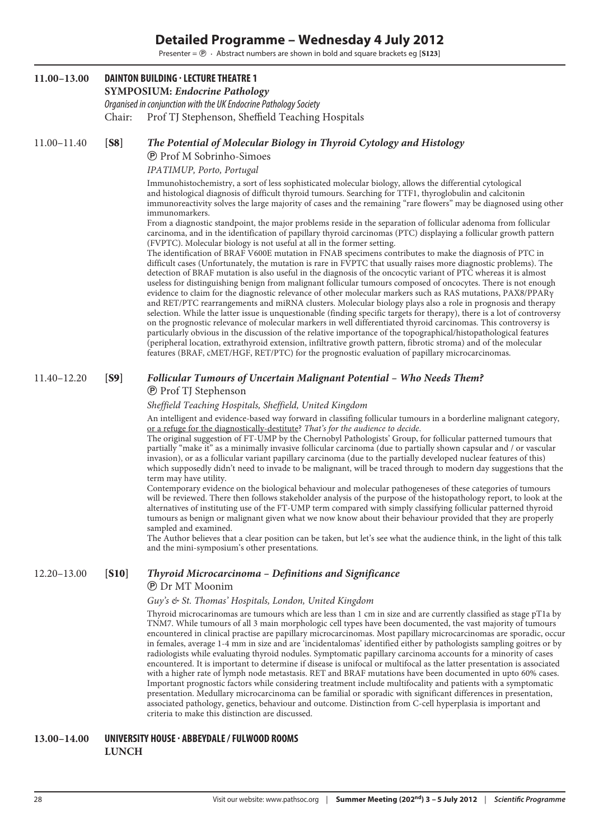Presenter =  $\mathcal{P}$   $\cdot$  Abstract numbers are shown in bold and square brackets eg [**S123**]

| 11.00-13.00     |               | <b>DAINTON BUILDING · LECTURE THEATRE 1</b><br><b>SYMPOSIUM: Endocrine Pathology</b><br>Organised in conjunction with the UK Endocrine Pathology Society                                                                                                                                                                                                                                                                                                                                                                                                                                                                                                                                                                                                                                                                                                                                                                                                                                                                                                                                                                                                                                                                                                                                                                                                                                                                                                                                                                                                                                                                                                                                                                                                                                                                                                                                                                                                                     |
|-----------------|---------------|------------------------------------------------------------------------------------------------------------------------------------------------------------------------------------------------------------------------------------------------------------------------------------------------------------------------------------------------------------------------------------------------------------------------------------------------------------------------------------------------------------------------------------------------------------------------------------------------------------------------------------------------------------------------------------------------------------------------------------------------------------------------------------------------------------------------------------------------------------------------------------------------------------------------------------------------------------------------------------------------------------------------------------------------------------------------------------------------------------------------------------------------------------------------------------------------------------------------------------------------------------------------------------------------------------------------------------------------------------------------------------------------------------------------------------------------------------------------------------------------------------------------------------------------------------------------------------------------------------------------------------------------------------------------------------------------------------------------------------------------------------------------------------------------------------------------------------------------------------------------------------------------------------------------------------------------------------------------------|
|                 | Chair:        | Prof TJ Stephenson, Sheffield Teaching Hospitals                                                                                                                                                                                                                                                                                                                                                                                                                                                                                                                                                                                                                                                                                                                                                                                                                                                                                                                                                                                                                                                                                                                                                                                                                                                                                                                                                                                                                                                                                                                                                                                                                                                                                                                                                                                                                                                                                                                             |
| 11.00-11.40     | $[$ S8 $]$    | The Potential of Molecular Biology in Thyroid Cytology and Histology<br><b>P</b> Prof M Sobrinho-Simoes                                                                                                                                                                                                                                                                                                                                                                                                                                                                                                                                                                                                                                                                                                                                                                                                                                                                                                                                                                                                                                                                                                                                                                                                                                                                                                                                                                                                                                                                                                                                                                                                                                                                                                                                                                                                                                                                      |
|                 |               | IPATIMUP, Porto, Portugal                                                                                                                                                                                                                                                                                                                                                                                                                                                                                                                                                                                                                                                                                                                                                                                                                                                                                                                                                                                                                                                                                                                                                                                                                                                                                                                                                                                                                                                                                                                                                                                                                                                                                                                                                                                                                                                                                                                                                    |
|                 |               | Immunohistochemistry, a sort of less sophisticated molecular biology, allows the differential cytological<br>and histological diagnosis of difficult thyroid tumours. Searching for TTF1, thyroglobulin and calcitonin<br>immunoreactivity solves the large majority of cases and the remaining "rare flowers" may be diagnosed using other<br>immunomarkers.<br>From a diagnostic standpoint, the major problems reside in the separation of follicular adenoma from follicular<br>carcinoma, and in the identification of papillary thyroid carcinomas (PTC) displaying a follicular growth pattern<br>(FVPTC). Molecular biology is not useful at all in the former setting.<br>The identification of BRAF V600E mutation in FNAB specimens contributes to make the diagnosis of PTC in<br>difficult cases (Unfortunately, the mutation is rare in FVPTC that usually raises more diagnostic problems). The<br>detection of BRAF mutation is also useful in the diagnosis of the oncocytic variant of PTC whereas it is almost<br>useless for distinguishing benign from malignant follicular tumours composed of oncocytes. There is not enough<br>evidence to claim for the diagnostic relevance of other molecular markers such as RAS mutations, PAX8/PPARy<br>and RET/PTC rearrangements and miRNA clusters. Molecular biology plays also a role in prognosis and therapy<br>selection. While the latter issue is unquestionable (finding specific targets for therapy), there is a lot of controversy<br>on the prognostic relevance of molecular markers in well differentiated thyroid carcinomas. This controversy is<br>particularly obvious in the discussion of the relative importance of the topographical/histopathological features<br>(peripheral location, extrathyroid extension, infiltrative growth pattern, fibrotic stroma) and of the molecular<br>features (BRAF, cMET/HGF, RET/PTC) for the prognostic evaluation of papillary microcarcinomas. |
| $11.40 - 12.20$ | [ <b>S</b> 9] | Follicular Tumours of Uncertain Malignant Potential - Who Needs Them?<br><b><i>@</i></b> Prof TJ Stephenson<br>Sheffield Teaching Hospitals, Sheffield, United Kingdom<br>An intelligent and evidence-based way forward in classifing follicular tumours in a borderline malignant category,<br>or a refuge for the diagnostically-destitute? That's for the audience to decide.<br>The original suggestion of FT-UMP by the Chernobyl Pathologists' Group, for follicular patterned tumours that<br>partially "make it" as a minimally invasive follicular carcinoma (due to partially shown capsular and / or vascular<br>invasion), or as a follicular variant papillary carcinoma (due to the partially developed nuclear features of this)<br>which supposedly didn't need to invade to be malignant, will be traced through to modern day suggestions that the<br>term may have utility.<br>Contemporary evidence on the biological behaviour and molecular pathogeneses of these categories of tumours<br>will be reviewed. There then follows stakeholder analysis of the purpose of the histopathology report, to look at the<br>alternatives of instituting use of the FT-UMP term compared with simply classifying follicular patterned thyroid<br>tumours as benign or malignant given what we now know about their behaviour provided that they are properly<br>sampled and examined.<br>The Author believes that a clear position can be taken, but let's see what the audience think, in the light of this talk<br>and the mini-symposium's other presentations.                                                                                                                                                                                                                                                                                                                                                                                              |
| $12.20 - 13.00$ | [S10]         | Thyroid Microcarcinoma - Definitions and Significance<br><b><i>O</i></b> Dr MT Moonim                                                                                                                                                                                                                                                                                                                                                                                                                                                                                                                                                                                                                                                                                                                                                                                                                                                                                                                                                                                                                                                                                                                                                                                                                                                                                                                                                                                                                                                                                                                                                                                                                                                                                                                                                                                                                                                                                        |
|                 |               | Guy's & St. Thomas' Hospitals, London, United Kingdom                                                                                                                                                                                                                                                                                                                                                                                                                                                                                                                                                                                                                                                                                                                                                                                                                                                                                                                                                                                                                                                                                                                                                                                                                                                                                                                                                                                                                                                                                                                                                                                                                                                                                                                                                                                                                                                                                                                        |
|                 |               | Thyroid microcarinomas are tumours which are less than 1 cm in size and are currently classified as stage pT1a by<br>TNM7. While tumours of all 3 main morphologic cell types have been documented, the vast majority of tumours<br>encountered in clinical practise are papillary microcarcinomas. Most papillary microcarcinomas are sporadic, occur<br>in females, average 1-4 mm in size and are 'incidentalomas' identified either by pathologists sampling goitres or by<br>radiologists while evaluating thyroid nodules. Symptomatic papillary carcinoma accounts for a minority of cases<br>encountered. It is important to determine if disease is unifocal or multifocal as the latter presentation is associated<br>with a higher rate of lymph node metastasis. RET and BRAF mutations have been documented in upto 60% cases.<br>Important prognostic factors while considering treatment include multifocality and patients with a symptomatic<br>presentation. Medullary microcarcinoma can be familial or sporadic with significant differences in presentation,<br>associated pathology, genetics, behaviour and outcome. Distinction from C-cell hyperplasia is important and<br>criteria to make this distinction are discussed.                                                                                                                                                                                                                                                                                                                                                                                                                                                                                                                                                                                                                                                                                                                         |
| 13.00-14.00     | <b>LUNCH</b>  | UNIVERSITY HOUSE · ABBEYDALE / FULWOOD ROOMS                                                                                                                                                                                                                                                                                                                                                                                                                                                                                                                                                                                                                                                                                                                                                                                                                                                                                                                                                                                                                                                                                                                                                                                                                                                                                                                                                                                                                                                                                                                                                                                                                                                                                                                                                                                                                                                                                                                                 |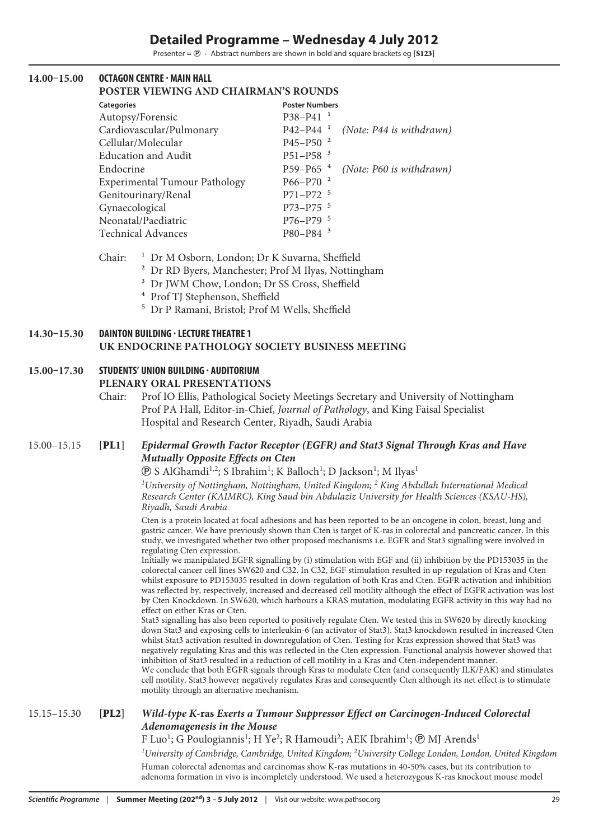Presenter =  $(P \cdot$  Abstract numbers are shown in bold and square brackets eg [S123]

# **14.00–15.00 Octagon Centre · Main Hall**

#### **POSTER VIEWING AND CHAIRMAN'S ROUNDS**

| Categories                           | <b>Poster Numbers</b>    |                                      |
|--------------------------------------|--------------------------|--------------------------------------|
| Autopsy/Forensic                     | $P38-P411$               |                                      |
| Cardiovascular/Pulmonary             |                          | $P42-P44$ $(Note: P44$ is withdrawn) |
| Cellular/Molecular                   | P45-P50 <sup>2</sup>     |                                      |
| <b>Education and Audit</b>           | $P51-P583$               |                                      |
| Endocrine                            | $P59-P65$ <sup>4</sup>   | (Note: P60 is withdrawn)             |
| <b>Experimental Tumour Pathology</b> | $P66 - P70$ <sup>2</sup> |                                      |
| Genitourinary/Renal                  | P71-P72 <sup>5</sup>     |                                      |
| Gynaecological                       | P73-P75 <sup>5</sup>     |                                      |
| Neonatal/Paediatric                  | P76-P79 <sup>5</sup>     |                                      |
| <b>Technical Advances</b>            | $P80-P84$ <sup>3</sup>   |                                      |
|                                      |                          |                                      |

Chair: ¹ Dr M Osborn, London; Dr K Suvarna, Sheffield

- ² Dr RD Byers, Manchester; Prof M Ilyas, Nottingham
- <sup>3</sup> Dr JWM Chow, London; Dr SS Cross, Sheffield
- <sup>4</sup> Prof TJ Stephenson, Sheffield
- <sup>5</sup> Dr P Ramani, Bristol; Prof M Wells, Sheffield

#### **14.30–15.30 Dainton Building · Lecture Theatre 1 UK ENDOCRINE PATHOLOGY SOCIETY BUSINESS MEETING**

#### **15.00–17.30 Students' Union Building · Auditorium**

#### **PLENARY ORAL PRESENTATIONS**

Chair: Prof IO Ellis, Pathological Society Meetings Secretary and University of Nottingham Prof PA Hall, Editor-in-Chief, *Journal of Pathology*, and King Faisal Specialist Hospital and Research Center, Riyadh, Saudi Arabia

### 15.00–15.15 [PL1] *Epidermal Growth Factor Receptor (EGFR) and Stat3 Signal Through Kras and Have Mutually Opposite Effects on Cten*

 $\circledR$  S AlGhamdi<sup>1,2</sup>; S Ibrahim<sup>1</sup>; K Balloch<sup>1</sup>; D Jackson<sup>1</sup>; M Ilyas<sup>1</sup>

*1University of Nottingham, Nottingham, United Kingdom; 2 King Abdullah International Medical Research Center (KAIMRC), King Saud bin Abdulaziz University for Health Sciences (KSAU-HS), Riyadh, Saudi Arabia*

Cten is a protein located at focal adhesions and has been reported to be an oncogene in colon, breast, lung and gastric cancer. We have previously shown than Cten is target of K-ras in colorectal and pancreatic cancer. In this study, we investigated whether two other proposed mechanisms i.e. EGFR and Stat3 signalling were involved in regulating Cten expression.

Initially we manipulated EGFR signalling by (i) stimulation with EGF and (ii) inhibition by the PD153035 in the colorectal cancer cell lines SW620 and C32. In C32, EGF stimulation resulted in up-regulation of Kras and Cten whilst exposure to PD153035 resulted in down-regulation of both Kras and Cten. EGFR activation and inhibition was reflected by, respectively, increased and decreased cell motility although the effect of EGFR activation was lost by Cten Knockdown. In SW620, which harbours a KRAS mutation, modulating EGFR activity in this way had no effect on either Kras or Cten.

Stat3 signalling has also been reported to positively regulate Cten. We tested this in SW620 by directly knocking down Stat3 and exposing cells to interleukin-6 (an activator of Stat3). Stat3 knockdown resulted in increased Cten whilst Stat3 activation resulted in downregulation of Cten. Testing for Kras expression showed that Stat3 was negatively regulating Kras and this was reflected in the Cten expression. Functional analysis however showed that inhibition of Stat3 resulted in a reduction of cell motility in a Kras and Cten-independent manner.

We conclude that both EGFR signals through Kras to modulate Cten (and consequently ILK/FAK) and stimulates cell motility. Stat3 however negatively regulates Kras and consequently Cten although its net effect is to stimulate motility through an alternative mechanism.

### 15.15–15.30 [PL2] *Wild-type K-***ras** *Exerts a Tumour Suppressor Effect on Carcinogen-Induced Colorectal Adenomagenesis in the Mouse*

F Luo<sup>1</sup>; G Poulogiannis<sup>1</sup>; H Ye<sup>2</sup>; R Hamoudi<sup>2</sup>; AEK Ibrahim<sup>1</sup>; **@** MJ Arends<sup>1</sup>

*1University of Cambridge, Cambridge, United Kingdom; 2University College London, London, United Kingdom* Human colorectal adenomas and carcinomas show K-ras mutations in 40-50% cases, but its contribution to adenoma formation in vivo is incompletely understood. We used a heterozygous K-ras knockout mouse model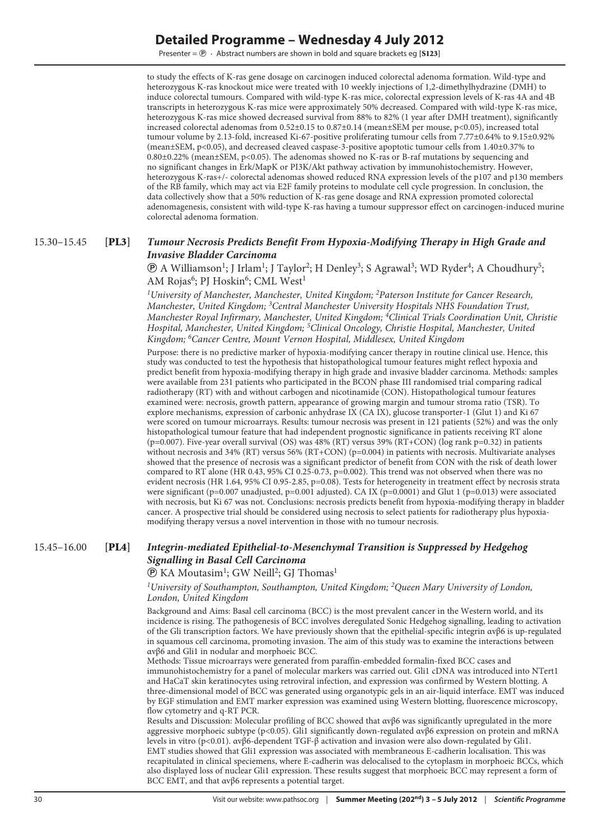Presenter =  $(P \cdot$  Abstract numbers are shown in bold and square brackets eg [S123]

to study the effects of K-ras gene dosage on carcinogen induced colorectal adenoma formation. Wild-type and heterozygous K-ras knockout mice were treated with 10 weekly injections of 1,2-dimethylhydrazine (DMH) to induce colorectal tumours. Compared with wild-type K-ras mice, colorectal expression levels of K-ras 4A and 4B transcripts in heterozygous K-ras mice were approximately 50% decreased. Compared with wild-type K-ras mice, heterozygous K-ras mice showed decreased survival from 88% to 82% (1 year after DMH treatment), significantly increased colorectal adenomas from 0.52±0.15 to 0.87±0.14 (mean±SEM per mouse, p<0.05), increased total tumour volume by 2.13-fold, increased Ki-67-positive proliferating tumour cells from 7.77±0.64% to 9.15±0.92% (mean±SEM, p<0.05), and decreased cleaved caspase-3-positive apoptotic tumour cells from 1.40±0.37% to 0.80±0.22% (mean±SEM, p<0.05). The adenomas showed no K-ras or B-raf mutations by sequencing and no significant changes in Erk/MapK or PI3K/Akt pathway activation by immunohistochemistry. However, heterozygous K-ras+/- colorectal adenomas showed reduced RNA expression levels of the p107 and p130 members of the RB family, which may act via E2F family proteins to modulate cell cycle progression. In conclusion, the data collectively show that a 50% reduction of K-ras gene dosage and RNA expression promoted colorectal adenomagenesis, consistent with wild-type K-ras having a tumour suppressor effect on carcinogen-induced murine colorectal adenoma formation.

### 15.30–15.45 [PL3] *Tumour Necrosis Predicts Benefit From Hypoxia-Modifying Therapy in High Grade and Invasive Bladder Carcinoma*

P A Williamson1; J Irlam1; J Taylor2; H Denley3; S Agrawal3; WD Ryder4; A Choudhury5; AM Rojas<sup>6</sup>; PJ Hoskin<sup>6</sup>; CML West<sup>1</sup>

*1University of Manchester, Manchester, United Kingdom; 2Paterson Institute for Cancer Research, Manchester, United Kingdom; 3Central Manchester University Hospitals NHS Foundation Trust, Manchester Royal Infirmary, Manchester, United Kingdom; 4Clinical Trials Coordination Unit, Christie Hospital, Manchester, United Kingdom; 5Clinical Oncology, Christie Hospital, Manchester, United Kingdom; 6Cancer Centre, Mount Vernon Hospital, Middlesex, United Kingdom*

Purpose: there is no predictive marker of hypoxia-modifying cancer therapy in routine clinical use. Hence, this study was conducted to test the hypothesis that histopathological tumour features might reflect hypoxia and predict benefit from hypoxia-modifying therapy in high grade and invasive bladder carcinoma. Methods: samples were available from 231 patients who participated in the BCON phase III randomised trial comparing radical radiotherapy (RT) with and without carbogen and nicotinamide (CON). Histopathological tumour features examined were: necrosis, growth pattern, appearance of growing margin and tumour stroma ratio (TSR). To explore mechanisms, expression of carbonic anhydrase IX (CA IX), glucose transporter-1 (Glut 1) and Ki 67 were scored on tumour microarrays. Results: tumour necrosis was present in 121 patients (52%) and was the only histopathological tumour feature that had independent prognostic significance in patients receiving RT alone (p=0.007). Five-year overall survival (OS) was  $\frac{48\%}{R}$  (RT) versus 39% (RT+CON) (log rank p=0.32) in patients without necrosis and 34% (RT) versus 56% (RT+CON) (p=0.004) in patients with necrosis. Multivariate analyses showed that the presence of necrosis was a significant predictor of benefit from CON with the risk of death lower compared to RT alone (HR 0.43, 95% CI 0.25-0.73, p=0.002). This trend was not observed when there was no evident necrosis (HR 1.64, 95% CI 0.95-2.85, p=0.08). Tests for heterogeneity in treatment effect by necrosis strata were significant (p=0.007 unadjusted, p=0.001 adjusted). CA IX (p=0.0001) and Glut 1 (p=0.013) were associated with necrosis, but Ki 67 was not. Conclusions: necrosis predicts benefit from hypoxia-modifying therapy in bladder cancer. A prospective trial should be considered using necrosis to select patients for radiotherapy plus hypoxiamodifying therapy versus a novel intervention in those with no tumour necrosis.

### 15.45–16.00 [PL4] *Integrin-mediated Epithelial-to-Mesenchymal Transition is Suppressed by Hedgehog Signalling in Basal Cell Carcinoma*

 $\textcircled{P}$  KA Moutasim<sup>1</sup>; GW Neill<sup>2</sup>; GJ Thomas<sup>1</sup>

*1University of Southampton, Southampton, United Kingdom; 2Queen Mary University of London, London, United Kingdom*

Background and Aims: Basal cell carcinoma (BCC) is the most prevalent cancer in the Western world, and its incidence is rising. The pathogenesis of BCC involves deregulated Sonic Hedgehog signalling, leading to activation of the Gli transcription factors. We have previously shown that the epithelial-specific integrin αvβ6 is up-regulated in squamous cell carcinoma, promoting invasion. The aim of this study was to examine the interactions between αvβ6 and Gli1 in nodular and morphoeic BCC.

Methods: Tissue microarrays were generated from paraffin-embedded formalin-fixed BCC cases and immunohistochemistry for a panel of molecular markers was carried out. Gli1 cDNA was introduced into NTert1 and HaCaT skin keratinocytes using retroviral infection, and expression was confirmed by Western blotting. A three-dimensional model of BCC was generated using organotypic gels in an air-liquid interface. EMT was induced by EGF stimulation and EMT marker expression was examined using Western blotting, fluorescence microscopy, flow cytometry and q-RT PCR.

Results and Discussion: Molecular profiling of BCC showed that αvβ6 was significantly upregulated in the more aggressive morphoeic subtype (p<0.05). Gli1 significantly down-regulated αvβ6 expression on protein and mRNA levels in vitro (p<0.01). αvβ6-dependent TGF-β activation and invasion were also down-regulated by Gli1. EMT studies showed that Gli1 expression was associated with membraneous E-cadherin localisation. This was recapitulated in clinical speciemens, where E-cadherin was delocalised to the cytoplasm in morphoeic BCCs, which also displayed loss of nuclear Gli1 expression. These results suggest that morphoeic BCC may represent a form of BCC EMT, and that αvβ6 represents a potential target.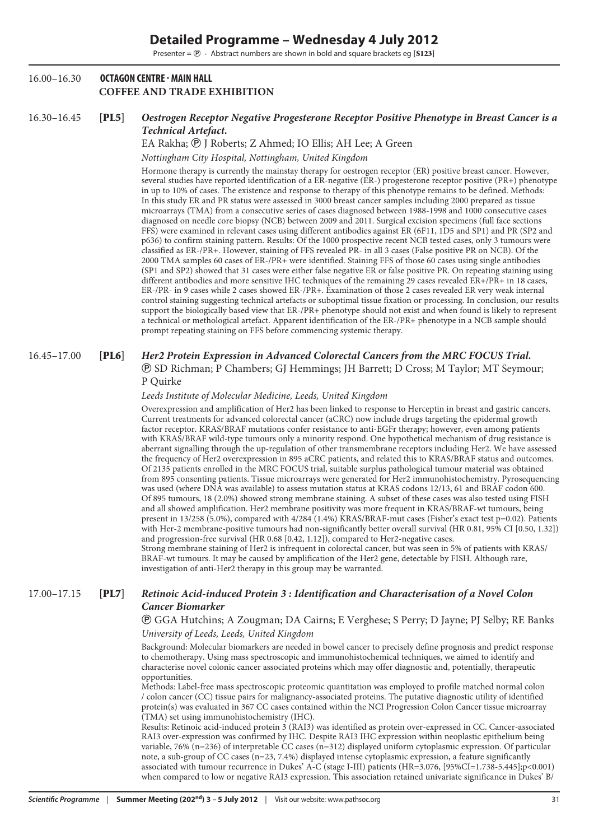Presenter =  $(P \cdot$  Abstract numbers are shown in bold and square brackets eg [S123]

#### 16.00–16.30 **Octagon Centre · Main Hall COFFEE AND TRADE EXHIBITION**

#### 16.30–16.45 [PL5] *Oestrogen Receptor Negative Progesterone Receptor Positive Phenotype in Breast Cancer is a Technical Artefact.*

#### EA Rakha;  $\circledR$  J Roberts; Z Ahmed; IO Ellis; AH Lee; A Green

*Nottingham City Hospital, Nottingham, United Kingdom*

Hormone therapy is currently the mainstay therapy for oestrogen receptor (ER) positive breast cancer. However, several studies have reported identification of a ER-negative (ER-) progesterone receptor positive (PR+) phenotype in up to 10% of cases. The existence and response to therapy of this phenotype remains to be defined. Methods: In this study ER and PR status were assessed in 3000 breast cancer samples including 2000 prepared as tissue microarrays (TMA) from a consecutive series of cases diagnosed between 1988-1998 and 1000 consecutive cases diagnosed on needle core biopsy (NCB) between 2009 and 2011. Surgical excision specimens (full face sections FFS) were examined in relevant cases using different antibodies against ER (6F11, 1D5 and SP1) and PR (SP2 and p636) to confirm staining pattern. Results: Of the 1000 prospective recent NCB tested cases, only 3 tumours were classified as ER-/PR+. However, staining of FFS revealed PR- in all 3 cases (False positive PR on NCB). Of the 2000 TMA samples 60 cases of ER-/PR+ were identified. Staining FFS of those 60 cases using single antibodies (SP1 and SP2) showed that 31 cases were either false negative ER or false positive PR. On repeating staining using different antibodies and more sensitive IHC techniques of the remaining 29 cases revealed ER+/PR+ in 18 cases, ER-/PR- in 9 cases while 2 cases showed ER-/PR+. Examination of those 2 cases revealed ER very weak internal control staining suggesting technical artefacts or suboptimal tissue fixation or processing. In conclusion, our results support the biologically based view that ER-/PR+ phenotype should not exist and when found is likely to represent a technical or methological artefact. Apparent identification of the ER-/PR+ phenotype in a NCB sample should prompt repeating staining on FFS before commencing systemic therapy.

#### 16.45–17.00 [PL6] *Her2 Protein Expression in Advanced Colorectal Cancers from the MRC FOCUS Trial.*

P SD Richman; P Chambers; GJ Hemmings; JH Barrett; D Cross; M Taylor; MT Seymour; P Quirke

#### *Leeds Institute of Molecular Medicine, Leeds, United Kingdom*

Overexpression and amplification of Her2 has been linked to response to Herceptin in breast and gastric cancers. Current treatments for advanced colorectal cancer (aCRC) now include drugs targeting the epidermal growth factor receptor. KRAS/BRAF mutations confer resistance to anti-EGFr therapy; however, even among patients with KRAS/BRAF wild-type tumours only a minority respond. One hypothetical mechanism of drug resistance is aberrant signalling through the up-regulation of other transmembrane receptors including Her2. We have assessed the frequency of Her2 overexpression in 895 aCRC patients, and related this to KRAS/BRAF status and outcomes. Of 2135 patients enrolled in the MRC FOCUS trial, suitable surplus pathological tumour material was obtained from 895 consenting patients. Tissue microarrays were generated for Her2 immunohistochemistry. Pyrosequencing was used (where DNA was available) to assess mutation status at KRAS codons 12/13, 61 and BRAF codon 600. Of 895 tumours, 18 (2.0%) showed strong membrane staining. A subset of these cases was also tested using FISH and all showed amplification. Her2 membrane positivity was more frequent in KRAS/BRAF-wt tumours, being present in 13/258 (5.0%), compared with 4/284 (1.4%) KRAS/BRAF-mut cases (Fisher's exact test p=0.02). Patients with Her-2 membrane-positive tumours had non-significantly better overall survival (HR 0.81, 95% CI [0.50, 1.32]) and progression-free survival (HR 0.68 [0.42, 1.12]), compared to Her2-negative cases. Strong membrane staining of Her2 is infrequent in colorectal cancer, but was seen in 5% of patients with KRAS/

BRAF-wt tumours. It may be caused by amplification of the Her2 gene, detectable by FISH. Although rare, investigation of anti-Her2 therapy in this group may be warranted.

### 17.00–17.15 [PL7] *Retinoic Acid-induced Protein 3 : Identification and Characterisation of a Novel Colon Cancer Biomarker*

P GGA Hutchins; A Zougman; DA Cairns; E Verghese; S Perry; D Jayne; PJ Selby; RE Banks

*University of Leeds, Leeds, United Kingdom*

Background: Molecular biomarkers are needed in bowel cancer to precisely define prognosis and predict response to chemotherapy. Using mass spectroscopic and immunohistochemical techniques, we aimed to identify and characterise novel colonic cancer associated proteins which may offer diagnostic and, potentially, therapeutic opportunities.

Methods: Label-free mass spectroscopic proteomic quantitation was employed to profile matched normal colon / colon cancer (CC) tissue pairs for malignancy-associated proteins. The putative diagnostic utility of identified protein(s) was evaluated in 367 CC cases contained within the NCI Progression Colon Cancer tissue microarray (TMA) set using immunohistochemistry (IHC).

Results: Retinoic acid-induced protein 3 (RAI3) was identified as protein over-expressed in CC. Cancer-associated RAI3 over-expression was confirmed by IHC. Despite RAI3 IHC expression within neoplastic epithelium being variable, 76% (n=236) of interpretable CC cases (n=312) displayed uniform cytoplasmic expression. Of particular note, a sub-group of CC cases (n=23, 7.4%) displayed intense cytoplasmic expression, a feature significantly associated with tumour recurrence in Dukes' A-C (stage I-III) patients (HR=3.076, [95%CI=1.738-5.445];p<0.001) when compared to low or negative RAI3 expression. This association retained univariate significance in Dukes' B/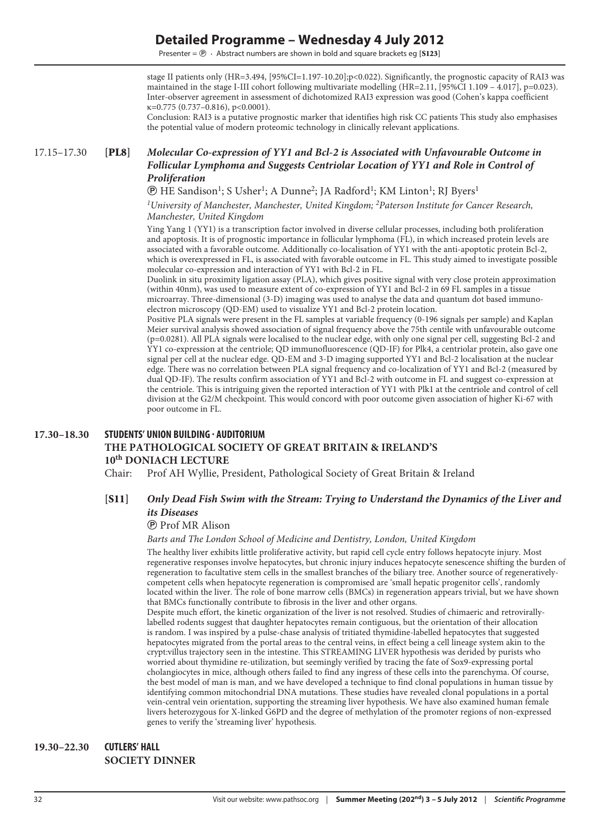Presenter =  $(P \cdot$  Abstract numbers are shown in bold and square brackets eg [S123]

stage II patients only (HR=3.494, [95%CI=1.197-10.20];p<0.022). Significantly, the prognostic capacity of RAI3 was maintained in the stage I-III cohort following multivariate modelling (HR=2.11, [95%CI 1.109 – 4.017], p=0.023). Inter-observer agreement in assessment of dichotomized RAI3 expression was good (Cohen's kappa coefficient  $\kappa$ =0.775 (0.737–0.816), p<0.0001).

Conclusion: RAI3 is a putative prognostic marker that identifies high risk CC patients This study also emphasises the potential value of modern proteomic technology in clinically relevant applications.

### 17.15–17.30 [PL8] *Molecular Co-expression of YY1 and Bcl-2 is Associated with Unfavourable Outcome in Follicular Lymphoma and Suggests Centriolar Location of YY1 and Role in Control of Proliferation*

 $\textcircled{P}$  HE Sandison<sup>1</sup>; S Usher<sup>1</sup>; A Dunne<sup>2</sup>; JA Radford<sup>1</sup>; KM Linton<sup>1</sup>; RJ Byers<sup>1</sup>

*1University of Manchester, Manchester, United Kingdom; 2Paterson Institute for Cancer Research, Manchester, United Kingdom*

Ying Yang 1 (YY1) is a transcription factor involved in diverse cellular processes, including both proliferation and apoptosis. It is of prognostic importance in follicular lymphoma (FL), in which increased protein levels are associated with a favorable outcome. Additionally co-localisation of YY1 with the anti-apoptotic protein Bcl-2, which is overexpressed in FL, is associated with favorable outcome in FL. This study aimed to investigate possible molecular co-expression and interaction of YY1 with Bcl-2 in FL.

Duolink in situ proximity ligation assay (PLA), which gives positive signal with very close protein approximation (within 40nm), was used to measure extent of co-expression of YY1 and Bcl-2 in 69 FL samples in a tissue microarray. Three-dimensional (3-D) imaging was used to analyse the data and quantum dot based immunoelectron microscopy (QD-EM) used to visualize YY1 and Bcl-2 protein location.

Positive PLA signals were present in the FL samples at variable frequency (0-196 signals per sample) and Kaplan Meier survival analysis showed association of signal frequency above the 75th centile with unfavourable outcome (p=0.0281). All PLA signals were localised to the nuclear edge, with only one signal per cell, suggesting Bcl-2 and YY1 co-expression at the centriole; QD immunofluorescence (QD-IF) for Plk4, a centriolar protein, also gave one signal per cell at the nuclear edge. QD-EM and 3-D imaging supported YY1 and Bcl-2 localisation at the nuclear edge. There was no correlation between PLA signal frequency and co-localization of YY1 and Bcl-2 (measured by dual QD-IF). The results confirm association of YY1 and Bcl-2 with outcome in FL and suggest co-expression at the centriole. This is intriguing given the reported interaction of YY1 with Plk1 at the centriole and control of cell division at the G2/M checkpoint. This would concord with poor outcome given association of higher Ki-67 with poor outcome in FL.

#### **17.30–18.30 Students' Union Building · Auditorium THE PATHOLOGICAL SOCIETY OF GREAT BRITAIN & IRELAND'S 10th DONIACH LECTURE**

Chair: Prof AH Wyllie, President, Pathological Society of Great Britain & Ireland

### [S11] *Only Dead Fish Swim with the Stream: Trying to Understand the Dynamics of the Liver and its Diseases*

#### P Prof MR Alison

#### *Barts and The London School of Medicine and Dentistry, London, United Kingdom*

The healthy liver exhibits little proliferative activity, but rapid cell cycle entry follows hepatocyte injury. Most regenerative responses involve hepatocytes, but chronic injury induces hepatocyte senescence shifting the burden of regeneration to facultative stem cells in the smallest branches of the biliary tree. Another source of regenerativelycompetent cells when hepatocyte regeneration is compromised are 'small hepatic progenitor cells', randomly located within the liver. The role of bone marrow cells (BMCs) in regeneration appears trivial, but we have shown that BMCs functionally contribute to fibrosis in the liver and other organs.

Despite much effort, the kinetic organization of the liver is not resolved. Studies of chimaeric and retrovirallylabelled rodents suggest that daughter hepatocytes remain contiguous, but the orientation of their allocation is random. I was inspired by a pulse-chase analysis of tritiated thymidine-labelled hepatocytes that suggested hepatocytes migrated from the portal areas to the central veins, in effect being a cell lineage system akin to the crypt:villus trajectory seen in the intestine. This STREAMING LIVER hypothesis was derided by purists who worried about thymidine re-utilization, but seemingly verified by tracing the fate of Sox9-expressing portal cholangiocytes in mice, although others failed to find any ingress of these cells into the parenchyma. Of course, the best model of man is man, and we have developed a technique to find clonal populations in human tissue by identifying common mitochondrial DNA mutations. These studies have revealed clonal populations in a portal vein-central vein orientation, supporting the streaming liver hypothesis. We have also examined human female livers heterozygous for X-linked G6PD and the degree of methylation of the promoter regions of non-expressed genes to verify the 'streaming liver' hypothesis.

#### **19.30–22.30 Cutlers' Hall SOCIETY DINNER**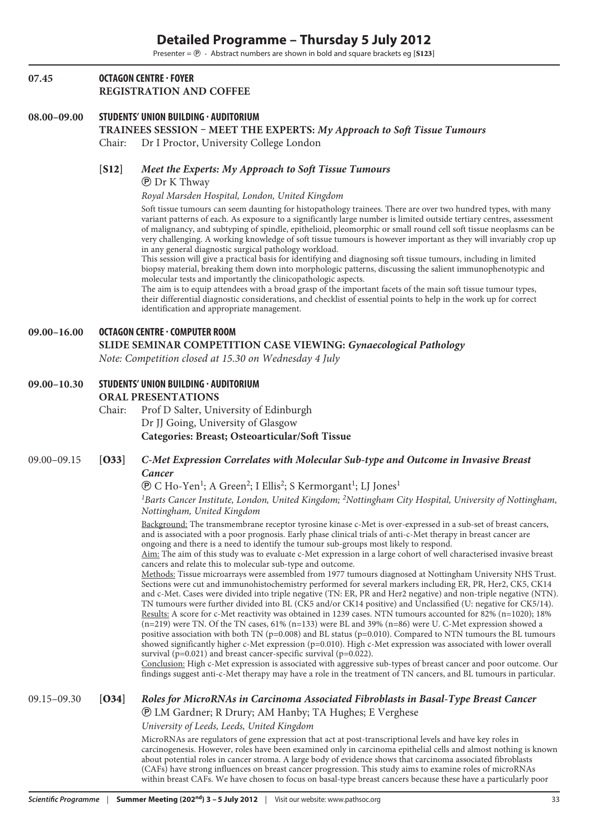Presenter =  $\circled{P}$  · Abstract numbers are shown in bold and square brackets eg [S123]

### **07.45 Octagon Centre · Foyer REGISTRATION and COFFEE**

# **08.00–09.00 Students' Union Building · Auditorium TRAINEES SESSION – MEET THE EXPERTS:** *My Approach to Soft Tissue Tumours* Chair: Dr I Proctor, University College London

#### [S12] *Meet the Experts: My Approach to Soft Tissue Tumours* P Dr K Thway

*Royal Marsden Hospital, London, United Kingdom*

Soft tissue tumours can seem daunting for histopathology trainees. There are over two hundred types, with many variant patterns of each. As exposure to a significantly large number is limited outside tertiary centres, assessment of malignancy, and subtyping of spindle, epithelioid, pleomorphic or small round cell soft tissue neoplasms can be very challenging. A working knowledge of soft tissue tumours is however important as they will invariably crop up in any general diagnostic surgical pathology workload.

This session will give a practical basis for identifying and diagnosing soft tissue tumours, including in limited biopsy material, breaking them down into morphologic patterns, discussing the salient immunophenotypic and molecular tests and importantly the clinicopathologic aspects.

The aim is to equip attendees with a broad grasp of the important facets of the main soft tissue tumour types, their differential diagnostic considerations, and checklist of essential points to help in the work up for correct identification and appropriate management.

### **09.00–16.00 Octagon Centre · Computer Room**

# **SLIDE SEMINAR COMPETITION CASE VIEWING:** *Gynaecological Pathology*

 *Note: Competition closed at 15.30 on Wednesday 4 July*

### **09.00–10.30 Students' Union Building · Auditorium**

#### **ORAL PRESENTATIONS**

 Chair: Prof D Salter, University of Edinburgh Dr JJ Going, University of Glasgow  **Categories: Breast; Osteoarticular/Soft Tissue**

### 09.00–09.15 [O33] *C-Met Expression Correlates with Molecular Sub-type and Outcome in Invasive Breast Cancer*

 $\overline{P}$  C Ho-Yen<sup>1</sup>; A Green<sup>2</sup>; I Ellis<sup>2</sup>; S Kermorgant<sup>1</sup>; LJ Jones<sup>1</sup>

*1Barts Cancer Institute, London, United Kingdom; 2Nottingham City Hospital, University of Nottingham, Nottingham, United Kingdom*

Background: The transmembrane receptor tyrosine kinase c-Met is over-expressed in a sub-set of breast cancers, and is associated with a poor prognosis. Early phase clinical trials of anti-c-Met therapy in breast cancer are ongoing and there is a need to identify the tumour sub-groups most likely to respond.

Aim: The aim of this study was to evaluate c-Met expression in a large cohort of well characterised invasive breast cancers and relate this to molecular sub-type and outcome.

Methods: Tissue microarrays were assembled from 1977 tumours diagnosed at Nottingham University NHS Trust. Sections were cut and immunohistochemistry performed for several markers including ER, PR, Her2, CK5, CK14 and c-Met. Cases were divided into triple negative (TN: ER, PR and Her2 negative) and non-triple negative (NTN). TN tumours were further divided into BL (CK5 and/or CK14 positive) and Unclassified (U: negative for CK5/14). Results: A score for c-Met reactivity was obtained in 1239 cases. NTN tumours accounted for 82% (n=1020); 18% (n=219) were TN. Of the TN cases, 61% (n=133) were BL and 39% (n=86) were U. C-Met expression showed a positive association with both TN (p=0.008) and BL status (p=0.010). Compared to NTN tumours the BL tumours showed significantly higher c-Met expression (p=0.010). High c-Met expression was associated with lower overall survival (p=0.021) and breast cancer-specific survival (p=0.022).

Conclusion: High c-Met expression is associated with aggressive sub-types of breast cancer and poor outcome. Our findings suggest anti-c-Met therapy may have a role in the treatment of TN cancers, and BL tumours in particular.

# 09.15–09.30 [O34] *Roles for MicroRNAs in Carcinoma Associated Fibroblasts in Basal-Type Breast Cancer*

P LM Gardner; R Drury; AM Hanby; TA Hughes; E Verghese

*University of Leeds, Leeds, United Kingdom*

MicroRNAs are regulators of gene expression that act at post-transcriptional levels and have key roles in carcinogenesis. However, roles have been examined only in carcinoma epithelial cells and almost nothing is known about potential roles in cancer stroma. A large body of evidence shows that carcinoma associated fibroblasts (CAFs) have strong influences on breast cancer progression. This study aims to examine roles of microRNAs within breast CAFs. We have chosen to focus on basal-type breast cancers because these have a particularly poor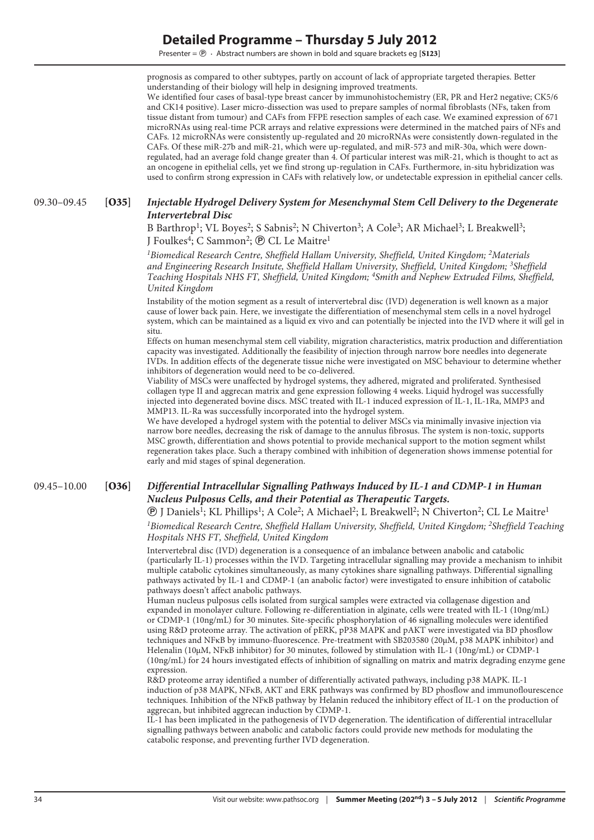Presenter =  $(P \cdot$  Abstract numbers are shown in bold and square brackets eg [S123]

prognosis as compared to other subtypes, partly on account of lack of appropriate targeted therapies. Better understanding of their biology will help in designing improved treatments.

We identified four cases of basal-type breast cancer by immunohistochemistry (ER, PR and Her2 negative; CK5/6 and CK14 positive). Laser micro-dissection was used to prepare samples of normal fibroblasts (NFs, taken from tissue distant from tumour) and CAFs from FFPE resection samples of each case. We examined expression of 671 microRNAs using real-time PCR arrays and relative expressions were determined in the matched pairs of NFs and CAFs. 12 microRNAs were consistently up-regulated and 20 microRNAs were consistently down-regulated in the CAFs. Of these miR-27b and miR-21, which were up-regulated, and miR-573 and miR-30a, which were downregulated, had an average fold change greater than 4. Of particular interest was miR-21, which is thought to act as an oncogene in epithelial cells, yet we find strong up-regulation in CAFs. Furthermore, in-situ hybridization was used to confirm strong expression in CAFs with relatively low, or undetectable expression in epithelial cancer cells.

#### 09.30–09.45 [O35] *Injectable Hydrogel Delivery System for Mesenchymal Stem Cell Delivery to the Degenerate Intervertebral Disc*

B Barthrop<sup>1</sup>; VL Boyes<sup>2</sup>; S Sabnis<sup>2</sup>; N Chiverton<sup>3</sup>; A Cole<sup>3</sup>; AR Michael<sup>3</sup>; L Breakwell<sup>3</sup>; J Foulkes<sup>4</sup>; C Sammon<sup>2</sup>; **P** CL Le Maitre<sup>1</sup>

*1Biomedical Research Centre, Sheffield Hallam University, Sheffield, United Kingdom; 2Materials and Engineering Research Insitute, Sheffield Hallam University, Sheffield, United Kingdom; 3Sheffield Teaching Hospitals NHS FT, Sheffield, United Kingdom; 4Smith and Nephew Extruded Films, Sheffield, United Kingdom*

Instability of the motion segment as a result of intervertebral disc (IVD) degeneration is well known as a major cause of lower back pain. Here, we investigate the differentiation of mesenchymal stem cells in a novel hydrogel system, which can be maintained as a liquid ex vivo and can potentially be injected into the IVD where it will gel in situ.

Effects on human mesenchymal stem cell viability, migration characteristics, matrix production and differentiation capacity was investigated. Additionally the feasibility of injection through narrow bore needles into degenerate IVDs. In addition effects of the degenerate tissue niche were investigated on MSC behaviour to determine whether inhibitors of degeneration would need to be co-delivered.

Viability of MSCs were unaffected by hydrogel systems, they adhered, migrated and proliferated. Synthesised collagen type II and aggrecan matrix and gene expression following 4 weeks. Liquid hydrogel was successfully injected into degenerated bovine discs. MSC treated with IL-1 induced expression of IL-1, IL-1Ra, MMP3 and MMP13. IL-Ra was successfully incorporated into the hydrogel system.

We have developed a hydrogel system with the potential to deliver MSCs via minimally invasive injection via narrow bore needles, decreasing the risk of damage to the annulus fibrosus. The system is non-toxic, supports MSC growth, differentiation and shows potential to provide mechanical support to the motion segment whilst regeneration takes place. Such a therapy combined with inhibition of degeneration shows immense potential for early and mid stages of spinal degeneration.

## 09.45–10.00 [O36] *Differential Intracellular Signalling Pathways Induced by IL-1 and CDMP-1 in Human Nucleus Pulposus Cells, and their Potential as Therapeutic Targets.*

 $\textcircled{P}$  J Daniels<sup>1</sup>; KL Phillips<sup>1</sup>; A Cole<sup>2</sup>; A Michael<sup>2</sup>; L Breakwell<sup>2</sup>; N Chiverton<sup>2</sup>; CL Le Maitre<sup>1</sup> *1Biomedical Research Centre, Sheffield Hallam University, Sheffield, United Kingdom; 2Sheffield Teaching Hospitals NHS FT, Sheffield, United Kingdom*

Intervertebral disc (IVD) degeneration is a consequence of an imbalance between anabolic and catabolic (particularly IL-1) processes within the IVD. Targeting intracellular signalling may provide a mechanism to inhibit multiple catabolic cytokines simultaneously, as many cytokines share signalling pathways. Differential signalling pathways activated by IL-1 and CDMP-1 (an anabolic factor) were investigated to ensure inhibition of catabolic pathways doesn't affect anabolic pathways.

Human nucleus pulposus cells isolated from surgical samples were extracted via collagenase digestion and expanded in monolayer culture. Following re-differentiation in alginate, cells were treated with IL-1 (10ng/mL) or CDMP-1 (10ng/mL) for 30 minutes. Site-specific phosphorylation of 46 signalling molecules were identified using R&D proteome array. The activation of pERK, pP38 MAPK and pAKT were investigated via BD phosflow techniques and NFκB by immuno-fluorescence. Pre-treatment with SB203580 (20µM, p38 MAPK inhibitor) and Helenalin (10µM, NFκB inhibitor) for 30 minutes, followed by stimulation with IL-1 (10ng/mL) or CDMP-1 (10ng/mL) for 24 hours investigated effects of inhibition of signalling on matrix and matrix degrading enzyme gene expression.

R&D proteome array identified a number of differentially activated pathways, including p38 MAPK. IL-1 induction of p38 MAPK, NFκB, AKT and ERK pathways was confirmed by BD phosflow and immunoflourescence techniques. Inhibition of the NFκB pathway by Helanin reduced the inhibitory effect of IL-1 on the production of aggrecan, but inhibited aggrecan induction by CDMP-1.

IL-1 has been implicated in the pathogenesis of IVD degeneration. The identification of differential intracellular signalling pathways between anabolic and catabolic factors could provide new methods for modulating the catabolic response, and preventing further IVD degeneration.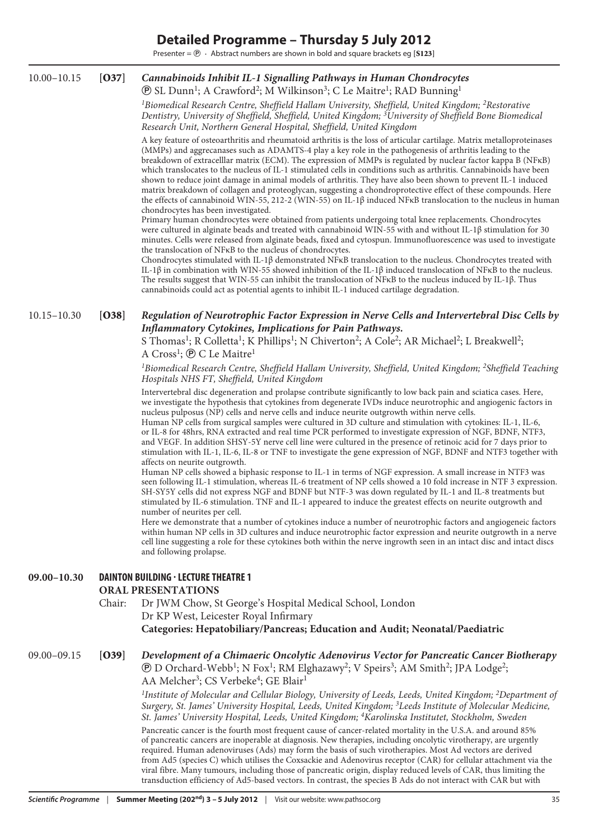Presenter =  $\circled{P}$  · Abstract numbers are shown in bold and square brackets eg [S123]

#### 10.00–10.15 [O37] *Cannabinoids Inhibit IL-1 Signalling Pathways in Human Chondrocytes*  $\textcircled{P}$  SL Dunn<sup>1</sup>; A Crawford<sup>2</sup>; M Wilkinson<sup>3</sup>; C Le Maitre<sup>1</sup>; RAD Bunning<sup>1</sup>

*1Biomedical Research Centre, Sheffield Hallam University, Sheffield, United Kingdom; 2Restorative Dentistry, University of Sheffield, Sheffield, United Kingdom; 3University of Sheffield Bone Biomedical Research Unit, Northern General Hospital, Sheffield, United Kingdom*

A key feature of osteoarthritis and rheumatoid arthritis is the loss of articular cartilage. Matrix metalloproteinases (MMPs) and aggrecanases such as ADAMTS-4 play a key role in the pathogenesis of arthritis leading to the breakdown of extracelllar matrix (ECM). The expression of MMPs is regulated by nuclear factor kappa B (NFKB) which translocates to the nucleus of IL-1 stimulated cells in conditions such as arthritis. Cannabinoids have been shown to reduce joint damage in animal models of arthritis. They have also been shown to prevent IL-1 induced matrix breakdown of collagen and proteoglycan, suggesting a chondroprotective effect of these compounds. Here the effects of cannabinoid WIN-55, 212-2 (WIN-55) on IL-1β induced NFκB translocation to the nucleus in human chondrocytes has been investigated.

Primary human chondrocytes were obtained from patients undergoing total knee replacements. Chondrocytes were cultured in alginate beads and treated with cannabinoid WIN-55 with and without IL-1β stimulation for 30 minutes. Cells were released from alginate beads, fixed and cytospun. Immunofluorescence was used to investigate the translocation of NFκB to the nucleus of chondrocytes.

Chondrocytes stimulated with IL-1β demonstrated NFκB translocation to the nucleus. Chondrocytes treated with IL-1β in combination with WIN-55 showed inhibition of the IL-1β induced translocation of NFκB to the nucleus. The results suggest that WIN-55 can inhibit the translocation of NFκB to the nucleus induced by IL-1β. Thus cannabinoids could act as potential agents to inhibit IL-1 induced cartilage degradation.

#### 10.15–10.30 [O38] *Regulation of Neurotrophic Factor Expression in Nerve Cells and Intervertebral Disc Cells by Inflammatory Cytokines, Implications for Pain Pathways.*

S Thomas<sup>1</sup>; R Colletta<sup>1</sup>; K Phillips<sup>1</sup>; N Chiverton<sup>2</sup>; A Cole<sup>2</sup>; AR Michael<sup>2</sup>; L Breakwell<sup>2</sup>; A  $Cross<sup>1</sup>;  $\textcircled{P}$  C Le Maitre<sup>1</sup>$ 

*1Biomedical Research Centre, Sheffield Hallam University, Sheffield, United Kingdom; 2Sheffield Teaching Hospitals NHS FT, Sheffield, United Kingdom*

Intervertebral disc degeneration and prolapse contribute significantly to low back pain and sciatica cases. Here, we investigate the hypothesis that cytokines from degenerate IVDs induce neurotrophic and angiogenic factors in nucleus pulposus (NP) cells and nerve cells and induce neurite outgrowth within nerve cells.

Human NP cells from surgical samples were cultured in 3D culture and stimulation with cytokines: IL-1, IL-6, or IL-8 for 48hrs, RNA extracted and real time PCR performed to investigate expression of NGF, BDNF, NTF3, and VEGF. In addition SHSY-5Y nerve cell line were cultured in the presence of retinoic acid for 7 days prior to stimulation with IL-1, IL-6, IL-8 or TNF to investigate the gene expression of NGF, BDNF and NTF3 together with affects on neurite outgrowth.

Human NP cells showed a biphasic response to IL-1 in terms of NGF expression. A small increase in NTF3 was seen following IL-1 stimulation, whereas IL-6 treatment of NP cells showed a 10 fold increase in NTF 3 expression. SH-SY5Y cells did not express NGF and BDNF but NTF-3 was down regulated by IL-1 and IL-8 treatments but stimulated by IL-6 stimulation. TNF and IL-1 appeared to induce the greatest effects on neurite outgrowth and number of neurites per cell.

Here we demonstrate that a number of cytokines induce a number of neurotrophic factors and angiogeneic factors within human NP cells in 3D cultures and induce neurotrophic factor expression and neurite outgrowth in a nerve cell line suggesting a role for these cytokines both within the nerve ingrowth seen in an intact disc and intact discs and following prolapse.

### **09.00–10.30 Dainton Building · Lecture Theatre 1**

#### **ORAL PRESENTATIONS**

 Chair: Dr JWM Chow, St George's Hospital Medical School, London Dr KP West, Leicester Royal Infirmary  **Categories: Hepatobiliary/Pancreas; Education and Audit; Neonatal/Paediatric** 

### 09.00–09.15 [O39] *Development of a Chimaeric Oncolytic Adenovirus Vector for Pancreatic Cancer Biotherapy*  $\textcircled{P}$  D Orchard-Webb<sup>1</sup>; N Fox<sup>1</sup>; RM Elghazawy<sup>2</sup>; V Speirs<sup>3</sup>; AM Smith<sup>2</sup>; JPA Lodge<sup>2</sup>; AA Melcher<sup>3</sup>; CS Verbeke<sup>4</sup>; GE Blair<sup>1</sup>

*1Institute of Molecular and Cellular Biology, University of Leeds, Leeds, United Kingdom; 2Department of Surgery, St. James' University Hospital, Leeds, United Kingdom; 3Leeds Institute of Molecular Medicine, St. James' University Hospital, Leeds, United Kingdom; 4Karolinska Institutet, Stockholm, Sweden*

Pancreatic cancer is the fourth most frequent cause of cancer-related mortality in the U.S.A. and around 85% of pancreatic cancers are inoperable at diagnosis. New therapies, including oncolytic virotherapy, are urgently required. Human adenoviruses (Ads) may form the basis of such virotherapies. Most Ad vectors are derived from Ad5 (species C) which utilises the Coxsackie and Adenovirus receptor (CAR) for cellular attachment via the viral fibre. Many tumours, including those of pancreatic origin, display reduced levels of CAR, thus limiting the transduction efficiency of Ad5-based vectors. In contrast, the species B Ads do not interact with CAR but with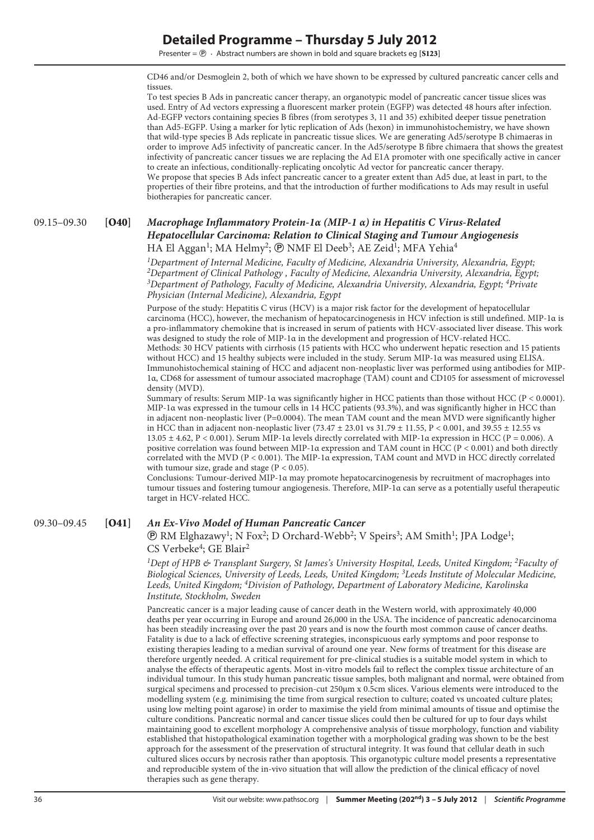Presenter =  $(P \cdot$  Abstract numbers are shown in bold and square brackets eg [S123]

CD46 and/or Desmoglein 2, both of which we have shown to be expressed by cultured pancreatic cancer cells and tissues.

To test species B Ads in pancreatic cancer therapy, an organotypic model of pancreatic cancer tissue slices was used. Entry of Ad vectors expressing a fluorescent marker protein (EGFP) was detected 48 hours after infection. Ad-EGFP vectors containing species B fibres (from serotypes 3, 11 and 35) exhibited deeper tissue penetration than Ad5-EGFP. Using a marker for lytic replication of Ads (hexon) in immunohistochemistry, we have shown that wild-type species B Ads replicate in pancreatic tissue slices. We are generating Ad5/serotype B chimaeras in order to improve Ad5 infectivity of pancreatic cancer. In the Ad5/serotype B fibre chimaera that shows the greatest infectivity of pancreatic cancer tissues we are replacing the Ad E1A promoter with one specifically active in cancer to create an infectious, conditionally-replicating oncolytic Ad vector for pancreatic cancer therapy. We propose that species B Ads infect pancreatic cancer to a greater extent than Ad5 due, at least in part, to the properties of their fibre proteins, and that the introduction of further modifications to Ads may result in useful biotherapies for pancreatic cancer.

#### 09.15–09.30 [O40] *Macrophage Inflammatory Protein-1α (MIP-1 α) in Hepatitis C Virus-Related Hepatocellular Carcinoma: Relation to Clinical Staging and Tumour Angiogenesis* HA El Aggan<sup>1</sup>; MA Helmy<sup>2</sup>;  $\circled{P}$  NMF El Deeb<sup>3</sup>; AE Zeid<sup>1</sup>; MFA Yehia<sup>4</sup>

*1Department of Internal Medicine, Faculty of Medicine, Alexandria University, Alexandria, Egypt; 2Department of Clinical Pathology , Faculty of Medicine, Alexandria University, Alexandria, Egypt; 3Department of Pathology, Faculty of Medicine, Alexandria University, Alexandria, Egypt; 4Private Physician (Internal Medicine), Alexandria, Egypt*

Purpose of the study: Hepatitis C virus (HCV) is a major risk factor for the development of hepatocellular carcinoma (HCC), however, the mechanism of hepatocarcinogenesis in HCV infection is still undefined. MIP-1α is a pro-inflammatory chemokine that is increased in serum of patients with HCV-associated liver disease. This work was designed to study the role of MIP-1α in the development and progression of HCV-related HCC. Methods: 30 HCV patients with cirrhosis (15 patients with HCC who underwent hepatic resection and 15 patients without HCC) and 15 healthy subjects were included in the study. Serum MIP-1α was measured using ELISA. Immunohistochemical staining of HCC and adjacent non-neoplastic liver was performed using antibodies for MIP-1α, CD68 for assessment of tumour associated macrophage (TAM) count and CD105 for assessment of microvessel density (MVD).

Summary of results: Serum MIP-1α was significantly higher in HCC patients than those without HCC (P < 0.0001). MIP-1α was expressed in the tumour cells in 14 HCC patients (93.3%), and was significantly higher in HCC than in adjacent non-neoplastic liver (P=0.0004). The mean TAM count and the mean MVD were significantly higher in HCC than in adjacent non-neoplastic liver (73.47  $\pm$  23.01 vs 31.79  $\pm$  11.55, P < 0.001, and 39.55  $\pm$  12.55 vs 13.05 ± 4.62, P < 0.001). Serum MIP-1α levels directly correlated with MIP-1α expression in HCC (P = 0.006). A positive correlation was found between MIP-1α expression and TAM count in HCC (P < 0.001) and both directly correlated with the MVD (P < 0.001). The MIP-1α expression, TAM count and MVD in HCC directly correlated with tumour size, grade and stage ( $P < 0.05$ ).

Conclusions: Tumour-derived MIP-1α may promote hepatocarcinogenesis by recruitment of macrophages into tumour tissues and fostering tumour angiogenesis. Therefore, MIP-1α can serve as a potentially useful therapeutic target in HCV-related HCC.

#### 09.30–09.45 [O41] *An Ex-Vivo Model of Human Pancreatic Cancer*

P RM Elghazawy1; N Fox2; D Orchard-Webb2; V Speirs3; AM Smith1; JPA Lodge1; CS Verbeke<sup>4</sup>; GE Blair<sup>2</sup>

*1Dept of HPB & Transplant Surgery, St James's University Hospital, Leeds, United Kingdom; 2Faculty of Biological Sciences, University of Leeds, Leeds, United Kingdom; 3Leeds Institute of Molecular Medicine, Leeds, United Kingdom; 4Division of Pathology, Department of Laboratory Medicine, Karolinska Institute, Stockholm, Sweden*

Pancreatic cancer is a major leading cause of cancer death in the Western world, with approximately 40,000 deaths per year occurring in Europe and around 26,000 in the USA. The incidence of pancreatic adenocarcinoma has been steadily increasing over the past 20 years and is now the fourth most common cause of cancer deaths. Fatality is due to a lack of effective screening strategies, inconspicuous early symptoms and poor response to existing therapies leading to a median survival of around one year. New forms of treatment for this disease are therefore urgently needed. A critical requirement for pre-clinical studies is a suitable model system in which to analyse the effects of therapeutic agents. Most in-vitro models fail to reflect the complex tissue architecture of an individual tumour. In this study human pancreatic tissue samples, both malignant and normal, were obtained from surgical specimens and processed to precision-cut 250μm x 0.5cm slices. Various elements were introduced to the modelling system (e.g. minimising the time from surgical resection to culture; coated vs uncoated culture plates; using low melting point agarose) in order to maximise the yield from minimal amounts of tissue and optimise the culture conditions. Pancreatic normal and cancer tissue slices could then be cultured for up to four days whilst maintaining good to excellent morphology A comprehensive analysis of tissue morphology, function and viability established that histopathological examination together with a morphological grading was shown to be the best approach for the assessment of the preservation of structural integrity. It was found that cellular death in such cultured slices occurs by necrosis rather than apoptosis. This organotypic culture model presents a representative and reproducible system of the in-vivo situation that will allow the prediction of the clinical efficacy of novel therapies such as gene therapy.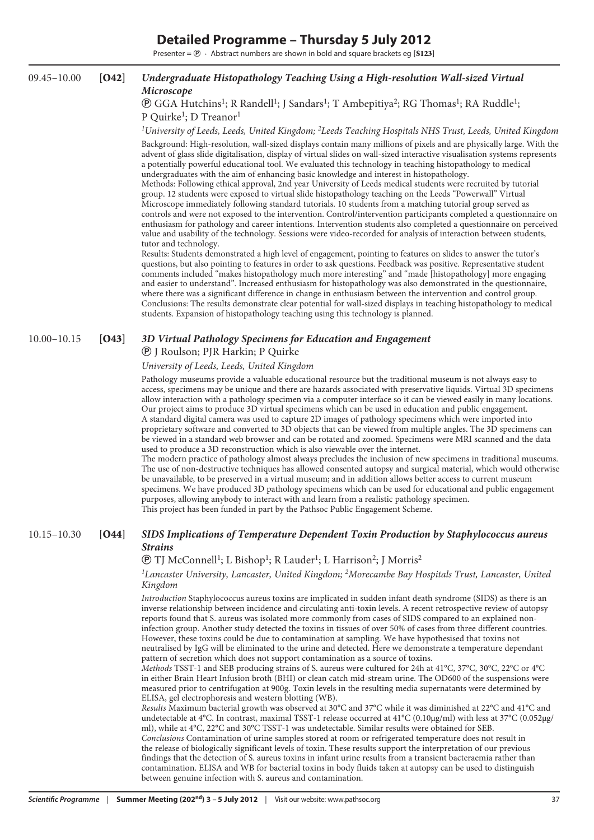Presenter =  $\circled{P}$  · Abstract numbers are shown in bold and square brackets eg [S123]

#### 09.45–10.00 [O42] *Undergraduate Histopathology Teaching Using a High-resolution Wall-sized Virtual Microscope*

**P** GGA Hutchins<sup>1</sup>; R Randell<sup>1</sup>; J Sandars<sup>1</sup>; T Ambepitiya<sup>2</sup>; RG Thomas<sup>1</sup>; RA Ruddle<sup>1</sup>; P Quirke<sup>1</sup>; D Treanor<sup>1</sup>

#### *1University of Leeds, Leeds, United Kingdom; 2Leeds Teaching Hospitals NHS Trust, Leeds, United Kingdom*

Background: High-resolution, wall-sized displays contain many millions of pixels and are physically large. With the advent of glass slide digitalisation, display of virtual slides on wall-sized interactive visualisation systems represents a potentially powerful educational tool. We evaluated this technology in teaching histopathology to medical undergraduates with the aim of enhancing basic knowledge and interest in histopathology.

Methods: Following ethical approval, 2nd year University of Leeds medical students were recruited by tutorial group. 12 students were exposed to virtual slide histopathology teaching on the Leeds "Powerwall" Virtual Microscope immediately following standard tutorials. 10 students from a matching tutorial group served as controls and were not exposed to the intervention. Control/intervention participants completed a questionnaire on enthusiasm for pathology and career intentions. Intervention students also completed a questionnaire on perceived value and usability of the technology. Sessions were video-recorded for analysis of interaction between students, tutor and technology.

Results: Students demonstrated a high level of engagement, pointing to features on slides to answer the tutor's questions, but also pointing to features in order to ask questions. Feedback was positive. Representative student comments included "makes histopathology much more interesting" and "made [histopathology] more engaging and easier to understand". Increased enthusiasm for histopathology was also demonstrated in the questionnaire, where there was a significant difference in change in enthusiasm between the intervention and control group. Conclusions: The results demonstrate clear potential for wall-sized displays in teaching histopathology to medical students. Expansion of histopathology teaching using this technology is planned.

#### 10.00–10.15 [O43] *3D Virtual Pathology Specimens for Education and Engagement* P J Roulson; PJR Harkin; P Quirke

#### *University of Leeds, Leeds, United Kingdom*

Pathology museums provide a valuable educational resource but the traditional museum is not always easy to access, specimens may be unique and there are hazards associated with preservative liquids. Virtual 3D specimens allow interaction with a pathology specimen via a computer interface so it can be viewed easily in many locations. Our project aims to produce 3D virtual specimens which can be used in education and public engagement. A standard digital camera was used to capture 2D images of pathology specimens which were imported into proprietary software and converted to 3D objects that can be viewed from multiple angles. The 3D specimens can be viewed in a standard web browser and can be rotated and zoomed. Specimens were MRI scanned and the data used to produce a 3D reconstruction which is also viewable over the internet.

The modern practice of pathology almost always precludes the inclusion of new specimens in traditional museums. The use of non-destructive techniques has allowed consented autopsy and surgical material, which would otherwise be unavailable, to be preserved in a virtual museum; and in addition allows better access to current museum specimens. We have produced 3D pathology specimens which can be used for educational and public engagement purposes, allowing anybody to interact with and learn from a realistic pathology specimen. This project has been funded in part by the Pathsoc Public Engagement Scheme.

#### 10.15–10.30 [O44] *SIDS Implications of Temperature Dependent Toxin Production by Staphylococcus aureus Strains*

#### $\textcircled{P}$  TJ McConnell<sup>1</sup>; L Bishop<sup>1</sup>; R Lauder<sup>1</sup>; L Harrison<sup>2</sup>; J Morris<sup>2</sup>

*1Lancaster University, Lancaster, United Kingdom; 2Morecambe Bay Hospitals Trust, Lancaster, United Kingdom*

*Introduction* Staphylococcus aureus toxins are implicated in sudden infant death syndrome (SIDS) as there is an inverse relationship between incidence and circulating anti-toxin levels. A recent retrospective review of autopsy reports found that S. aureus was isolated more commonly from cases of SIDS compared to an explained noninfection group. Another study detected the toxins in tissues of over 50% of cases from three different countries. However, these toxins could be due to contamination at sampling. We have hypothesised that toxins not neutralised by IgG will be eliminated to the urine and detected. Here we demonstrate a temperature dependant pattern of secretion which does not support contamination as a source of toxins.

*Methods* TSST-1 and SEB producing strains of S. aureus were cultured for 24h at 41°C, 37°C, 30°C, 22°C or 4°C in either Brain Heart Infusion broth (BHI) or clean catch mid-stream urine. The OD600 of the suspensions were measured prior to centrifugation at 900g. Toxin levels in the resulting media supernatants were determined by ELISA, gel electrophoresis and western blotting (WB).

*Results* Maximum bacterial growth was observed at 30°C and 37°C while it was diminished at 22°C and 41°C and undetectable at 4°C. In contrast, maximal TSST-1 release occurred at 41°C (0.10µg/ml) with less at 37°C (0.052µg/ ml), while at 4°C, 22°C and 30°C TSST-1 was undetectable. Similar results were obtained for SEB.

*Conclusions* Contamination of urine samples stored at room or refrigerated temperature does not result in the release of biologically significant levels of toxin. These results support the interpretation of our previous findings that the detection of S. aureus toxins in infant urine results from a transient bacteraemia rather than contamination. ELISA and WB for bacterial toxins in body fluids taken at autopsy can be used to distinguish between genuine infection with S. aureus and contamination.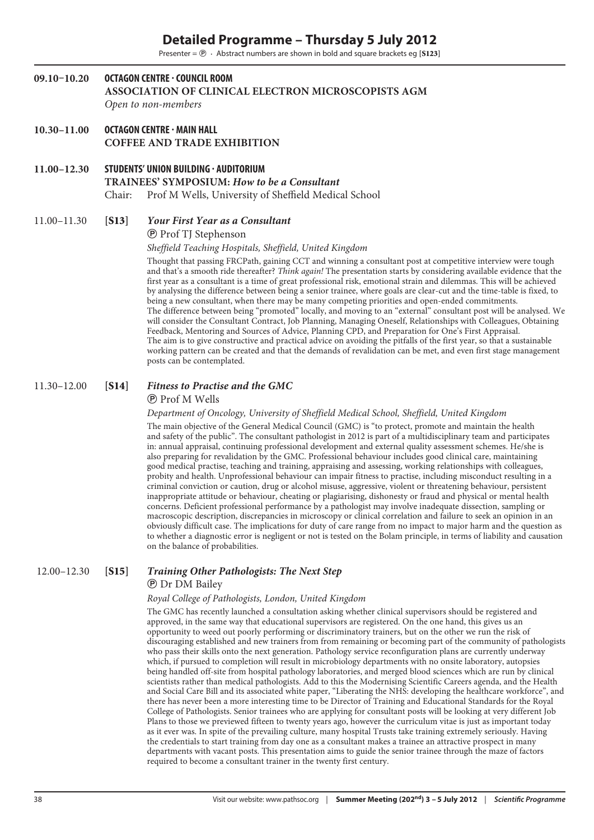Presenter =  $(P \cdot$  Abstract numbers are shown in bold and square brackets eg [S123]

### **09.10–10.20 Octagon Centre · Council Room ASSOCIATION OF CLINICAL ELECTRON MICROSCOPISTS AGM**   *Open to non-members*

- **10.30–11.00 Octagon Centre · Main Hall COFFEE AND TRADE EXHIBITION**
- **11.00–12.30 Students' Union Building · Auditorium TRAINEES' SYMPOSIUM:** *How to be a Consultant* Chair: Prof M Wells, University of Sheffield Medical School

#### 11.00–11.30 [S13] *Your First Year as a Consultant*

P Prof TJ Stephenson

#### *Sheffield Teaching Hospitals, Sheffield, United Kingdom*

Thought that passing FRCPath, gaining CCT and winning a consultant post at competitive interview were tough and that's a smooth ride thereafter? *Think again!* The presentation starts by considering available evidence that the first year as a consultant is a time of great professional risk, emotional strain and dilemmas. This will be achieved by analysing the difference between being a senior trainee, where goals are clear-cut and the time-table is fixed, to being a new consultant, when there may be many competing priorities and open-ended commitments. The difference between being "promoted" locally, and moving to an "external" consultant post will be analysed. We will consider the Consultant Contract, Job Planning, Managing Oneself, Relationships with Colleagues, Obtaining Feedback, Mentoring and Sources of Advice, Planning CPD, and Preparation for One's First Appraisal. The aim is to give constructive and practical advice on avoiding the pitfalls of the first year, so that a sustainable working pattern can be created and that the demands of revalidation can be met, and even first stage management posts can be contemplated.

#### 11.30–12.00 [S14] *Fitness to Practise and the GMC*

#### P Prof M Wells

#### *Department of Oncology, University of Sheffield Medical School, Sheffield, United Kingdom* The main objective of the General Medical Council (GMC) is "to protect, promote and maintain the health and safety of the public". The consultant pathologist in 2012 is part of a multidisciplinary team and participates in: annual appraisal, continuing professional development and external quality assessment schemes. He/she is also preparing for revalidation by the GMC. Professional behaviour includes good clinical care, maintaining good medical practise, teaching and training, appraising and assessing, working relationships with colleagues, probity and health. Unprofessional behaviour can impair fitness to practise, including misconduct resulting in a criminal conviction or caution, drug or alcohol misuse, aggressive, violent or threatening behaviour, persistent inappropriate attitude or behaviour, cheating or plagiarising, dishonesty or fraud and physical or mental health concerns. Deficient professional performance by a pathologist may involve inadequate dissection, sampling or macroscopic description, discrepancies in microscopy or clinical correlation and failure to seek an opinion in an obviously difficult case. The implications for duty of care range from no impact to major harm and the question as to whether a diagnostic error is negligent or not is tested on the Bolam principle, in terms of liability and causation on the balance of probabilities.

#### 12.00–12.30 [S15] *Training Other Pathologists: The Next Step*

# P Dr DM Bailey

#### *Royal College of Pathologists, London, United Kingdom*

The GMC has recently launched a consultation asking whether clinical supervisors should be registered and approved, in the same way that educational supervisors are registered. On the one hand, this gives us an opportunity to weed out poorly performing or discriminatory trainers, but on the other we run the risk of discouraging established and new trainers from from remaining or becoming part of the community of pathologists who pass their skills onto the next generation. Pathology service reconfiguration plans are currently underway which, if pursued to completion will result in microbiology departments with no onsite laboratory, autopsies being handled off-site from hospital pathology laboratories, and merged blood sciences which are run by clinical scientists rather than medical pathologists. Add to this the Modernising Scientific Careers agenda, and the Health and Social Care Bill and its associated white paper, "Liberating the NHS: developing the healthcare workforce", and there has never been a more interesting time to be Director of Training and Educational Standards for the Royal College of Pathologists. Senior trainees who are applying for consultant posts will be looking at very different Job Plans to those we previewed fifteen to twenty years ago, however the curriculum vitae is just as important today as it ever was. In spite of the prevailing culture, many hospital Trusts take training extremely seriously. Having the credentials to start training from day one as a consultant makes a trainee an attractive prospect in many departments with vacant posts. This presentation aims to guide the senior trainee through the maze of factors required to become a consultant trainer in the twenty first century.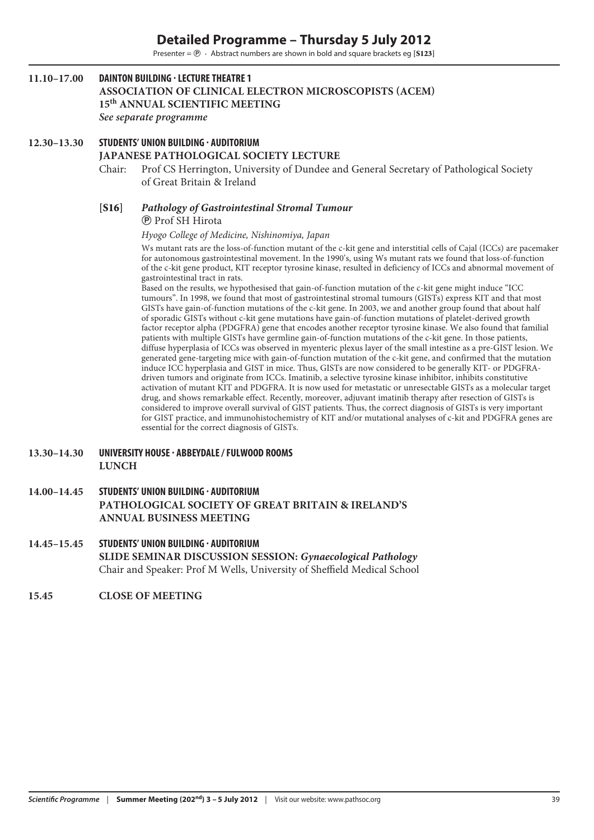Presenter =  $\circled{P}$  · Abstract numbers are shown in bold and square brackets eg [S123]

### **11.10–17.00 Dainton Building · Lecture Theatre 1 ASSOCIATION OF CLINICAL ELECTRON MICROSCOPISTS (ACEM) 15th ANNUAL SCIENTIFIC MEETING**  *See separate programme*

# **12.30–13.30 Students' Union Building · Auditorium**

#### **JAPANESE PATHOLOGICAL SOCIETY LECTURE**

 Chair: Prof CS Herrington, University of Dundee and General Secretary of Pathological Society of Great Britain & Ireland

# [S16] *Pathology of Gastrointestinal Stromal Tumour*

P Prof SH Hirota

#### *Hyogo College of Medicine, Nishinomiya, Japan*

Ws mutant rats are the loss-of-function mutant of the c-kit gene and interstitial cells of Cajal (ICCs) are pacemaker for autonomous gastrointestinal movement. In the 1990's, using Ws mutant rats we found that loss-of-function of the c-kit gene product, KIT receptor tyrosine kinase, resulted in deficiency of ICCs and abnormal movement of gastrointestinal tract in rats.

Based on the results, we hypothesised that gain-of-function mutation of the c-kit gene might induce "ICC tumours". In 1998, we found that most of gastrointestinal stromal tumours (GISTs) express KIT and that most GISTs have gain-of-function mutations of the c-kit gene. In 2003, we and another group found that about half of sporadic GISTs without c-kit gene mutations have gain-of-function mutations of platelet-derived growth factor receptor alpha (PDGFRA) gene that encodes another receptor tyrosine kinase. We also found that familial patients with multiple GISTs have germline gain-of-function mutations of the c-kit gene. In those patients, diffuse hyperplasia of ICCs was observed in myenteric plexus layer of the small intestine as a pre-GIST lesion. We generated gene-targeting mice with gain-of-function mutation of the c-kit gene, and confirmed that the mutation induce ICC hyperplasia and GIST in mice. Thus, GISTs are now considered to be generally KIT- or PDGFRAdriven tumors and originate from ICCs. Imatinib, a selective tyrosine kinase inhibitor, inhibits constitutive activation of mutant KIT and PDGFRA. It is now used for metastatic or unresectable GISTs as a molecular target drug, and shows remarkable effect. Recently, moreover, adjuvant imatinib therapy after resection of GISTs is considered to improve overall survival of GIST patients. Thus, the correct diagnosis of GISTs is very important for GIST practice, and immunohistochemistry of KIT and/or mutational analyses of c-kit and PDGFRA genes are essential for the correct diagnosis of GISTs.

#### **13.30–14.30 University House · Abbeydale/Fulwood Rooms LUNCH**

## **14.00–14.45 Students' Union Building · Auditorium PATHOLOGICAL SOCIETY OF GREAT BRITAIN & IRELAND'S ANNUAL BUSINESS MEETING**

### **14.45–15.45 Students' Union Building · Auditorium SLIDE SEMINAR DISCUSSION SESSION:** *Gynaecological Pathology* Chair and Speaker: Prof M Wells, University of Sheffield Medical School

#### **15.45 Close of meeting**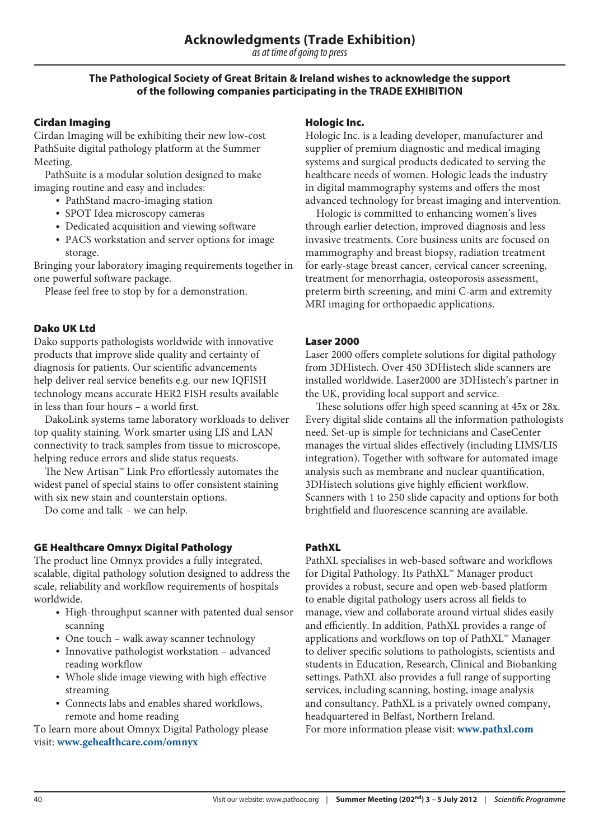$\overline{a}$ *s* at *time* of *going* to press

## **The Pathological Society of Great Britain & Ireland wishes to acknowledge the support of the following companies participating in the TRADE EXHIBITION**

## Cirdan Imaging

Cirdan Imaging will be exhibiting their new low-cost PathSuite digital pathology platform at the Summer Meeting.

PathSuite is a modular solution designed to make imaging routine and easy and includes:

- PathStand macro-imaging station
- SPOT Idea microscopy cameras
- Dedicated acquisition and viewing software
- PACS workstation and server options for image storage.

Bringing your laboratory imaging requirements together in one powerful software package.

Please feel free to stop by for a demonstration.

### Dako UK Ltd

Dako supports pathologists worldwide with innovative products that improve slide quality and certainty of diagnosis for patients. Our scientific advancements help deliver real service benefits e.g. our new IQFISH technology means accurate HER2 FISH results available in less than four hours – a world first.

DakoLink systems tame laboratory workloads to deliver top quality staining. Work smarter using LIS and LAN connectivity to track samples from tissue to microscope, helping reduce errors and slide status requests.

The New Artisan™ Link Pro effortlessly automates the widest panel of special stains to offer consistent staining with six new stain and counterstain options.

Do come and talk – we can help.

### GE Healthcare Omnyx Digital Pathology

The product line Omnyx provides a fully integrated, scalable, digital pathology solution designed to address the scale, reliability and workflow requirements of hospitals worldwide.

- High-throughput scanner with patented dual sensor scanning
- One touch walk away scanner technology
- Innovative pathologist workstation advanced reading workflow
- Whole slide image viewing with high effective streaming
- Connects labs and enables shared workflows, remote and home reading

To learn more about Omnyx Digital Pathology please visit: **[www.gehealthcare.com/omnyx](http://www.gehealthcare.com/omnyx)**

### Hologic Inc.

Hologic Inc. is a leading developer, manufacturer and supplier of premium diagnostic and medical imaging systems and surgical products dedicated to serving the healthcare needs of women. Hologic leads the industry in digital mammography systems and offers the most advanced technology for breast imaging and intervention.

Hologic is committed to enhancing women's lives through earlier detection, improved diagnosis and less invasive treatments. Core business units are focused on mammography and breast biopsy, radiation treatment for early-stage breast cancer, cervical cancer screening, treatment for menorrhagia, osteoporosis assessment, preterm birth screening, and mini C-arm and extremity MRI imaging for orthopaedic applications.

### Laser 2000

Laser 2000 offers complete solutions for digital pathology from 3DHistech. Over 450 3DHistech slide scanners are installed worldwide. Laser2000 are 3DHistech's partner in the UK, providing local support and service.

These solutions offer high speed scanning at 45x or 28x. Every digital slide contains all the information pathologists need. Set-up is simple for technicians and CaseCenter manages the virtual slides effectively (including LIMS/LIS integration). Together with software for automated image analysis such as membrane and nuclear quantification, 3DHistech solutions give highly efficient workflow. Scanners with 1 to 250 slide capacity and options for both brightfield and fluorescence scanning are available.

### PathXL

PathXL specialises in web-based software and workflows for Digital Pathology. Its PathXL™ Manager product provides a robust, secure and open web-based platform to enable digital pathology users across all fields to manage, view and collaborate around virtual slides easily and efficiently. In addition, PathXL provides a range of applications and workflows on top of PathXL™ Manager to deliver specific solutions to pathologists, scientists and students in Education, Research, Clinical and Biobanking settings. PathXL also provides a full range of supporting services, including scanning, hosting, image analysis and consultancy. PathXL is a privately owned company, headquartered in Belfast, Northern Ireland. For more information please visit: **[www.pathxl.com](http://www.pathxl.com)**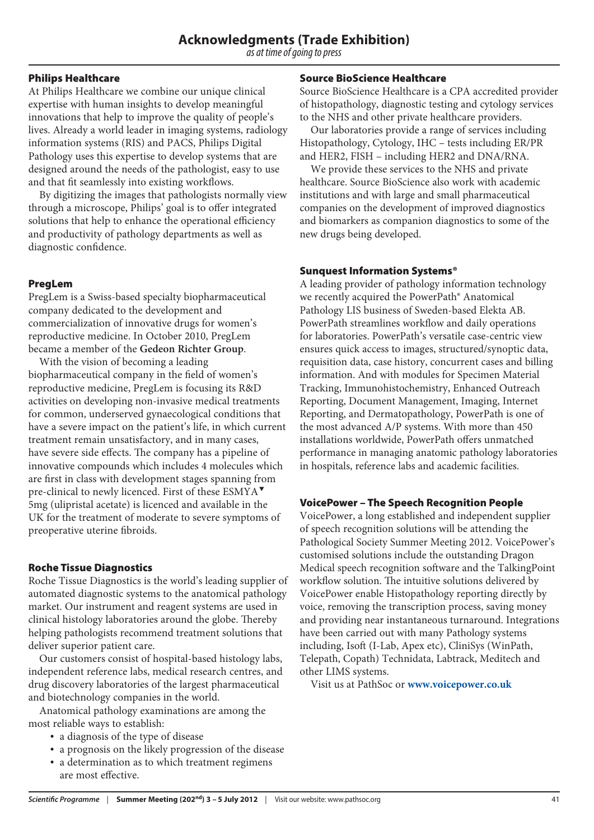$\overline{a}$ *s* at *time* of *aoina* to press

## Philips Healthcare

At Philips Healthcare we combine our unique clinical expertise with human insights to develop meaningful innovations that help to improve the quality of people's lives. Already a world leader in imaging systems, radiology information systems (RIS) and PACS, Philips Digital Pathology uses this expertise to develop systems that are designed around the needs of the pathologist, easy to use and that fit seamlessly into existing workflows.

By digitizing the images that pathologists normally view through a microscope, Philips' goal is to offer integrated solutions that help to enhance the operational efficiency and productivity of pathology departments as well as diagnostic confidence.

### PregLem

PregLem is a Swiss-based specialty biopharmaceutical company dedicated to the development and commercialization of innovative drugs for women's reproductive medicine. In October 2010, PregLem became a member of the **Gedeon Richter Group**.

With the vision of becoming a leading biopharmaceutical company in the field of women's reproductive medicine, PregLem is focusing its R&D activities on developing non-invasive medical treatments for common, underserved gynaecological conditions that have a severe impact on the patient's life, in which current treatment remain unsatisfactory, and in many cases, have severe side effects. The company has a pipeline of innovative compounds which includes 4 molecules which are first in class with development stages spanning from pre-clinical to newly licenced. First of these ESMYA 5mg (ulipristal acetate) is licenced and available in the UK for the treatment of moderate to severe symptoms of preoperative uterine fibroids.

### Roche Tissue Diagnostics

Roche Tissue Diagnostics is the world's leading supplier of automated diagnostic systems to the anatomical pathology market. Our instrument and reagent systems are used in clinical histology laboratories around the globe. Thereby helping pathologists recommend treatment solutions that deliver superior patient care.

Our customers consist of hospital-based histology labs, independent reference labs, medical research centres, and drug discovery laboratories of the largest pharmaceutical and biotechnology companies in the world.

Anatomical pathology examinations are among the most reliable ways to establish:

- a diagnosis of the type of disease
- a prognosis on the likely progression of the disease
- a determination as to which treatment regimens are most effective.

### Source BioScience Healthcare

Source BioScience Healthcare is a CPA accredited provider of histopathology, diagnostic testing and cytology services to the NHS and other private healthcare providers.

Our laboratories provide a range of services including Histopathology, Cytology, IHC – tests including ER/PR and HER2, FISH – including HER2 and DNA/RNA.

We provide these services to the NHS and private healthcare. Source BioScience also work with academic institutions and with large and small pharmaceutical companies on the development of improved diagnostics and biomarkers as companion diagnostics to some of the new drugs being developed.

### Sunquest Information Systems®

A leading provider of pathology information technology we recently acquired the PowerPath® Anatomical Pathology LIS business of Sweden-based Elekta AB. PowerPath streamlines workflow and daily operations for laboratories. PowerPath's versatile case-centric view ensures quick access to images, structured/synoptic data, requisition data, case history, concurrent cases and billing information. And with modules for Specimen Material Tracking, Immunohistochemistry, Enhanced Outreach Reporting, Document Management, Imaging, Internet Reporting, and Dermatopathology, PowerPath is one of the most advanced A/P systems. With more than 450 installations worldwide, PowerPath offers unmatched performance in managing anatomic pathology laboratories in hospitals, reference labs and academic facilities.

### VoicePower – The Speech Recognition People

VoicePower, a long established and independent supplier of speech recognition solutions will be attending the Pathological Society Summer Meeting 2012. VoicePower's customised solutions include the outstanding Dragon Medical speech recognition software and the TalkingPoint workflow solution. The intuitive solutions delivered by VoicePower enable Histopathology reporting directly by voice, removing the transcription process, saving money and providing near instantaneous turnaround. Integrations have been carried out with many Pathology systems including, Isoft (I-Lab, Apex etc), CliniSys (WinPath, Telepath, Copath) Technidata, Labtrack, Meditech and other LIMS systems.

Visit us at PathSoc or **[www.voicepower.co.uk](http://www.voicepower.co.uk)**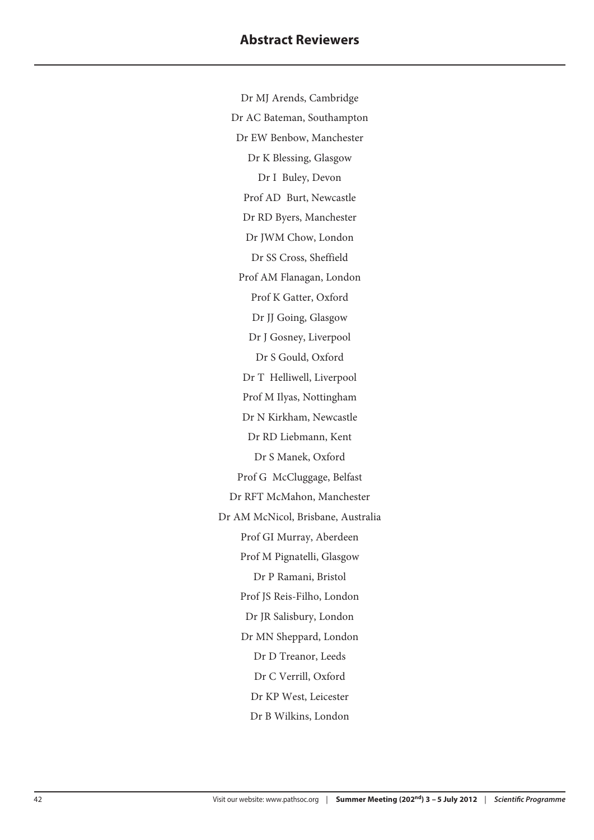Dr MJ Arends, Cambridge Dr AC Bateman, Southampton Dr EW Benbow, Manchester Dr K Blessing, Glasgow Dr I Buley, Devon Prof AD Burt, Newcastle Dr RD Byers, Manchester Dr JWM Chow, London Dr SS Cross, Sheffield Prof AM Flanagan, London Prof K Gatter, Oxford Dr JJ Going, Glasgow Dr J Gosney, Liverpool Dr S Gould, Oxford Dr T Helliwell, Liverpool Prof M Ilyas, Nottingham Dr N Kirkham, Newcastle Dr RD Liebmann, Kent Dr S Manek, Oxford Prof G McCluggage, Belfast Dr RFT McMahon, Manchester Dr AM McNicol, Brisbane, Australia Prof GI Murray, Aberdeen Prof M Pignatelli, Glasgow Dr P Ramani, Bristol Prof JS Reis-Filho, London Dr JR Salisbury, London Dr MN Sheppard, London Dr D Treanor, Leeds Dr C Verrill, Oxford Dr KP West, Leicester

Dr B Wilkins, London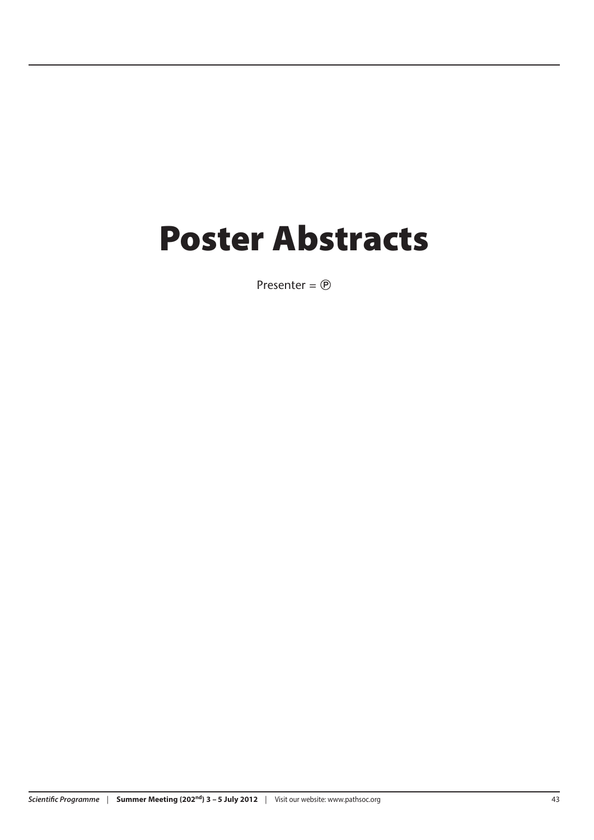# Poster Abstracts

Presenter =  $<sup>②</sup>$ </sup>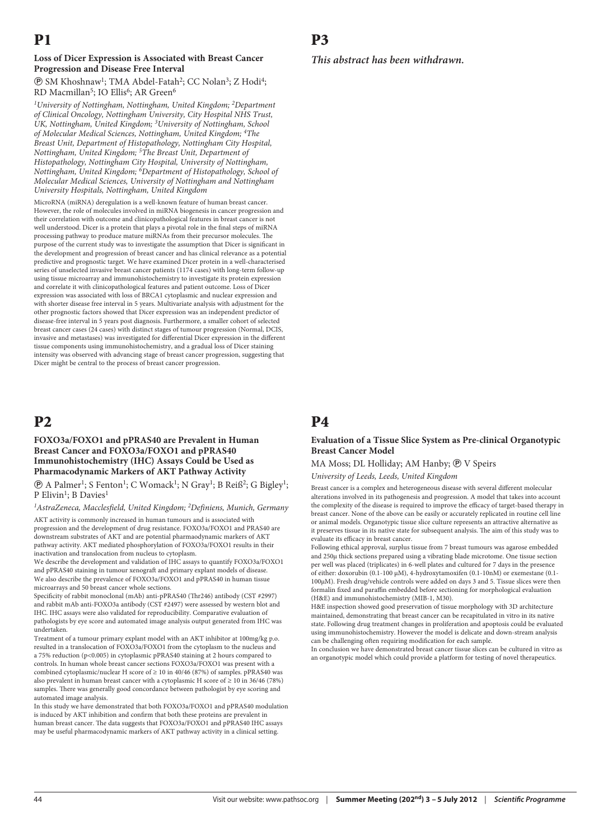#### **Loss of Dicer Expression is Associated with Breast Cancer Progression and Disease Free Interval**

P SM Khoshnaw1; TMA Abdel-Fatah2; CC Nolan3; Z Hodi4; RD Macmillan<sup>5</sup>; IO Ellis<sup>6</sup>; AR Green<sup>6</sup>

*1University of Nottingham, Nottingham, United Kingdom; 2Department of Clinical Oncology, Nottingham University, City Hospital NHS Trust, UK, Nottingham, United Kingdom; 3University of Nottingham, School of Molecular Medical Sciences, Nottingham, United Kingdom; 4The Breast Unit, Department of Histopathology, Nottingham City Hospital, Nottingham, United Kingdom; 5The Breast Unit, Department of Histopathology, Nottingham City Hospital, University of Nottingham, Nottingham, United Kingdom; 6Department of Histopathology, School of Molecular Medical Sciences, University of Nottingham and Nottingham University Hospitals, Nottingham, United Kingdom*

MicroRNA (miRNA) deregulation is a well-known feature of human breast cancer. However, the role of molecules involved in miRNA biogenesis in cancer progression and their correlation with outcome and clinicopathological features in breast cancer is not well understood. Dicer is a protein that plays a pivotal role in the final steps of miRNA processing pathway to produce mature miRNAs from their precursor molecules. The purpose of the current study was to investigate the assumption that Dicer is significant in the development and progression of breast cancer and has clinical relevance as a potential predictive and prognostic target. We have examined Dicer protein in a well-characterised series of unselected invasive breast cancer patients (1174 cases) with long-term follow-up using tissue microarray and immunohistochemistry to investigate its protein expression and correlate it with clinicopathological features and patient outcome. Loss of Dicer expression was associated with loss of BRCA1 cytoplasmic and nuclear expression and with shorter disease free interval in 5 years. Multivariate analysis with adjustment for the other prognostic factors showed that Dicer expression was an independent predictor of disease-free interval in 5 years post diagnosis. Furthermore, a smaller cohort of selected breast cancer cases (24 cases) with distinct stages of tumour progression (Normal, DCIS, invasive and metastases) was investigated for differential Dicer expression in the different tissue components using immunohistochemistry, and a gradual loss of Dicer staining intensity was observed with advancing stage of breast cancer progression, suggesting that Dicer might be central to the process of breast cancer progression.

# P2

#### **FOXO3a/FOXO1 and pPRAS40 are Prevalent in Human Breast Cancer and FOXO3a/FOXO1 and pPRAS40 Immunohistochemistry (IHC) Assays Could be Used as Pharmacodynamic Markers of AKT Pathway Activity**

 $\textcircled{P}$  A Palmer<sup>1</sup>; S Fenton<sup>1</sup>; C Womack<sup>1</sup>; N Gray<sup>1</sup>; B Reiß<sup>2</sup>; G Bigley<sup>1</sup>; P Elivin<sup>1</sup>; B Davies<sup>1</sup>

*1AstraZeneca, Macclesfield, United Kingdom; 2Definiens, Munich, Germany*

AKT activity is commonly increased in human tumours and is associated with progression and the development of drug resistance. FOXO3a/FOXO1 and PRAS40 are downstream substrates of AKT and are potential pharmaodynamic markers of AKT pathway activity. AKT mediated phosphorylation of FOXO3a/FOXO1 results in their inactivation and translocation from nucleus to cytoplasm.

We describe the development and validation of IHC assays to quantify FOXO3a/FOXO1 and pPRAS40 staining in tumour xenograft and primary explant models of disease. We also describe the prevalence of FOXO3a/FOXO1 and pPRAS40 in human tissue microarrays and 50 breast cancer whole sections.

Specificity of rabbit monoclonal (mAb) anti-pPRAS40 (Thr246) antibody (CST #2997) and rabbit mAb anti-FOXO3a antibody (CST #2497) were assessed by western blot and IHC. IHC assays were also validated for reproducibility. Comparative evaluation of pathologists by eye score and automated image analysis output generated from IHC was undertaken.

Treatment of a tumour primary explant model with an AKT inhibitor at 100mg/kg p.o. resulted in a translocation of FOXO3a/FOXO1 from the cytoplasm to the nucleus and a 75% reduction (p<0.005) in cytoplasmic pPRAS40 staining at 2 hours compared to controls. In human whole breast cancer sections FOXO3a/FOXO1 was present with a combined cytoplasmic/nuclear H score of  $\geq 10$  in 40/46 (87%) of samples. pPRAS40 was also prevalent in human breast cancer with a cytoplasmic H score of  $\geq 10$  in 36/46 (78%) samples. There was generally good concordance between pathologist by eye scoring and automated image analysis.

In this study we have demonstrated that both FOXO3a/FOXO1 and pPRAS40 modulation is induced by AKT inhibition and confirm that both these proteins are prevalent in human breast cancer. The data suggests that FOXO3a/FOXO1 and pPRAS40 IHC assays may be useful pharmacodynamic markers of AKT pathway activity in a clinical setting.

# P3

*This abstract has been withdrawn.*

# **P4**

#### **Evaluation of a Tissue Slice System as Pre-clinical Organotypic Breast Cancer Model**

#### MA Moss; DL Holliday; AM Hanby; ® V Speirs

*University of Leeds, Leeds, United Kingdom*

Breast cancer is a complex and heterogeneous disease with several different molecular alterations involved in its pathogenesis and progression. A model that takes into account the complexity of the disease is required to improve the efficacy of target-based therapy in breast cancer. None of the above can be easily or accurately replicated in routine cell line or animal models. Organotypic tissue slice culture represents an attractive alternative as it preserves tissue in its native state for subsequent analysis. The aim of this study was to evaluate its efficacy in breast cancer.

Following ethical approval, surplus tissue from 7 breast tumours was agarose embedded and 250µ thick sections prepared using a vibrating blade microtome. One tissue section per well was placed (triplicates) in 6-well plates and cultured for 7 days in the presence of either: doxorubin (0.1-100 µM), 4-hydroxytamoxifen (0.1-10nM) or exemestane (0.1- 100µM). Fresh drug/vehicle controls were added on days 3 and 5. Tissue slices were then formalin fixed and paraffin embedded before sectioning for morphological evaluation (H&E) and immunohistochemistry (MIB-1, M30).

H&E inspection showed good preservation of tissue morphology with 3D architecture maintained, demonstrating that breast cancer can be recapitulated in vitro in its native state. Following drug treatment changes in proliferation and apoptosis could be evaluated using immunohistochemistry. However the model is delicate and down-stream analysis can be challenging often requiring modification for each sample.

In conclusion we have demonstrated breast cancer tissue slices can be cultured in vitro as an organotypic model which could provide a platform for testing of novel therapeutics.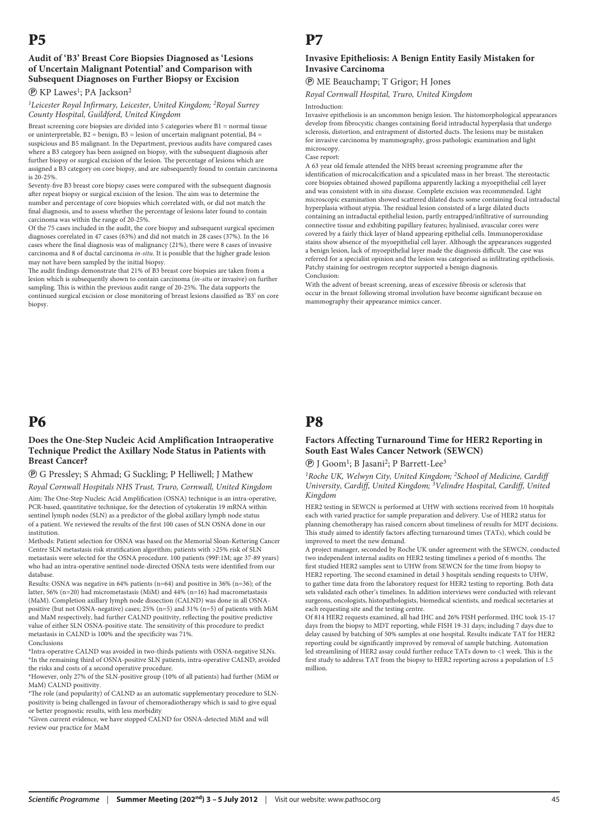#### **Audit of 'B3' Breast Core Biopsies Diagnosed as 'Lesions of Uncertain Malignant Potential' and Comparison with Subsequent Diagnoses on Further Biopsy or Excision**

 $\textcircled{P}$  KP Lawes<sup>1</sup>; PA Jackson<sup>2</sup>

*1Leicester Royal Infirmary, Leicester, United Kingdom; 2Royal Surrey County Hospital, Guildford, United Kingdom*

Breast screening core biopsies are divided into 5 categories where B1 = normal tissue or uninterpretable,  $B2 = \text{benign}$ ,  $B3 = \text{lesion}$  of uncertain malignant potential,  $B4 =$ suspicious and B5 malignant. In the Department, previous audits have compared cases where a B3 category has been assigned on biopsy, with the subsequent diagnosis after further biopsy or surgical excision of the lesion. The percentage of lesions which are assigned a B3 category on core biopsy, and are subsequently found to contain carcinoma is 20-25%.

Seventy-five B3 breast core biopsy cases were compared with the subsequent diagnosis after repeat biopsy or surgical excision of the lesion. The aim was to determine the number and percentage of core biopsies which correlated with, or did not match the final diagnosis, and to assess whether the percentage of lesions later found to contain carcinoma was within the range of 20-25%.

Of the 75 cases included in the audit, the core biopsy and subsequent surgical specimen diagnoses correlated in 47 cases (63%) and did not match in 28 cases (37%). In the 16 cases where the final diagnosis was of malignancy (21%), there were 8 cases of invasive carcinoma and 8 of ductal carcinoma *in-situ*. It is possible that the higher grade lesion may not have been sampled by the initial biopsy.

The audit findings demonstrate that 21% of B3 breast core biopsies are taken from a lesion which is subsequently shown to contain carcinoma (*in-situ* or invasive) on further sampling. This is within the previous audit range of 20-25%. The data supports the continued surgical excision or close monitoring of breast lesions classified as 'B3' on core biopsy.

# **P7**

#### **Invasive Epitheliosis: A Benign Entity Easily Mistaken for Invasive Carcinoma**

#### P ME Beauchamp; T Grigor; H Jones

*Royal Cornwall Hospital, Truro, United Kingdom*

Introduction:

Invasive epitheliosis is an uncommon benign lesion. The histomorphological appearances develop from fibrocystic changes containing florid intraductal hyperplasia that undergo sclerosis, distortion, and entrapment of distorted ducts. The lesions may be mistaken for invasive carcinoma by mammography, gross pathologic examination and light microscopy. Case report:

A 63 year old female attended the NHS breast screening programme after the identification of microcalcification and a spiculated mass in her breast. The stereotactic core biopsies obtained showed papilloma apparently lacking a myoepithelial cell layer and was consistent with in situ disease. Complete excision was recommended. Light microscopic examination showed scattered dilated ducts some containing focal intraductal hyperplasia without atypia. The residual lesion consisted of a large dilated ducts containing an intraductal epithelial lesion, partly entrapped/infiltrative of surrounding connective tissue and exhibiting papillary features; hyalinised, avascular cores were covered by a fairly thick layer of bland appearing epithelial cells. Immunoperoxidase stains show absence of the myoepithelial cell layer. Although the appearances suggested a benign lesion, lack of myoepithelial layer made the diagnosis difficult. The case was referred for a specialist opinion and the lesion was categorised as infiltrating epitheliosis. Patchy staining for oestrogen receptor supported a benign diagnosis. Conclusion:

With the advent of breast screening, areas of excessive fibrosis or sclerosis that occur in the breast following stromal involution have become significant because on mammography their appearance mimics cancer.

# P6

#### **Does the One-Step Nucleic Acid Amplification Intraoperative Technique Predict the Axillary Node Status in Patients with Breast Cancer?**

#### P G Pressley; S Ahmad; G Suckling; P Helliwell; J Mathew

*Royal Cornwall Hospitals NHS Trust, Truro, Cornwall, United Kingdom* Aim: The One-Step Nucleic Acid Amplification (OSNA) technique is an intra-operative, PCR-based, quantitative technique, for the detection of cytokeratin 19 mRNA within sentinel lymph nodes (SLN) as a predictor of the global axillary lymph node status of a patient. We reviewed the results of the first 100 cases of SLN OSNA done in our institution.

Methods: Patient selection for OSNA was based on the Memorial Sloan-Kettering Cancer Centre SLN metastasis risk stratification algorithm; patients with >25% risk of SLN metastasis were selected for the OSNA procedure. 100 patients (99F:1M; age 37-89 years) who had an intra-operative sentinel node-directed OSNA tests were identified from our database.

Results: OSNA was negative in 64% patients (n=64) and positive in 36% (n=36); of the latter, 56% (n=20) had micrometastasis (MiM) and 44% (n=16) had macrometastasis (MaM). Completion axillary lymph node dissection (CALND) was done in all OSNApositive (but not OSNA-negative) cases; 25% (n=5) and 31% (n=5) of patients with MiM and MaM respectively, had further CALND positivity, reflecting the positive predictive value of either SLN OSNA-positive state. The sensitivity of this procedure to predict metastasis in CALND is 100% and the specificity was 71%. Conclusions

\*Intra-operative CALND was avoided in two-thirds patients with OSNA-negative SLNs. \*In the remaining third of OSNA-positive SLN patients, intra-operative CALND, avoided the risks and costs of a second operative procedure.

\*However, only 27% of the SLN-positive group (10% of all patients) had further (MiM or MaM) CALND positivity.

\*The role (and popularity) of CALND as an automatic supplementary procedure to SLNpositivity is being challenged in favour of chemoradiotherapy which is said to give equal or better prognostic results, with less morbidity

\*Given current evidence, we have stopped CALND for OSNA-detected MiM and will review our practice for MaM

# P8

#### **Factors Affecting Turnaround Time for HER2 Reporting in South East Wales Cancer Network (SEWCN)**

P J Goom1; B Jasani2; P Barrett-Lee3

*1Roche UK, Welwyn City, United Kingdom; 2School of Medicine, Cardiff University, Cardiff, United Kingdom; 3Velindre Hospital, Cardiff, United Kingdom*

HER2 testing in SEWCN is performed at UHW with sections received from 10 hospitals each with varied practice for sample preparation and delivery. Use of HER2 status for planning chemotherapy has raised concern about timeliness of results for MDT decisions. This study aimed to identify factors affecting turnaround times (TATs), which could be improved to meet the new demand.

A project manager, seconded by Roche UK under agreement with the SEWCN, conducted two independent internal audits on HER2 testing timelines a period of 6 months. The first studied HER2 samples sent to UHW from SEWCN for the time from biopsy to HER2 reporting. The second examined in detail 3 hospitals sending requests to UHW, to gather time data from the laboratory request for HER2 testing to reporting. Both data sets validated each other's timelines. In addition interviews were conducted with relevant surgeons, oncologists, histopathologists, biomedical scientists, and medical secretaries at each requesting site and the testing centre.

Of 814 HER2 requests examined, all had IHC and 26% FISH performed. IHC took 15-17 days from the biopsy to MDT reporting, while FISH 19-31 days; including 7 days due to delay caused by batching of 50% samples at one hospital. Results indicate TAT for HER2 reporting could be significantly improved by removal of sample batching. Automation led streamlining of HER2 assay could further reduce TATs down to <1 week. This is the first study to address TAT from the biopsy to HER2 reporting across a population of 1.5 million.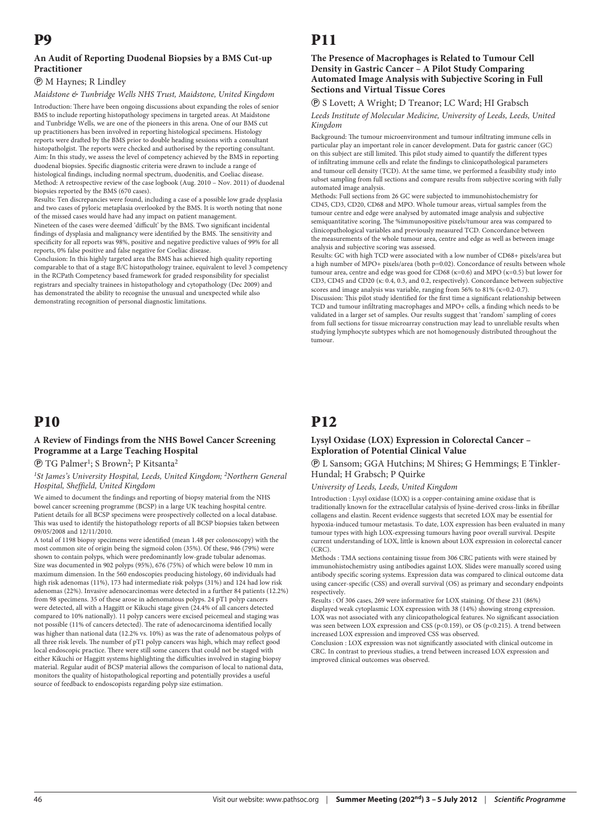#### **An Audit of Reporting Duodenal Biopsies by a BMS Cut-up Practitioner**

#### P M Haynes; R Lindley

*Maidstone & Tunbridge Wells NHS Trust, Maidstone, United Kingdom* Introduction: There have been ongoing discussions about expanding the roles of senior BMS to include reporting histopathology specimens in targeted areas. At Maidstone and Tunbridge Wells, we are one of the pioneers in this arena. One of our BMS cut up practitioners has been involved in reporting histological specimens. Histology reports were drafted by the BMS prior to double heading sessions with a consultant histopatholgist. The reports were checked and authorised by the reporting consultant. Aim: In this study, we assess the level of competency achieved by the BMS in reporting duodenal biopsies. Specific diagnostic criteria were drawn to include a range of histological findings, including normal spectrum, duodenitis, and Coeliac disease. Method: A retrospective review of the case logbook (Aug. 2010 – Nov. 2011) of duodenal biopsies reported by the BMS (670 cases).

Results: Ten discrepancies were found, including a case of a possible low grade dysplasia and two cases of pyloric metaplasia overlooked by the BMS. It is worth noting that none of the missed cases would have had any impact on patient management.

Nineteen of the cases were deemed 'difficult' by the BMS. Two significant incidental findings of dysplasia and malignancy were identified by the BMS. The sensitivity and specificity for all reports was 98%, positive and negative predictive values of 99% for all reports, 0% false positive and false negative for Coeliac disease.

Conclusion: In this highly targeted area the BMS has achieved high quality reporting comparable to that of a stage B/C histopathology trainee, equivalent to level 3 competency in the RCPath Competency based framework for graded responsibility for specialist registrars and specialty trainees in histopathology and cytopathology (Dec 2009) and has demonstrated the ability to recognise the unusual and unexpected while also demonstrating recognition of personal diagnostic limitations.

#### **The Presence of Macrophages is Related to Tumour Cell Density in Gastric Cancer – A Pilot Study Comparing Automated Image Analysis with Subjective Scoring in Full Sections and Virtual Tissue Cores**

#### P S Lovett; A Wright; D Treanor; LC Ward; HI Grabsch

*Leeds Institute of Molecular Medicine, University of Leeds, Leeds, United Kingdom*

Background: The tumour microenvironment and tumour infiltrating immune cells in particular play an important role in cancer development. Data for gastric cancer (GC) on this subject are still limited. This pilot study aimed to quantify the different types of infiltrating immune cells and relate the findings to clinicopathological parameters and tumour cell density (TCD). At the same time, we performed a feasibility study into subset sampling from full sections and compare results from subjective scoring with fully automated image analysis.

Methods: Full sections from 26 GC were subjected to immunohistochemistry for CD45, CD3, CD20, CD68 and MPO. Whole tumour areas, virtual samples from the tumour centre and edge were analysed by automated image analysis and subjective semiquantitative scoring. The %immunopositive pixels/tumour area was compared to clinicopathological variables and previously measured TCD. Concordance between the measurements of the whole tumour area, centre and edge as well as between image analysis and subjective scoring was assessed.

Results: GC with high TCD were associated with a low number of CD68+ pixels/area but a high number of MPO+ pixels/area (both p=0.02). Concordance of results between whole tumour area, centre and edge was good for CD68 ( $\kappa$ =0.6) and MPO ( $\kappa$ =0.5) but lower for CD3, CD45 and CD20 (κ: 0.4, 0.3, and 0.2, respectively). Concordance between subjective scores and image analysis was variable, ranging from 56% to 81% ( $\kappa$ =0.2-0.7).

Discussion: This pilot study identified for the first time a significant relationship between TCD and tumour infiltrating macrophages and MPO+ cells, a finding which needs to be validated in a larger set of samples. Our results suggest that 'random' sampling of cores from full sections for tissue microarray construction may lead to unreliable results when studying lymphocyte subtypes which are not homogenously distributed throughout the tumour.

# **P10**

#### **A Review of Findings from the NHS Bowel Cancer Screening Programme at a Large Teaching Hospital**

#### P TG Palmer1; S Brown2; P Kitsanta2

#### *1St James's University Hospital, Leeds, United Kingdom; 2Northern General Hospital, Sheffield, United Kingdom*

We aimed to document the findings and reporting of biopsy material from the NHS bowel cancer screening programme (BCSP) in a large UK teaching hospital centre. Patient details for all BCSP specimens were prospectively collected on a local database. This was used to identify the histopathology reports of all BCSP biopsies taken between 09/05/2008 and 12/11/2010.

A total of 1198 biopsy specimens were identified (mean 1.48 per colonoscopy) with the most common site of origin being the sigmoid colon (35%). Of these, 946 (79%) were shown to contain polyps, which were predominantly low-grade tubular adenomas. Size was documented in 902 polyps (95%), 676 (75%) of which were below 10 mm in maximum dimension. In the 560 endoscopies producing histology, 60 individuals had high risk adenomas (11%), 173 had intermediate risk polyps (31%) and 124 had low risk adenomas (22%). Invasive adenocarcinomas were detected in a further 84 patients (12.2%) from 98 specimens. 35 of these arose in adenomatous polyps. 24 pT1 polyp cancers were detected, all with a Haggitt or Kikuchi stage given (24.4% of all cancers detected compared to 10% nationally). 11 polyp cancers were excised peicemeal and staging was not possible (11% of cancers detected). The rate of adenocarcinoma identified locally was higher than national data (12.2% vs. 10%) as was the rate of adenomatous polyps of all three risk levels. The number of pT1 polyp cancers was high, which may reflect good local endoscopic practice. There were still some cancers that could not be staged with either Kikuchi or Haggitt systems highlighting the difficulties involved in staging biopsy material. Regular audit of BCSP material allows the comparison of local to national data, monitors the quality of histopathological reporting and potentially provides a useful source of feedback to endoscopists regarding polyp size estimation.

# P12

#### **Lysyl Oxidase (LOX) Expression in Colorectal Cancer – Exploration of Potential Clinical Value**

#### P L Sansom; GGA Hutchins; M Shires; G Hemmings; E Tinkler-Hundal; H Grabsch; P Quirke

#### *University of Leeds, Leeds, United Kingdom*

Introduction : Lysyl oxidase (LOX) is a copper-containing amine oxidase that is traditionally known for the extracellular catalysis of lysine-derived cross-links in fibrillar collagens and elastin. Recent evidence suggests that secreted LOX may be essential for hypoxia-induced tumour metastasis. To date, LOX expression has been evaluated in many tumour types with high LOX-expressing tumours having poor overall survival. Despite current understanding of LOX, little is known about LOX expression in colorectal cancer (CRC).

Methods : TMA sections containing tissue from 306 CRC patients with were stained by immunohistochemistry using antibodies against LOX. Slides were manually scored using antibody specific scoring systems. Expression data was compared to clinical outcome data using cancer-specific (CSS) and overall survival (OS) as primary and secondary endpoints respectively.

Results : Of 306 cases, 269 were informative for LOX staining. Of these 231 (86%) displayed weak cytoplasmic LOX expression with 38 (14%) showing strong expression. LOX was not associated with any clinicopathological features. No significant association was seen between LOX expression and CSS (p<0.159), or OS (p<0.215). A trend between increased LOX expression and improved CSS was observed.

Conclusion : LOX expression was not significantly associated with clinical outcome in CRC. In contrast to previous studies, a trend between increased LOX expression and improved clinical outcomes was observed.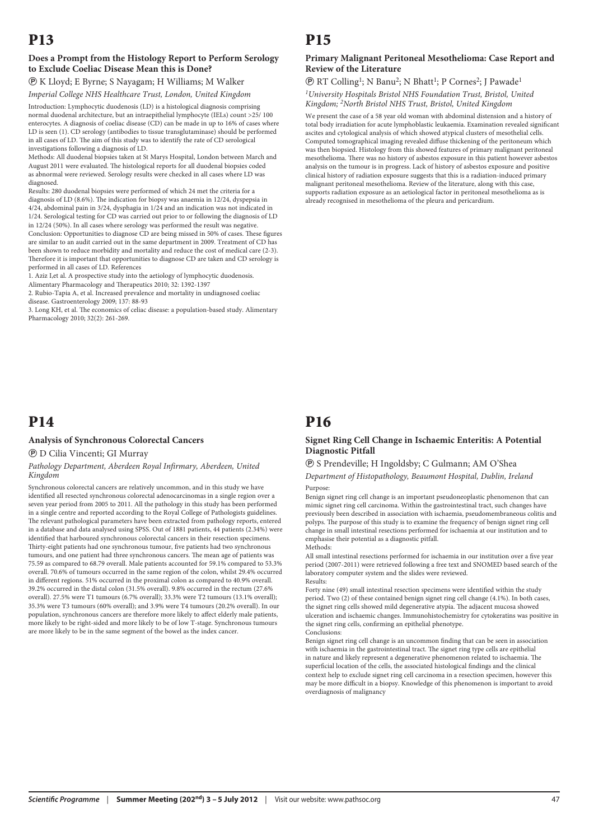#### **Does a Prompt from the Histology Report to Perform Serology to Exclude Coeliac Disease Mean this is Done?**

P K Lloyd; E Byrne; S Nayagam; H Williams; M Walker

*Imperial College NHS Healthcare Trust, London, United Kingdom*

Introduction: Lymphocytic duodenosis (LD) is a histological diagnosis comprising normal duodenal architecture, but an intraepithelial lymphocyte (IELs) count >25/ 100 enterocytes. A diagnosis of coeliac disease (CD) can be made in up to 16% of cases where LD is seen (1). CD serology (antibodies to tissue transglutaminase) should be performed in all cases of LD. The aim of this study was to identify the rate of CD serological investigations following a diagnosis of LD.

Methods: All duodenal biopsies taken at St Marys Hospital, London between March and August 2011 were evaluated. The histological reports for all duodenal biopsies coded as abnormal were reviewed. Serology results were checked in all cases where LD was diagnosed.

Results: 280 duodenal biopsies were performed of which 24 met the criteria for a diagnosis of LD (8.6%). The indication for biopsy was anaemia in 12/24, dyspepsia in  $4/24$ , abdominal pain in 3/24, dysphagia in  $1/24$  and an indication was not indicated in 1/24. Serological testing for CD was carried out prior to or following the diagnosis of LD in 12/24 (50%). In all cases where serology was performed the result was negative. Conclusion: Opportunities to diagnose CD are being missed in 50% of cases. These figures are similar to an audit carried out in the same department in 2009. Treatment of CD has been shown to reduce morbidity and mortality and reduce the cost of medical care (2-3). Therefore it is important that opportunities to diagnose CD are taken and CD serology is performed in all cases of LD. References

1. Aziz I,et al. A prospective study into the aetiology of lymphocytic duodenosis.

Alimentary Pharmacology and Therapeutics 2010; 32: 1392-1397 2. Rubio-Tapia A, et al. Increased prevalence and mortality in undiagnosed coeliac

disease. Gastroenterology 2009; 137: 88-93

3. Long KH, et al. The economics of celiac disease: a population-based study. Alimentary Pharmacology 2010; 32(2): 261-269.

# P14

#### **Analysis of Synchronous Colorectal Cancers**

#### P D Cilia Vincenti; GI Murray

#### *Pathology Department, Aberdeen Royal Infirmary, Aberdeen, United Kingdom*

Synchronous colorectal cancers are relatively uncommon, and in this study we have identified all resected synchronous colorectal adenocarcinomas in a single region over a seven year period from 2005 to 2011. All the pathology in this study has been performed in a single centre and reported according to the Royal College of Pathologists guidelines. The relevant pathological parameters have been extracted from pathology reports, entered in a database and data analysed using SPSS. Out of 1881 patients, 44 patients (2.34%) were identified that harboured synchronous colorectal cancers in their resection specimens. Thirty-eight patients had one synchronous tumour, five patients had two synchronous tumours, and one patient had three synchronous cancers. The mean age of patients was 75.59 as compared to 68.79 overall. Male patients accounted for 59.1% compared to 53.3% overall. 70.6% of tumours occurred in the same region of the colon, whilst 29.4% occurred in different regions. 51% occurred in the proximal colon as compared to 40.9% overall. 39.2% occurred in the distal colon (31.5% overall). 9.8% occurred in the rectum (27.6% overall). 27.5% were T1 tumours (6.7% overall); 33.3% were T2 tumours (13.1% overall); 35.3% were T3 tumours (60% overall); and 3.9% were T4 tumours (20.2% overall). In our population, synchronous cancers are therefore more likely to affect elderly male patients, more likely to be right-sided and more likely to be of low T-stage. Synchronous tumours are more likely to be in the same segment of the bowel as the index cancer.

# **P15**

#### **Primary Malignant Peritoneal Mesothelioma: Case Report and Review of the Literature**

#### $\textcircled{P}$  RT Colling<sup>1</sup>; N Banu<sup>2</sup>; N Bhatt<sup>1</sup>; P Cornes<sup>2</sup>; J Pawade<sup>1</sup> *1University Hospitals Bristol NHS Foundation Trust, Bristol, United Kingdom; 2North Bristol NHS Trust, Bristol, United Kingdom*

We present the case of a 58 year old woman with abdominal distension and a history of total body irradiation for acute lymphoblastic leukaemia. Examination revealed significant ascites and cytological analysis of which showed atypical clusters of mesothelial cells. Computed tomographical imaging revealed diffuse thickening of the peritoneum which was then biopsied. Histology from this showed features of primary malignant peritoneal mesothelioma. There was no history of asbestos exposure in this patient however asbestos analysis on the tumour is in progress. Lack of history of asbestos exposure and positive clinical history of radiation exposure suggests that this is a radiation-induced primary malignant peritoneal mesothelioma. Review of the literature, along with this case, supports radiation exposure as an aetiological factor in peritoneal mesothelioma as is already recognised in mesothelioma of the pleura and pericardium.

# P16

#### **Signet Ring Cell Change in Ischaemic Enteritis: A Potential Diagnostic Pitfall**

#### P S Prendeville; H Ingoldsby; C Gulmann; AM O'Shea

#### *Department of Histopathology, Beaumont Hospital, Dublin, Ireland* Purpose:

Benign signet ring cell change is an important pseudoneoplastic phenomenon that can mimic signet ring cell carcinoma. Within the gastrointestinal tract, such changes have previously been described in association with ischaemia, pseudomembraneous colitis and polyps. The purpose of this study is to examine the frequency of benign signet ring cell change in small intestinal resections performed for ischaemia at our institution and to emphasise their potential as a diagnostic pitfall. Methods:

All small intestinal resections performed for ischaemia in our institution over a five year period (2007-2011) were retrieved following a free text and SNOMED based search of the laboratory computer system and the slides were reviewed. Results:

Forty nine (49) small intestinal resection specimens were identified within the study period. Two (2) of these contained benign signet ring cell change (4.1%). In both cases, the signet ring cells showed mild degenerative atypia. The adjacent mucosa showed ulceration and ischaemic changes. Immunohistochemistry for cytokeratins was positive in the signet ring cells, confirming an epithelial phenotype. Conclusions:

Benign signet ring cell change is an uncommon finding that can be seen in association with ischaemia in the gastrointestinal tract. The signet ring type cells are epithelial in nature and likely represent a degenerative phenomenon related to ischaemia. The superficial location of the cells, the associated histological findings and the clinical context help to exclude signet ring cell carcinoma in a resection specimen, however this may be more difficult in a biopsy. Knowledge of this phenomenon is important to avoid overdiagnosis of malignancy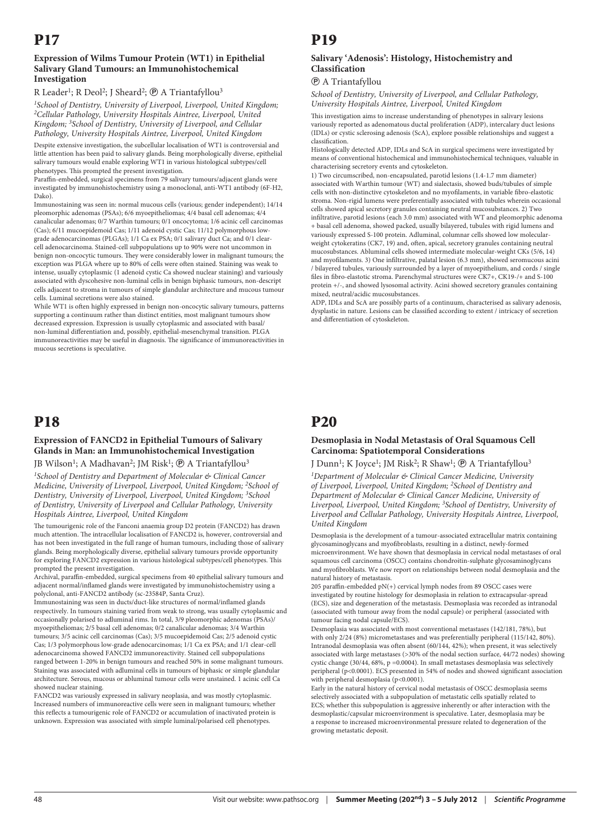#### **Expression of Wilms Tumour Protein (WT1) in Epithelial Salivary Gland Tumours: an Immunohistochemical Investigation**

#### R Leader<sup>1</sup>; R Deol<sup>2</sup>; J Sheard<sup>2</sup>;  $\textcircled{P}$  A Triantafyllou<sup>3</sup>

*1School of Dentistry, University of Liverpool, Liverpool, United Kingdom; 2Cellular Pathology, University Hospitals Aintree, Liverpool, United Kingdom; 3School of Dentistry, University of Liverpool, and Cellular Pathology, University Hospitals Aintree, Liverpool, United Kingdom*

Despite extensive investigation, the subcellular localisation of WT1 is controversial and little attention has been paid to salivary glands. Being morphologically diverse, epithelial salivary tumours would enable exploring WT1 in various histological subtypes/cell phenotypes. This prompted the present investigation.

Paraffin-embedded, surgical specimens from 79 salivary tumours/adjacent glands were investigated by immunohistochemistry using a monoclonal, anti-WT1 antibody (6F-H2, Dako).

Immunostaining was seen in: normal mucous cells (various; gender independent); 14/14 pleomorphic adenomas (PSAs); 6/6 myoepitheliomas; 4/4 basal cell adenomas; 4/4 canalicular adenomas; 0/7 Warthin tumours; 0/1 oncocytoma; 1/6 acinic cell carcinomas (Cas); 6/11 mucoepidemoid Cas; 1/11 adenoid cystic Cas; 11/12 polymorphous lowgrade adenocarcinomas (PLGAs); 1/1 Ca ex PSA; 0/1 salivary duct Ca; and 0/1 clearcell adenocarcinoma. Stained-cell subpopulations up to 90% were not uncommon in benign non-oncocytic tumours. They were considerably lower in malignant tumours; the exception was PLGA where up to 80% of cells were often stained. Staining was weak to intense, usually cytoplasmic (1 adenoid cystic Ca showed nuclear staining) and variously associated with dyscohesive non-luminal cells in benign biphasic tumours, non-descript cells adjacent to stroma in tumours of simple glandular architecture and mucous tumour cells. Luminal secretions were also stained.

While WT1 is often highly expressed in benign non-oncocytic salivary tumours, patterns supporting a continuum rather than distinct entities, most malignant tumours show decreased expression. Expression is usually cytoplasmic and associated with basal/ non-luminal differentiation and, possibly, epithelial-mesenchymal transition. PLGA immunoreactivities may be useful in diagnosis. The significance of immunoreactivities in mucous secretions is speculative.

# P18

#### **Expression of FANCD2 in Epithelial Tumours of Salivary Glands in Man: an Immunohistochemical Investigation**

#### JB Wilson<sup>1</sup>; A Madhavan<sup>2</sup>; JM Risk<sup>1</sup>; **@** A Triantafyllou<sup>3</sup>

*1School of Dentistry and Department of Molecular & Clinical Cancer Medicine, University of Liverpool, Liverpool, United Kingdom; 2School of Dentistry, University of Liverpool, Liverpool, United Kingdom; 3School of Dentistry, University of Liverpool and Cellular Pathology, University Hospitals Aintree, Liverpool, United Kingdom*

The tumourigenic role of the Fanconi anaemia group D2 protein (FANCD2) has drawn much attention. The intracellular localisation of FANCD2 is, however, controversial and has not been investigated in the full range of human tumours, including those of salivary glands. Being morphologically diverse, epithelial salivary tumours provide opportunity for exploring FANCD2 expression in various histological subtypes/cell phenotypes. This prompted the present investigation.

Archival, paraffin-embedded, surgical specimens from 40 epithelial salivary tumours and adjacent normal/inflamed glands were investigated by immunohistochemistry using a polyclonal, anti-FANCD2 antibody (sc-23584P, Santa Cruz).

Immunostaining was seen in ducts/duct-like structures of normal/inflamed glands respectively. In tumours staining varied from weak to strong, was usually cytoplasmic and occasionally polarised to adluminal rims. In total, 3/9 pleomorphic adenomas (PSAs)/ myoepitheliomas; 2/5 basal cell adenomas; 0/2 canalicular adenomas; 3/4 Warthin tumours; 3/5 acinic cell carcinomas (Cas); 3/5 mucoepidemoid Cas; 2/5 adenoid cystic Cas; 1/3 polymorphous low-grade adenocarcinomas; 1/1 Ca ex PSA; and 1/1 clear-cell adenocarcinoma showed FANCD2 immunoreactivity. Stained cell subpopulations ranged between 1-20% in benign tumours and reached 50% in some malignant tumours. Staining was associated with adluminal cells in tumours of biphasic or simple glandular architecture. Serous, mucous or abluminal tumour cells were unstained. 1 acinic cell Ca showed nuclear staining.

FANCD2 was variously expressed in salivary neoplasia, and was mostly cytoplasmic. Increased numbers of immunoreactive cells were seen in malignant tumours; whether this reflects a tumourigenic role of FANCD2 or accumulation of inactivated protein is unknown. Expression was associated with simple luminal/polarised cell phenotypes.

# **P19**

#### **Salivary 'Adenosis': Histology, Histochemistry and Classification**

#### P A Triantafyllou

*School of Dentistry, University of Liverpool, and Cellular Pathology, University Hospitals Aintree, Liverpool, United Kingdom*

This investigation aims to increase understanding of phenotypes in salivary lesions variously reported as adenomatous ductal proliferation (ADP), intercalary duct lesions (IDLs) or cystic sclerosing adenosis (ScA), explore possible relationships and suggest a classification.

Histologically detected ADP, IDLs and ScA in surgical specimens were investigated by means of conventional histochemical and immunohistochemical techniques, valuable in characterising secretory events and cytoskeleton.

1) Two circumscribed, non-encapsulated, parotid lesions (1.4-1.7 mm diameter) associated with Warthin tumour (WT) and sialectasis, showed buds/tubules of simple cells with non-distinctive cytoskeleton and no myofilaments, in variable fibro-elastotic stroma. Non-rigid lumens were preferentially associated with tubules wherein occasional cells showed apical secretory granules containing neutral mucosubstances. 2) Two infiltrative, parotid lesions (each 3.0 mm) associated with WT and pleomorphic adenoma + basal cell adenoma, showed packed, usually bilayered, tubules with rigid lumens and variously expressed S-100 protein. Adluminal, columnar cells showed low molecularweight cytokeratins (CK7, 19) and, often, apical, secretory granules containing neutral mucosubstances. Abluminal cells showed intermediate molecular-weight CKs (5/6, 14) and myofilaments. 3) One infiltrative, palatal lesion (6.3 mm), showed seromucous acini / bilayered tubules, variously surrounded by a layer of myoepithelium, and cords / single files in fibro-elastotic stroma. Parenchymal structures were CK7+, CK19-/+ and S-100 protein +/-, and showed lysosomal activity. Acini showed secretory granules containing mixed, neutral/acidic mucosubstances.

ADP, IDLs and ScA are possibly parts of a continuum, characterised as salivary adenosis, dysplastic in nature. Lesions can be classified according to extent / intricacy of secretion and differentiation of cytoskeleton.

# P20

#### **Desmoplasia in Nodal Metastasis of Oral Squamous Cell Carcinoma: Spatiotemporal Considerations**

#### J Dunn<sup>1</sup>; K Joyce<sup>1</sup>; JM Risk<sup>2</sup>; R Shaw<sup>1</sup>;  $\textcircled{P}$  A Triantafyllou<sup>3</sup>

*1Department of Molecular & Clinical Cancer Medicine, University of Liverpool, Liverpool, United Kingdom; 2School of Dentistry and Department of Molecular & Clinical Cancer Medicine, University of Liverpool, Liverpool, United Kingdom; 3School of Dentistry, University of Liverpool and Cellular Pathology, University Hospitals Aintree, Liverpool, United Kingdom*

Desmoplasia is the development of a tumour-associated extracellular matrix containing glycosaminoglycans and myofibroblasts, resulting in a distinct, newly-formed microenvironment. We have shown that desmoplasia in cervical nodal metastases of oral squamous cell carcinoma (OSCC) contains chondroitin-sulphate glycosaminoglycans and myofibroblasts. We now report on relationships between nodal desmoplasia and the natural history of metastasis.

205 paraffin-embedded pN(+) cervical lymph nodes from 89 OSCC cases were investigated by routine histology for desmoplasia in relation to extracapsular-spread (ECS), size and degeneration of the metastasis. Desmoplasia was recorded as intranodal (associated with tumour away from the nodal capsule) or peripheral (associated with tumour facing nodal capsule/ECS).

Desmoplasia was associated with most conventional metastases (142/181, 78%), but with only 2/24 (8%) micrometastases and was preferentially peripheral (115/142, 80%). Intranodal desmoplasia was often absent (60/144, 42%); when present, it was selectively associated with large metastases (>30% of the nodal section surface, 44/72 nodes) showing cystic change (30/44, 68%, p =0.0004). In small metastases desmoplasia was selectively peripheral (p<0.0001). ECS presented in 54% of nodes and showed significant association with peripheral desmoplasia (p<0.0001).

Early in the natural history of cervical nodal metastasis of OSCC desmoplasia seems selectively associated with a subpopulation of metastatic cells spatially related to ECS; whether this subpopulation is aggressive inherently or after interaction with the desmoplastic/capsular microenvironment is speculative. Later, desmoplasia may be a response to increased microenvironmental pressure related to degeneration of the growing metastatic deposit.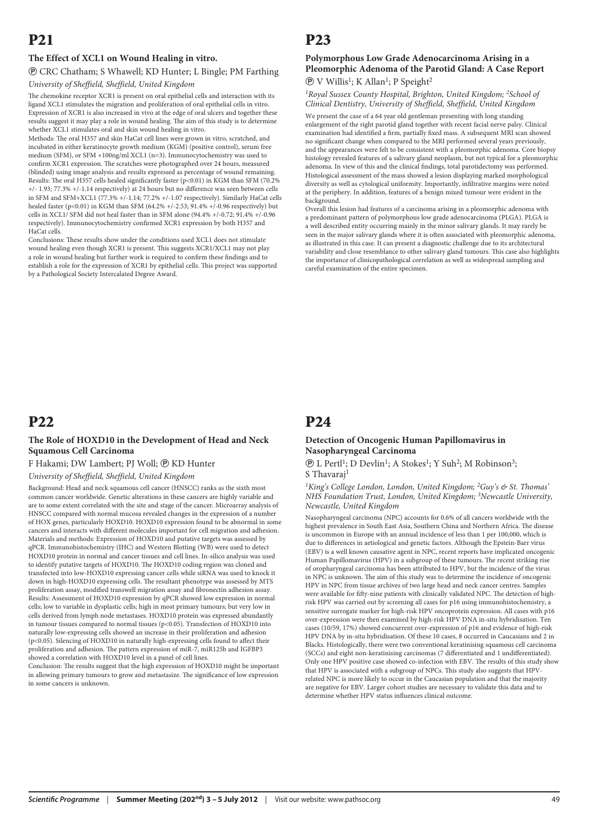**The Effect of XCL1 on Wound Healing in vitro.**

#### P CRC Chatham; S Whawell; KD Hunter; L Bingle; PM Farthing *University of Sheffield, Sheffield, United Kingdom*

The chemokine receptor XCR1 is present on oral epithelial cells and interaction with its ligand XCL1 stimulates the migration and proliferation of oral epithelial cells in vitro. Expression of XCR1 is also increased in vivo at the edge of oral ulcers and together these results suggest it may play a role in wound healing. The aim of this study is to determine whether XCL1 stimulates oral and skin wound healing in vitro.

Methods: The oral H357 and skin HaCat cell lines were grown in vitro, scratched, and incubated in either keratinocyte growth medium (KGM) (positive control), serum free medium (SFM), or SFM +100ng/ml XCL1 (n=3). Immunocytochemistry was used to confirm XCR1 expression. The scratches were photographed over 24 hours, measured (blinded) using image analysis and results expressed as percentage of wound remaining. Results: The oral H357 cells healed significantly faster ( $\stackrel{\sim}{\text{p}}$ <0.01) in KGM than SFM (70.2% +/- 1.93; 77.3% +/-1.14 respectively) at 24 hours but no difference was seen between cells in SFM and SFM+XCL1 (77.3% +/-1.14; 77.2% +/-1.07 respectively). Similarly HaCat cells healed faster (p<0.01) in KGM than SFM (64.2% +/-2.53; 91.4% +/-0.96 respectively) but cells in XCL1/ SFM did not heal faster than in SFM alone (94.4% +/-0.72; 91.4% +/-0.96 respectively). Immunocytochemistry confirmed XCR1 expression by both H357 and HaCat cells.

Conclusions: These results show under the conditions used XCL1 does not stimulate wound healing even though XCR1 is present. This suggests XCR1/XCL1 may not play a role in wound healing but further work is required to confirm these findings and to establish a role for the expression of XCR1 by epithelial cells. This project was supported by a Pathological Society Intercalated Degree Award.

# **P23**

# **Polymorphous Low Grade Adenocarcinoma Arising in a Pleomorphic Adenoma of the Parotid Gland: A Case Report**

## $\textcircled{P}$  V Willis<sup>1</sup>; K Allan<sup>1</sup>; P Speight<sup>2</sup>

*1Royal Sussex County Hospital, Brighton, United Kingdom; 2School of Clinical Dentistry, University of Sheffield, Sheffield, United Kingdom*

We present the case of a 64 year old gentleman presenting with long standing enlargement of the right parotid gland together with recent facial nerve palsy. Clinical examination had identified a firm, partially fixed mass. A subsequent MRI scan showed no significant change when compared to the MRI performed several years previously, and the appearances were felt to be consistent with a pleomorphic adenoma. Core biopsy histology revealed features of a salivary gland neoplasm, but not typical for a pleomorphic adenoma. In view of this and the clinical findings, total parotidectomy was performed. Histological assessment of the mass showed a lesion displaying marked morphological diversity as well as cytological uniformity. Importantly, infiltrative margins were noted at the periphery. In addition, features of a benign mixed tumour were evident in the background.

Overall this lesion had features of a carcinoma arising in a pleomorphic adenoma with a predominant pattern of polymorphous low grade adenocarcinoma (PLGA). PLGA is a well described entity occurring mainly in the minor salivary glands. It may rarely be seen in the major salivary glands where it is often associated with pleomorphic adenoma, as illustrated in this case. It can present a diagnostic challenge due to its architectural variability and close resemblance to other salivary gland tumours. This case also highlights the importance of clinicopathological correlation as well as widespread sampling and careful examination of the entire specimen.

# P22

#### **The Role of HOXD10 in the Development of Head and Neck Squamous Cell Carcinoma**

#### F Hakami; DW Lambert; PJ Woll; @ KD Hunter

*University of Sheffield, Sheffield, United Kingdom*

Background: Head and neck squamous cell cancer (HNSCC) ranks as the sixth most common cancer worldwide. Genetic alterations in these cancers are highly variable and are to some extent correlated with the site and stage of the cancer. Microarray analysis of HNSCC compared with normal mucosa revealed changes in the expression of a number of HOX genes, particularly HOXD10. HOXD10 expression found to be abnormal in some cancers and interacts with different molecules important for cell migration and adhesion. Materials and methods: Expression of HOXD10 and putative targets was assessed by qPCR. Immunohistochemistry (IHC) and Western Blotting (WB) were used to detect HOXD10 protein in normal and cancer tissues and cell lines. In-silico analysis was used to identify putative targets of HOXD10. The HOXD10 coding region was cloned and transfected into low-HOXD10 expressing cancer cells while siRNA was used to knock it down in high-HOXD10 expressing cells. The resultant phenotype was assessed by MTS proliferation assay, modified transwell migration assay and fibronectin adhesion assay. Results: Assessment of HOXD10 expression by qPCR showed low expression in normal cells; low to variable in dysplastic cells; high in most primary tumours; but very low in cells derived from lymph node metastases. HOXD10 protein was expressed abundantly in tumour tissues compared to normal tissues (p<0.05). Transfection of HOXD10 into naturally low-expressing cells showed an increase in their proliferation and adhesion (p<0.05). Silencing of HOXD10 in naturally high-expressing cells found to affect their proliferation and adhesion. The pattern expression of miR-7, miR125b and IGFBP3 showed a correlation with HOXD10 level in a panel of cell lines.

Conclusion: The results suggest that the high expression of HOXD10 might be important in allowing primary tumours to grow and metastasize. The significance of low expression in some cancers is unknown.

# P24

#### **Detection of Oncogenic Human Papillomavirus in Nasopharyngeal Carcinoma**

#### P L Pertl1; D Devlin1; A Stokes1; Y Suh2; M Robinson3; S Thavaraj<sup>1</sup>

#### *1King's College London, London, United Kingdom; 2Guy's & St. Thomas' NHS Foundation Trust, London, United Kingdom; 3Newcastle University, Newcastle, United Kingdom*

Nasopharyngeal carcinoma (NPC) accounts for 0.6% of all cancers worldwide with the highest prevalence in South East Asia, Southern China and Northern Africa. The disease is uncommon in Europe with an annual incidence of less than 1 per 100,000, which is due to differences in aetiological and genetic factors. Although the Epstein-Barr virus (EBV) is a well known causative agent in NPC, recent reports have implicated oncogenic Human Papillomavirus (HPV) in a subgroup of these tumours. The recent striking rise of oropharyngeal carcinoma has been attributed to HPV, but the incidence of the virus in NPC is unknown. The aim of this study was to determine the incidence of oncogenic HPV in NPC from tissue archives of two large head and neck cancer centres. Samples were available for fifty-nine patients with clinically validated NPC. The detection of highrisk HPV was carried out by screening all cases for p16 using immunohistochemistry, a sensitive surrogate marker for high-risk HPV oncoprotein expression. All cases with p16 over-expression were then examined by high-risk HPV DNA in-situ hybridisation. Ten cases (10/59, 17%) showed concurrent over-expression of p16 and evidence of high-risk HPV DNA by in-situ hybridisation. Of these 10 cases, 8 occurred in Caucasians and 2 in Blacks. Histologically, there were two conventional keratinising squamous cell carcinoma (SCCs) and eight non-keratinising carcinomas (7 differentiated and 1 undifferentiated). Only one HPV positive case showed co-infection with EBV. The results of this study show that HPV is associated with a subgroup of NPCs. This study also suggests that HPVrelated NPC is more likely to occur in the Caucasian population and that the majority are negative for EBV. Larger cohort studies are necessary to validate this data and to determine whether HPV status influences clinical outcome.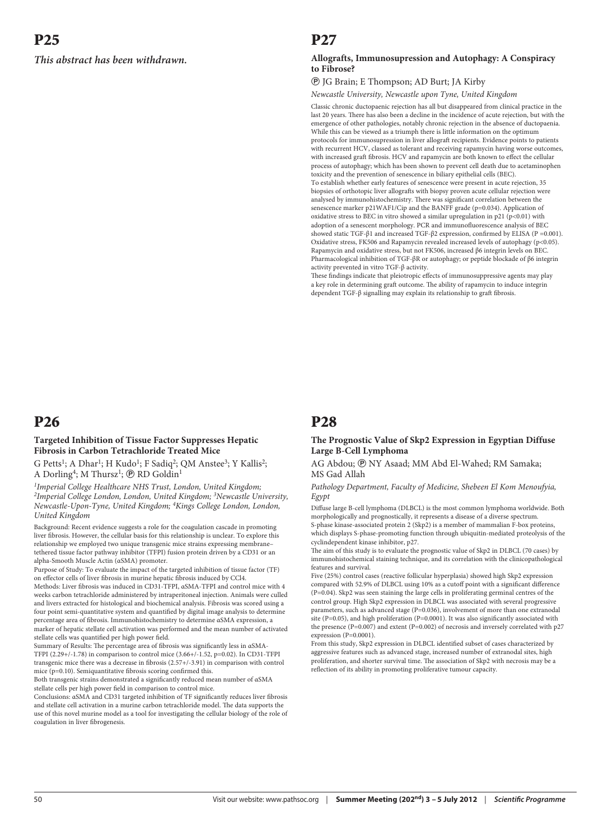*This abstract has been withdrawn.*

#### **Allografts, Immunosupression and Autophagy: A Conspiracy to Fibrose?**

#### P JG Brain; E Thompson; AD Burt; JA Kirby

#### *Newcastle University, Newcastle upon Tyne, United Kingdom*

Classic chronic ductopaenic rejection has all but disappeared from clinical practice in the last 20 years. There has also been a decline in the incidence of acute rejection, but with the emergence of other pathologies, notably chronic rejection in the absence of ductopaenia. While this can be viewed as a triumph there is little information on the optimum protocols for immunosupression in liver allograft recipients. Evidence points to patients with recurrent HCV, classed as tolerant and receiving rapamycin having worse outcomes, with increased graft fibrosis. HCV and rapamycin are both known to effect the cellular process of autophagy; which has been shown to prevent cell death due to acetaminophen toxicity and the prevention of senescence in biliary epithelial cells (BEC). To establish whether early features of senescence were present in acute rejection, 35 biopsies of orthotopic liver allografts with biopsy proven acute cellular rejection were analysed by immunohistochemistry. There was significant correlation between the senescence marker p21WAF1/Cip and the BANFF grade (p=0.034). Application of oxidative stress to BEC in vitro showed a similar upregulation in p21 (p<0.01) with adoption of a senescent morphology. PCR and immunofluorescence analysis of BEC showed static TGF-β1 and increased TGF-β2 expression, confirmed by ELISA (P =0.001). Oxidative stress, FK506 and Rapamycin revealed increased levels of autophagy (p<0.05). Rapamycin and oxidative stress, but not FK506, increased β6 integrin levels on BEC. Pharmacological inhibition of TGF-βR or autophagy; or peptide blockade of β6 integrin activity prevented in vitro TGF-β activity.

These findings indicate that pleiotropic effects of immunosuppressive agents may play a key role in determining graft outcome. The ability of rapamycin to induce integrin dependent TGF-β signalling may explain its relationship to graft fibrosis.

# P26

#### **Targeted Inhibition of Tissue Factor Suppresses Hepatic Fibrosis in Carbon Tetrachloride Treated Mice**

G Petts<sup>1</sup>; A Dhar<sup>1</sup>; H Kudo<sup>1</sup>; F Sadiq<sup>2</sup>; QM Anstee<sup>3</sup>; Y Kallis<sup>2</sup>; A Dorling<sup>4</sup>; M Thursz<sup>1</sup>; **(** $\Theta$  RD Goldin<sup>1</sup>

*1Imperial College Healthcare NHS Trust, London, United Kingdom; 2Imperial College London, London, United Kingdom; 3Newcastle University, Newcastle-Upon-Tyne, United Kingdom; 4Kings College London, London, United Kingdom*

Background: Recent evidence suggests a role for the coagulation cascade in promoting liver fibrosis. However, the cellular basis for this relationship is unclear. To explore this relationship we employed two unique transgenic mice strains expressing membrane– tethered tissue factor pathway inhibitor (TFPI) fusion protein driven by a CD31 or an alpha-Smooth Muscle Actin (αSMA) promoter.

Purpose of Study: To evaluate the impact of the targeted inhibition of tissue factor (TF) on effector cells of liver fibrosis in murine hepatic fibrosis induced by CCl4. Methods: Liver fibrosis was induced in CD31-TFPI, αSMA-TFPI and control mice with 4 weeks carbon tetrachloride administered by intraperitoneal injection. Animals were culled and livers extracted for histological and biochemical analysis. Fibrosis was scored using a four point semi-quantitative system and quantified by digital image analysis to determine percentage area of fibrosis. Immunohistochemistry to determine αSMA expression, a

marker of hepatic stellate cell activation was performed and the mean number of activated stellate cells was quantified per high power field.

Summary of Results: The percentage area of fibrosis was significantly less in αSMA-TFPI (2.29+/-1.78) in comparison to control mice (3.66+/-1.52, p=0.02). In CD31-TFPI transgenic mice there was a decrease in fibrosis (2.57+/-3.91) in comparison with control mice (p=0.10). Semiquantitative fibrosis scoring confirmed this.

Both transgenic strains demonstrated a significantly reduced mean number of αSMA stellate cells per high power field in comparison to control mice.

Conclusions: αSMA and CD31 targeted inhibition of TF significantly reduces liver fibrosis and stellate cell activation in a murine carbon tetrachloride model. The data supports the use of this novel murine model as a tool for investigating the cellular biology of the role of coagulation in liver fibrogenesis.

# P28

#### **The Prognostic Value of Skp2 Expression in Egyptian Diffuse Large B-Cell Lymphoma**

AG Abdou;  $\circledR$  NY Asaad; MM Abd El-Wahed; RM Samaka; MS Gad Allah

*Pathology Department, Faculty of Medicine, Shebeen El Kom Menoufyia, Egypt*

Diffuse large B-cell lymphoma (DLBCL) is the most common lymphoma worldwide. Both morphologically and prognostically, it represents a disease of a diverse spectrum.

S-phase kinase-associated protein 2 (Skp2) is a member of mammalian F-box proteins, which displays S-phase-promoting function through ubiquitin-mediated proteolysis of the cyclindependent kinase inhibitor, p27.

The aim of this study is to evaluate the prognostic value of Skp2 in DLBCL (70 cases) by immunohistochemical staining technique, and its correlation with the clinicopathological features and survival.

Five (25%) control cases (reactive follicular hyperplasia) showed high Skp2 expression compared with 52.9% of DLBCL using 10% as a cutoff point with a significant difference (P=0.04). Skp2 was seen staining the large cells in proliferating germinal centres of the control group. High Skp2 expression in DLBCL was associated with several progressive parameters, such as advanced stage (P=0.036), involvement of more than one extranodal site (P=0.05), and high proliferation (P=0.0001). It was also significantly associated with the presence (P=0.007) and extent (P=0.002) of necrosis and inversely correlated with p27 expression (P=0.0001).

From this study, Skp2 expression in DLBCL identified subset of cases characterized by aggressive features such as advanced stage, increased number of extranodal sites, high proliferation, and shorter survival time. The association of Skp2 with necrosis may be a reflection of its ability in promoting proliferative tumour capacity.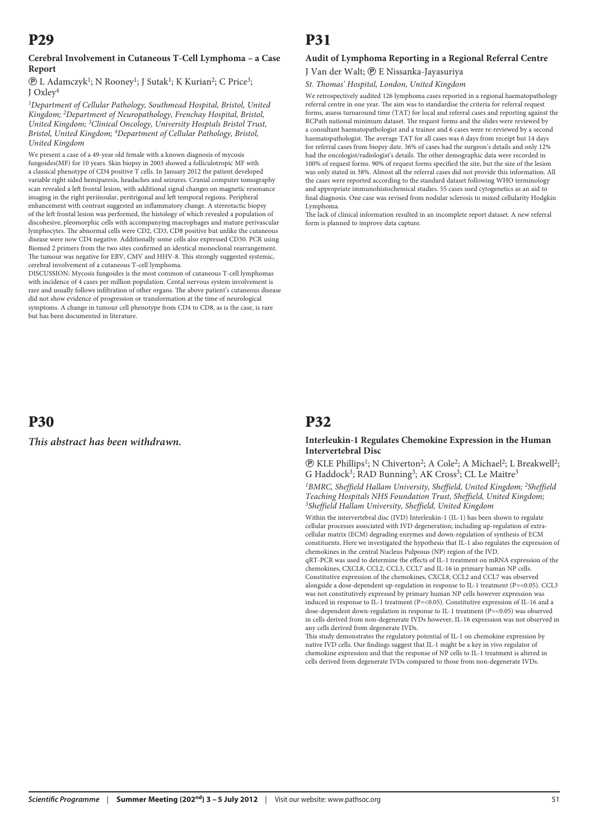#### **Cerebral Involvement in Cutaneous T-Cell Lymphoma – a Case Report**

 $\textcircled{P}$  L Adamczyk<sup>1</sup>; N Rooney<sup>1</sup>; J Sutak<sup>1</sup>; K Kurian<sup>2</sup>; C Price<sup>3</sup>; J Oxley<sup>4</sup>

*1Department of Cellular Pathology, Southmead Hospital, Bristol, United Kingdom; 2Department of Neuropathology, Frenchay Hospital, Bristol, United Kingdom; 3Clinical Oncology, University Hosptals Bristol Trust, Bristol, United Kingdom; 4Department of Cellular Pathology, Bristol, United Kingdom*

We present a case of a 49-year old female with a known diagnosis of mycosis fungoides(MF) for 10 years. Skin biopsy in 2003 showed a folliculotropic MF with a classical phenotype of CD4 positive T cells. In January 2012 the patient developed variable right sided hemiparesis, headaches and seizures. Cranial computer tomography scan revealed a left frontal lesion, with additional signal changes on magnetic resonance imaging in the right periinsular, peritrigonal and left temporal regions. Peripheral enhancement with contrast suggested an inflammatory change. A stereotactic biopsy of the left frontal lesion was performed, the histology of which revealed a population of discohesive, pleomorphic cells with accompanying macrophages and mature perivascular lymphocytes. The abnormal cells were CD2, CD3, CD8 positive but unlike the cutaneous disease were now CD4 negative. Additionally some cells also expressed CD30. PCR using Biomed 2 primers from the two sites confirmed an identical monoclonal rearrangement. The tumour was negative for EBV, CMV and HHV-8. This strongly suggested systemic, cerebral involvement of a cutaneous T-cell lymphoma.

DISCUSSION: Mycosis fungoides is the most common of cutaneous T-cell lymphomas with incidence of 4 cases per million population. Cental nervous system involvement is rare and usually follows infiltration of other organs. The above patient's cutaneous disease did not show evidence of progression or transformation at the time of neurological symptoms. A change in tumour cell phenotype from CD4 to CD8, as is the case, is rare but has been documented in literature.

# **P30**

*This abstract has been withdrawn.*

#### **Audit of Lymphoma Reporting in a Regional Referral Centre**

J Van der Walt;  $\overline{\mathcal{P}}$  E Nissanka-Jayasuriya

*St. Thomas' Hospital, London, United Kingdom*

We retrospectively audited 126 lymphoma cases reported in a regional haematopathology referral centre in one year. The aim was to standardise the criteria for referral request forms, assess turnaround time (TAT) for local and referral cases and reporting against the RCPath national minimum dataset. The request forms and the slides were reviewed by a consultant haematopathologist and a trainee and 6 cases were re-reviewed by a second haematopathologist. The average TAT for all cases was 6 days from receipt but 14 days for referral cases from biopsy date. 36% of cases had the surgeon's details and only 12% had the oncologist/radiologist's details. The other demographic data were recorded in 100% of request forms. 90% of request forms specified the site, but the size of the lesion was only stated in 38%. Almost all the referral cases did not provide this information. All the cases were reported according to the standard dataset following WHO terminology and appropriate immunohistochemical studies. 55 cases used cytogenetics as an aid to final diagnosis. One case was revised from nodular sclerosis to mixed cellularity Hodgkin Lymphoma.

The lack of clinical information resulted in an incomplete report dataset. A new referral form is planned to improve data capture.

# P32

#### **Interleukin-1 Regulates Chemokine Expression in the Human Intervertebral Disc**

P KLE Phillips1; N Chiverton2; A Cole2; A Michael2; L Breakwell2; G Haddock<sup>3</sup>; RAD Bunning<sup>3</sup>; AK Cross<sup>3</sup>; CL Le Maitre<sup>3</sup>

*1BMRC, Sheffield Hallam University, Sheffield, United Kingdom; 2Sheffield Teaching Hospitals NHS Foundation Trust, Sheffield, United Kingdom; 3Sheffield Hallam University, Sheffield, United Kingdom*

Within the intervertebral disc (IVD) Interleukin-1 (IL-1) has been shown to regulate cellular processes associated with IVD degeneration; including up-regulation of extracellular matrix (ECM) degrading enzymes and down-regulation of synthesis of ECM constituents. Here we investigated the hypothesis that IL-1 also regulates the expression of chemokines in the central Nucleus Pulposus (NP) region of the IVD.

qRT-PCR was used to determine the effects of IL-1 treatment on mRNA expression of the chemokines, CXCL8, CCL2, CCL3, CCL7 and IL-16 in primary human NP cells. Constitutive expression of the chemokines, CXCL8, CCL2 and CCL7 was observed

alongside a dose-dependent up-regulation in response to IL-1 treatment (P=<0.05). CCL3 was not constitutively expressed by primary human NP cells however expression was induced in response to IL-1 treatment (P=<0.05). Constitutive expression of IL-16 and a dose-dependent down-regulation in response to IL-1 treatment  $(P=<0.05)$  was observed in cells derived from non-degenerate IVDs however, IL-16 expression was not observed in any cells derived from degenerate IVDs.

This study demonstrates the regulatory potential of IL-1 on chemokine expression by native IVD cells. Our findings suggest that IL-1 might be a key in vivo regulator of chemokine expression and that the response of NP cells to IL-1 treatment is altered in cells derived from degenerate IVDs compared to those from non-degenerate IVDs.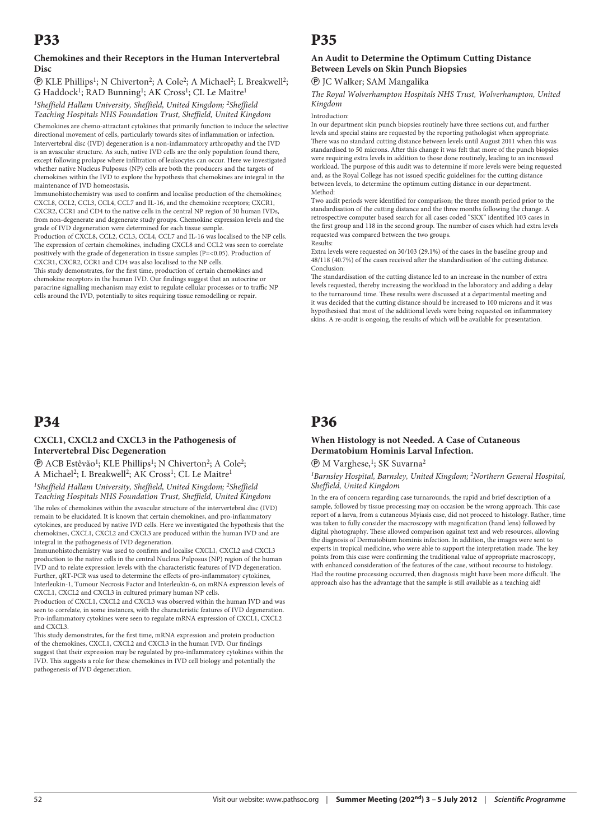#### **Chemokines and their Receptors in the Human Intervertebral Disc**

P KLE Phillips1; N Chiverton2; A Cole2; A Michael2; L Breakwell2; G Haddock<sup>1</sup>; RAD Bunning<sup>1</sup>; AK Cross<sup>1</sup>; CL Le Maitre<sup>1</sup> *1Sheffield Hallam University, Sheffield, United Kingdom; 2Sheffield Teaching Hospitals NHS Foundation Trust, Sheffield, United Kingdom*

Chemokines are chemo-attractant cytokines that primarily function to induce the selective directional movement of cells, particularly towards sites of inflammation or infection. Intervertebral disc (IVD) degeneration is a non-inflammatory arthropathy and the IVD is an avascular structure. As such, native IVD cells are the only population found there, except following prolapse where infiltration of leukocytes can occur. Here we investigated whether native Nucleus Pulposus (NP) cells are both the producers and the targets of chemokines within the IVD to explore the hypothesis that chemokines are integral in the maintenance of IVD homeostasis.

Immunohistochemistry was used to confirm and localise production of the chemokines; CXCL8, CCL2, CCL3, CCL4, CCL7 and IL-16, and the chemokine receptors; CXCR1, CXCR2, CCR1 and CD4 to the native cells in the central NP region of 30 human IVDs, from non-degenerate and degenerate study groups. Chemokine expression levels and the grade of IVD degeneration were determined for each tissue sample.

Production of CXCL8, CCL2, CCL3, CCL4, CCL7 and IL-16 was localised to the NP cells. The expression of certain chemokines, including CXCL8 and CCL2 was seen to correlate positively with the grade of degeneration in tissue samples (P=<0.05). Production of CXCR1, CXCR2, CCR1 and CD4 was also localised to the NP cells.

This study demonstrates, for the first time, production of certain chemokines and chemokine receptors in the human IVD. Our findings suggest that an autocrine or paracrine signalling mechanism may exist to regulate cellular processes or to traffic NP cells around the IVD, potentially to sites requiring tissue remodelling or repair.

# P35

#### **An Audit to Determine the Optimum Cutting Distance Between Levels on Skin Punch Biopsies**

#### P JC Walker; SAM Mangalika

*The Royal Wolverhampton Hospitals NHS Trust, Wolverhampton, United Kingdom*

#### Introduction:

In our department skin punch biopsies routinely have three sections cut, and further levels and special stains are requested by the reporting pathologist when appropriate. There was no standard cutting distance between levels until August 2011 when this was standardised to 50 microns. After this change it was felt that more of the punch biopsies were requiring extra levels in addition to those done routinely, leading to an increased workload. The purpose of this audit was to determine if more levels were being requested and, as the Royal College has not issued specific guidelines for the cutting distance between levels, to determine the optimum cutting distance in our department. Method:

Two audit periods were identified for comparison; the three month period prior to the standardisation of the cutting distance and the three months following the change. A retrospective computer based search for all cases coded "SKX" identified 103 cases in the first group and 118 in the second group. The number of cases which had extra levels requested was compared between the two groups. Results:

Extra levels were requested on 30/103 (29.1%) of the cases in the baseline group and 48/118 (40.7%) of the cases received after the standardisation of the cutting distance. **Conclusion** 

The standardisation of the cutting distance led to an increase in the number of extra levels requested, thereby increasing the workload in the laboratory and adding a delay to the turnaround time. These results were discussed at a departmental meeting and it was decided that the cutting distance should be increased to 100 microns and it was hypothesised that most of the additional levels were being requested on inflammatory skins. A re-audit is ongoing, the results of which will be available for presentation.

# P34

#### **CXCL1, CXCL2 and CXCL3 in the Pathogenesis of Intervertebral Disc Degeneration**

P ACB Estêvão1; KLE Phillips1; N Chiverton2; A Cole2; A Michael<sup>2</sup>; L Breakwell<sup>2</sup>; AK Cross<sup>1</sup>; CL Le Maitre<sup>1</sup>

*1Sheffield Hallam University, Sheffield, United Kingdom; 2Sheffield Teaching Hospitals NHS Foundation Trust, Sheffield, United Kingdom*

The roles of chemokines within the avascular structure of the intervertebral disc (IVD) remain to be elucidated. It is known that certain chemokines, and pro-inflammatory cytokines, are produced by native IVD cells. Here we investigated the hypothesis that the chemokines, CXCL1, CXCL2 and CXCL3 are produced within the human IVD and are integral in the pathogenesis of IVD degeneration.

Immunohistochemistry was used to confirm and localise CXCL1, CXCL2 and CXCL3 production to the native cells in the central Nucleus Pulposus (NP) region of the human IVD and to relate expression levels with the characteristic features of IVD degeneration. Further, qRT-PCR was used to determine the effects of pro-inflammatory cytokines, Interleukin-1, Tumour Necrosis Factor and Interleukin-6, on mRNA expression levels of CXCL1, CXCL2 and CXCL3 in cultured primary human NP cells.

Production of CXCL1, CXCL2 and CXCL3 was observed within the human IVD and was seen to correlate, in some instances, with the characteristic features of IVD degeneration. Pro-inflammatory cytokines were seen to regulate mRNA expression of CXCL1, CXCL2 and CXCL3.

This study demonstrates, for the first time, mRNA expression and protein production of the chemokines, CXCL1, CXCL2 and CXCL3 in the human IVD. Our findings suggest that their expression may be regulated by pro-inflammatory cytokines within the IVD. This suggests a role for these chemokines in IVD cell biology and potentially the pathogenesis of IVD degeneration.

# P36

#### **When Histology is not Needed. A Case of Cutaneous Dermatobium Hominis Larval Infection.**

 $\textcircled{P}$  M Varghese,<sup>1</sup>; SK Suvarna<sup>2</sup>

#### *1Barnsley Hospital, Barnsley, United Kingdom; 2Northern General Hospital, Sheffield, United Kingdom*

In the era of concern regarding case turnarounds, the rapid and brief description of a sample, followed by tissue processing may on occasion be the wrong approach. This case report of a larva, from a cutaneous Myiasis case, did not proceed to histology. Rather, time was taken to fully consider the macroscopy with magnification (hand lens) followed by digital photography. These allowed comparison against text and web resources, allowing the diagnosis of Dermatobium hominis infection. In addition, the images were sent to experts in tropical medicine, who were able to support the interpretation made. The key points from this case were confirming the traditional value of appropriate macroscopy, with enhanced consideration of the features of the case, without recourse to histology. Had the routine processing occurred, then diagnosis might have been more difficult. The approach also has the advantage that the sample is still available as a teaching aid!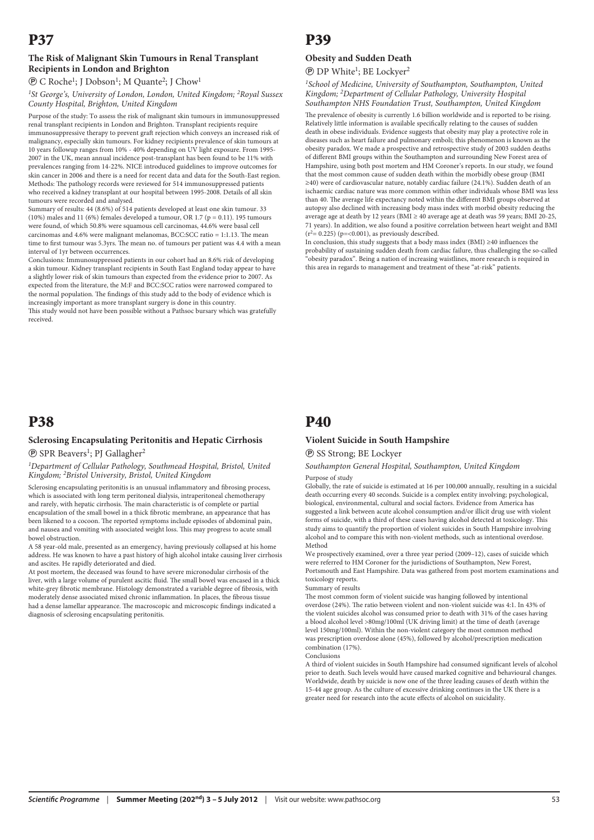#### **The Risk of Malignant Skin Tumours in Renal Transplant Recipients in London and Brighton**

 $\textcircled{P}$  C Roche<sup>1</sup>; J Dobson<sup>1</sup>; M Quante<sup>2</sup>; J Chow<sup>1</sup>

*1St George's, University of London, London, United Kingdom; 2Royal Sussex County Hospital, Brighton, United Kingdom*

Purpose of the study: To assess the risk of malignant skin tumours in immunosuppressed renal transplant recipients in London and Brighton. Transplant recipients require immunosuppressive therapy to prevent graft rejection which conveys an increased risk of malignancy, especially skin tumours. For kidney recipients prevalence of skin tumours at 10 years followup ranges from 10% - 40% depending on UV light exposure. From 1995- 2007 in the UK, mean annual incidence post-transplant has been found to be 11% with prevalences ranging from 14-22%. NICE introduced guidelines to improve outcomes for skin cancer in 2006 and there is a need for recent data and data for the South-East region. Methods: The pathology records were reviewed for 514 immunosuppressed patients who received a kidney transplant at our hospital between 1995-2008. Details of all skin tumours were recorded and analysed.

Summary of results: 44 (8.6%) of 514 patients developed at least one skin tumour. 33 (10%) males and 11 (6%) females developed a tumour, OR 1.7 ( $p = 0.11$ ). 195 tumours were found, of which 50.8% were squamous cell carcinomas, 44.6% were basal cell carcinomas and 4.6% were malignant melanomas, BCC:SCC ratio = 1:1.13. The mean time to first tumour was 5.3yrs. The mean no. of tumours per patient was 4.4 with a mean interval of 1yr between occurrences.

Conclusions: Immunosuppressed patients in our cohort had an 8.6% risk of developing a skin tumour. Kidney transplant recipients in South East England today appear to have a slightly lower risk of skin tumours than expected from the evidence prior to 2007. As expected from the literature, the M:F and BCC:SCC ratios were narrowed compared to the normal population. The findings of this study add to the body of evidence which is increasingly important as more transplant surgery is done in this country.

This study would not have been possible without a Pathsoc bursary which was gratefully received.

# P38

#### **Sclerosing Encapsulating Peritonitis and Hepatic Cirrhosis P** SPR Beavers<sup>1</sup>; PJ Gallagher<sup>2</sup>

*1Department of Cellular Pathology, Southmead Hospital, Bristol, United Kingdom; 2Bristol University, Bristol, United Kingdom*

Sclerosing encapsulating peritonitis is an unusual inflammatory and fibrosing process, which is associated with long term peritoneal dialysis, intraperitoneal chemotherapy and rarely, with hepatic cirrhosis. The main characteristic is of complete or partial encapsulation of the small bowel in a thick fibrotic membrane, an appearance that has been likened to a cocoon. The reported symptoms include episodes of abdominal pain, and nausea and vomiting with associated weight loss. This may progress to acute small bowel obstruction.

A 58 year-old male, presented as an emergency, having previously collapsed at his home address. He was known to have a past history of high alcohol intake causing liver cirrhosis and ascites. He rapidly deteriorated and died.

At post mortem, the deceased was found to have severe micronodular cirrhosis of the liver, with a large volume of purulent ascitic fluid. The small bowel was encased in a thick white-grey fibrotic membrane. Histology demonstrated a variable degree of fibrosis, with moderately dense associated mixed chronic inflammation. In places, the fibrous tissue had a dense lamellar appearance. The macroscopic and microscopic findings indicated a diagnosis of sclerosing encapsulating peritonitis.

# P39

#### **Obesity and Sudden Death**

**P** DP White<sup>1</sup>; BE Lockyer<sup>2</sup>

*1School of Medicine, University of Southampton, Southampton, United Kingdom; 2Department of Cellular Pathology, University Hospital Southampton NHS Foundation Trust, Southampton, United Kingdom*

The prevalence of obesity is currently 1.6 billion worldwide and is reported to be rising. Relatively little information is available specifically relating to the causes of sudden death in obese individuals. Evidence suggests that obesity may play a protective role in diseases such as heart failure and pulmonary emboli; this phenomenon is known as the obesity paradox. We made a prospective and retrospective study of 2003 sudden deaths of different BMI groups within the Southampton and surrounding New Forest area of Hampshire, using both post mortem and HM Coroner's reports. In our study, we found that the most common cause of sudden death within the morbidly obese group (BMI ≥40) were of cardiovascular nature, notably cardiac failure (24.1%). Sudden death of an ischaemic cardiac nature was more common within other individuals whose BMI was less than 40. The average life expectancy noted within the different BMI groups observed at autopsy also declined with increasing body mass index with morbid obesity reducing the average age at death by 12 years (BMI ≥ 40 average age at death was 59 years; BMI 20-25, 71 years). In addition, we also found a positive correlation between heart weight and BMI  $(r^2=0.225)$  (p=<0.001), as previously described.

In conclusion, this study suggests that a body mass index (BMI) ≥40 influences the probability of sustaining sudden death from cardiac failure, thus challenging the so-called "obesity paradox". Being a nation of increasing waistlines, more research is required in this area in regards to management and treatment of these "at-risk" patients.

# **P40**

#### **Violent Suicide in South Hampshire**

P SS Strong; BE Lockyer

#### *Southampton General Hospital, Southampton, United Kingdom* Purpose of study

Globally, the rate of suicide is estimated at 16 per 100,000 annually, resulting in a suicidal death occurring every 40 seconds. Suicide is a complex entity involving; psychological, biological, environmental, cultural and social factors. Evidence from America has suggested a link between acute alcohol consumption and/or illicit drug use with violent forms of suicide, with a third of these cases having alcohol detected at toxicology. This study aims to quantify the proportion of violent suicides in South Hampshire involving alcohol and to compare this with non-violent methods, such as intentional overdose. Method

We prospectively examined, over a three year period (2009–12), cases of suicide which were referred to HM Coroner for the jurisdictions of Southampton, New Forest, Portsmouth and East Hampshire. Data was gathered from post mortem examinations and toxicology reports.

Summary of results

The most common form of violent suicide was hanging followed by intentional overdose (24%). The ratio between violent and non-violent suicide was 4:1. In 43% of the violent suicides alcohol was consumed prior to death with 31% of the cases having a blood alcohol level >80mg/100ml (UK driving limit) at the time of death (average level 150mg/100ml). Within the non-violent category the most common method was prescription overdose alone (45%), followed by alcohol/prescription medication combination (17%).

Conclusions A third of violent suicides in South Hampshire had consumed significant levels of alcohol prior to death. Such levels would have caused marked cognitive and behavioural changes. Worldwide, death by suicide is now one of the three leading causes of death within the 15-44 age group. As the culture of excessive drinking continues in the UK there is a greater need for research into the acute effects of alcohol on suicidality.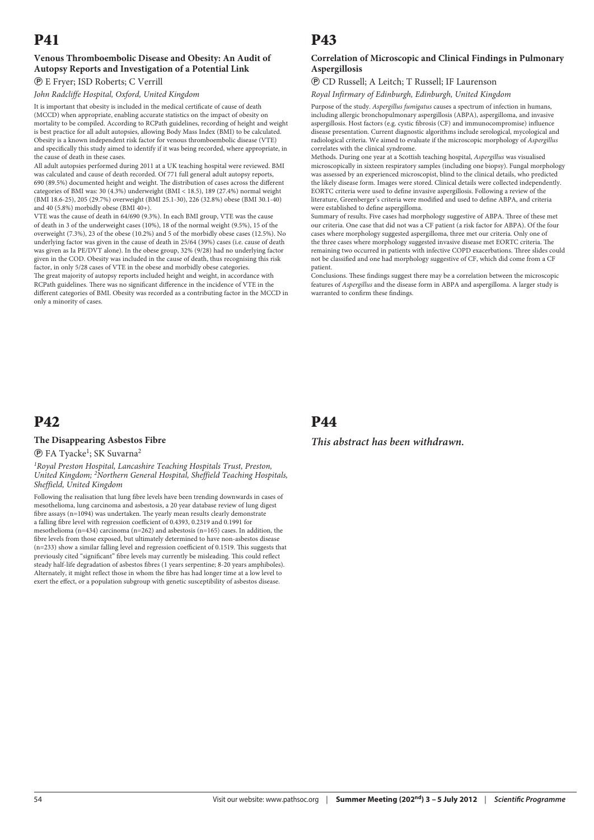## **Venous Thromboembolic Disease and Obesity: An Audit of Autopsy Reports and Investigation of a Potential Link**

P E Fryer; ISD Roberts; C Verrill

*John Radcliffe Hospital, Oxford, United Kingdom*

It is important that obesity is included in the medical certificate of cause of death (MCCD) when appropriate, enabling accurate statistics on the impact of obesity on mortality to be compiled. According to RCPath guidelines, recording of height and weight is best practice for all adult autopsies, allowing Body Mass Index (BMI) to be calculated. Obesity is a known independent risk factor for venous thromboembolic disease (VTE) and specifically this study aimed to identify if it was being recorded, where appropriate, in the cause of death in these cases.

All adult autopsies performed during 2011 at a UK teaching hospital were reviewed. BMI was calculated and cause of death recorded. Of 771 full general adult autopsy reports, 690 (89.5%) documented height and weight. The distribution of cases across the different categories of BMI was: 30 (4.3%) underweight (BMI < 18.5), 189 (27.4%) normal weight (BMI 18.6-25), 205 (29.7%) overweight (BMI 25.1-30), 226 (32.8%) obese (BMI 30.1-40) and 40 (5.8%) morbidly obese (BMI  $40+$ ).

VTE was the cause of death in 64/690 (9.3%). In each BMI group, VTE was the cause of death in 3 of the underweight cases (10%), 18 of the normal weight (9.5%), 15 of the overweight (7.3%), 23 of the obese (10.2%) and 5 of the morbidly obese cases (12.5%). No underlying factor was given in the cause of death in 25/64 (39%) cases (i.e. cause of death was given as Ia PE/DVT alone). In the obese group, 32% (9/28) had no underlying factor given in the COD. Obesity was included in the cause of death, thus recognising this risk factor, in only 5/28 cases of VTE in the obese and morbidly obese categories. The great majority of autopsy reports included height and weight, in accordance with RCPath guidelines. There was no significant difference in the incidence of VTE in the different categories of BMI. Obesity was recorded as a contributing factor in the MCCD in

# P43

#### **Correlation of Microscopic and Clinical Findings in Pulmonary Aspergillosis**

#### P CD Russell; A Leitch; T Russell; IF Laurenson

*Royal Infirmary of Edinburgh, Edinburgh, United Kingdom*

Purpose of the study. *Aspergillus fumigatus* causes a spectrum of infection in humans, including allergic bronchopulmonary aspergillosis (ABPA), aspergilloma, and invasive aspergillosis. Host factors (e.g. cystic fibrosis (CF) and immunocompromise) influence disease presentation. Current diagnostic algorithms include serological, mycological and radiological criteria. We aimed to evaluate if the microscopic morphology of *Aspergillus* correlates with the clinical syndrome.

Methods. During one year at a Scottish teaching hospital, *Aspergillus* was visualised microscopically in sixteen respiratory samples (including one biopsy). Fungal morphology was assessed by an experienced microscopist, blind to the clinical details, who predicted the likely disease form. Images were stored. Clinical details were collected independently. EORTC criteria were used to define invasive aspergillosis. Following a review of the literature, Greenberger's criteria were modified and used to define ABPA, and criteria were established to define aspergilloma.

Summary of results. Five cases had morphology suggestive of ABPA. Three of these met our criteria. One case that did not was a CF patient (a risk factor for ABPA). Of the four cases where morphology suggested aspergilloma, three met our criteria. Only one of the three cases where morphology suggested invasive disease met EORTC criteria. The remaining two occurred in patients with infective COPD exacerbations. Three slides could not be classified and one had morphology suggestive of CF, which did come from a CF patient.

Conclusions. These findings suggest there may be a correlation between the microscopic features of *Aspergillus* and the disease form in ABPA and aspergilloma. A larger study is warranted to confirm these findings.

# P<sub>42</sub>

only a minority of cases.

#### **The Disappearing Asbestos Fibre**

**P** FA Tyacke<sup>1</sup>; SK Suvarna<sup>2</sup>

*1Royal Preston Hospital, Lancashire Teaching Hospitals Trust, Preston, United Kingdom; 2Northern General Hospital, Sheffield Teaching Hospitals, Sheffield, United Kingdom*

Following the realisation that lung fibre levels have been trending downwards in cases of mesothelioma, lung carcinoma and asbestosis, a 20 year database review of lung digest fibre assays (n=1094) was undertaken. The yearly mean results clearly demonstrate a falling fibre level with regression coefficient of 0.4393, 0.2319 and 0.1991 for mesothelioma (n=434) carcinoma (n=262) and asbestosis (n=165) cases. In addition, the fibre levels from those exposed, but ultimately determined to have non-asbestos disease (n=233) show a similar falling level and regression coefficient of 0.1519. This suggests that previously cited "significant" fibre levels may currently be misleading. This could reflect steady half-life degradation of asbestos fibres (1 years serpentine; 8-20 years amphiboles). Alternately, it might reflect those in whom the fibre has had longer time at a low level to exert the effect, or a population subgroup with genetic susceptibility of asbestos disease.

# P44

#### *This abstract has been withdrawn.*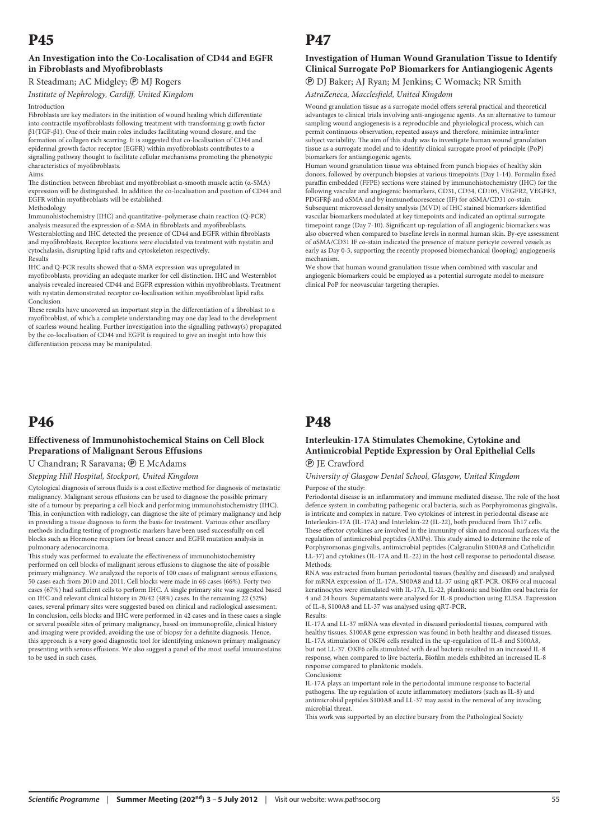#### **An Investigation into the Co-Localisation of CD44 and EGFR in Fibroblasts and Myofibroblasts**

### R Steadman; AC Midgley;  $\textcircled{P}$  MJ Rogers

*Institute of Nephrology, Cardiff, United Kingdom*

Introduction

Fibroblasts are key mediators in the initiation of wound healing which differentiate into contractile myofibroblasts following treatment with transforming growth factor β1(TGF-β1). One of their main roles includes facilitating wound closure, and the formation of collagen rich scarring. It is suggested that co-localisation of CD44 and epidermal growth factor receptor (EGFR) within myofibroblasts contributes to a signalling pathway thought to facilitate cellular mechanisms promoting the phenotypic characteristics of myofibroblasts. Aims

The distinction between fibroblast and myofibroblast α-smooth muscle actin (α-SMA) expression will be distinguished. In addition the co-localisation and position of CD44 and EGFR within myofibroblasts will be established. Methodology

Immunohistochemistry (IHC) and quantitative–polymerase chain reaction (Q-PCR) analysis measured the expression of α-SMA in fibroblasts and myofibroblasts. Westernblotting and IHC detected the presence of CD44 and EGFR within fibroblasts and myofibroblasts. Receptor locations were elucidated via treatment with nystatin and cytochalasin, disrupting lipid rafts and cytoskeleton respectively. Results

IHC and Q-PCR results showed that α-SMA expression was upregulated in myofibroblasts, providing an adequate marker for cell distinction. IHC and Westernblot analysis revealed increased CD44 and EGFR expression within myofibroblasts. Treatment with nystatin demonstrated receptor co-localisation within myofibroblast lipid rafts. Conclusion

These results have uncovered an important step in the differentiation of a fibroblast to a myofibroblast, of which a complete understanding may one day lead to the development of scarless wound healing. Further investigation into the signalling pathway(s) propagated by the co-localisation of CD44 and EGFR is required to give an insight into how this differentiation process may be manipulated.

# P46

#### **Effectiveness of Immunohistochemical Stains on Cell Block Preparations of Malignant Serous Effusions**

#### U Chandran; R Saravana;  $\overline{\mathcal{P}}$  E McAdams

#### *Stepping Hill Hospital, Stockport, United Kingdom*

Cytological diagnosis of serous fluids is a cost effective method for diagnosis of metastatic malignancy. Malignant serous effusions can be used to diagnose the possible primary site of a tumour by preparing a cell block and performing immunohistochemistry (IHC). This, in conjunction with radiology, can diagnose the site of primary malignancy and help in providing a tissue diagnosis to form the basis for treatment. Various other ancillary methods including testing of prognostic markers have been used successfully on cell blocks such as Hormone receptors for breast cancer and EGFR mutation analysis in pulmonary adenocarcinoma.

This study was performed to evaluate the effectiveness of immunohistochemistry performed on cell blocks of malignant serous effusions to diagnose the site of possible primary malignancy. We analyzed the reports of 100 cases of malignant serous effusions, 50 cases each from 2010 and 2011. Cell blocks were made in 66 cases (66%). Forty two cases (67%) had sufficient cells to perform IHC. A single primary site was suggested based on IHC and relevant clinical history in 20/42 (48%) cases. In the remaining 22 (52%) cases, several primary sites were suggested based on clinical and radiological assessment. In conclusion, cells blocks and IHC were performed in 42 cases and in these cases a single or several possible sites of primary malignancy, based on immunoprofile, clinical history and imaging were provided, avoiding the use of biopsy for a definite diagnosis. Hence, this approach is a very good diagnostic tool for identifying unknown primary malignancy presenting with serous effusions. We also suggest a panel of the most useful imuunostains to be used in such cases.

# **P47**

#### **Investigation of Human Wound Granulation Tissue to Identify Clinical Surrogate PoP Biomarkers for Antiangiogenic Agents**

P DJ Baker; AJ Ryan; M Jenkins; C Womack; NR Smith

*AstraZeneca, Macclesfield, United Kingdom*

Wound granulation tissue as a surrogate model offers several practical and theoretical advantages to clinical trials involving anti-angiogenic agents. As an alternative to tumour sampling wound angiogenesis is a reproducible and physiological process, which can permit continuous observation, repeated assays and therefore, minimize intra/inter subject variability. The aim of this study was to investigate human wound granulation tissue as a surrogate model and to identify clinical surrogate proof of principle (PoP) biomarkers for antiangiogenic agents.

Human wound granulation tissue was obtained from punch biopsies of healthy skin donors, followed by overpunch biopsies at various timepoints (Day 1-14). Formalin fixed paraffin embedded (FFPE) sections were stained by immunohistochemistry (IHC) for the following vascular and angiogenic biomarkers, CD31, CD34, CD105, VEGFR2, VEGFR3, PDGFRβ and αSMA and by immunofluorescence (IF) for αSMA/CD31 co-stain. Subsequent microvessel density analysis (MVD) of IHC stained biomarkers identified vascular biomarkers modulated at key timepoints and indicated an optimal surrogate timepoint range (Day 7-10). Significant up-regulation of all angiogenic biomarkers was also observed when compared to baseline levels in normal human skin. By-eye assessment of αSMA/CD31 IF co-stain indicated the presence of mature pericyte covered vessels as early as Day 0-3, supporting the recently proposed biomechanical (looping) angiogenesis mechanism.

We show that human wound granulation tissue when combined with vascular and angiogenic biomarkers could be employed as a potential surrogate model to measure clinical PoP for neovascular targeting therapies.

# **P48**

#### **Interleukin-17A Stimulates Chemokine, Cytokine and Antimicrobial Peptide Expression by Oral Epithelial Cells**

#### P JE Crawford

### *University of Glasgow Dental School, Glasgow, United Kingdom*

#### Purpose of the study:

Periodontal disease is an inflammatory and immune mediated disease. The role of the host defence system in combating pathogenic oral bacteria, such as Porphyromonas gingivalis, is intricate and complex in nature. Two cytokines of interest in periodontal disease are Interleukin-17A (IL-17A) and Interlekin-22 (IL-22), both produced from Th17 cells. These effector cytokines are involved in the immunity of skin and mucosal surfaces via the regulation of antimicrobial peptides (AMPs). This study aimed to determine the role of Porphyromonas gingivalis, antimicrobial peptides (Calgranulin S100A8 and Cathelicidin LL-37) and cytokines (IL-17A and IL-22) in the host cell response to periodontal disease. Methods:

RNA was extracted from human periodontal tissues (healthy and diseased) and analysed for mRNA expression of IL-17A, S100A8 and LL-37 using qRT-PCR. OKF6 oral mucosal keratinocytes were stimulated with IL-17A, IL-22, planktonic and biofilm oral bacteria for 4 and 24 hours. Supernatants were analysed for IL-8 production using ELISA .Expression of IL-8, S100A8 and LL-37 was analysed using qRT-PCR. Results:

IL-17A and LL-37 mRNA was elevated in diseased periodontal tissues, compared with healthy tissues. S100A8 gene expression was found in both healthy and diseased tissues. IL-17A stimulation of OKF6 cells resulted in the up-regulation of IL-8 and S100A8, but not LL-37. OKF6 cells stimulated with dead bacteria resulted in an increased IL-8 response, when compared to live bacteria. Biofilm models exhibited an increased IL-8 response compared to planktonic models.

Conclusions:

IL-17A plays an important role in the periodontal immune response to bacterial pathogens. The up regulation of acute inflammatory mediators (such as IL-8) and antimicrobial peptides S100A8 and LL-37 may assist in the removal of any invading microbial threat.

This work was supported by an elective bursary from the Pathological Society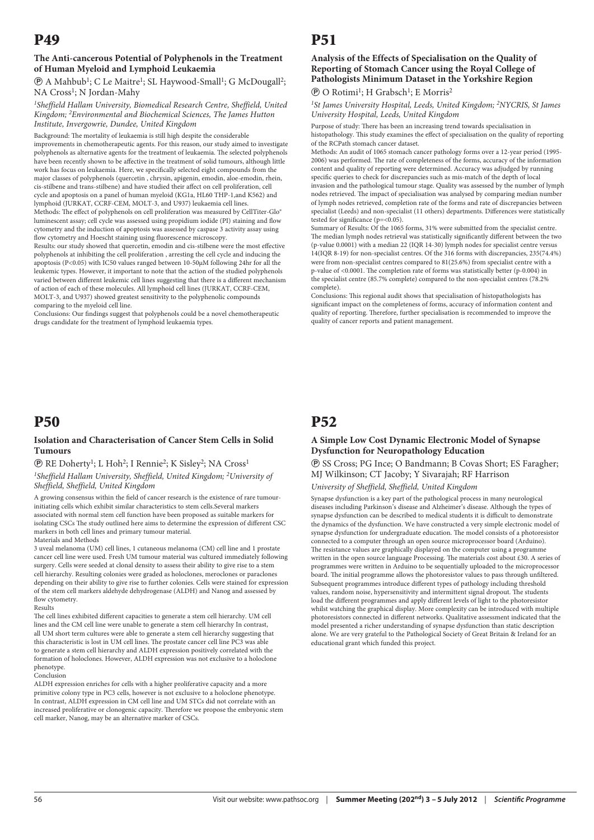#### **The Anti-cancerous Potential of Polyphenols in the Treatment of Human Myeloid and Lymphoid Leukaemia**

 $\textcircled{P}$  A Mahbub<sup>1</sup>; C Le Maitre<sup>1</sup>; SL Haywood-Small<sup>1</sup>; G McDougall<sup>2</sup>; NA Cross<sup>1</sup>; N Jordan-Mahy

*1Sheffield Hallam University, Biomedical Research Centre, Sheffield, United Kingdom; 2Environmental and Biochemical Sciences, The James Hutton Institute, Invergowrie, Dundee, United Kingdom*

Background: The mortality of leukaemia is still high despite the considerable

improvements in chemotherapeutic agents. For this reason, our study aimed to investigate polyphenols as alternative agents for the treatment of leukaemia. The selected polyphenols have been recently shown to be affective in the treatment of solid tumours, although little work has focus on leukaemia. Here, we specifically selected eight compounds from the major classes of polyphenols (quercetin , chrysin, apigenin, emodin, aloe-emodin, rhein, cis-stilbene and trans-stilbene) and have studied their affect on cell proliferation, cell cycle and apoptosis on a panel of human myeloid (KG1a, HL60 THP-1,and K562) and lymphoid (JURKAT, CCRF-CEM, MOLT-3, and U937) leukaemia cell lines.

Methods: The effect of polyphenols on cell proliferation was measured by CellTiter-Glo® luminescent assay; cell cycle was assessed using propidium iodide (PI) staining and flow cytometry and the induction of apoptosis was assessed by caspase 3 activity assay using flow cytometry and Hoescht staining using fluorescence microscopy.

Results: our study showed that quercetin, emodin and cis-stilbene were the most effective polyphenols at inhibiting the cell proliferation , arresting the cell cycle and inducing the apoptosis (P<0.05) with IC50 values ranged between 10-50µM following 24hr for all the leukemic types. However, it important to note that the action of the studied polyphenols varied between different leukemic cell lines suggesting that there is a different mechanism of action of each of these molecules. All lymphoid cell lines (JURKAT, CCRF-CEM, MOLT-3, and U937) showed greatest sensitivity to the polyphenolic compounds comparing to the myeloid cell line.

Conclusions: Our findings suggest that polyphenols could be a novel chemotherapeutic drugs candidate for the treatment of lymphoid leukaemia types.

# **P50**

#### **Isolation and Characterisation of Cancer Stem Cells in Solid Tumours**

#### P RE Doherty1; L Hoh2; I Rennie2; K Sisley2; NA Cross1

#### *1Sheffield Hallam University, Sheffield, United Kingdom; 2University of Sheffield, Sheffield, United Kingdom*

A growing consensus within the field of cancer research is the existence of rare tumourinitiating cells which exhibit similar characteristics to stem cells.Several markers associated with normal stem cell function have been proposed as suitable markers for isolating CSCs The study outlined here aims to determine the expression of different CSC markers in both cell lines and primary tumour material. Materials and Methods

3 uveal melanoma (UM) cell lines, 1 cutaneous melanoma (CM) cell line and 1 prostate cancer cell line were used. Fresh UM tumour material was cultured immediately following surgery. Cells were seeded at clonal density to assess their ability to give rise to a stem cell hierarchy. Resulting colonies were graded as holoclones, meroclones or paraclones depending on their ability to give rise to further colonies. Cells were stained for expression of the stem cell markers aldehyde dehydrogenase (ALDH) and Nanog and assessed by flow cytometry.

#### Results

The cell lines exhibited different capacities to generate a stem cell hierarchy. UM cell lines and the CM cell line were unable to generate a stem cell hierarchy In contrast, all UM short term cultures were able to generate a stem cell hierarchy suggesting that this characteristic is lost in UM cell lines. The prostate cancer cell line PC3 was able to generate a stem cell hierarchy and ALDH expression positively correlated with the formation of holoclones. However, ALDH expression was not exclusive to a holoclone phenotype.

#### Conclusion

ALDH expression enriches for cells with a higher proliferative capacity and a more primitive colony type in PC3 cells, however is not exclusive to a holoclone phenotype. In contrast, ALDH expression in CM cell line and UM STCs did not correlate with an increased proliferative or clonogenic capacity. Therefore we propose the embryonic stem cell marker, Nanog, may be an alternative marker of CSCs.

# P51

#### **Analysis of the Effects of Specialisation on the Quality of Reporting of Stomach Cancer using the Royal College of Pathologists Minimum Dataset in the Yorkshire Region**

 $\textcircled{P}$  O Rotimi<sup>1</sup>; H Grabsch<sup>1</sup>; E Morris<sup>2</sup>

*1St James University Hospital, Leeds, United Kingdom; 2NYCRIS, St James University Hospital, Leeds, United Kingdom*

Purpose of study: There has been an increasing trend towards specialisation in histopathology. This study examines the effect of specialisation on the quality of reporting of the RCPath stomach cancer dataset.

Methods: An audit of 1065 stomach cancer pathology forms over a 12-year period (1995- 2006) was performed. The rate of completeness of the forms, accuracy of the information content and quality of reporting were determined. Accuracy was adjudged by running specific queries to check for discrepancies such as mis-match of the depth of local invasion and the pathological tumour stage. Quality was assessed by the number of lymph nodes retrieved. The impact of specialisation was analysed by comparing median number of lymph nodes retrieved, completion rate of the forms and rate of discrepancies between specialist (Leeds) and non-specialist (11 others) departments. Differences were statistically tested for significance (p=<0.05).

Summary of Results: Of the 1065 forms, 31% were submitted from the specialist centre. The median lymph nodes retrieval was statistically significantly different between the two (p-value 0.0001) with a median 22 (IQR 14-30) lymph nodes for specialist centre versus 14(IQR 8-19) for non-specialist centres. Of the 316 forms with discrepancies, 235(74.4%) were from non-specialist centres compared to 81(25.6%) from specialist centre with a p-value of <0.0001. The completion rate of forms was statistically better (p-0.004) in the specialist centre (85.7% complete) compared to the non-specialist centres (78.2% complete).

Conclusions: This regional audit shows that specialisation of histopathologists has significant impact on the completeness of forms, accuracy of information content and quality of reporting. Therefore, further specialisation is recommended to improve the quality of cancer reports and patient management.

# P52

#### **A Simple Low Cost Dynamic Electronic Model of Synapse Dysfunction for Neuropathology Education**

P SS Cross; PG Ince; O Bandmann; B Covas Short; ES Faragher; MJ Wilkinson; CT Jacoby; Y Sivarajah; RF Harrison

#### *University of Sheffield, Sheffield, United Kingdom*

Synapse dysfunction is a key part of the pathological process in many neurological diseases including Parkinson's disease and Alzheimer's disease. Although the types of synapse dysfunction can be described to medical students it is difficult to demonstrate the dynamics of the dysfunction. We have constructed a very simple electronic model of synapse dysfunction for undergraduate education. The model consists of a photoresistor connected to a computer through an open source microprocessor board (Arduino). The resistance values are graphically displayed on the computer using a programme written in the open source language Processing. The materials cost about £30. A series of programmes were written in Arduino to be sequentially uploaded to the microprocessor board. The initial programme allows the photoresistor values to pass through unfiltered. Subsequent programmes introduce different types of pathology including threshold values, random noise, hypersensitivity and intermittent signal dropout. The students load the different programmes and apply different levels of light to the photoresistor whilst watching the graphical display. More complexity can be introduced with multiple photoresistors connected in different networks. Qualitative assessment indicated that the model presented a richer understanding of synapse dysfunction than static description alone. We are very grateful to the Pathological Society of Great Britain & Ireland for an educational grant which funded this project.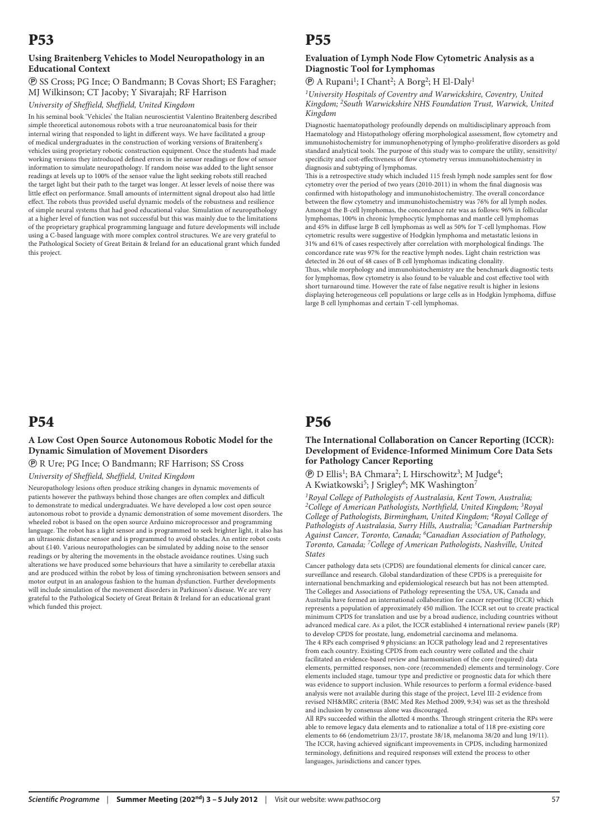#### **Using Braitenberg Vehicles to Model Neuropathology in an Educational Context**

### P SS Cross; PG Ince; O Bandmann; B Covas Short; ES Faragher; MJ Wilkinson; CT Jacoby; Y Sivarajah; RF Harrison

*University of Sheffield, Sheffield, United Kingdom*

In his seminal book 'Vehicles' the Italian neuroscientist Valentino Braitenberg described simple theoretical autonomous robots with a true neuroanatomical basis for their internal wiring that responded to light in different ways. We have facilitated a group of medical undergraduates in the construction of working versions of Braitenberg's vehicles using proprietary robotic construction equipment. Once the students had made working versions they introduced defined errors in the sensor readings or flow of sensor information to simulate neuropathology. If random noise was added to the light sensor readings at levels up to 100% of the sensor value the light seeking robots still reached the target light but their path to the target was longer. At lesser levels of noise there was little effect on performance. Small amounts of intermittent signal dropout also had little effect. The robots thus provided useful dynamic models of the robustness and resilience of simple neural systems that had good educational value. Simulation of neuropathology at a higher level of function was not successful but this was mainly due to the limitations of the proprietary graphical programming language and future developments will include using a C-based language with more complex control structures. We are very grateful to the Pathological Society of Great Britain & Ireland for an educational grant which funded this project.

#### **Evaluation of Lymph Node Flow Cytometric Analysis as a Diagnostic Tool for Lymphomas**

#### $\textcircled{P}$  A Rupani<sup>1</sup>; I Chant<sup>2</sup>; A Borg<sup>2</sup>; H El-Daly<sup>1</sup>

*1University Hospitals of Coventry and Warwickshire, Coventry, United Kingdom; 2South Warwickshire NHS Foundation Trust, Warwick, United Kingdom*

Diagnostic haematopathology profoundly depends on multidisciplinary approach from Haematology and Histopathology offering morphological assessment, flow cytometry and immunohistochemistry for immunophenotyping of lympho-proliferative disorders as gold standard analytical tools. The purpose of this study was to compare the utility, sensitivity/ specificity and cost-effectiveness of flow cytometry versus immunohistochemistry in diagnosis and subtyping of lymphomas.

This is a retrospective study which included 115 fresh lymph node samples sent for flow cytometry over the period of two years (2010-2011) in whom the final diagnosis was confirmed with histopathology and immunohistochemistry. The overall concordance between the flow cytometry and immunohistochemistry was 76% for all lymph nodes. Amongst the B-cell lymphomas, the concordance rate was as follows: 96% in follicular lymphomas, 100% in chronic lymphocytic lymphomas and mantle cell lymphomas and 45% in diffuse large B cell lymphomas as well as 50% for T-cell lymphomas. Flow cytometric results were suggestive of Hodgkin lymphoma and metastatic lesions in 31% and 61% of cases respectively after correlation with morphological findings. The concordance rate was 97% for the reactive lymph nodes. Light chain restriction was detected in 26 out of 48 cases of B cell lymphomas indicating clonality. Thus, while morphology and immunohistochemistry are the benchmark diagnostic tests for lymphomas, flow cytometry is also found to be valuable and cost effective tool with short turnaround time. However the rate of false negative result is higher in lesions displaying heterogeneous cell populations or large cells as in Hodgkin lymphoma, diffuse large B cell lymphomas and certain T-cell lymphomas.

# P54

#### **A Low Cost Open Source Autonomous Robotic Model for the Dynamic Simulation of Movement Disorders**

#### P R Ure; PG Ince; O Bandmann; RF Harrison; SS Cross

#### *University of Sheffield, Sheffield, United Kingdom*

Neuropathology lesions often produce striking changes in dynamic movements of patients however the pathways behind those changes are often complex and difficult to demonstrate to medical undergraduates. We have developed a low cost open source autonomous robot to provide a dynamic demonstration of some movement disorders. The wheeled robot is based on the open source Arduino microprocessor and programming language. The robot has a light sensor and is programmed to seek brighter light, it also has an ultrasonic distance sensor and is programmed to avoid obstacles. An entire robot costs about £140. Various neuropathologies can be simulated by adding noise to the sensor readings or by altering the movements in the obstacle avoidance routines. Using such alterations we have produced some behaviours that have a similarity to cerebellar ataxia and are produced within the robot by loss of timing synchronisation between sensors and motor output in an analogous fashion to the human dysfunction. Further developments will include simulation of the movement disorders in Parkinson's disease. We are very grateful to the Pathological Society of Great Britain & Ireland for an educational grant which funded this project.

# P56

#### **The International Collaboration on Cancer Reporting (ICCR): Development of Evidence-Informed Minimum Core Data Sets for Pathology Cancer Reporting**

#### P D Ellis1; BA Chmara2; L Hirschowitz3; M Judge4; A Kwiatkowski<sup>5</sup>; J Srigley<sup>6</sup>; MK Washington<sup>7</sup>

*1Royal College of Pathologists of Australasia, Kent Town, Australia; 2College of American Pathologists, Northfield, United Kingdom; 3Royal College of Pathologists, Birmingham, United Kingdom; 4Royal College of Pathologists of Australasia, Surry Hills, Australia; 5Canadian Partnership Against Cancer, Toronto, Canada; 6Canadian Association of Pathology, Toronto, Canada; 7College of American Pathologists, Nashville, United States*

Cancer pathology data sets (CPDS) are foundational elements for clinical cancer care, surveillance and research. Global standardization of these CPDS is a prerequisite for international benchmarking and epidemiological research but has not been attempted. The Colleges and Associations of Pathology representing the USA, UK, Canada and Australia have formed an international collaboration for cancer reporting (ICCR) which represents a population of approximately 450 million. The ICCR set out to create practical minimum CPDS for translation and use by a broad audience, including countries without advanced medical care. As a pilot, the ICCR established 4 international review panels (RP) to develop CPDS for prostate, lung, endometrial carcinoma and melanoma. The 4 RPs each comprised 9 physicians: an ICCR pathology lead and 2 representatives from each country. Existing CPDS from each country were collated and the chair facilitated an evidence-based review and harmonisation of the core (required) data elements, permitted responses, non-core (recommended) elements and terminology. Core elements included stage, tumour type and predictive or prognostic data for which there was evidence to support inclusion. While resources to perform a formal evidence-based analysis were not available during this stage of the project, Level III-2 evidence from revised NH&MRC criteria (BMC Med Res Method 2009, 9:34) was set as the threshold and inclusion by consensus alone was discouraged.

All RPs succeeded within the allotted 4 months. Through stringent criteria the RPs were able to remove legacy data elements and to rationalize a total of 118 pre-existing core elements to 66 (endometrium 23/17, prostate 38/18, melanoma 38/20 and lung 19/11). The ICCR, having achieved significant improvements in CPDS, including harmonized terminology, definitions and required responses will extend the process to other languages, jurisdictions and cancer types.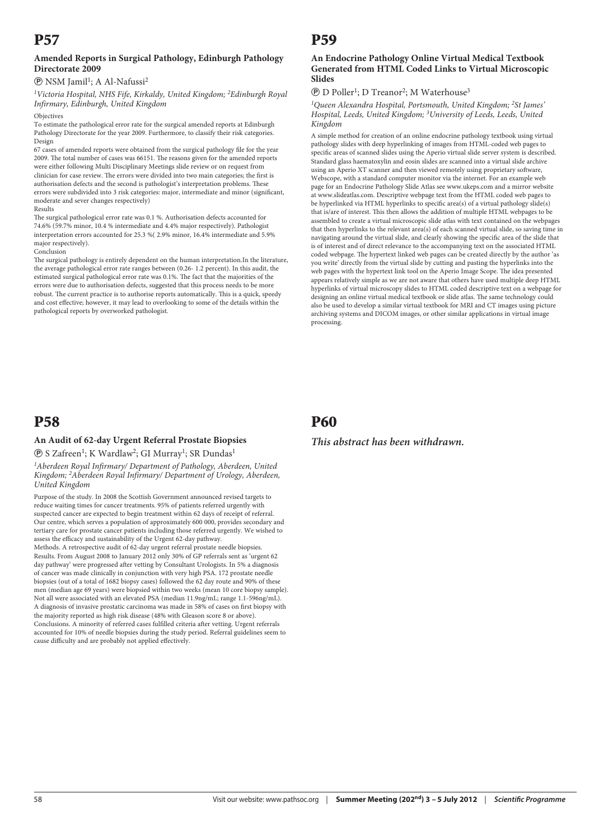#### **Amended Reports in Surgical Pathology, Edinburgh Pathology Directorate 2009**

#### $\textcircled{P}$  NSM Jamil<sup>1</sup>; A Al-Nafussi<sup>2</sup>

*1Victoria Hospital, NHS Fife, Kirkaldy, United Kingdom; 2Edinburgh Royal Infirmary, Edinburgh, United Kingdom*

#### Objectives

To estimate the pathological error rate for the surgical amended reports at Edinburgh Pathology Directorate for the year 2009. Furthermore, to classify their risk categories. Design

67 cases of amended reports were obtained from the surgical pathology file for the year 2009. The total number of cases was 66151. The reasons given for the amended reports were either following Multi Disciplinary Meetings slide review or on request from clinician for case review. The errors were divided into two main categories; the first is authorisation defects and the second is pathologist's interpretation problems. These errors were subdivided into 3 risk categories: major, intermediate and minor (significant, moderate and sever changes respectively)

#### Results

The surgical pathological error rate was 0.1 %. Authorisation defects accounted for 74.6% (59.7% minor, 10.4 % intermediate and 4.4% major respectively). Pathologist interpretation errors accounted for 25.3 %( 2.9% minor, 16.4% intermediate and 5.9% major respectively).

#### Conclusion

The surgical pathology is entirely dependent on the human interpretation.In the literature, the average pathological error rate ranges between (0.26- 1.2 percent). In this audit, the estimated surgical pathological error rate was 0.1%. The fact that the majorities of the errors were due to authorisation defects, suggested that this process needs to be more robust. The current practice is to authorise reports automatically. This is a quick, speedy and cost effective; however, it may lead to overlooking to some of the details within the pathological reports by overworked pathologist.

# **P59**

#### **An Endocrine Pathology Online Virtual Medical Textbook Generated from HTML Coded Links to Virtual Microscopic Slides**

#### $\textcircled{P}$  D Poller<sup>1</sup>; D Treanor<sup>2</sup>; M Waterhouse<sup>3</sup>

*1Queen Alexandra Hospital, Portsmouth, United Kingdom; 2St James' Hospital, Leeds, United Kingdom; 3University of Leeds, Leeds, United Kingdom*

A simple method for creation of an online endocrine pathology textbook using virtual pathology slides with deep hyperlinking of images from HTML-coded web pages to specific areas of scanned slides using the Aperio virtual slide server system is described. Standard glass haematoxylin and eosin slides are scanned into a virtual slide archive using an Aperio XT scanner and then viewed remotely using proprietary software, Webscope, with a standard computer monitor via the internet. For an example web page for an Endocrine Pathology Slide Atlas see www.ukeps.com and a mirror website at www.slideatlas.com. Descriptive webpage text from the HTML coded web pages to be hyperlinked via HTML hyperlinks to specific area(s) of a virtual pathology slide(s) that is/are of interest. This then allows the addition of multiple HTML webpages to be assembled to create a virtual microscopic slide atlas with text contained on the webpages that then hyperlinks to the relevant area(s) of each scanned virtual slide, so saving time in navigating around the virtual slide, and clearly showing the specific area of the slide that is of interest and of direct relevance to the accompanying text on the associated HTML coded webpage. The hypertext linked web pages can be created directly by the author 'as you write' directly from the virtual slide by cutting and pasting the hyperlinks into the web pages with the hypertext link tool on the Aperio Image Scope. The idea presented appears relatively simple as we are not aware that others have used multiple deep HTML hyperlinks of virtual microscopy slides to HTML coded descriptive text on a webpage for designing an online virtual medical textbook or slide atlas. The same technology could also be used to develop a similar virtual textbook for MRI and CT images using picture archiving systems and DICOM images, or other similar applications in virtual image processing.

# P58

#### **An Audit of 62-day Urgent Referral Prostate Biopsies**

 $\circledR$  S Zafreen<sup>1</sup>; K Wardlaw<sup>2</sup>; GI Murray<sup>1</sup>; SR Dundas<sup>1</sup>

*1Aberdeen Royal Infirmary/ Department of Pathology, Aberdeen, United Kingdom; 2Aberdeen Royal Infirmary/ Department of Urology, Aberdeen, United Kingdom*

Purpose of the study. In 2008 the Scottish Government announced revised targets to reduce waiting times for cancer treatments. 95% of patients referred urgently with suspected cancer are expected to begin treatment within 62 days of receipt of referral. Our centre, which serves a population of approximately 600 000, provides secondary and tertiary care for prostate cancer patients including those referred urgently. We wished to assess the efficacy and sustainability of the Urgent 62-day pathway. Methods. A retrospective audit of 62-day urgent referral prostate needle biopsies.

Results. From August 2008 to January 2012 only 30% of GP referrals sent as 'urgent 62 day pathway' were progressed after vetting by Consultant Urologists. In 5% a diagnosis of cancer was made clinically in conjunction with very high PSA. 172 prostate needle biopsies (out of a total of 1682 biopsy cases) followed the 62 day route and 90% of these men (median age 69 years) were biopsied within two weeks (mean 10 core biopsy sample). Not all were associated with an elevated PSA (median 11.9ng/mL; range 1.1-596ng/mL). A diagnosis of invasive prostatic carcinoma was made in 58% of cases on first biopsy with the majority reported as high risk disease (48% with Gleason score 8 or above). Conclusions. A minority of referred cases fulfilled criteria after vetting. Urgent referrals accounted for 10% of needle biopsies during the study period. Referral guidelines seem to cause difficulty and are probably not applied effectively.

# **P60**

#### *This abstract has been withdrawn.*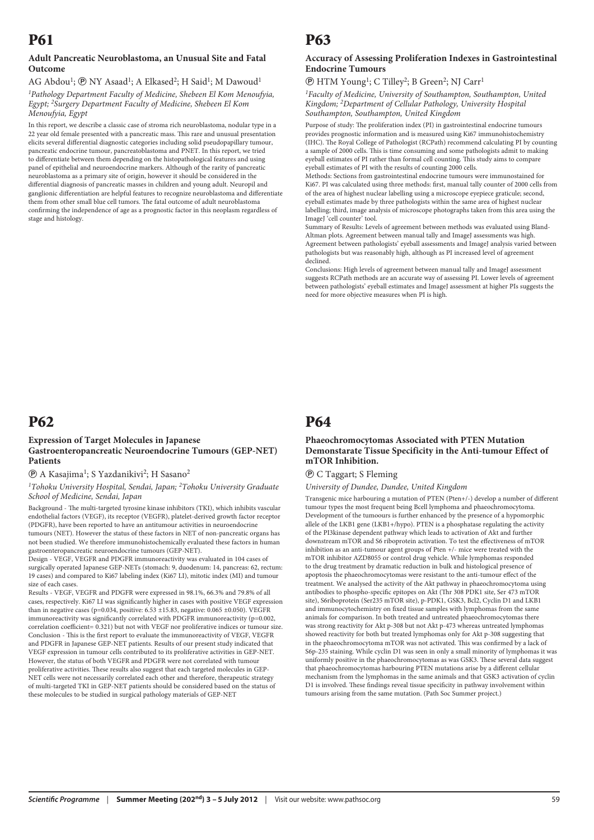#### **Adult Pancreatic Neuroblastoma, an Unusual Site and Fatal Outcome**

#### AG Abdou<sup>1</sup>; **@** NY Asaad<sup>1</sup>; A Elkased<sup>2</sup>; H Said<sup>1</sup>; M Dawoud<sup>1</sup>

*1Pathology Department Faculty of Medicine, Shebeen El Kom Menoufyia, Egypt; 2Surgery Department Faculty of Medicine, Shebeen El Kom Menoufyia, Egypt*

In this report, we describe a classic case of stroma rich neuroblastoma, nodular type in a 22 year old female presented with a pancreatic mass. This rare and unusual presentation elicits several differential diagnostic categories including solid pseudopapillary tumour, pancreatic endocrine tumour, pancreatoblastoma and PNET. In this report, we tried to differentiate between them depending on the histopathological features and using panel of epithelial and neuroendocrine markers. Although of the rarity of pancreatic neuroblastoma as a primary site of origin, however it should be considered in the differential diagnosis of pancreatic masses in children and young adult. Neuropil and ganglionic differentiation are helpful features to recognize neuroblastoma and differentiate them from other small blue cell tumors. The fatal outcome of adult neuroblastoma confirming the independence of age as a prognostic factor in this neoplasm regardless of stage and histology.

# **P63**

#### **Accuracy of Assessing Proliferation Indexes in Gastrointestinal Endocrine Tumours**

#### $\textcircled{P}$  HTM Young<sup>1</sup>; C Tilley<sup>2</sup>; B Green<sup>2</sup>; NJ Carr<sup>1</sup>

*1Faculty of Medicine, University of Southampton, Southampton, United Kingdom; 2Department of Cellular Pathology, University Hospital Southampton, Southampton, United Kingdom*

Purpose of study: The proliferation index (PI) in gastrointestinal endocrine tumours provides prognostic information and is measured using Ki67 immunohistochemistry (IHC). The Royal College of Pathologist (RCPath) recommend calculating PI by counting a sample of 2000 cells. This is time consuming and some pathologists admit to making eyeball estimates of PI rather than formal cell counting. This study aims to compare eyeball estimates of PI with the results of counting 2000 cells.

Methods: Sections from gastrointestinal endocrine tumours were immunostained for Ki67. PI was calculated using three methods: first, manual tally counter of 2000 cells from of the area of highest nuclear labelling using a microscope eyepiece graticule; second, eyeball estimates made by three pathologists within the same area of highest nuclear labelling; third, image analysis of microscope photographs taken from this area using the ImageJ 'cell counter' tool.

Summary of Results: Levels of agreement between methods was evaluated using Bland-Altman plots. Agreement between manual tally and ImageJ assessments was high. Agreement between pathologists' eyeball assessments and ImageJ analysis varied between pathologists but was reasonably high, although as PI increased level of agreement declined.

Conclusions: High levels of agreement between manual tally and ImageJ assessment suggests RCPath methods are an accurate way of assessing PI. Lower levels of agreement between pathologists' eyeball estimates and ImageJ assessment at higher PIs suggests the need for more objective measures when PI is high.

# P62

#### **Expression of Target Molecules in Japanese Gastroenteropancreatic Neuroendocrine Tumours (GEP-NET) Patients**

#### P A Kasajima1; S Yazdanikivi2; H Sasano2

*1Tohoku University Hospital, Sendai, Japan; 2Tohoku University Graduate School of Medicine, Sendai, Japan*

Background - The multi-targeted tyrosine kinase inhibitors (TKI), which inhibits vascular endothelial factors (VEGF), its receptor (VEGFR), platelet-derived growth factor receptor (PDGFR), have been reported to have an antitumour activities in neuroendocrine tumours (NET). However the status of these factors in NET of non-pancreatic organs has not been studied. We therefore immunohistochemically evaluated these factors in human gastroenteropancreatic neuroendocrine tumours (GEP-NET).

Design - VEGF, VEGFR and PDGFR immunoreactivity was evaluated in 104 cases of surgically operated Japanese GEP-NETs (stomach: 9, duodenum: 14, pancreas: 62, rectum: 19 cases) and compared to Ki67 labeling index (Ki67 LI), mitotic index (MI) and tumour size of each cases

Results - VEGF, VEGFR and PDGFR were expressed in 98.1%, 66.3% and 79.8% of all cases, respectively. Ki67 LI was significantly higher in cases with positive VEGF expression than in negative cases (p=0.034, positive:  $6.53 \pm 15.83$ , negative:  $0.065 \pm 0.050$ ). VEGFR immunoreactivity was significantly correlated with PDGFR immunoreactivity (p=0.002, correlation coefficient= 0.321) but not with VEGF nor proliferative indices or tumour size. Conclusion - This is the first report to evaluate the immunoreactivity of VEGF, VEGFR and PDGFR in Japanese GEP-NET patients. Results of our present study indicated that VEGF expression in tumour cells contributed to its proliferative activities in GEP-NET. However, the status of both VEGFR and PDGFR were not correlated with tumour proliferative activities. These results also suggest that each targeted molecules in GEP-NET cells were not necessarily correlated each other and therefore, therapeutic strategy of multi-targeted TKI in GEP-NET patients should be considered based on the status of these molecules to be studied in surgical pathology materials of GEP-NET

# P64

#### **Phaeochromocytomas Associated with PTEN Mutation Demonstarate Tissue Specificity in the Anti-tumour Effect of mTOR Inhibition.**

#### P C Taggart; S Fleming

*University of Dundee, Dundee, United Kingdom*

Transgenic mice harbouring a mutation of PTEN (Pten+/-) develop a number of different tumour types the most frequent being Bcell lymphoma and phaeochromocytoma. Development of the tumoours is further enhanced by the presence of a hypomorphic allele of the LKB1 gene (LKB1+/hypo). PTEN is a phosphatase regulating the activity of the PI3kinase dependent pathway which leads to activation of Akt and further downstream mTOR and S6 riboprotein activation. To test the effectiveness of mTOR inhibition as an anti-tumour agent groups of Pten +/- mice were treated with the mTOR inhibitor AZD8055 or control drug vehicle. While lymphomas responded to the drug treatment by dramatic reduction in bulk and histological presence of apoptosis the phaeochromocytomas were resistant to the anti-tumour effect of the treatment. We analysed the activity of the Akt pathway in phaeochromocytoma using antibodies to phospho-specific epitopes on Akt (Thr 308 PDK1 site, Ser 473 mTOR site), S6riboprotein (Ser235 mTOR site), p-PDK1, GSK3, Bcl2, Cyclin D1 and LKB1 and immunocytochemistry on fixed tissue samples with lymphomas from the same animals for comparison. In both treated and untreated phaeochromocytomas there was strong reactivity for Akt p-308 but not Akt p-473 whereas untreated lymphomas showed reactivity for both but treated lymphomas only for Akt p-308 suggesting that in the phaeochromocytoma mTOR was not activated. This was confirmed by a lack of S6p-235 staining. While cyclin D1 was seen in only a small minority of lymphomas it was uniformly positive in the phaeochromocytomas as was GSK3. These several data suggest that phaeochromocytomas harbouring PTEN mutations arise by a different cellular mechanism from the lymphomas in the same animals and that GSK3 activation of cyclin D1 is involved. These findings reveal tissue specificity in pathway involvement within tumours arising from the same mutation. (Path Soc Summer project.)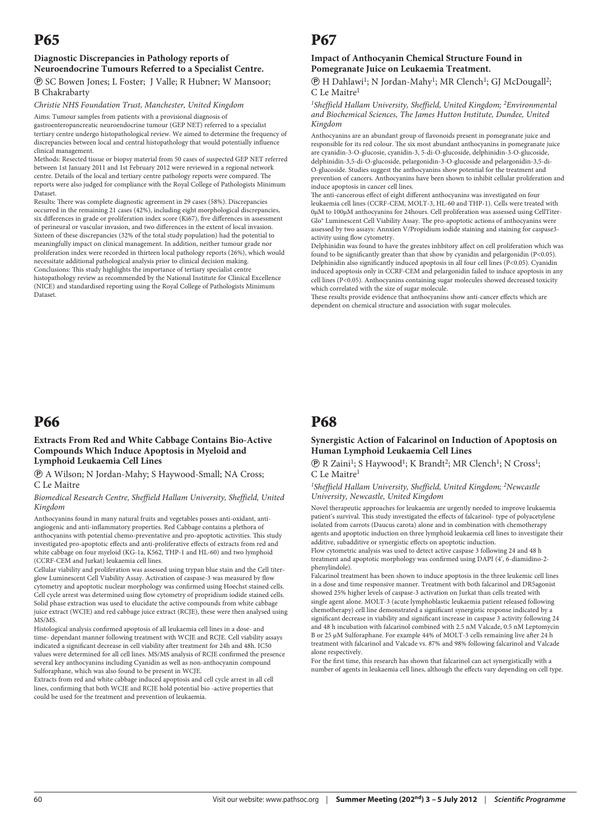### **Diagnostic Discrepancies in Pathology reports of Neuroendocrine Tumours Referred to a Specialist Centre.**

P SC Bowen Jones; L Foster; J Valle; R Hubner; W Mansoor; B Chakrabarty

*Christie NHS Foundation Trust, Manchester, United Kingdom*

Aims: Tumour samples from patients with a provisional diagnosis of gastroenteropancreatic neuroendocrine tumour (GEP NET) referred to a specialist tertiary centre undergo histopathological review. We aimed to determine the frequency of discrepancies between local and central histopathology that would potentially influence clinical management.

Methods: Resected tissue or biopsy material from 50 cases of suspected GEP NET referred between 1st January 2011 and 1st February 2012 were reviewed in a regional network centre. Details of the local and tertiary centre pathology reports were compared. The reports were also judged for compliance with the Royal College of Pathologists Minimum Dataset.

Results: There was complete diagnostic agreement in 29 cases (58%). Discrepancies occurred in the remaining 21 cases (42%), including eight morphological discrepancies, six differences in grade or proliferation index score (Ki67), five differences in assessment of perineural or vascular invasion, and two differences in the extent of local invasion. Sixteen of these discrepancies (32% of the total study population) had the potential to meaningfully impact on clinical management. In addition, neither tumour grade nor proliferation index were recorded in thirteen local pathology reports (26%), which would necessitate additional pathological analysis prior to clinical decision making. Conclusions: This study highlights the importance of tertiary specialist centre histopathology review as recommended by the National Institute for Clinical Excellence (NICE) and standardised reporting using the Royal College of Pathologists Minimum Dataset.

# **P67**

#### **Impact of Anthocyanin Chemical Structure Found in Pomegranate Juice on Leukaemia Treatment.**

 $\textcircled{P}$  H Dahlawi<sup>1</sup>; N Jordan-Mahy<sup>1</sup>; MR Clench<sup>1</sup>; GJ McDougall<sup>2</sup>; C Le Maitre<sup>1</sup>

*1Sheffield Hallam University, Sheffield, United Kingdom; 2Environmental and Biochemical Sciences, The James Hutton Institute, Dundee, United Kingdom*

Anthocyanins are an abundant group of flavonoids present in pomegranate juice and responsible for its red colour. The six most abundant anthocyanins in pomegranate juice are cyanidin-3-O-glucosie, cyanidin-3, 5-di-O-glucoside, delphinidin-3-O-glucoside, delphinidin-3,5-di-O-glucoside, pelargonidin-3-O-glucoside and pelargonidin-3,5-di-O-glucoside. Studies suggest the anthocyanins show potential for the treatment and prevention of cancers. Anthocyanins have been shown to inhibit cellular proliferation and induce apoptosis in cancer cell lines.

The anti-cancerous effect of eight different anthocyanins was investigated on four leukaemia cell lines (CCRF-CEM, MOLT-3, HL-60 and THP-1). Cells were treated with 0µM to 100µM anthocyanins for 24hours. Cell proliferation was assessed using CellTiter-Glo® Luminescent Cell Viability Assay. The pro-apoptotic actions of anthocyanins were assessed by two assays: Annxien V/Propidium iodide staining and staining for caspase3 activity using flow cytometry.

Delphinidin was found to have the greates inhbitory affect on cell proliferation which was found to be significantly greater than that show by cyanidin and pelargonidin (P<0.05). Delphinidin also significantly induced apoptosis in all four cell lines (P<0.05). Cyanidin induced apoptosis only in CCRF-CEM and pelargonidin failed to induce apoptosis in any cell lines (P<0.05). Anthocyanins containing sugar molecules showed decreased toxicity which correlated with the size of sugar molecule.

These results provide evidence that anthocyanins show anti-cancer effects which are dependent on chemical structure and association with sugar molecules.

# P66

#### **Extracts From Red and White Cabbage Contains Bio-Active Compounds Which Induce Apoptosis in Myeloid and Lymphoid Leukaemia Cell Lines**

P A Wilson; N Jordan-Mahy; S Haywood-Small; NA Cross; C Le Maitre

#### *Biomedical Research Centre, Sheffield Hallam University, Sheffield, United Kingdom*

Anthocyanins found in many natural fruits and vegetables posses anti-oxidant, antiangiogenic and anti-inflammatory properties. Red Cabbage contains a plethora of anthocyanins with potential chemo-preventative and pro-apoptotic activities. This study investigated pro-apoptotic effects and anti-proliferative effects of extracts from red and white cabbage on four myeloid (KG-1a, K562, THP-1 and HL-60) and two lymphoid (CCRF-CEM and Jurkat) leukaemia cell lines.

Cellular viability and proliferation was assessed using trypan blue stain and the Cell titerglow Luminescent Cell Viability Assay. Activation of caspase-3 was measured by flow cytometry and apoptotic nuclear morphology was confirmed using Hoechst stained cells. Cell cycle arrest was determined using flow cytometry of propridium iodide stained cells. Solid phase extraction was used to elucidate the active compounds from white cabbage juice extract (WCJE) and red cabbage juice extract (RCJE), these were then analysed using MS/MS.

Histological analysis confirmed apoptosis of all leukaemia cell lines in a dose- and time- dependant manner following treatment with WCJE and RCJE. Cell viability assays indicated a significant decrease in cell viability after treatment for 24h and 48h. IC50 values were determined for all cell lines. MS/MS analysis of RCJE confirmed the presence several key anthocyanins including Cyanidin as well as non-anthocyanin compound Sulforaphane, which was also found to be present in WCJE.

Extracts from red and white cabbage induced apoptosis and cell cycle arrest in all cell lines, confirming that both WCJE and RCJE hold potential bio -active properties that could be used for the treatment and prevention of leukaemia.

# P68

#### **Synergistic Action of Falcarinol on Induction of Apoptosis on Human Lymphoid Leukaemia Cell Lines**

#### P R Zaini1; S Haywood1; K Brandt2; MR Clench1; N Cross1; C Le Maitre<sup>1</sup>

#### *1Sheffield Hallam University, Sheffield, United Kingdom; 2Newcastle University, Newcastle, United Kingdom*

Novel therapeutic approaches for leukaemia are urgently needed to improve leukaemia patient's survival. This study investigated the effects of falcarinol- type of polyacetylene isolated from carrots (Daucus carota) alone and in combination with chemotherapy agents and apoptotic induction on three lymphoid leukaemia cell lines to investigate their additive, subadditive or synergistic effects on apoptotic induction.

Flow cytometric analysis was used to detect active caspase 3 following 24 and 48 h treatment and apoptotic morphology was confirmed using DAPI (4', 6-diamidino-2 phenylindole).

Falcarinol treatment has been shown to induce apoptosis in the three leukemic cell lines in a dose and time responsive manner. Treatment with both falcarinol and DR5agonist showed 25% higher levels of caspase-3 activation on Jurkat than cells treated with single agent alone. MOLT-3 (acute lymphoblastic leukaemia patient released following chemotherapy) cell line demonstrated a significant synergistic response indicated by a significant decrease in viability and significant increase in caspase 3 activity following 24 and 48 h incubation with falcarinol combined with 2.5 nM Valcade, 0.5 nM Leptomycin B or 25 µM Sulforaphane. For example 44% of MOLT-3 cells remaining live after 24 h treatment with falcarinol and Valcade vs. 87% and 98% following falcarinol and Valcade alone respectively.

For the first time, this research has shown that falcarinol can act synergistically with a number of agents in leukaemia cell lines, although the effects vary depending on cell type.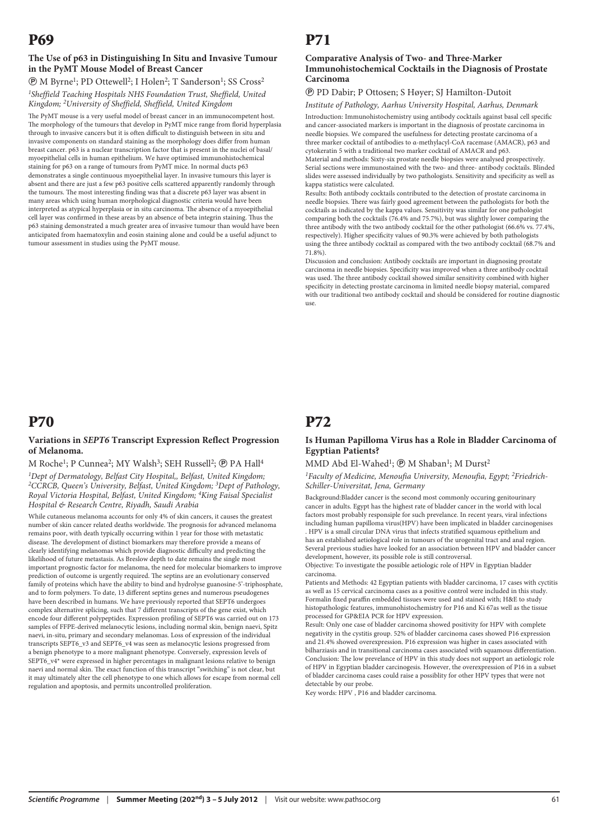#### **The Use of p63 in Distinguishing In Situ and Invasive Tumour in the PyMT Mouse Model of Breast Cancer**

 $\textcircled{P}$  M Byrne<sup>1</sup>; PD Ottewell<sup>2</sup>; I Holen<sup>2</sup>; T Sanderson<sup>1</sup>; SS Cross<sup>2</sup> *1Sheffield Teaching Hospitals NHS Foundation Trust, Sheffield, United Kingdom; 2University of Sheffield, Sheffield, United Kingdom*

The PyMT mouse is a very useful model of breast cancer in an immunocompetent host. The morphology of the tumours that develop in PyMT mice range from florid hyperplasia through to invasive cancers but it is often difficult to distinguish between in situ and invasive components on standard staining as the morphology does differ from human breast cancer. p63 is a nuclear transcription factor that is present in the nuclei of basal/ myoepithelial cells in human epithelium. We have optimised immunohistochemical staining for p63 on a range of tumours from PyMT mice. In normal ducts p63 demonstrates a single continuous myoepithelial layer. In invasive tumours this layer is absent and there are just a few p63 positive cells scattered apparently randomly through the tumours. The most interesting finding was that a discrete p63 layer was absent in many areas which using human morphological diagnostic criteria would have been interpreted as atypical hyperplasia or in situ carcinoma. The absence of a myoepithelial cell layer was confirmed in these areas by an absence of beta integrin staining. Thus the p63 staining demonstrated a much greater area of invasive tumour than would have been anticipated from haematoxylin and eosin staining alone and could be a useful adjunct to tumour assessment in studies using the PyMT mouse.

# P71

#### **Comparative Analysis of Two- and Three-Marker Immunohistochemical Cocktails in the Diagnosis of Prostate Carcinoma**

#### P PD Dabir; P Ottosen; S Høyer; SJ Hamilton-Dutoit

*Institute of Pathology, Aarhus University Hospital, Aarhus, Denmark*

Introduction: Immunohistochemistry using antibody cocktails against basal cell specific and cancer-associated markers is important in the diagnosis of prostate carcinoma in needle biopsies. We compared the usefulness for detecting prostate carcinoma of a three marker cocktail of antibodies to α-methylacyl-CoA racemase (AMACR), p63 and cytokeratin 5 with a traditional two marker cocktail of AMACR and p63.

Material and methods: Sixty-six prostate needle biopsies were analysed prospectively. Serial sections were immunostained with the two- and three- antibody cocktails. Blinded slides were assessed individually by two pathologists. Sensitivity and specificity as well as kappa statistics were calculated.

Results: Both antibody cocktails contributed to the detection of prostate carcinoma in needle biopsies. There was fairly good agreement between the pathologists for both the cocktails as indicated by the kappa values. Sensitivity was similar for one pathologist comparing both the cocktails (76.4% and 75.7%), but was slightly lower comparing the three antibody with the two antibody cocktail for the other pathologist (66.6% vs. 77.4%, respectively). Higher specificity values of 90.3% were achieved by both pathologists using the three antibody cocktail as compared with the two antibody cocktail (68.7% and 71.8%).

Discussion and conclusion: Antibody cocktails are important in diagnosing prostate carcinoma in needle biopsies. Specificity was improved when a three antibody cocktail was used. The three antibody cocktail showed similar sensitivity combined with higher specificity in detecting prostate carcinoma in limited needle biopsy material, compared with our traditional two antibody cocktail and should be considered for routine diagnostic use.

# **P70**

#### **Variations in** *SEPT6* **Transcript Expression Reflect Progression of Melanoma.**

#### M Roche<sup>1</sup>; P Cunnea<sup>2</sup>; MY Walsh<sup>3</sup>; SEH Russell<sup>2</sup>; **@** PA Hall<sup>4</sup>

*1Dept of Dermatology, Belfast City Hospital,, Belfast, United Kingdom; 2CCRCB, Queen's University, Belfast, United Kingdom; 3Dept of Pathology, Royal Victoria Hospital, Belfast, United Kingdom; 4King Faisal Specialist Hospital & Research Centre, Riyadh, Saudi Arabia*

While cutaneous melanoma accounts for only 4% of skin cancers, it causes the greatest number of skin cancer related deaths worldwide. The prognosis for advanced melanoma remains poor, with death typically occurring within 1 year for those with metastatic disease. The development of distinct biomarkers may therefore provide a means of clearly identifying melanomas which provide diagnostic difficulty and predicting the likelihood of future metastasis. As Breslow depth to date remains the single most important prognostic factor for melanoma, the need for molecular biomarkers to improve prediction of outcome is urgently required. The septins are an evolutionary conserved family of proteins which have the ability to bind and hydrolyse guanosine-5'-triphosphate, and to form polymers. To date, 13 different septins genes and numerous pseudogenes have been described in humans. We have previously reported that SEPT6 undergoes complex alternative splicing, such that 7 different transcripts of the gene exist, which encode four different polypeptides. Expression profiling of SEPT6 was carried out on 173 samples of FFPE-derived melanocytic lesions, including normal skin, benign naevi, Spitz naevi, in-situ, primary and secondary melanomas. Loss of expression of the individual transcripts SEPT6\_v3 and SEPT6\_v4 was seen as melanocytic lesions progressed from a benign phenotype to a more malignant phenotype. Conversely, expression levels of SEPT6\_v4\* were expressed in higher percentages in malignant lesions relative to benign naevi and normal skin. The exact function of this transcript "switching" is not clear, but it may ultimately alter the cell phenotype to one which allows for escape from normal cell regulation and apoptosis, and permits uncontrolled proliferation.

# P72

#### **Is Human Papilloma Virus has a Role in Bladder Carcinoma of Egyptian Patients?**

#### MMD Abd El-Wahed<sup>1</sup>;  $\textcircled{P}$  M Shaban<sup>1</sup>; M Durst<sup>2</sup>

#### *1Faculty of Medicine, Menoufia University, Menoufia, Egypt; 2Friedrich-Schiller-Universitat, Jena, Germany*

Background:Bladder cancer is the second most commonly occuring genitourinary cancer in adults. Egypt has the highest rate of bladder cancer in the world with local factors most probably responsiple for such prevelance. In recent years, viral infections including human papilloma virus(HPV) have been implicated in bladder carcinogenises . HPV is a small circular DNA virus that infects stratified squamous epithelium and has an established aetiological role in tumours of the urogenital tract and anal region. Several previous studies have looked for an association between HPV and bladder cancer development, however, its possible role is still controversal.

Objective: To investigate the possible aetiologic role of HPV in Egyptian bladder carcinoma.

Patients and Methods: 42 Egyptian patients with bladder carcinoma, 17 cases with cyctitis as well as 15 cervical carcinoma cases as a positive control were included in this study. Formalin fixed paraffin embedded tissues were used and stained with; H&E to study histopathologic features, immunohistochemistry for P16 and Ki 67as well as the tissue processed for GP&EIA PCR for HPV expression.

Result: Only one case of bladder carcinoma showed positivity for HPV with complete negativity in the cystitis group. 52% of bladder carcinoma cases showed P16 expression and 21.4% showed overexpression. P16 expression was higher in cases associated with bilharziasis and in transitional carcinoma cases associated with squamous differentiation. Conclusion: The low prevelance of HPV in this study does not support an aetiologic role of HPV in Egyptian bladder carcinogesis. However, the overexpression of P16 in a subset of bladder carcinoma cases could raise a possiblity for other HPV types that were not detectable by our probe.

Key words: HPV , P16 and bladder carcinoma.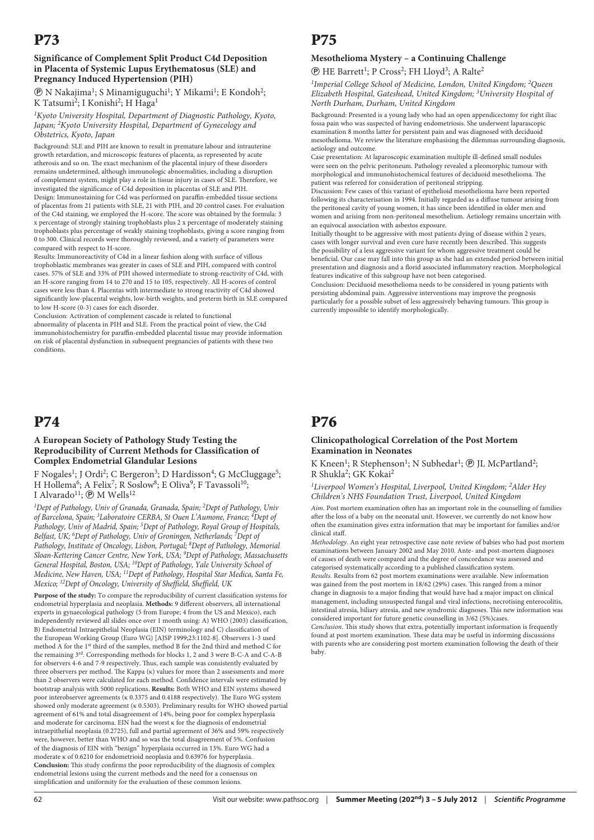#### **Significance of Complement Split Product C4d Deposition in Placenta of Systemic Lupus Erythematosus (SLE) and Pregnancy Induced Hypertension (PIH)**

P N Nakajima1; S Minamiguguchi1; Y Mikami1; E Kondoh2; K Tatsumi<sup>2</sup>; I Konishi<sup>2</sup>; H Haga<sup>1</sup>

*1Kyoto University Hospital, Department of Diagnostic Pathology, Kyoto, Japan; 2Kyoto University Hospital, Department of Gynecology and Obstetrics, Kyoto, Japan*

Background: SLE and PIH are known to result in premature labour and intrauterine growth retardation, and microscopic features of placenta, as represented by acute atherosis and so on. The exact mechanism of the placental injury of these disorders remains undetermined, although immunologic abnormalities, including a disruption of complement system, might play a role in tissue injury in cases of SLE. Therefore, we investigated the significance of C4d deposition in placentas of SLE and PIH. Design: Immunostaining for C4d was performed on paraffin-embedded tissue sections of placentas from 21 patients with SLE, 21 with PIH, and 20 control cases. For evaluation of the C4d staining, we employed the H-score. The score was obtained by the formula: 3 x percentage of strongly staining trophoblasts plus 2 x percentage of moderately staining trophoblasts plus percentage of weakly staining trophoblasts, giving a score ranging from 0 to 300. Clinical records were thoroughly reviewed, and a variety of parameters were compared with respect to H-score.

Results: Immunoreactivity of C4d in a linear fashion along with surface of villous trophoblastic membranes was greater in cases of SLE and PIH, compared with control cases. 57% of SLE and 33% of PIH showed intermediate to strong-reactivity of C4d, with an H-score ranging from 14 to 270 and 15 to 105, respectively. All H-scores of control cases were less than 4. Placentas with intermediate to strong reactivity of C4d showed significantly low-placental weights, low-birth weights, and preterm birth in SLE compared to low H-score (0-3) cases for each disorder.

Conclusion: Activation of complement cascade is related to functional abnormality of placenta in  $\widehat{\mathrm{PIH}}$  and SLE. From the practical point of view, the C4d immunohistochemistry for paraffin-embedded placental tissue may provide information on risk of placental dysfunction in subsequent pregnancies of patients with these two conditions.

# P74

#### **A European Society of Pathology Study Testing the Reproducibility of Current Methods for Classification of Complex Endometrial Glandular Lesions**

F Nogales<sup>1</sup>; J Ordi<sup>2</sup>; C Bergeron<sup>3</sup>; D Hardisson<sup>4</sup>; G McCluggage<sup>5</sup>; H Hollema<sup>6</sup>; A Felix<sup>7</sup>; R Soslow<sup>8</sup>; E Oliva<sup>9</sup>; F Tavassoli<sup>10</sup>; I Alvarado<sup>11</sup>; **(P**) M Wells<sup>12</sup>

*1Dept of Pathology, Univ of Granada, Granada, Spain; 2Dept of Pathology, Univ of Barcelona, Spain; 3Laboratoire CERBA, St Ouen L'Aumone, France; 4Dept of Pathology, Univ of Madrid, Spain; 5Dept of Pathology, Royal Group of Hospitals, Belfast, UK; 6Dept of Pathology, Univ of Groningen, Netherlands; 7Dept of Pathology, Institute of Oncology, Lisbon, Portugal; 8Dept of Pathology, Memorial Sloan-Kettering Cancer Centre, New York, USA; 9Dept of Pathology, Massachusetts General Hospital, Boston, USA; 10Dept of Pathology, Yale University School of Medicine, New Haven, USA; 11Dept of Pathology, Hospital Star Medica, Santa Fe, Mexico; 12Dept of Oncology, University of Sheffield, Sheffield, UK*

**Purpose of the study:** To compare the reproducibility of current classification systems for endometrial hyperplasia and neoplasia. **Methods:** 9 different observers, all international experts in gynaecological pathology (5 from Europe; 4 from the US and Mexico), each independently reviewed all slides once over 1 month using: A) WHO (2003) classification, B) Endometrial Intraepithelial Neoplasia (EIN) terminology and C) classification of the European Working Group (Euro WG) [AJSP 1999;23:1102-8]. Observers 1-3 used method A for the 1st third of the samples, method B for the 2nd third and method C for the remaining 3rd. Corresponding methods for blocks 1, 2 and 3 were B-C-A and C-A-B for observers 4-6 and 7-9 respectively. Thus, each sample was consistently evaluated by three observers per method. The Kappa (κ) values for more than 2 assessments and more than 2 observers were calculated for each method. Confidence intervals were estimated by bootstrap analysis with 5000 replications. **Results:** Both WHO and EIN systems showed poor interobserver agreements (κ 0.3375 and 0.4188 respectively). The Euro WG system showed only moderate agreement (κ 0.5303). Preliminary results for WHO showed partial agreement of 61% and total disagreement of 14%, being poor for complex hyperplasia and moderate for carcinoma. EIN had the worst κ for the diagnosis of endometrial intraepithelial neoplasia (0.2725), full and partial agreement of 36% and 59% respectively were, however, better than WHO and so was the total disagreement of 5%. Confusion of the diagnosis of EIN with "benign" hyperplasia occurred in 13%. Euro WG had a moderate κ of 0.6210 for endometrioid neoplasia and 0.63976 for hyperplasia. **Conclusion:** This study confirms the poor reproducibility of the diagnosis of complex endometrial lesions using the current methods and the need for a consensus on simplification and uniformity for the evaluation of these common lesions.

# **P75**

#### **Mesothelioma Mystery – a Continuing Challenge**

**P** HE Barrett<sup>1</sup>; P Cross<sup>2</sup>; FH Lloyd<sup>3</sup>; A Ralte<sup>2</sup>

*1Imperial College School of Medicine, London, United Kingdom; 2Queen Elizabeth Hospital, Gateshead, United Kingdom; 3University Hospital of North Durham, Durham, United Kingdom*

Background: Presented is a young lady who had an open appendicectomy for right iliac fossa pain who was suspected of having endometriosis. She underwent laparascopic examination 8 months latter for persistent pain and was diagnosed with deciduoid mesothelioma. We review the literature emphasising the dilemmas surrounding diagnosis, aetiology and outcome.

Case presentation: At laparoscopic examination multiple ill-defined small nodules were seen on the pelvic peritoneum. Pathology revealed a pleomorphic tumour with morphological and immunohistochemical features of deciduoid mesothelioma. The patient was referred for consideration of peritoneal stripping.

Discussion: Few cases of this variant of epithelioid mesothelioma have been reported following its characterisation in 1994. Initially regarded as a diffuse tumour arising from the peritoneal cavity of young women, it has since been identified in older men and women and arising from non-peritoneal mesothelium. Aetiology remains uncertain with an equivocal association with asbestos exposure.

Initially thought to be aggressive with most patients dying of disease within 2 years, cases with longer survival and even cure have recently been described. This suggests the possibility of a less aggressive variant for whom aggressive treatment could be beneficial. Our case may fall into this group as she had an extended period between initial presentation and diagnosis and a florid associated inflammatory reaction. Morphological features indicative of this subgroup have not been categorised.

Conclusion: Deciduoid mesothelioma needs to be considered in young patients with persisting abdominal pain. Aggressive interventions may improve the prognosis particularly for a possible subset of less aggressively behaving tumours. This group is currently impossible to identify morphologically.

# P76

#### **Clinicopathological Correlation of the Post Mortem Examination in Neonates**

K Kneen<sup>1</sup>; R Stephenson<sup>1</sup>; N Subhedar<sup>1</sup>; **@** JL McPartland<sup>2</sup>; R Shukla<sup>2</sup>; GK Kokai<sup>2</sup>

*1Liverpool Women's Hospital, Liverpool, United Kingdom; 2Alder Hey Children's NHS Foundation Trust, Liverpool, United Kingdom*

*Aim.* Post mortem examination often has an important role in the counselling of families after the loss of a baby on the neonatal unit. However, we currently do not know how often the examination gives extra information that may be important for families and/or clinical staff.

*Methodology.* An eight year retrospective case note review of babies who had post mortem examinations between January 2002 and May 2010. Ante- and post-mortem diagnoses of causes of death were compared and the degree of concordance was assessed and categorised systematically according to a published classification system.

*Results.* Results from 62 post mortem examinations were available. New information was gained from the post mortem in 18/62 (29%) cases. This ranged from a minor change in diagnosis to a major finding that would have had a major impact on clinical management, including unsuspected fungal and viral infections, necrotising enterocolitis, intestinal atresia, biliary atresia, and new syndromic diagnoses. This new information was considered important for future genetic counselling in 3/62 (5%)cases.

*Conclusion.* This study shows that extra, potentially important information is frequently found at post mortem examination. These data may be useful in informing discussions with parents who are considering post mortem examination following the death of their baby.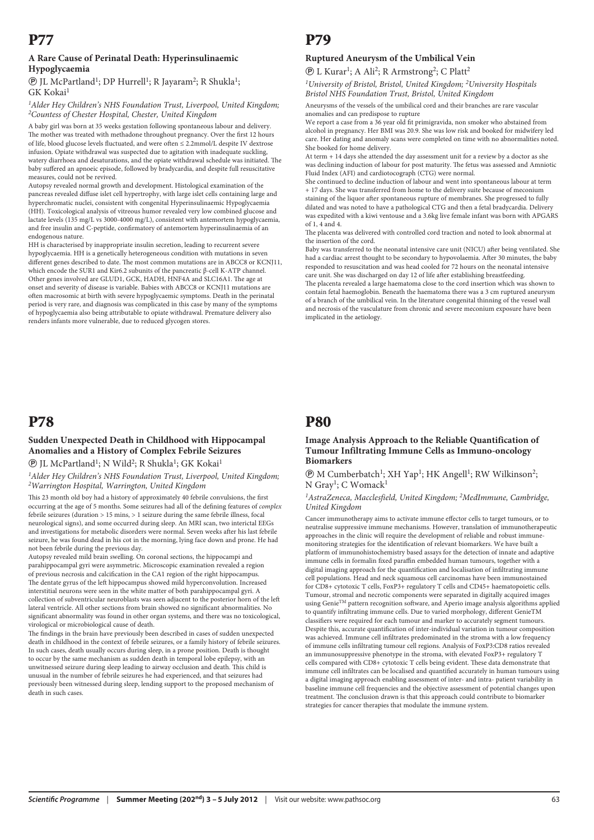#### **A Rare Cause of Perinatal Death: Hyperinsulinaemic Hypoglycaemia**

P JL McPartland1; DP Hurrell1; R Jayaram2; R Shukla1; GK Kokai<sup>1</sup>

<sup>1</sup> Alder Hey Children's NHS Foundation Trust, Liverpool, United Kingdom; *2Countess of Chester Hospital, Chester, United Kingdom*

A baby girl was born at 35 weeks gestation following spontaneous labour and delivery. The mother was treated with methadone throughout pregnancy. Over the first 12 hours of life, blood glucose levels fluctuated, and were often ≤ 2.2mmol/L despite IV dextrose infusion. Opiate withdrawal was suspected due to agitation with inadequate suckling, watery diarrhoea and desaturations, and the opiate withdrawal schedule was initiated. The baby suffered an apnoeic episode, followed by bradycardia, and despite full resuscitative measures, could not be revived.

Autopsy revealed normal growth and development. Histological examination of the pancreas revealed diffuse islet cell hypertrophy, with large islet cells containing large and hyperchromatic nuclei, consistent with congenital Hyperinsulinaemic Hypoglycaemia (HH). Toxicological analysis of vitreous humor revealed very low combined glucose and lactate levels (135 mg/L vs 3000-4000 mg/L), consistent with antemortem hypoglycaemia, and free insulin and C-peptide, confirmatory of antemortem hyperinsulinaemia of an endogenous nature.

HH is characterised by inappropriate insulin secretion, leading to recurrent severe hypoglycaemia. HH is a genetically heterogeneous condition with mutations in seven different genes described to date. The most common mutations are in ABCC8 or KCNJ11, which encode the SUR1 and Kir6.2 subunits of the pancreatic β-cell K-ATP channel. Other genes involved are GLUD1, GCK, HADH, HNF4A and SLC16A1. The age at onset and severity of disease is variable. Babies with ABCC8 or KCNJ11 mutations are often macrosomic at birth with severe hypoglycaemic symptoms. Death in the perinatal period is very rare, and diagnosis was complicated in this case by many of the symptoms of hypoglycaemia also being attributable to opiate withdrawal. Premature delivery also renders infants more vulnerable, due to reduced glycogen stores.

# P78

#### **Sudden Unexpected Death in Childhood with Hippocampal Anomalies and a History of Complex Febrile Seizures**

P JL McPartland1; N Wild2; R Shukla1; GK Kokai1

*1Alder Hey Children's NHS Foundation Trust, Liverpool, United Kingdom; 2Warrington Hospital, Warrington, United Kingdom*

This 23 month old boy had a history of approximately 40 febrile convulsions, the first occurring at the age of 5 months. Some seizures had all of the defining features of *complex* febrile seizures (duration > 15 mins, > 1 seizure during the same febrile illness, focal neurological signs), and some occurred during sleep. An MRI scan, two interictal EEGs and investigations for metabolic disorders were normal. Seven weeks after his last febrile seizure, he was found dead in his cot in the morning, lying face down and prone. He had not been febrile during the previous day.

Autopsy revealed mild brain swelling. On coronal sections, the hippocampi and parahippocampal gyri were asymmetric. Microscopic examination revealed a region of previous necrosis and calcification in the CA1 region of the right hippocampus. The dentate gyrus of the left hippocampus showed mild hyperconvolution. Increased interstitial neurons were seen in the white matter of both parahippocampal gyri. A collection of subventricular neuroblasts was seen adjacent to the posterior horn of the left lateral ventricle. All other sections from brain showed no significant abnormalities. No significant abnormality was found in other organ systems, and there was no toxicological, virological or microbiological cause of death.

The findings in the brain have previously been described in cases of sudden unexpected death in childhood in the context of febrile seizures, or a family history of febrile seizures. In such cases, death usually occurs during sleep, in a prone position. Death is thought to occur by the same mechanism as sudden death in temporal lobe epilepsy, with an unwitnessed seizure during sleep leading to airway occlusion and death. This child is unusual in the number of febrile seizures he had experienced, and that seizures had previously been witnessed during sleep, lending support to the proposed mechanism of death in such cases.

# **P79**

#### **Ruptured Aneurysm of the Umbilical Vein**

 $\textcircled{P}$  L Kurar<sup>1</sup>; A Ali<sup>2</sup>; R Armstrong<sup>2</sup>; C Platt<sup>2</sup>

*1University of Bristol, Bristol, United Kingdom; 2University Hospitals Bristol NHS Foundation Trust, Bristol, United Kingdom*

Aneurysms of the vessels of the umbilical cord and their branches are rare vascular anomalies and can predispose to rupture

We report a case from a 36 year old fit primigravida, non smoker who abstained from alcohol in pregnancy. Her BMI was 20.9. She was low risk and booked for midwifery led care. Her dating and anomaly scans were completed on time with no abnormalities noted. She booked for home delivery.

At term + 14 days she attended the day assessment unit for a review by a doctor as she was declining induction of labour for post maturity. The fetus was assessed and Amniotic Fluid Index (AFI) and cardiotocograph (CTG) were normal.

She continued to decline induction of labour and went into spontaneous labour at term + 17 days. She was transferred from home to the delivery suite because of meconium staining of the liquor after spontaneous rupture of membranes. She progressed to fully dilated and was noted to have a pathological CTG and then a fetal bradycardia. Delivery was expedited with a kiwi ventouse and a 3.6kg live female infant was born with APGARS of 1, 4 and 4.

The placenta was delivered with controlled cord traction and noted to look abnormal at the insertion of the cord.

Baby was transferred to the neonatal intensive care unit (NICU) after being ventilated. She had a cardiac arrest thought to be secondary to hypovolaemia. After 30 minutes, the baby responded to resuscitation and was head cooled for 72 hours on the neonatal intensive care unit. She was discharged on day 12 of life after establishing breastfeeding. The placenta revealed a large haematoma close to the cord insertion which was shown to contain fetal haemoglobin. Beneath the haematoma there was a 3 cm ruptured aneurysm of a branch of the umbilical vein. In the literature congenital thinning of the vessel wall and necrosis of the vasculature from chronic and severe meconium exposure have been implicated in the aetiology.

# **P80**

#### **Image Analysis Approach to the Reliable Quantification of Tumour Infiltrating Immune Cells as Immuno-oncology Biomarkers**

#### P M Cumberbatch1; XH Yap1; HK Angell1; RW Wilkinson2; N Gray<sup>1</sup>; C Womack<sup>1</sup>

#### *1AstraZeneca, Macclesfield, United Kingdom; 2MedImmune, Cambridge, United Kingdom*

Cancer immunotherapy aims to activate immune effector cells to target tumours, or to neutralise suppressive immune mechanisms. However, translation of immunotherapeutic approaches in the clinic will require the development of reliable and robust immunemonitoring strategies for the identification of relevant biomarkers. We have built a platform of immunohistochemistry based assays for the detection of innate and adaptive immune cells in formalin fixed paraffin embedded human tumours, together with a digital imaging approach for the quantification and localisation of infiltrating immune cell populations. Head and neck squamous cell carcinomas have been immunostained for CD8+ cytotoxic T cells, FoxP3+ regulatory T cells and CD45+ haematopoietic cells. Tumour, stromal and necrotic components were separated in digitally acquired images using GenieTM pattern recognition software, and Aperio image analysis algorithms applied to quantify infiltrating immune cells. Due to varied morphology, different GenieTM classifiers were required for each tumour and marker to accurately segment tumours. Despite this, accurate quantification of inter-individual variation in tumour composition was achieved. Immune cell infiltrates predominated in the stroma with a low frequency of immune cells infiltrating tumour cell regions. Analysis of FoxP3:CD8 ratios revealed an immunosuppressive phenotype in the stroma, with elevated FoxP3+ regulatory T cells compared with CD8+ cytotoxic T cells being evident. These data demonstrate that immune cell infiltrates can be localised and quantified accurately in human tumours using a digital imaging approach enabling assessment of inter- and intra- patient variability in baseline immune cell frequencies and the objective assessment of potential changes upon treatment. The conclusion drawn is that this approach could contribute to biomarker strategies for cancer therapies that modulate the immune system.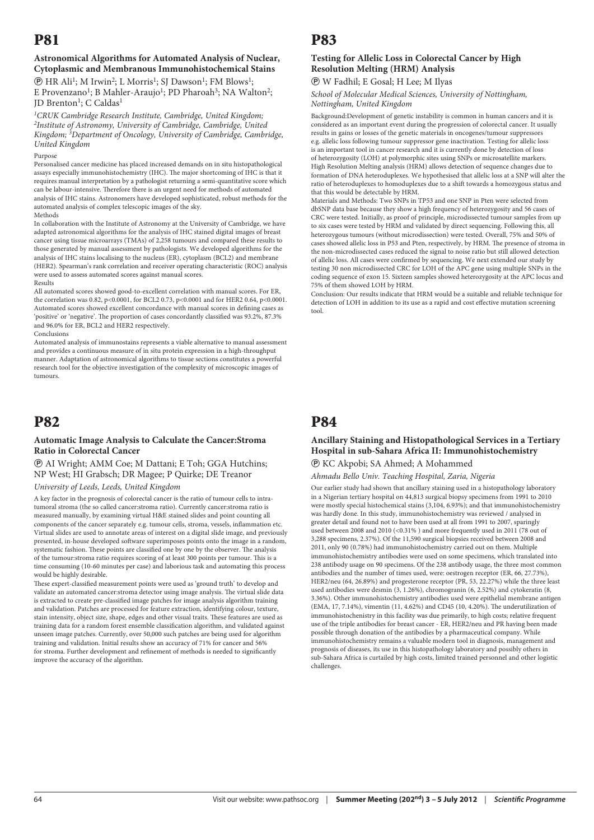#### **Astronomical Algorithms for Automated Analysis of Nuclear, Cytoplasmic and Membranous Immunohistochemical Stains**

 $\textcircled{P}$  HR Ali<sup>1</sup>; M Irwin<sup>2</sup>; L Morris<sup>1</sup>; SJ Dawson<sup>1</sup>; FM Blows<sup>1</sup>; E Provenzano<sup>1</sup>; B Mahler-Araujo<sup>1</sup>; PD Pharoah<sup>3</sup>; NA Walton<sup>2</sup>; JD Brenton<sup>1</sup>; C Caldas<sup>1</sup>

*1CRUK Cambridge Research Institute, Cambridge, United Kingdom; 2Institute of Astronomy, University of Cambridge, Cambridge, United Kingdom; 3Department of Oncology, University of Cambridge, Cambridge, United Kingdom*

#### Purpose

Personalised cancer medicine has placed increased demands on in situ histopathological assays especially immunohistochemistry (IHC). The major shortcoming of IHC is that it requires manual interpretation by a pathologist returning a semi-quantitative score which can be labour-intensive. Therefore there is an urgent need for methods of automated analysis of IHC stains. Astronomers have developed sophisticated, robust methods for the automated analysis of complex telescopic images of the sky. Methods

In collaboration with the Institute of Astronomy at the University of Cambridge, we have adapted astronomical algorithms for the analysis of IHC stained digital images of breast cancer using tissue microarrays (TMAs) of 2,258 tumours and compared these results to those generated by manual assessment by pathologists. We developed algorithms for the analysis of IHC stains localising to the nucleus (ER), cytoplasm (BCL2) and membrane (HER2). Spearman's rank correlation and receiver operating characteristic (ROC) analysis were used to assess automated scores against manual scores. Results

All automated scores showed good-to-excellent correlation with manual scores. For ER, the correlation was 0.82, p<0.0001, for BCL2 0.73, p<0.0001 and for HER2 0.64, p<0.0001. Automated scores showed excellent concordance with manual scores in defining cases as 'positive' or 'negative'. The proportion of cases concordantly classified was 93.2%, 87.3% and 96.0% for ER, BCL2 and HER2 respectively. Conclusions

Automated analysis of immunostains represents a viable alternative to manual assessment and provides a continuous measure of in situ protein expression in a high-throughput manner. Adaptation of astronomical algorithms to tissue sections constitutes a powerful research tool for the objective investigation of the complexity of microscopic images of tumours.

# **P82**

#### **Automatic Image Analysis to Calculate the Cancer:Stroma Ratio in Colorectal Cancer**

#### P AI Wright; AMM Coe; M Dattani; E Toh; GGA Hutchins; NP West; HI Grabsch; DR Magee; P Quirke; DE Treanor

*University of Leeds, Leeds, United Kingdom*

A key factor in the prognosis of colorectal cancer is the ratio of tumour cells to intratumoral stroma (the so called cancer:stroma ratio). Currently cancer:stroma ratio is measured manually, by examining virtual H&E stained slides and point counting all components of the cancer separately e.g. tumour cells, stroma, vessels, inflammation etc. Virtual slides are used to annotate areas of interest on a digital slide image, and previously presented, in-house developed software superimposes points onto the image in a random, systematic fashion. These points are classified one by one by the observer. The analysis of the tumour:stroma ratio requires scoring of at least 300 points per tumour. This is a time consuming (10-60 minutes per case) and laborious task and automating this process would be highly desirable.

These expert-classified measurement points were used as 'ground truth' to develop and validate an automated cancer:stroma detector using image analysis. The virtual slide data is extracted to create pre-classified image patches for image analysis algorithm training and validation. Patches are processed for feature extraction, identifying colour, texture, stain intensity, object size, shape, edges and other visual traits. These features are used as training data for a random forest ensemble classification algorithm, and validated against unseen image patches. Currently, over 50,000 such patches are being used for algorithm training and validation. Initial results show an accuracy of 71% for cancer and 56% for stroma. Further development and refinement of methods is needed to significantly improve the accuracy of the algorithm.

# P83

#### **Testing for Allelic Loss in Colorectal Cancer by High Resolution Melting (HRM) Analysis**

P W Fadhil; E Gosal; H Lee; M Ilyas

*School of Molecular Medical Sciences, University of Nottingham, Nottingham, United Kingdom*

Background:Development of genetic instability is common in human cancers and it is considered as an important event during the progression of colorectal cancer. It usually results in gains or losses of the genetic materials in oncogenes/tumour suppressors e.g. allelic loss following tumour suppressor gene inactivation. Testing for allelic loss is an important tool in cancer research and it is currently done by detection of loss of heterozygosity (LOH) at polymorphic sites using SNPs or microsatellite markers. High Resolution Melting analysis (HRM) allows detection of sequence changes due to formation of DNA heteroduplexes. We hypothesised that allelic loss at a SNP will alter the ratio of heteroduplexes to homoduplexes due to a shift towards a homozygous status and that this would be detectable by HRM.

Materials and Methods: Two SNPs in TP53 and one SNP in Pten were selected from dbSNP data base because they show a high frequency of heterozygosity and 56 cases of CRC were tested. Initially, as proof of principle, microdissected tumour samples from up to six cases were tested by HRM and validated by direct sequencing. Following this, all heterozygous tumours (without microdissection) were tested. Overall, 75% and 50% of cases showed allelic loss in P53 and Pten, respectively, by HRM. The presence of stroma in the non-microdissected cases reduced the signal to noise ratio but still allowed detection of allelic loss. All cases were confirmed by sequencing. We next extended our study by testing 30 non microdissected CRC for LOH of the APC gene using multiple SNPs in the coding sequence of exon 15. Sixteen samples showed heterozygosity at the APC locus and 75% of them showed LOH by HRM.

Conclusion: Our results indicate that HRM would be a suitable and reliable technique for detection of LOH in addition to its use as a rapid and cost effective mutation screening tool.

# P84

#### **Ancillary Staining and Histopathological Services in a Tertiary Hospital in sub-Sahara Africa II: Immunohistochemistry**

P KC Akpobi; SA Ahmed; A Mohammed

#### *Ahmadu Bello Univ. Teaching Hospital, Zaria, Nigeria*

Our earlier study had shown that ancillary staining used in a histopathology laboratory in a Nigerian tertiary hospital on 44,813 surgical biopsy specimens from 1991 to 2010 were mostly special histochemical stains (3,104, 6.93%); and that immunohistochemistry was hardly done. In this study, immunohistochemistry was reviewed / analysed in greater detail and found not to have been used at all from 1991 to 2007, sparingly used between 2008 and 2010 (<0.31% ) and more frequently used in 2011 (78 out of 3,288 specimens, 2.37%). Of the 11,590 surgical biopsies received between 2008 and 2011, only 90 (0.78%) had immunohistochemistry carried out on them. Multiple immunohistochemistry antibodies were used on some specimens, which translated into 238 antibody usage on 90 specimens. Of the 238 antibody usage, the three most common antibodies and the number of times used, were: oestrogen receptor (ER, 66, 27.73%), HER2/neu (64, 26.89%) and progesterone receptor (PR, 53, 22.27%) while the three least used antibodies were desmin (3, 1.26%), chromogranin (6, 2.52%) and cytokeratin (8, 3.36%). Other immunohistochemistry antibodies used were epithelial membrane antigen (EMA, 17, 7.14%), vimentin (11, 4.62%) and CD45 (10, 4.20%). The underutilization of immunohistochenistry in this facility was due primarily, to high costs; relative frequent use of the triple antibodies for breast cancer - ER, HER2/neu and PR having been made possible through donation of the antibodies by a pharmaceutical company. While immunohistochemistry remains a valuable modern tool in diagnosis, management and prognosis of diseases, its use in this histopathology laboratory and possibly others in sub-Sahara Africa is curtailed by high costs, limited trained personnel and other logistic challenges.